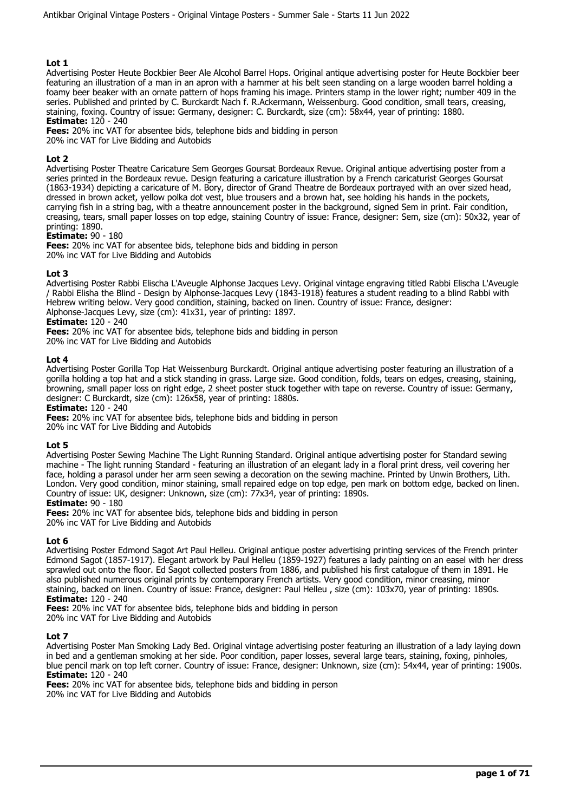Advertising Poster Heute Bockbier Beer Ale Alcohol Barrel Hops. Original antique advertising poster for Heute Bockbier beer featuring an illustration of a man in an apron with a hammer at his belt seen standing on a large wooden barrel holding a foamy beer beaker with an ornate pattern of hops framing his image. Printers stamp in the lower right; number 409 in the series. Published and printed by C. Burckardt Nach f. R.Ackermann, Weissenburg. Good condition, small tears, creasing, staining, foxing. Country of issue: Germany, designer: C. Burckardt, size (cm): 58x44, year of printing: 1880. **Estimate:** 120 - 240

**Fees:** 20% inc VAT for absentee bids, telephone bids and bidding in person

20% inc VAT for Live Bidding and Autobids

## **Lot 2**

Advertising Poster Theatre Caricature Sem Georges Goursat Bordeaux Revue. Original antique advertising poster from a series printed in the Bordeaux revue. Design featuring a caricature illustration by a French caricaturist Georges Goursat (1863-1934) depicting a caricature of M. Bory, director of Grand Theatre de Bordeaux portrayed with an over sized head, dressed in brown acket, yellow polka dot vest, blue trousers and a brown hat, see holding his hands in the pockets, carrying fish in a string bag, with a theatre announcement poster in the background, signed Sem in print. Fair condition, creasing, tears, small paper losses on top edge, staining Country of issue: France, designer: Sem, size (cm): 50x32, year of printing: 1890.

## **Estimate:** 90 - 180

**Fees:** 20% inc VAT for absentee bids, telephone bids and bidding in person 20% inc VAT for Live Bidding and Autobids

## **Lot 3**

Advertising Poster Rabbi Elischa L'Aveugle Alphonse Jacques Levy. Original vintage engraving titled Rabbi Elischa L'Aveugle / Rabbi Elisha the Blind - Design by Alphonse-Jacques Levy (1843-1918) features a student reading to a blind Rabbi with Hebrew writing below. Very good condition, staining, backed on linen. Country of issue: France, designer: Alphonse-Jacques Levy, size (cm): 41x31, year of printing: 1897.

## **Estimate:** 120 - 240

**Fees:** 20% inc VAT for absentee bids, telephone bids and bidding in person 20% inc VAT for Live Bidding and Autobids

#### **Lot 4**

Advertising Poster Gorilla Top Hat Weissenburg Burckardt. Original antique advertising poster featuring an illustration of a gorilla holding a top hat and a stick standing in grass. Large size. Good condition, folds, tears on edges, creasing, staining, browning, small paper loss on right edge, 2 sheet poster stuck together with tape on reverse. Country of issue: Germany, designer: C Burckardt, size (cm): 126x58, year of printing: 1880s.

**Estimate:** 120 - 240

**Fees:** 20% inc VAT for absentee bids, telephone bids and bidding in person 20% inc VAT for Live Bidding and Autobids

#### **Lot 5**

Advertising Poster Sewing Machine The Light Running Standard. Original antique advertising poster for Standard sewing machine - The light running Standard - featuring an illustration of an elegant lady in a floral print dress, veil covering her face, holding a parasol under her arm seen sewing a decoration on the sewing machine. Printed by Unwin Brothers, Lith. London. Very good condition, minor staining, small repaired edge on top edge, pen mark on bottom edge, backed on linen. Country of issue: UK, designer: Unknown, size (cm): 77x34, year of printing: 1890s.

## **Estimate:** 90 - 180

**Fees:** 20% inc VAT for absentee bids, telephone bids and bidding in person 20% inc VAT for Live Bidding and Autobids

#### **Lot 6**

Advertising Poster Edmond Sagot Art Paul Helleu. Original antique poster advertising printing services of the French printer Edmond Sagot (1857-1917). Elegant artwork by Paul Helleu (1859-1927) features a lady painting on an easel with her dress sprawled out onto the floor. Ed Sagot collected posters from 1886, and published his first catalogue of them in 1891. He also published numerous original prints by contemporary French artists. Very good condition, minor creasing, minor staining, backed on linen. Country of issue: France, designer: Paul Helleu , size (cm): 103x70, year of printing: 1890s. **Estimate:** 120 - 240

**Fees:** 20% inc VAT for absentee bids, telephone bids and bidding in person

20% inc VAT for Live Bidding and Autobids

#### **Lot 7**

Advertising Poster Man Smoking Lady Bed. Original vintage advertising poster featuring an illustration of a lady laying down in bed and a gentleman smoking at her side. Poor condition, paper losses, several large tears, staining, foxing, pinholes, blue pencil mark on top left corner. Country of issue: France, designer: Unknown, size (cm): 54x44, year of printing: 1900s. **Estimate:** 120 - 240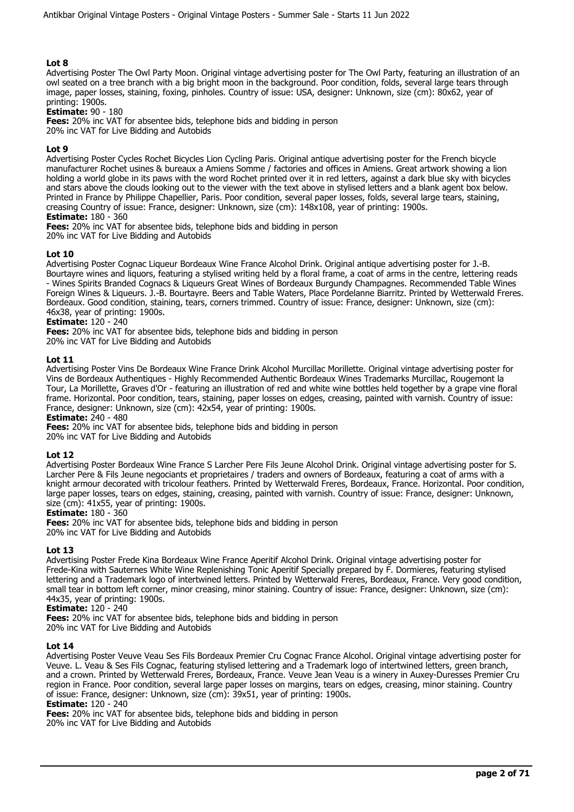Advertising Poster The Owl Party Moon. Original vintage advertising poster for The Owl Party, featuring an illustration of an owl seated on a tree branch with a big bright moon in the background. Poor condition, folds, several large tears through image, paper losses, staining, foxing, pinholes. Country of issue: USA, designer: Unknown, size (cm): 80x62, year of printing: 1900s.

**Estimate:** 90 - 180

**Fees:** 20% inc VAT for absentee bids, telephone bids and bidding in person

20% inc VAT for Live Bidding and Autobids

## **Lot 9**

Advertising Poster Cycles Rochet Bicycles Lion Cycling Paris. Original antique advertising poster for the French bicycle manufacturer Rochet usines & bureaux a Amiens Somme / factories and offices in Amiens. Great artwork showing a lion holding a world globe in its paws with the word Rochet printed over it in red letters, against a dark blue sky with bicycles and stars above the clouds looking out to the viewer with the text above in stylised letters and a blank agent box below. Printed in France by Philippe Chapellier, Paris. Poor condition, several paper losses, folds, several large tears, staining, creasing Country of issue: France, designer: Unknown, size (cm): 148x108, year of printing: 1900s.

**Estimate:** 180 - 360

**Fees:** 20% inc VAT for absentee bids, telephone bids and bidding in person 20% inc VAT for Live Bidding and Autobids

## **Lot 10**

Advertising Poster Cognac Liqueur Bordeaux Wine France Alcohol Drink. Original antique advertising poster for J.-B. Bourtayre wines and liquors, featuring a stylised writing held by a floral frame, a coat of arms in the centre, lettering reads - Wines Spirits Branded Cognacs & Liqueurs Great Wines of Bordeaux Burgundy Champagnes. Recommended Table Wines Foreign Wines & Liqueurs. J.-B. Bourtayre. Beers and Table Waters, Place Pordelanne Biarritz. Printed by Wetterwald Freres. Bordeaux. Good condition, staining, tears, corners trimmed. Country of issue: France, designer: Unknown, size (cm): 46x38, year of printing: 1900s.

#### **Estimate:** 120 - 240

**Fees:** 20% inc VAT for absentee bids, telephone bids and bidding in person 20% inc VAT for Live Bidding and Autobids

#### **Lot 11**

Advertising Poster Vins De Bordeaux Wine France Drink Alcohol Murcillac Morillette. Original vintage advertising poster for Vins de Bordeaux Authentiques - Highly Recommended Authentic Bordeaux Wines Trademarks Murcillac, Rougemont la Tour, La Morillette, Graves d'Or - featuring an illustration of red and white wine bottles held together by a grape vine floral frame. Horizontal. Poor condition, tears, staining, paper losses on edges, creasing, painted with varnish. Country of issue: France, designer: Unknown, size (cm): 42x54, year of printing: 1900s.

**Estimate:** 240 - 480

**Fees:** 20% inc VAT for absentee bids, telephone bids and bidding in person

# 20% inc VAT for Live Bidding and Autobids

#### **Lot 12**

Advertising Poster Bordeaux Wine France S Larcher Pere Fils Jeune Alcohol Drink. Original vintage advertising poster for S. Larcher Pere & Fils Jeune negociants et proprietaires / traders and owners of Bordeaux, featuring a coat of arms with a knight armour decorated with tricolour feathers. Printed by Wetterwald Freres, Bordeaux, France. Horizontal. Poor condition, large paper losses, tears on edges, staining, creasing, painted with varnish. Country of issue: France, designer: Unknown, size (cm): 41x55, year of printing: 1900s.

#### **Estimate:** 180 - 360

**Fees:** 20% inc VAT for absentee bids, telephone bids and bidding in person

20% inc VAT for Live Bidding and Autobids

#### **Lot 13**

Advertising Poster Frede Kina Bordeaux Wine France Aperitif Alcohol Drink. Original vintage advertising poster for Frede-Kina with Sauternes White Wine Replenishing Tonic Aperitif Specially prepared by F. Dormieres, featuring stylised lettering and a Trademark logo of intertwined letters. Printed by Wetterwald Freres, Bordeaux, France. Very good condition, small tear in bottom left corner, minor creasing, minor staining. Country of issue: France, designer: Unknown, size (cm): 44x35, year of printing: 1900s.

**Estimate:** 120 - 240

**Fees:** 20% inc VAT for absentee bids, telephone bids and bidding in person 20% inc VAT for Live Bidding and Autobids

#### **Lot 14**

Advertising Poster Veuve Veau Ses Fils Bordeaux Premier Cru Cognac France Alcohol. Original vintage advertising poster for Veuve. L. Veau & Ses Fils Cognac, featuring stylised lettering and a Trademark logo of intertwined letters, green branch, and a crown. Printed by Wetterwald Freres, Bordeaux, France. Veuve Jean Veau is a winery in Auxey-Duresses Premier Cru region in France. Poor condition, several large paper losses on margins, tears on edges, creasing, minor staining. Country of issue: France, designer: Unknown, size (cm): 39x51, year of printing: 1900s.

#### **Estimate:** 120 - 240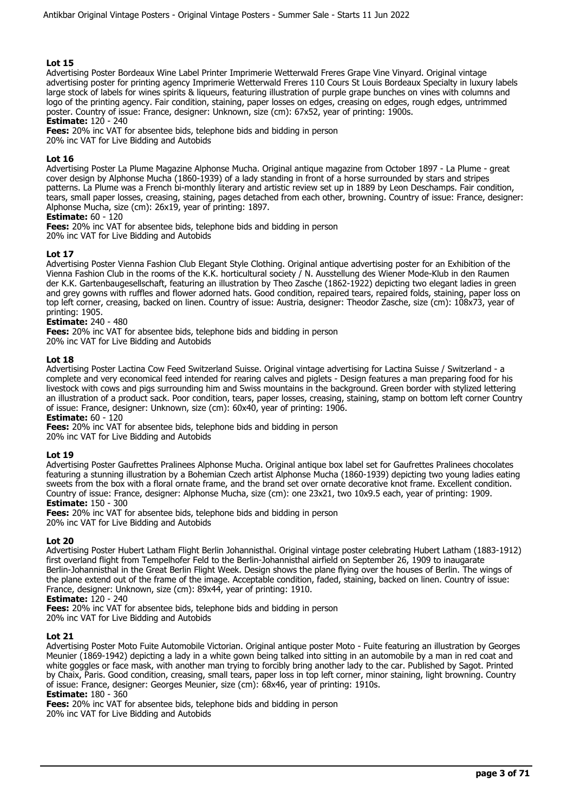Advertising Poster Bordeaux Wine Label Printer Imprimerie Wetterwald Freres Grape Vine Vinyard. Original vintage advertising poster for printing agency Imprimerie Wetterwald Freres 110 Cours St Louis Bordeaux Specialty in luxury labels large stock of labels for wines spirits & liqueurs, featuring illustration of purple grape bunches on vines with columns and logo of the printing agency. Fair condition, staining, paper losses on edges, creasing on edges, rough edges, untrimmed poster. Country of issue: France, designer: Unknown, size (cm): 67x52, year of printing: 1900s.

**Estimate:** 120 - 240

**Fees:** 20% inc VAT for absentee bids, telephone bids and bidding in person 20% inc VAT for Live Bidding and Autobids

## **Lot 16**

Advertising Poster La Plume Magazine Alphonse Mucha. Original antique magazine from October 1897 - La Plume - great cover design by Alphonse Mucha (1860-1939) of a lady standing in front of a horse surrounded by stars and stripes patterns. La Plume was a French bi-monthly literary and artistic review set up in 1889 by Leon Deschamps. Fair condition, tears, small paper losses, creasing, staining, pages detached from each other, browning. Country of issue: France, designer: Alphonse Mucha, size (cm): 26x19, year of printing: 1897.

#### **Estimate:** 60 - 120

**Fees:** 20% inc VAT for absentee bids, telephone bids and bidding in person 20% inc VAT for Live Bidding and Autobids

#### **Lot 17**

Advertising Poster Vienna Fashion Club Elegant Style Clothing. Original antique advertising poster for an Exhibition of the Vienna Fashion Club in the rooms of the K.K. horticultural society / N. Ausstellung des Wiener Mode-Klub in den Raumen der K.K. Gartenbaugesellschaft, featuring an illustration by Theo Zasche (1862-1922) depicting two elegant ladies in green and grey gowns with ruffles and flower adorned hats. Good condition, repaired tears, repaired folds, staining, paper loss on top left corner, creasing, backed on linen. Country of issue: Austria, designer: Theodor Zasche, size (cm): 108x73, year of printing: 1905.

#### **Estimate:** 240 - 480

**Fees:** 20% inc VAT for absentee bids, telephone bids and bidding in person 20% inc VAT for Live Bidding and Autobids

#### **Lot 18**

Advertising Poster Lactina Cow Feed Switzerland Suisse. Original vintage advertising for Lactina Suisse / Switzerland - a complete and very economical feed intended for rearing calves and piglets - Design features a man preparing food for his livestock with cows and pigs surrounding him and Swiss mountains in the background. Green border with stylized lettering an illustration of a product sack. Poor condition, tears, paper losses, creasing, staining, stamp on bottom left corner Country of issue: France, designer: Unknown, size (cm): 60x40, year of printing: 1906.

**Estimate:** 60 - 120

**Fees:** 20% inc VAT for absentee bids, telephone bids and bidding in person

20% inc VAT for Live Bidding and Autobids

#### **Lot 19**

Advertising Poster Gaufrettes Pralinees Alphonse Mucha. Original antique box label set for Gaufrettes Pralinees chocolates featuring a stunning illustration by a Bohemian Czech artist Alphonse Mucha (1860-1939) depicting two young ladies eating sweets from the box with a floral ornate frame, and the brand set over ornate decorative knot frame. Excellent condition. Country of issue: France, designer: Alphonse Mucha, size (cm): one 23x21, two 10x9.5 each, year of printing: 1909. **Estimate:** 150 - 300

**Fees:** 20% inc VAT for absentee bids, telephone bids and bidding in person 20% inc VAT for Live Bidding and Autobids

#### **Lot 20**

Advertising Poster Hubert Latham Flight Berlin Johannisthal. Original vintage poster celebrating Hubert Latham (1883-1912) first overland flight from Tempelhofer Feld to the Berlin-Johannisthal airfield on September 26, 1909 to inaugarate Berlin-Johannisthal in the Great Berlin Flight Week. Design shows the plane flying over the houses of Berlin. The wings of the plane extend out of the frame of the image. Acceptable condition, faded, staining, backed on linen. Country of issue: France, designer: Unknown, size (cm): 89x44, year of printing: 1910.

## **Estimate:** 120 - 240

**Fees:** 20% inc VAT for absentee bids, telephone bids and bidding in person

20% inc VAT for Live Bidding and Autobids

#### **Lot 21**

Advertising Poster Moto Fuite Automobile Victorian. Original antique poster Moto - Fuite featuring an illustration by Georges Meunier (1869-1942) depicting a lady in a white gown being talked into sitting in an automobile by a man in red coat and white goggles or face mask, with another man trying to forcibly bring another lady to the car. Published by Sagot. Printed by Chaix, Paris. Good condition, creasing, small tears, paper loss in top left corner, minor staining, light browning. Country of issue: France, designer: Georges Meunier, size (cm): 68x46, year of printing: 1910s.

# **Estimate:** 180 - 360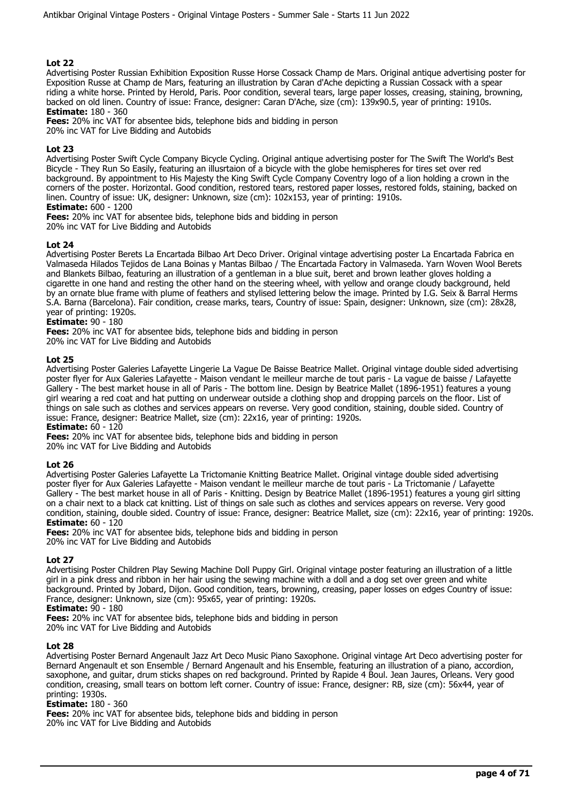Advertising Poster Russian Exhibition Exposition Russe Horse Cossack Champ de Mars. Original antique advertising poster for Exposition Russe at Champ de Mars, featuring an illustration by Caran d'Ache depicting a Russian Cossack with a spear riding a white horse. Printed by Herold, Paris. Poor condition, several tears, large paper losses, creasing, staining, browning, backed on old linen. Country of issue: France, designer: Caran D'Ache, size (cm): 139x90.5, year of printing: 1910s. **Estimate:** 180 - 360

**Fees:** 20% inc VAT for absentee bids, telephone bids and bidding in person

20% inc VAT for Live Bidding and Autobids

## **Lot 23**

Advertising Poster Swift Cycle Company Bicycle Cycling. Original antique advertising poster for The Swift The World's Best Bicycle - They Run So Easily, featuring an illusrtaion of a bicycle with the globe hemispheres for tires set over red background. By appointment to His Majesty the King Swift Cycle Company Coventry logo of a lion holding a crown in the corners of the poster. Horizontal. Good condition, restored tears, restored paper losses, restored folds, staining, backed on linen. Country of issue: UK, designer: Unknown, size (cm): 102x153, year of printing: 1910s.

# **Estimate:** 600 - 1200

**Fees:** 20% inc VAT for absentee bids, telephone bids and bidding in person

20% inc VAT for Live Bidding and Autobids

## **Lot 24**

Advertising Poster Berets La Encartada Bilbao Art Deco Driver. Original vintage advertising poster La Encartada Fabrica en Valmaseda Hilados Tejidos de Lana Boinas y Mantas Bilbao / The Encartada Factory in Valmaseda. Yarn Woven Wool Berets and Blankets Bilbao, featuring an illustration of a gentleman in a blue suit, beret and brown leather gloves holding a cigarette in one hand and resting the other hand on the steering wheel, with yellow and orange cloudy background, held by an ornate blue frame with plume of feathers and stylised lettering below the image. Printed by I.G. Seix & Barral Herms S.A. Barna (Barcelona). Fair condition, crease marks, tears, Country of issue: Spain, designer: Unknown, size (cm): 28x28, year of printing: 1920s.

## **Estimate:** 90 - 180

**Fees:** 20% inc VAT for absentee bids, telephone bids and bidding in person 20% inc VAT for Live Bidding and Autobids

#### **Lot 25**

Advertising Poster Galeries Lafayette Lingerie La Vague De Baisse Beatrice Mallet. Original vintage double sided advertising poster flyer for Aux Galeries Lafayette - Maison vendant le meilleur marche de tout paris - La vague de baisse / Lafayette Gallery - The best market house in all of Paris - The bottom line. Design by Beatrice Mallet (1896-1951) features a young girl wearing a red coat and hat putting on underwear outside a clothing shop and dropping parcels on the floor. List of things on sale such as clothes and services appears on reverse. Very good condition, staining, double sided. Country of issue: France, designer: Beatrice Mallet, size (cm): 22x16, year of printing: 1920s.

**Estimate:** 60 - 120

**Fees:** 20% inc VAT for absentee bids, telephone bids and bidding in person

20% inc VAT for Live Bidding and Autobids

#### **Lot 26**

Advertising Poster Galeries Lafayette La Trictomanie Knitting Beatrice Mallet. Original vintage double sided advertising poster flyer for Aux Galeries Lafayette - Maison vendant le meilleur marche de tout paris - La Trictomanie / Lafayette Gallery - The best market house in all of Paris - Knitting. Design by Beatrice Mallet (1896-1951) features a young girl sitting on a chair next to a black cat knitting. List of things on sale such as clothes and services appears on reverse. Very good condition, staining, double sided. Country of issue: France, designer: Beatrice Mallet, size (cm): 22x16, year of printing: 1920s. **Estimate:** 60 - 120

**Fees:** 20% inc VAT for absentee bids, telephone bids and bidding in person 20% inc VAT for Live Bidding and Autobids

#### **Lot 27**

Advertising Poster Children Play Sewing Machine Doll Puppy Girl. Original vintage poster featuring an illustration of a little girl in a pink dress and ribbon in her hair using the sewing machine with a doll and a dog set over green and white background. Printed by Jobard, Dijon. Good condition, tears, browning, creasing, paper losses on edges Country of issue: France, designer: Unknown, size (cm): 95x65, year of printing: 1920s.

# **Estimate:** 90 - 180

**Fees:** 20% inc VAT for absentee bids, telephone bids and bidding in person 20% inc VAT for Live Bidding and Autobids

#### **Lot 28**

Advertising Poster Bernard Angenault Jazz Art Deco Music Piano Saxophone. Original vintage Art Deco advertising poster for Bernard Angenault et son Ensemble / Bernard Angenault and his Ensemble, featuring an illustration of a piano, accordion, saxophone, and guitar, drum sticks shapes on red background. Printed by Rapide 4 Boul. Jean Jaures, Orleans. Very good condition, creasing, small tears on bottom left corner. Country of issue: France, designer: RB, size (cm): 56x44, year of printing: 1930s.

#### **Estimate:** 180 - 360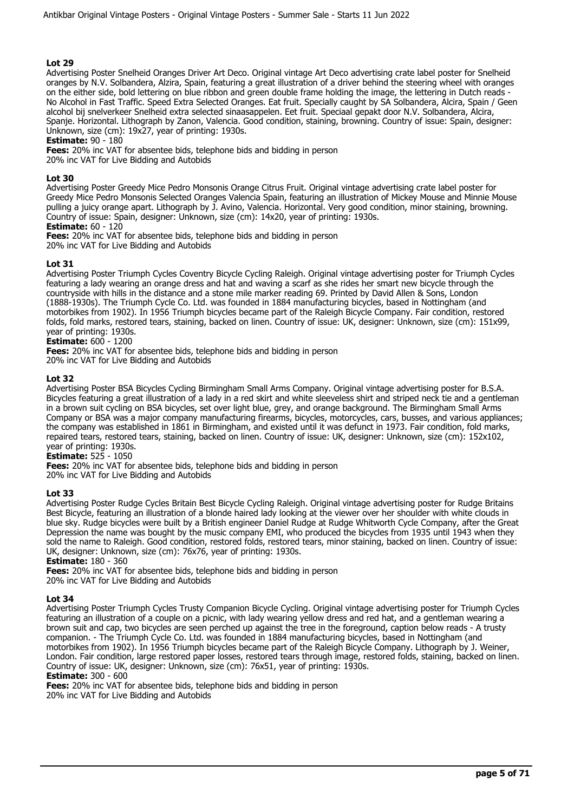Advertising Poster Snelheid Oranges Driver Art Deco. Original vintage Art Deco advertising crate label poster for Snelheid oranges by N.V. Solbandera, Alzira, Spain, featuring a great illustration of a driver behind the steering wheel with oranges on the either side, bold lettering on blue ribbon and green double frame holding the image, the lettering in Dutch reads - No Alcohol in Fast Traffic. Speed Extra Selected Oranges. Eat fruit. Specially caught by SA Solbandera, Alcira, Spain / Geen alcohol bij snelverkeer Snelheid extra selected sinaasappelen. Eet fruit. Speciaal gepakt door N.V. Solbandera, Alcira, Spanje. Horizontal. Lithograph by Zanon, Valencia. Good condition, staining, browning. Country of issue: Spain, designer: Unknown, size (cm): 19x27, year of printing: 1930s.

## **Estimate:** 90 - 180

**Fees:** 20% inc VAT for absentee bids, telephone bids and bidding in person 20% inc VAT for Live Bidding and Autobids

#### **Lot 30**

Advertising Poster Greedy Mice Pedro Monsonis Orange Citrus Fruit. Original vintage advertising crate label poster for Greedy Mice Pedro Monsonis Selected Oranges Valencia Spain, featuring an illustration of Mickey Mouse and Minnie Mouse pulling a juicy orange apart. Lithograph by J. Avino, Valencia. Horizontal. Very good condition, minor staining, browning. Country of issue: Spain, designer: Unknown, size (cm): 14x20, year of printing: 1930s.

## **Estimate:** 60 - 120

**Fees:** 20% inc VAT for absentee bids, telephone bids and bidding in person 20% inc VAT for Live Bidding and Autobids

#### **Lot 31**

Advertising Poster Triumph Cycles Coventry Bicycle Cycling Raleigh. Original vintage advertising poster for Triumph Cycles featuring a lady wearing an orange dress and hat and waving a scarf as she rides her smart new bicycle through the countryside with hills in the distance and a stone mile marker reading 69. Printed by David Allen & Sons, London (1888-1930s). The Triumph Cycle Co. Ltd. was founded in 1884 manufacturing bicycles, based in Nottingham (and motorbikes from 1902). In 1956 Triumph bicycles became part of the Raleigh Bicycle Company. Fair condition, restored folds, fold marks, restored tears, staining, backed on linen. Country of issue: UK, designer: Unknown, size (cm): 151x99, year of printing: 1930s.

## **Estimate:** 600 - 1200

**Fees:** 20% inc VAT for absentee bids, telephone bids and bidding in person 20% inc VAT for Live Bidding and Autobids

## **Lot 32**

Advertising Poster BSA Bicycles Cycling Birmingham Small Arms Company. Original vintage advertising poster for B.S.A. Bicycles featuring a great illustration of a lady in a red skirt and white sleeveless shirt and striped neck tie and a gentleman in a brown suit cycling on BSA bicycles, set over light blue, grey, and orange background. The Birmingham Small Arms Company or BSA was a major company manufacturing firearms, bicycles, motorcycles, cars, busses, and various appliances; the company was established in 1861 in Birmingham, and existed until it was defunct in 1973. Fair condition, fold marks, repaired tears, restored tears, staining, backed on linen. Country of issue: UK, designer: Unknown, size (cm): 152x102, year of printing: 1930s.

**Estimate:** 525 - 1050

**Fees:** 20% inc VAT for absentee bids, telephone bids and bidding in person 20% inc VAT for Live Bidding and Autobids

#### **Lot 33**

Advertising Poster Rudge Cycles Britain Best Bicycle Cycling Raleigh. Original vintage advertising poster for Rudge Britains Best Bicycle, featuring an illustration of a blonde haired lady looking at the viewer over her shoulder with white clouds in blue sky. Rudge bicycles were built by a British engineer Daniel Rudge at Rudge Whitworth Cycle Company, after the Great Depression the name was bought by the music company EMI, who produced the bicycles from 1935 until 1943 when they sold the name to Raleigh. Good condition, restored folds, restored tears, minor staining, backed on linen. Country of issue: UK, designer: Unknown, size (cm): 76x76, year of printing: 1930s.

#### **Estimate:** 180 - 360

**Fees:** 20% inc VAT for absentee bids, telephone bids and bidding in person 20% inc VAT for Live Bidding and Autobids

#### **Lot 34**

Advertising Poster Triumph Cycles Trusty Companion Bicycle Cycling. Original vintage advertising poster for Triumph Cycles featuring an illustration of a couple on a picnic, with lady wearing yellow dress and red hat, and a gentleman wearing a brown suit and cap, two bicycles are seen perched up against the tree in the foreground, caption below reads - A trusty companion. - The Triumph Cycle Co. Ltd. was founded in 1884 manufacturing bicycles, based in Nottingham (and motorbikes from 1902). In 1956 Triumph bicycles became part of the Raleigh Bicycle Company. Lithograph by J. Weiner, London. Fair condition, large restored paper losses, restored tears through image, restored folds, staining, backed on linen. Country of issue: UK, designer: Unknown, size (cm): 76x51, year of printing: 1930s.

## **Estimate:** 300 - 600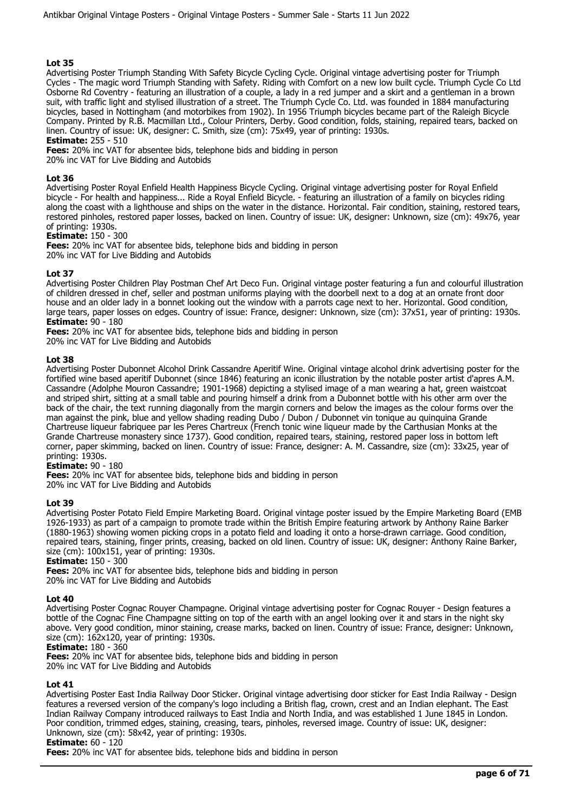Advertising Poster Triumph Standing With Safety Bicycle Cycling Cycle. Original vintage advertising poster for Triumph Cycles - The magic word Triumph Standing with Safety. Riding with Comfort on a new low built cycle. Triumph Cycle Co Ltd Osborne Rd Coventry - featuring an illustration of a couple, a lady in a red jumper and a skirt and a gentleman in a brown suit, with traffic light and stylised illustration of a street. The Triumph Cycle Co. Ltd. was founded in 1884 manufacturing bicycles, based in Nottingham (and motorbikes from 1902). In 1956 Triumph bicycles became part of the Raleigh Bicycle Company. Printed by R.B. Macmillan Ltd., Colour Printers, Derby. Good condition, folds, staining, repaired tears, backed on linen. Country of issue: UK, designer: C. Smith, size (cm): 75x49, year of printing: 1930s.

## **Estimate:** 255 - 510

**Fees:** 20% inc VAT for absentee bids, telephone bids and bidding in person 20% inc VAT for Live Bidding and Autobids

#### **Lot 36**

Advertising Poster Royal Enfield Health Happiness Bicycle Cycling. Original vintage advertising poster for Royal Enfield bicycle - For health and happiness... Ride a Royal Enfield Bicycle. - featuring an illustration of a family on bicycles riding along the coast with a lighthouse and ships on the water in the distance. Horizontal. Fair condition, staining, restored tears, restored pinholes, restored paper losses, backed on linen. Country of issue: UK, designer: Unknown, size (cm): 49x76, year of printing: 1930s.

#### **Estimate:** 150 - 300

**Fees:** 20% inc VAT for absentee bids, telephone bids and bidding in person 20% inc VAT for Live Bidding and Autobids

## **Lot 37**

Advertising Poster Children Play Postman Chef Art Deco Fun. Original vintage poster featuring a fun and colourful illustration of children dressed in chef, seller and postman uniforms playing with the doorbell next to a dog at an ornate front door house and an older lady in a bonnet looking out the window with a parrots cage next to her. Horizontal. Good condition, large tears, paper losses on edges. Country of issue: France, designer: Unknown, size (cm): 37x51, year of printing: 1930s. **Estimate:** 90 - 180

**Fees:** 20% inc VAT for absentee bids, telephone bids and bidding in person 20% inc VAT for Live Bidding and Autobids

#### **Lot 38**

Advertising Poster Dubonnet Alcohol Drink Cassandre Aperitif Wine. Original vintage alcohol drink advertising poster for the fortified wine based aperitif Dubonnet (since 1846) featuring an iconic illustration by the notable poster artist d'apres A.M. Cassandre (Adolphe Mouron Cassandre; 1901-1968) depicting a stylised image of a man wearing a hat, green waistcoat and striped shirt, sitting at a small table and pouring himself a drink from a Dubonnet bottle with his other arm over the back of the chair, the text running diagonally from the margin corners and below the images as the colour forms over the man against the pink, blue and yellow shading reading Dubo / Dubon / Dubonnet vin tonique au quinquina Grande Chartreuse liqueur fabriquee par les Peres Chartreux (French tonic wine liqueur made by the Carthusian Monks at the Grande Chartreuse monastery since 1737). Good condition, repaired tears, staining, restored paper loss in bottom left corner, paper skimming, backed on linen. Country of issue: France, designer: A. M. Cassandre, size (cm): 33x25, year of printing: 1930s.

#### **Estimate:** 90 - 180

**Fees:** 20% inc VAT for absentee bids, telephone bids and bidding in person

20% inc VAT for Live Bidding and Autobids

#### **Lot 39**

Advertising Poster Potato Field Empire Marketing Board. Original vintage poster issued by the Empire Marketing Board (EMB 1926-1933) as part of a campaign to promote trade within the British Empire featuring artwork by Anthony Raine Barker (1880-1963) showing women picking crops in a potato field and loading it onto a horse-drawn carriage. Good condition, repaired tears, staining, finger prints, creasing, backed on old linen. Country of issue: UK, designer: Anthony Raine Barker, size (cm): 100x151, year of printing: 1930s.

#### **Estimate:** 150 - 300

**Fees:** 20% inc VAT for absentee bids, telephone bids and bidding in person 20% inc VAT for Live Bidding and Autobids

#### **Lot 40**

Advertising Poster Cognac Rouyer Champagne. Original vintage advertising poster for Cognac Rouyer - Design features a bottle of the Cognac Fine Champagne sitting on top of the earth with an angel looking over it and stars in the night sky above. Very good condition, minor staining, crease marks, backed on linen. Country of issue: France, designer: Unknown, size (cm): 162x120, year of printing: 1930s.

#### **Estimate:** 180 - 360

**Fees:** 20% inc VAT for absentee bids, telephone bids and bidding in person 20% inc VAT for Live Bidding and Autobids

#### **Lot 41**

Advertising Poster East India Railway Door Sticker. Original vintage advertising door sticker for East India Railway - Design features a reversed version of the company's logo including a British flag, crown, crest and an Indian elephant. The East Indian Railway Company introduced railways to East India and North India, and was established 1 June 1845 in London. Poor condition, trimmed edges, staining, creasing, tears, pinholes, reversed image. Country of issue: UK, designer: Unknown, size (cm): 58x42, year of printing: 1930s.

# **Estimate:** 60 - 120

**Fees:** 20% inc VAT for absentee bids, telephone bids and bidding in person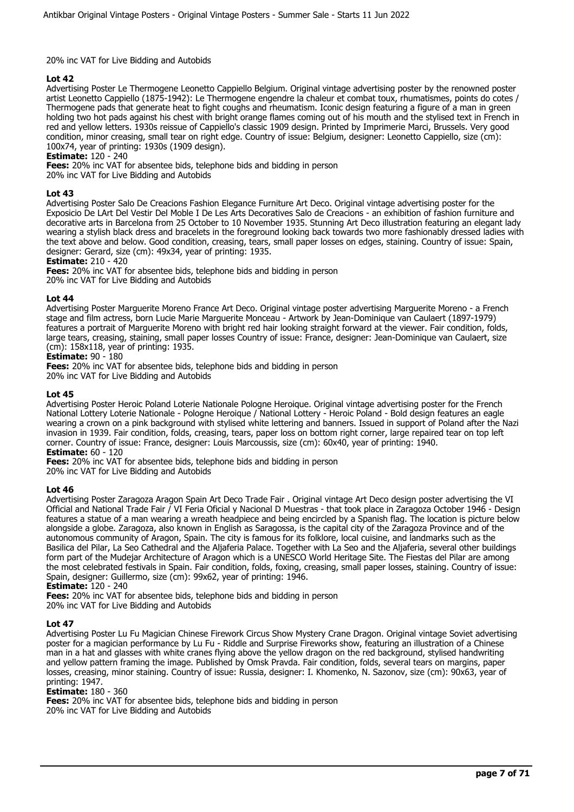## 20% inc VAT for Live Bidding and Autobids

## **Lot 42**

Advertising Poster Le Thermogene Leonetto Cappiello Belgium. Original vintage advertising poster by the renowned poster artist Leonetto Cappiello (1875-1942): Le Thermogene engendre la chaleur et combat toux, rhumatismes, points do cotes / Thermogene pads that generate heat to fight coughs and rheumatism. Iconic design featuring a figure of a man in green holding two hot pads against his chest with bright orange flames coming out of his mouth and the stylised text in French in red and yellow letters. 1930s reissue of Cappiello's classic 1909 design. Printed by Imprimerie Marci, Brussels. Very good condition, minor creasing, small tear on right edge. Country of issue: Belgium, designer: Leonetto Cappiello, size (cm): 100x74, year of printing: 1930s (1909 design).

**Estimate:** 120 - 240

**Fees:** 20% inc VAT for absentee bids, telephone bids and bidding in person

20% inc VAT for Live Bidding and Autobids

## **Lot 43**

Advertising Poster Salo De Creacions Fashion Elegance Furniture Art Deco. Original vintage advertising poster for the Exposicio De LArt Del Vestir Del Moble I De Les Arts Decoratives Salo de Creacions - an exhibition of fashion furniture and decorative arts in Barcelona from 25 October to 10 November 1935. Stunning Art Deco illustration featuring an elegant lady wearing a stylish black dress and bracelets in the foreground looking back towards two more fashionably dressed ladies with the text above and below. Good condition, creasing, tears, small paper losses on edges, staining. Country of issue: Spain, designer: Gerard, size (cm): 49x34, year of printing: 1935.

**Estimate:** 210 - 420

**Fees:** 20% inc VAT for absentee bids, telephone bids and bidding in person

20% inc VAT for Live Bidding and Autobids

## **Lot 44**

Advertising Poster Marguerite Moreno France Art Deco. Original vintage poster advertising Marguerite Moreno - a French stage and film actress, born Lucie Marie Marguerite Monceau - Artwork by Jean-Dominique van Caulaert (1897-1979) features a portrait of Marguerite Moreno with bright red hair looking straight forward at the viewer. Fair condition, folds, large tears, creasing, staining, small paper losses Country of issue: France, designer: Jean-Dominique van Caulaert, size (cm): 158x118, year of printing: 1935.

## **Estimate:** 90 - 180

**Fees:** 20% inc VAT for absentee bids, telephone bids and bidding in person 20% inc VAT for Live Bidding and Autobids

#### **Lot 45**

Advertising Poster Heroic Poland Loterie Nationale Pologne Heroique. Original vintage advertising poster for the French National Lottery Loterie Nationale - Pologne Heroique / National Lottery - Heroic Poland - Bold design features an eagle wearing a crown on a pink background with stylised white lettering and banners. Issued in support of Poland after the Nazi invasion in 1939. Fair condition, folds, creasing, tears, paper loss on bottom right corner, large repaired tear on top left corner. Country of issue: France, designer: Louis Marcoussis, size (cm): 60x40, year of printing: 1940. **Estimate:** 60 - 120

**Fees:** 20% inc VAT for absentee bids, telephone bids and bidding in person

20% inc VAT for Live Bidding and Autobids

#### **Lot 46**

Advertising Poster Zaragoza Aragon Spain Art Deco Trade Fair . Original vintage Art Deco design poster advertising the VI Official and National Trade Fair / VI Feria Oficial y Nacional D Muestras - that took place in Zaragoza October 1946 - Design features a statue of a man wearing a wreath headpiece and being encircled by a Spanish flag. The location is picture below alongside a globe. Zaragoza, also known in English as Saragossa, is the capital city of the Zaragoza Province and of the autonomous community of Aragon, Spain. The city is famous for its folklore, local cuisine, and landmarks such as the Basilica del Pilar, La Seo Cathedral and the Aljaferia Palace. Together with La Seo and the Aljaferia, several other buildings form part of the Mudejar Architecture of Aragon which is a UNESCO World Heritage Site. The Fiestas del Pilar are among the most celebrated festivals in Spain. Fair condition, folds, foxing, creasing, small paper losses, staining. Country of issue: Spain, designer: Guillermo, size (cm): 99x62, year of printing: 1946.

**Estimate:** 120 - 240

**Fees:** 20% inc VAT for absentee bids, telephone bids and bidding in person 20% inc VAT for Live Bidding and Autobids

## **Lot 47**

Advertising Poster Lu Fu Magician Chinese Firework Circus Show Mystery Crane Dragon. Original vintage Soviet advertising poster for a magician performance by Lu Fu - Riddle and Surprise Fireworks show, featuring an illustration of a Chinese man in a hat and glasses with white cranes flying above the yellow dragon on the red background, stylised handwriting and yellow pattern framing the image. Published by Omsk Pravda. Fair condition, folds, several tears on margins, paper losses, creasing, minor staining. Country of issue: Russia, designer: I. Khomenko, N. Sazonov, size (cm): 90x63, year of printing: 1947.

#### **Estimate:** 180 - 360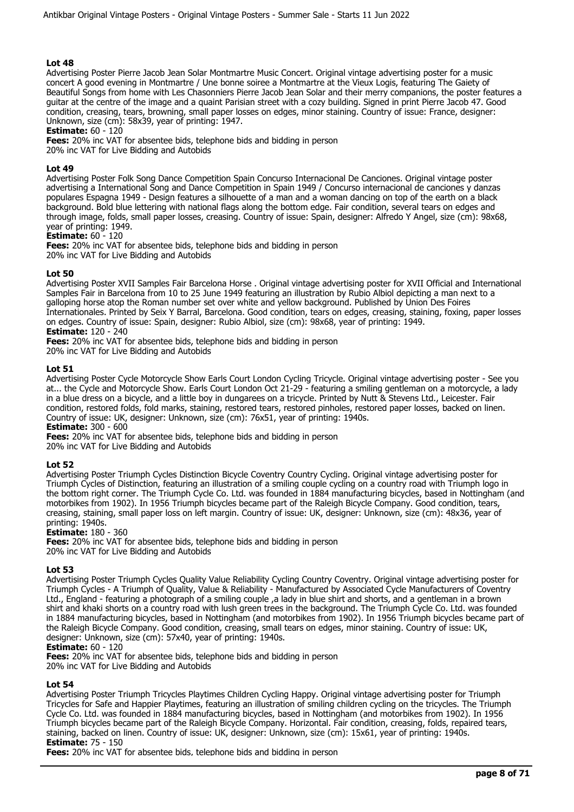Advertising Poster Pierre Jacob Jean Solar Montmartre Music Concert. Original vintage advertising poster for a music concert A good evening in Montmartre / Une bonne soiree a Montmartre at the Vieux Logis, featuring The Gaiety of Beautiful Songs from home with Les Chasonniers Pierre Jacob Jean Solar and their merry companions, the poster features a guitar at the centre of the image and a quaint Parisian street with a cozy building. Signed in print Pierre Jacob 47. Good condition, creasing, tears, browning, small paper losses on edges, minor staining. Country of issue: France, designer: Unknown, size (cm): 58x39, year of printing: 1947.

**Estimate:** 60 - 120

**Fees:** 20% inc VAT for absentee bids, telephone bids and bidding in person 20% inc VAT for Live Bidding and Autobids

## **Lot 49**

Advertising Poster Folk Song Dance Competition Spain Concurso Internacional De Canciones. Original vintage poster advertising a International Song and Dance Competition in Spain 1949 / Concurso internacional de canciones y danzas populares Espagna 1949 - Design features a silhouette of a man and a woman dancing on top of the earth on a black background. Bold blue lettering with national flags along the bottom edge. Fair condition, several tears on edges and through image, folds, small paper losses, creasing. Country of issue: Spain, designer: Alfredo Y Angel, size (cm): 98x68, year of printing: 1949.

**Estimate:** 60 - 120

**Fees:** 20% inc VAT for absentee bids, telephone bids and bidding in person 20% inc VAT for Live Bidding and Autobids

## **Lot 50**

Advertising Poster XVII Samples Fair Barcelona Horse . Original vintage advertising poster for XVII Official and International Samples Fair in Barcelona from 10 to 25 June 1949 featuring an illustration by Rubio Albiol depicting a man next to a galloping horse atop the Roman number set over white and yellow background. Published by Union Des Foires Internationales. Printed by Seix Y Barral, Barcelona. Good condition, tears on edges, creasing, staining, foxing, paper losses on edges. Country of issue: Spain, designer: Rubio Albiol, size (cm): 98x68, year of printing: 1949. **Estimate:** 120 - 240

**Fees:** 20% inc VAT for absentee bids, telephone bids and bidding in person

20% inc VAT for Live Bidding and Autobids

## **Lot 51**

Advertising Poster Cycle Motorcycle Show Earls Court London Cycling Tricycle. Original vintage advertising poster - See you at... the Cycle and Motorcycle Show. Earls Court London Oct 21-29 - featuring a smiling gentleman on a motorcycle, a lady in a blue dress on a bicycle, and a little boy in dungarees on a tricycle. Printed by Nutt & Stevens Ltd., Leicester. Fair condition, restored folds, fold marks, staining, restored tears, restored pinholes, restored paper losses, backed on linen. Country of issue: UK, designer: Unknown, size (cm): 76x51, year of printing: 1940s.

**Estimate:** 300 - 600

**Fees:** 20% inc VAT for absentee bids, telephone bids and bidding in person

20% inc VAT for Live Bidding and Autobids

#### **Lot 52**

Advertising Poster Triumph Cycles Distinction Bicycle Coventry Country Cycling. Original vintage advertising poster for Triumph Cycles of Distinction, featuring an illustration of a smiling couple cycling on a country road with Triumph logo in the bottom right corner. The Triumph Cycle Co. Ltd. was founded in 1884 manufacturing bicycles, based in Nottingham (and motorbikes from 1902). In 1956 Triumph bicycles became part of the Raleigh Bicycle Company. Good condition, tears, creasing, staining, small paper loss on left margin. Country of issue: UK, designer: Unknown, size (cm): 48x36, year of printing: 1940s.

#### **Estimate:** 180 - 360

**Fees:** 20% inc VAT for absentee bids, telephone bids and bidding in person 20% inc VAT for Live Bidding and Autobids

#### **Lot 53**

Advertising Poster Triumph Cycles Quality Value Reliability Cycling Country Coventry. Original vintage advertising poster for Triumph Cycles - A Triumph of Quality, Value & Reliability - Manufactured by Associated Cycle Manufacturers of Coventry Ltd., England - featuring a photograph of a smiling couple, a lady in blue shirt and shorts, and a gentleman in a brown shirt and khaki shorts on a country road with lush green trees in the background. The Triumph Cycle Co. Ltd. was founded in 1884 manufacturing bicycles, based in Nottingham (and motorbikes from 1902). In 1956 Triumph bicycles became part of the Raleigh Bicycle Company. Good condition, creasing, small tears on edges, minor staining. Country of issue: UK, designer: Unknown, size (cm): 57x40, year of printing: 1940s.

## **Estimate:** 60 - 120

**Fees:** 20% inc VAT for absentee bids, telephone bids and bidding in person 20% inc VAT for Live Bidding and Autobids

#### **Lot 54**

Advertising Poster Triumph Tricycles Playtimes Children Cycling Happy. Original vintage advertising poster for Triumph Tricycles for Safe and Happier Playtimes, featuring an illustration of smiling children cycling on the tricycles. The Triumph Cycle Co. Ltd. was founded in 1884 manufacturing bicycles, based in Nottingham (and motorbikes from 1902). In 1956 Triumph bicycles became part of the Raleigh Bicycle Company. Horizontal. Fair condition, creasing, folds, repaired tears, staining, backed on linen. Country of issue: UK, designer: Unknown, size (cm): 15x61, year of printing: 1940s. **Estimate:** 75 - 150

**Fees:** 20% inc VAT for absentee bids, telephone bids and bidding in person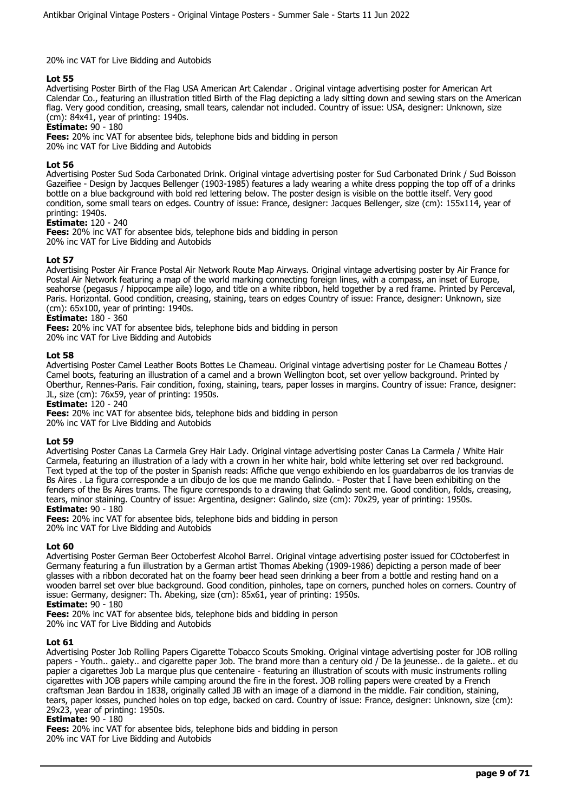## 20% inc VAT for Live Bidding and Autobids

## **Lot 55**

Advertising Poster Birth of the Flag USA American Art Calendar . Original vintage advertising poster for American Art Calendar Co., featuring an illustration titled Birth of the Flag depicting a lady sitting down and sewing stars on the American flag. Very good condition, creasing, small tears, calendar not included. Country of issue: USA, designer: Unknown, size (cm): 84x41, year of printing: 1940s.

## **Estimate:** 90 - 180

**Fees:** 20% inc VAT for absentee bids, telephone bids and bidding in person

20% inc VAT for Live Bidding and Autobids

## **Lot 56**

Advertising Poster Sud Soda Carbonated Drink. Original vintage advertising poster for Sud Carbonated Drink / Sud Boisson Gazeifiee - Design by Jacques Bellenger (1903-1985) features a lady wearing a white dress popping the top off of a drinks bottle on a blue background with bold red lettering below. The poster design is visible on the bottle itself. Very good condition, some small tears on edges. Country of issue: France, designer: Jacques Bellenger, size (cm): 155x114, year of printing: 1940s.

#### **Estimate:** 120 - 240

**Fees:** 20% inc VAT for absentee bids, telephone bids and bidding in person 20% inc VAT for Live Bidding and Autobids

## **Lot 57**

Advertising Poster Air France Postal Air Network Route Map Airways. Original vintage advertising poster by Air France for Postal Air Network featuring a map of the world marking connecting foreign lines, with a compass, an inset of Europe, seahorse (pegasus / hippocampe aile) logo, and title on a white ribbon, held together by a red frame. Printed by Perceval, Paris. Horizontal. Good condition, creasing, staining, tears on edges Country of issue: France, designer: Unknown, size (cm): 65x100, year of printing: 1940s.

# **Estimate:** 180 - 360

**Fees:** 20% inc VAT for absentee bids, telephone bids and bidding in person 20% inc VAT for Live Bidding and Autobids

#### **Lot 58**

Advertising Poster Camel Leather Boots Bottes Le Chameau. Original vintage advertising poster for Le Chameau Bottes / Camel boots, featuring an illustration of a camel and a brown Wellington boot, set over yellow background. Printed by Oberthur, Rennes-Paris. Fair condition, foxing, staining, tears, paper losses in margins. Country of issue: France, designer: JL, size (cm): 76x59, year of printing: 1950s.

#### **Estimate:** 120 - 240

**Fees:** 20% inc VAT for absentee bids, telephone bids and bidding in person 20% inc VAT for Live Bidding and Autobids

#### **Lot 59**

Advertising Poster Canas La Carmela Grey Hair Lady. Original vintage advertising poster Canas La Carmela / White Hair Carmela, featuring an illustration of a lady with a crown in her white hair, bold white lettering set over red background. Text typed at the top of the poster in Spanish reads: Affiche que vengo exhibiendo en los guardabarros de los tranvias de Bs Aires . La figura corresponde a un dibujo de los que me mando Galindo. - Poster that I have been exhibiting on the fenders of the Bs Aires trams. The figure corresponds to a drawing that Galindo sent me. Good condition, folds, creasing, tears, minor staining. Country of issue: Argentina, designer: Galindo, size (cm): 70x29, year of printing: 1950s. **Estimate:** 90 - 180

**Fees:** 20% inc VAT for absentee bids, telephone bids and bidding in person 20% inc VAT for Live Bidding and Autobids

#### **Lot 60**

Advertising Poster German Beer Octoberfest Alcohol Barrel. Original vintage advertising poster issued for COctoberfest in Germany featuring a fun illustration by a German artist Thomas Abeking (1909-1986) depicting a person made of beer glasses with a ribbon decorated hat on the foamy beer head seen drinking a beer from a bottle and resting hand on a wooden barrel set over blue background. Good condition, pinholes, tape on corners, punched holes on corners. Country of issue: Germany, designer: Th. Abeking, size (cm): 85x61, year of printing: 1950s.

## **Estimate:** 90 - 180

**Fees:** 20% inc VAT for absentee bids, telephone bids and bidding in person

20% inc VAT for Live Bidding and Autobids

#### **Lot 61**

Advertising Poster Job Rolling Papers Cigarette Tobacco Scouts Smoking. Original vintage advertising poster for JOB rolling papers - Youth.. gaiety.. and cigarette paper Job. The brand more than a century old / De la jeunesse.. de la gaiete.. et du papier a cigarettes Job La marque plus que centenaire - featuring an illustration of scouts with music instruments rolling cigarettes with JOB papers while camping around the fire in the forest. JOB rolling papers were created by a French craftsman Jean Bardou in 1838, originally called JB with an image of a diamond in the middle. Fair condition, staining, tears, paper losses, punched holes on top edge, backed on card. Country of issue: France, designer: Unknown, size (cm): 29x23, year of printing: 1950s.

#### **Estimate:** 90 - 180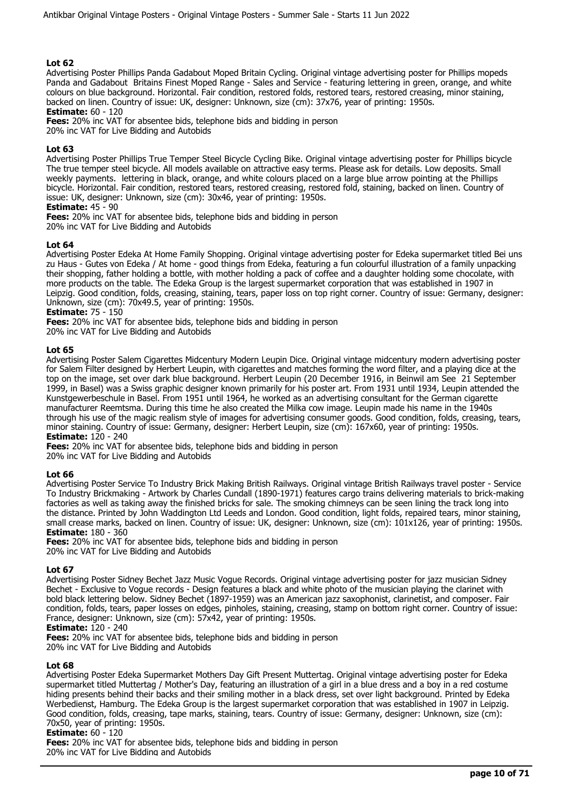Advertising Poster Phillips Panda Gadabout Moped Britain Cycling. Original vintage advertising poster for Phillips mopeds Panda and Gadabout Britains Finest Moped Range - Sales and Service - featuring lettering in green, orange, and white colours on blue background. Horizontal. Fair condition, restored folds, restored tears, restored creasing, minor staining, backed on linen. Country of issue: UK, designer: Unknown, size (cm): 37x76, year of printing: 1950s.

**Estimate:** 60 - 120

**Fees:** 20% inc VAT for absentee bids, telephone bids and bidding in person

20% inc VAT for Live Bidding and Autobids

## **Lot 63**

Advertising Poster Phillips True Temper Steel Bicycle Cycling Bike. Original vintage advertising poster for Phillips bicycle The true temper steel bicycle. All models available on attractive easy terms. Please ask for details. Low deposits. Small weekly payments. lettering in black, orange, and white colours placed on a large blue arrow pointing at the Phillips bicycle. Horizontal. Fair condition, restored tears, restored creasing, restored fold, staining, backed on linen. Country of issue: UK, designer: Unknown, size (cm): 30x46, year of printing: 1950s.

## **Estimate:** 45 - 90

**Fees:** 20% inc VAT for absentee bids, telephone bids and bidding in person

20% inc VAT for Live Bidding and Autobids

## **Lot 64**

Advertising Poster Edeka At Home Family Shopping. Original vintage advertising poster for Edeka supermarket titled Bei uns zu Haus - Gutes von Edeka / At home - good things from Edeka, featuring a fun colourful illustration of a family unpacking their shopping, father holding a bottle, with mother holding a pack of coffee and a daughter holding some chocolate, with more products on the table. The Edeka Group is the largest supermarket corporation that was established in 1907 in Leipzig. Good condition, folds, creasing, staining, tears, paper loss on top right corner. Country of issue: Germany, designer: Unknown, size (cm): 70x49.5, year of printing: 1950s.

**Estimate:** 75 - 150

**Fees:** 20% inc VAT for absentee bids, telephone bids and bidding in person

20% inc VAT for Live Bidding and Autobids

## **Lot 65**

Advertising Poster Salem Cigarettes Midcentury Modern Leupin Dice. Original vintage midcentury modern advertising poster for Salem Filter designed by Herbert Leupin, with cigarettes and matches forming the word filter, and a playing dice at the top on the image, set over dark blue background. Herbert Leupin (20 December 1916, in Beinwil am See 21 September 1999, in Basel) was a Swiss graphic designer known primarily for his poster art. From 1931 until 1934, Leupin attended the Kunstgewerbeschule in Basel. From 1951 until 1964, he worked as an advertising consultant for the German cigarette manufacturer Reemtsma. During this time he also created the Milka cow image. Leupin made his name in the 1940s through his use of the magic realism style of images for advertising consumer goods. Good condition, folds, creasing, tears, minor staining. Country of issue: Germany, designer: Herbert Leupin, size (cm): 167x60, year of printing: 1950s. **Estimate:** 120 - 240

**Fees:** 20% inc VAT for absentee bids, telephone bids and bidding in person 20% inc VAT for Live Bidding and Autobids

#### **Lot 66**

Advertising Poster Service To Industry Brick Making British Railways. Original vintage British Railways travel poster - Service To Industry Brickmaking - Artwork by Charles Cundall (1890-1971) features cargo trains delivering materials to brick-making factories as well as taking away the finished bricks for sale. The smoking chimneys can be seen lining the track long into the distance. Printed by John Waddington Ltd Leeds and London. Good condition, light folds, repaired tears, minor staining, small crease marks, backed on linen. Country of issue: UK, designer: Unknown, size (cm): 101x126, year of printing: 1950s. **Estimate:** 180 - 360

**Fees:** 20% inc VAT for absentee bids, telephone bids and bidding in person 20% inc VAT for Live Bidding and Autobids

#### **Lot 67**

Advertising Poster Sidney Bechet Jazz Music Vogue Records. Original vintage advertising poster for jazz musician Sidney Bechet - Exclusive to Vogue records - Design features a black and white photo of the musician playing the clarinet with bold black lettering below. Sidney Bechet (1897-1959) was an American jazz saxophonist, clarinetist, and composer. Fair condition, folds, tears, paper losses on edges, pinholes, staining, creasing, stamp on bottom right corner. Country of issue: France, designer: Unknown, size (cm): 57x42, year of printing: 1950s.

## **Estimate:** 120 - 240

**Fees:** 20% inc VAT for absentee bids, telephone bids and bidding in person 20% inc VAT for Live Bidding and Autobids

#### **Lot 68**

Advertising Poster Edeka Supermarket Mothers Day Gift Present Muttertag. Original vintage advertising poster for Edeka supermarket titled Muttertag / Mother's Day, featuring an illustration of a girl in a blue dress and a boy in a red costume hiding presents behind their backs and their smiling mother in a black dress, set over light background. Printed by Edeka Werbedienst, Hamburg. The Edeka Group is the largest supermarket corporation that was established in 1907 in Leipzig. Good condition, folds, creasing, tape marks, staining, tears. Country of issue: Germany, designer: Unknown, size (cm): 70x50, year of printing: 1950s.

#### **Estimate:** 60 - 120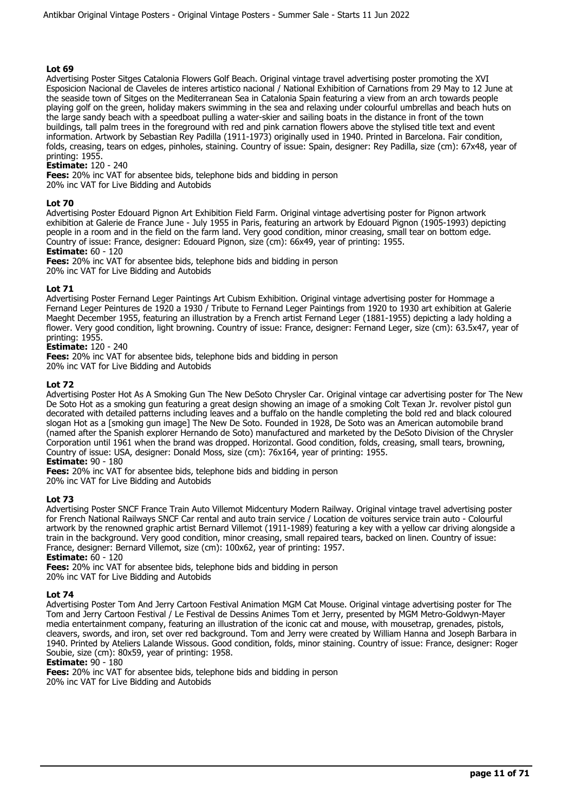Advertising Poster Sitges Catalonia Flowers Golf Beach. Original vintage travel advertising poster promoting the XVI Esposicion Nacional de Claveles de interes artistico nacional / National Exhibition of Carnations from 29 May to 12 June at the seaside town of Sitges on the Mediterranean Sea in Catalonia Spain featuring a view from an arch towards people playing golf on the green, holiday makers swimming in the sea and relaxing under colourful umbrellas and beach huts on the large sandy beach with a speedboat pulling a water-skier and sailing boats in the distance in front of the town buildings, tall palm trees in the foreground with red and pink carnation flowers above the stylised title text and event information. Artwork by Sebastian Rey Padilla (1911-1973) originally used in 1940. Printed in Barcelona. Fair condition, folds, creasing, tears on edges, pinholes, staining. Country of issue: Spain, designer: Rey Padilla, size (cm): 67x48, year of printing: 1955.

**Estimate:** 120 - 240

**Fees:** 20% inc VAT for absentee bids, telephone bids and bidding in person 20% inc VAT for Live Bidding and Autobids

## **Lot 70**

Advertising Poster Edouard Pignon Art Exhibition Field Farm. Original vintage advertising poster for Pignon artwork exhibition at Galerie de France June - July 1955 in Paris, featuring an artwork by Edouard Pignon (1905-1993) depicting people in a room and in the field on the farm land. Very good condition, minor creasing, small tear on bottom edge. Country of issue: France, designer: Edouard Pignon, size (cm): 66x49, year of printing: 1955. **Estimate:** 60 - 120

**Fees:** 20% inc VAT for absentee bids, telephone bids and bidding in person 20% inc VAT for Live Bidding and Autobids

## **Lot 71**

Advertising Poster Fernand Leger Paintings Art Cubism Exhibition. Original vintage advertising poster for Hommage a Fernand Leger Peintures de 1920 a 1930 / Tribute to Fernand Leger Paintings from 1920 to 1930 art exhibition at Galerie Maeght December 1955, featuring an illustration by a French artist Fernand Leger (1881-1955) depicting a lady holding a flower. Very good condition, light browning. Country of issue: France, designer: Fernand Leger, size (cm): 63.5x47, year of printing: 1955.

## **Estimate:** 120 - 240

**Fees:** 20% inc VAT for absentee bids, telephone bids and bidding in person

20% inc VAT for Live Bidding and Autobids

## **Lot 72**

Advertising Poster Hot As A Smoking Gun The New DeSoto Chrysler Car. Original vintage car advertising poster for The New De Soto Hot as a smoking gun featuring a great design showing an image of a smoking Colt Texan Jr. revolver pistol gun decorated with detailed patterns including leaves and a buffalo on the handle completing the bold red and black coloured slogan Hot as a [smoking gun image] The New De Soto. Founded in 1928, De Soto was an American automobile brand (named after the Spanish explorer Hernando de Soto) manufactured and marketed by the DeSoto Division of the Chrysler Corporation until 1961 when the brand was dropped. Horizontal. Good condition, folds, creasing, small tears, browning, Country of issue: USA, designer: Donald Moss, size (cm): 76x164, year of printing: 1955.

**Estimate:** 90 - 180

**Fees:** 20% inc VAT for absentee bids, telephone bids and bidding in person

20% inc VAT for Live Bidding and Autobids

## **Lot 73**

Advertising Poster SNCF France Train Auto Villemot Midcentury Modern Railway. Original vintage travel advertising poster for French National Railways SNCF Car rental and auto train service / Location de voitures service train auto - Colourful artwork by the renowned graphic artist Bernard Villemot (1911-1989) featuring a key with a yellow car driving alongside a train in the background. Very good condition, minor creasing, small repaired tears, backed on linen. Country of issue: France, designer: Bernard Villemot, size (cm): 100x62, year of printing: 1957. **Estimate:** 60 - 120

**Fees:** 20% inc VAT for absentee bids, telephone bids and bidding in person 20% inc VAT for Live Bidding and Autobids

## **Lot 74**

Advertising Poster Tom And Jerry Cartoon Festival Animation MGM Cat Mouse. Original vintage advertising poster for The Tom and Jerry Cartoon Festival / Le Festival de Dessins Animes Tom et Jerry, presented by MGM Metro-Goldwyn-Mayer media entertainment company, featuring an illustration of the iconic cat and mouse, with mousetrap, grenades, pistols, cleavers, swords, and iron, set over red background. Tom and Jerry were created by William Hanna and Joseph Barbara in 1940. Printed by Ateliers Lalande Wissous. Good condition, folds, minor staining. Country of issue: France, designer: Roger Soubie, size (cm): 80x59, year of printing: 1958.

#### **Estimate:** 90 - 180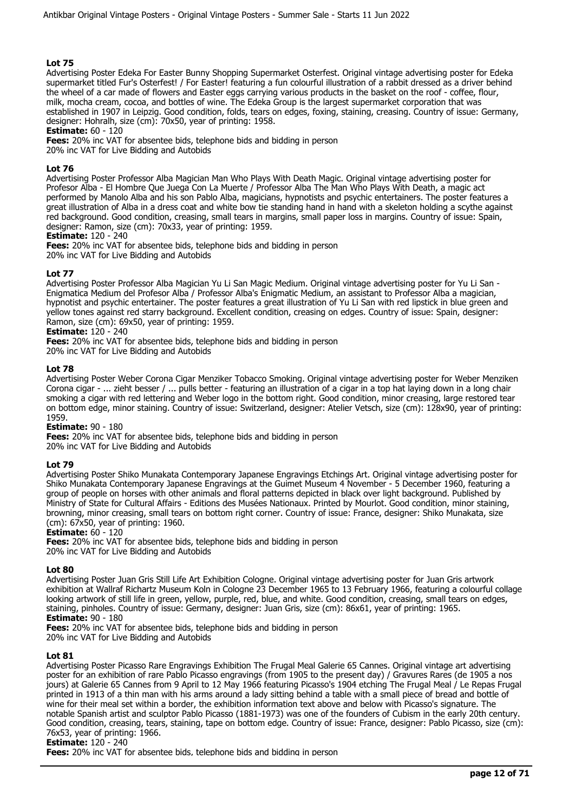Advertising Poster Edeka For Easter Bunny Shopping Supermarket Osterfest. Original vintage advertising poster for Edeka supermarket titled Fur's Osterfest! / For Easter! featuring a fun colourful illustration of a rabbit dressed as a driver behind the wheel of a car made of flowers and Easter eggs carrying various products in the basket on the roof - coffee, flour, milk, mocha cream, cocoa, and bottles of wine. The Edeka Group is the largest supermarket corporation that was established in 1907 in Leipzig. Good condition, folds, tears on edges, foxing, staining, creasing. Country of issue: Germany, designer: Hohralh, size (cm): 70x50, year of printing: 1958.

## **Estimate:** 60 - 120

**Fees:** 20% inc VAT for absentee bids, telephone bids and bidding in person 20% inc VAT for Live Bidding and Autobids

**Lot 76** 

Advertising Poster Professor Alba Magician Man Who Plays With Death Magic. Original vintage advertising poster for Profesor Alba - El Hombre Que Juega Con La Muerte / Professor Alba The Man Who Plays With Death, a magic act performed by Manolo Alba and his son Pablo Alba, magicians, hypnotists and psychic entertainers. The poster features a great illustration of Alba in a dress coat and white bow tie standing hand in hand with a skeleton holding a scythe against red background. Good condition, creasing, small tears in margins, small paper loss in margins. Country of issue: Spain, designer: Ramon, size (cm): 70x33, year of printing: 1959.

**Estimate:** 120 - 240

**Fees:** 20% inc VAT for absentee bids, telephone bids and bidding in person 20% inc VAT for Live Bidding and Autobids

## **Lot 77**

Advertising Poster Professor Alba Magician Yu Li San Magic Medium. Original vintage advertising poster for Yu Li San - Enigmatica Medium del Profesor Alba / Professor Alba's Enigmatic Medium, an assistant to Professor Alba a magician, hypnotist and psychic entertainer. The poster features a great illustration of Yu Li San with red lipstick in blue green and yellow tones against red starry background. Excellent condition, creasing on edges. Country of issue: Spain, designer: Ramon, size (cm): 69x50, year of printing: 1959.

**Estimate:** 120 - 240

**Fees:** 20% inc VAT for absentee bids, telephone bids and bidding in person

20% inc VAT for Live Bidding and Autobids

## **Lot 78**

Advertising Poster Weber Corona Cigar Menziker Tobacco Smoking. Original vintage advertising poster for Weber Menziken Corona cigar - ... zieht besser / ... pulls better - featuring an illustration of a cigar in a top hat laying down in a long chair smoking a cigar with red lettering and Weber logo in the bottom right. Good condition, minor creasing, large restored tear on bottom edge, minor staining. Country of issue: Switzerland, designer: Atelier Vetsch, size (cm): 128x90, year of printing: 1959.

#### **Estimate:** 90 - 180

**Fees:** 20% inc VAT for absentee bids, telephone bids and bidding in person 20% inc VAT for Live Bidding and Autobids

#### **Lot 79**

Advertising Poster Shiko Munakata Contemporary Japanese Engravings Etchings Art. Original vintage advertising poster for Shiko Munakata Contemporary Japanese Engravings at the Guimet Museum 4 November - 5 December 1960, featuring a group of people on horses with other animals and floral patterns depicted in black over light background. Published by Ministry of State for Cultural Affairs - Editions des Musées Nationaux. Printed by Mourlot. Good condition, minor staining, browning, minor creasing, small tears on bottom right corner. Country of issue: France, designer: Shiko Munakata, size (cm): 67x50, year of printing: 1960.

#### **Estimate:** 60 - 120

**Fees:** 20% inc VAT for absentee bids, telephone bids and bidding in person 20% inc VAT for Live Bidding and Autobids

#### **Lot 80**

Advertising Poster Juan Gris Still Life Art Exhibition Cologne. Original vintage advertising poster for Juan Gris artwork exhibition at Wallraf Richartz Museum Koln in Cologne 23 December 1965 to 13 February 1966, featuring a colourful collage looking artwork of still life in green, yellow, purple, red, blue, and white. Good condition, creasing, small tears on edges, staining, pinholes. Country of issue: Germany, designer: Juan Gris, size (cm): 86x61, year of printing: 1965. **Estimate:** 90 - 180

**Fees:** 20% inc VAT for absentee bids, telephone bids and bidding in person

20% inc VAT for Live Bidding and Autobids

#### **Lot 81**

Advertising Poster Picasso Rare Engravings Exhibition The Frugal Meal Galerie 65 Cannes. Original vintage art advertising poster for an exhibition of rare Pablo Picasso engravings (from 1905 to the present day) / Gravures Rares (de 1905 a nos jours) at Galerie 65 Cannes from 9 April to 12 May 1966 featuring Picasso's 1904 etching The Frugal Meal / Le Repas Frugal printed in 1913 of a thin man with his arms around a lady sitting behind a table with a small piece of bread and bottle of wine for their meal set within a border, the exhibition information text above and below with Picasso's signature. The notable Spanish artist and sculptor Pablo Picasso (1881-1973) was one of the founders of Cubism in the early 20th century. Good condition, creasing, tears, staining, tape on bottom edge. Country of issue: France, designer: Pablo Picasso, size (cm): 76x53, year of printing: 1966.

#### **Estimate:** 120 - 240

**Fees:** 20% inc VAT for absentee bids, telephone bids and bidding in person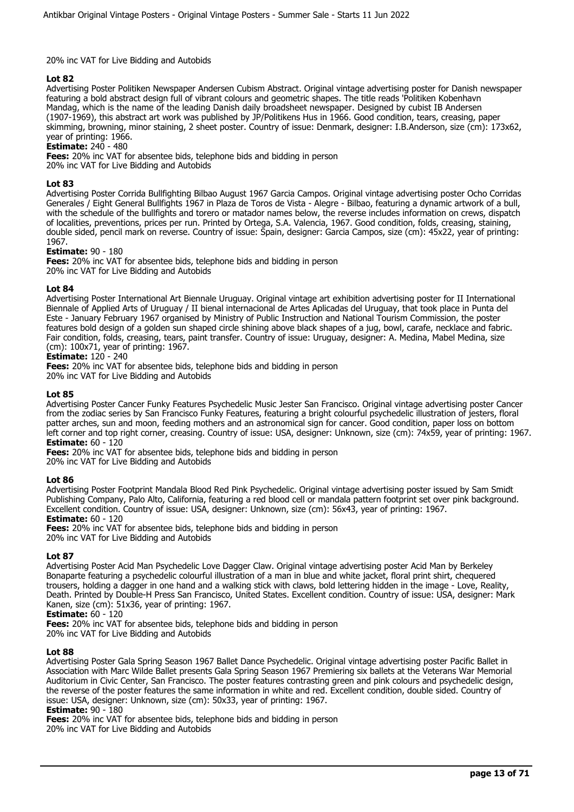## 20% inc VAT for Live Bidding and Autobids

## **Lot 82**

Advertising Poster Politiken Newspaper Andersen Cubism Abstract. Original vintage advertising poster for Danish newspaper featuring a bold abstract design full of vibrant colours and geometric shapes. The title reads 'Politiken Kobenhavn Mandag, which is the name of the leading Danish daily broadsheet newspaper. Designed by cubist IB Andersen (1907-1969), this abstract art work was published by JP/Politikens Hus in 1966. Good condition, tears, creasing, paper skimming, browning, minor staining, 2 sheet poster. Country of issue: Denmark, designer: I.B.Anderson, size (cm): 173x62, year of printing: 1966.

## **Estimate:** 240 - 480

**Fees:** 20% inc VAT for absentee bids, telephone bids and bidding in person

20% inc VAT for Live Bidding and Autobids

## **Lot 83**

Advertising Poster Corrida Bullfighting Bilbao August 1967 Garcia Campos. Original vintage advertising poster Ocho Corridas Generales / Eight General Bullfights 1967 in Plaza de Toros de Vista - Alegre - Bilbao, featuring a dynamic artwork of a bull, with the schedule of the bullfights and torero or matador names below, the reverse includes information on crews, dispatch of localities, preventions, prices per run. Printed by Ortega, S.A. Valencia, 1967. Good condition, folds, creasing, staining, double sided, pencil mark on reverse. Country of issue: Spain, designer: Garcia Campos, size (cm): 45x22, year of printing: 1967.

#### **Estimate:** 90 - 180

**Fees:** 20% inc VAT for absentee bids, telephone bids and bidding in person 20% inc VAT for Live Bidding and Autobids

## **Lot 84**

Advertising Poster International Art Biennale Uruguay. Original vintage art exhibition advertising poster for II International Biennale of Applied Arts of Uruguay / II bienal internacional de Artes Aplicadas del Uruguay, that took place in Punta del Este - January February 1967 organised by Ministry of Public Instruction and National Tourism Commission, the poster features bold design of a golden sun shaped circle shining above black shapes of a jug, bowl, carafe, necklace and fabric. Fair condition, folds, creasing, tears, paint transfer. Country of issue: Uruguay, designer: A. Medina, Mabel Medina, size (cm): 100x71, year of printing: 1967.

## **Estimate:** 120 - 240

**Fees:** 20% inc VAT for absentee bids, telephone bids and bidding in person 20% inc VAT for Live Bidding and Autobids

#### **Lot 85**

Advertising Poster Cancer Funky Features Psychedelic Music Jester San Francisco. Original vintage advertising poster Cancer from the zodiac series by San Francisco Funky Features, featuring a bright colourful psychedelic illustration of jesters, floral patter arches, sun and moon, feeding mothers and an astronomical sign for cancer. Good condition, paper loss on bottom left corner and top right corner, creasing. Country of issue: USA, designer: Unknown, size (cm): 74x59, year of printing: 1967. **Estimate:** 60 - 120

**Fees:** 20% inc VAT for absentee bids, telephone bids and bidding in person 20% inc VAT for Live Bidding and Autobids

## **Lot 86**

Advertising Poster Footprint Mandala Blood Red Pink Psychedelic. Original vintage advertising poster issued by Sam Smidt Publishing Company, Palo Alto, California, featuring a red blood cell or mandala pattern footprint set over pink background. Excellent condition. Country of issue: USA, designer: Unknown, size (cm): 56x43, year of printing: 1967.

## **Estimate:** 60 - 120

**Fees:** 20% inc VAT for absentee bids, telephone bids and bidding in person 20% inc VAT for Live Bidding and Autobids

#### **Lot 87**

Advertising Poster Acid Man Psychedelic Love Dagger Claw. Original vintage advertising poster Acid Man by Berkeley Bonaparte featuring a psychedelic colourful illustration of a man in blue and white jacket, floral print shirt, chequered trousers, holding a dagger in one hand and a walking stick with claws, bold lettering hidden in the image - Love, Reality, Death. Printed by Double-H Press San Francisco, United States. Excellent condition. Country of issue: USA, designer: Mark Kanen, size (cm): 51x36, year of printing: 1967.

#### **Estimate:** 60 - 120

**Fees:** 20% inc VAT for absentee bids, telephone bids and bidding in person

20% inc VAT for Live Bidding and Autobids

## **Lot 88**

Advertising Poster Gala Spring Season 1967 Ballet Dance Psychedelic. Original vintage advertising poster Pacific Ballet in Association with Marc Wilde Ballet presents Gala Spring Season 1967 Premiering six ballets at the Veterans War Memorial Auditorium in Civic Center, San Francisco. The poster features contrasting green and pink colours and psychedelic design, the reverse of the poster features the same information in white and red. Excellent condition, double sided. Country of issue: USA, designer: Unknown, size (cm): 50x33, year of printing: 1967. **Estimate:** 90 - 180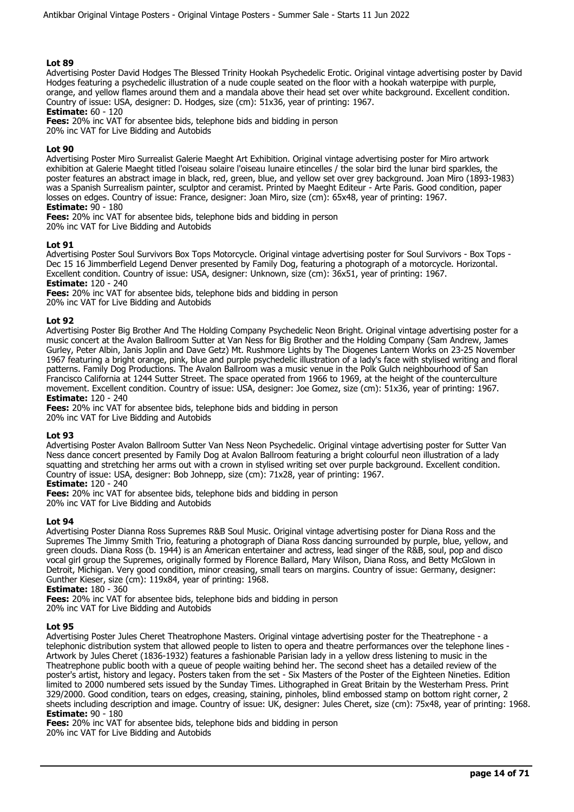Advertising Poster David Hodges The Blessed Trinity Hookah Psychedelic Erotic. Original vintage advertising poster by David Hodges featuring a psychedelic illustration of a nude couple seated on the floor with a hookah waterpipe with purple, orange, and yellow flames around them and a mandala above their head set over white background. Excellent condition. Country of issue: USA, designer: D. Hodges, size (cm): 51x36, year of printing: 1967.

**Estimate:** 60 - 120

**Fees:** 20% inc VAT for absentee bids, telephone bids and bidding in person

20% inc VAT for Live Bidding and Autobids

## **Lot 90**

Advertising Poster Miro Surrealist Galerie Maeght Art Exhibition. Original vintage advertising poster for Miro artwork exhibition at Galerie Maeght titled l'oiseau solaire l'oiseau lunaire etincelles / the solar bird the lunar bird sparkles, the poster features an abstract image in black, red, green, blue, and yellow set over grey background. Joan Miro (1893-1983) was a Spanish Surrealism painter, sculptor and ceramist. Printed by Maeght Editeur - Arte Paris. Good condition, paper losses on edges. Country of issue: France, designer: Joan Miro, size (cm): 65x48, year of printing: 1967. **Estimate:** 90 - 180

**Fees:** 20% inc VAT for absentee bids, telephone bids and bidding in person

20% inc VAT for Live Bidding and Autobids

## **Lot 91**

Advertising Poster Soul Survivors Box Tops Motorcycle. Original vintage advertising poster for Soul Survivors - Box Tops - Dec 15 16 Jimmberfield Legend Denver presented by Family Dog, featuring a photograph of a motorcycle. Horizontal. Excellent condition. Country of issue: USA, designer: Unknown, size (cm): 36x51, year of printing: 1967. **Estimate:** 120 - 240

**Fees:** 20% inc VAT for absentee bids, telephone bids and bidding in person

20% inc VAT for Live Bidding and Autobids

#### **Lot 92**

Advertising Poster Big Brother And The Holding Company Psychedelic Neon Bright. Original vintage advertising poster for a music concert at the Avalon Ballroom Sutter at Van Ness for Big Brother and the Holding Company (Sam Andrew, James Gurley, Peter Albin, Janis Joplin and Dave Getz) Mt. Rushmore Lights by The Diogenes Lantern Works on 23-25 November 1967 featuring a bright orange, pink, blue and purple psychedelic illustration of a lady's face with stylised writing and floral patterns. Family Dog Productions. The Avalon Ballroom was a music venue in the Polk Gulch neighbourhood of San Francisco California at 1244 Sutter Street. The space operated from 1966 to 1969, at the height of the counterculture movement. Excellent condition. Country of issue: USA, designer: Joe Gomez, size (cm): 51x36, year of printing: 1967. **Estimate:** 120 - 240

**Fees:** 20% inc VAT for absentee bids, telephone bids and bidding in person

20% inc VAT for Live Bidding and Autobids

#### **Lot 93**

Advertising Poster Avalon Ballroom Sutter Van Ness Neon Psychedelic. Original vintage advertising poster for Sutter Van Ness dance concert presented by Family Dog at Avalon Ballroom featuring a bright colourful neon illustration of a lady squatting and stretching her arms out with a crown in stylised writing set over purple background. Excellent condition. Country of issue: USA, designer: Bob Johnepp, size (cm): 71x28, year of printing: 1967.

## **Estimate:** 120 - 240

**Fees:** 20% inc VAT for absentee bids, telephone bids and bidding in person

20% inc VAT for Live Bidding and Autobids

#### **Lot 94**

Advertising Poster Dianna Ross Supremes R&B Soul Music. Original vintage advertising poster for Diana Ross and the Supremes The Jimmy Smith Trio, featuring a photograph of Diana Ross dancing surrounded by purple, blue, yellow, and green clouds. Diana Ross (b. 1944) is an American entertainer and actress, lead singer of the R&B, soul, pop and disco vocal girl group the Supremes, originally formed by Florence Ballard, Mary Wilson, Diana Ross, and Betty McGlown in Detroit, Michigan. Very good condition, minor creasing, small tears on margins. Country of issue: Germany, designer: Gunther Kieser, size (cm): 119x84, year of printing: 1968.

**Estimate:** 180 - 360

**Fees:** 20% inc VAT for absentee bids, telephone bids and bidding in person 20% inc VAT for Live Bidding and Autobids

#### **Lot 95**

Advertising Poster Jules Cheret Theatrophone Masters. Original vintage advertising poster for the Theatrephone - a telephonic distribution system that allowed people to listen to opera and theatre performances over the telephone lines - Artwork by Jules Cheret (1836-1932) features a fashionable Parisian lady in a yellow dress listening to music in the Theatrephone public booth with a queue of people waiting behind her. The second sheet has a detailed review of the poster's artist, history and legacy. Posters taken from the set - Six Masters of the Poster of the Eighteen Nineties. Edition limited to 2000 numbered sets issued by the Sunday Times. Lithographed in Great Britain by the Westerham Press. Print 329/2000. Good condition, tears on edges, creasing, staining, pinholes, blind embossed stamp on bottom right corner, 2 sheets including description and image. Country of issue: UK, designer: Jules Cheret, size (cm): 75x48, year of printing: 1968. **Estimate:** 90 - 180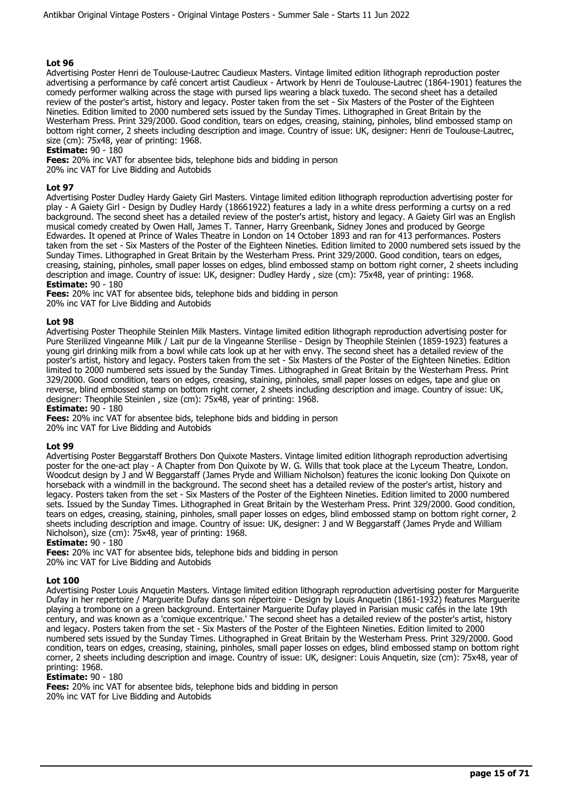Advertising Poster Henri de Toulouse-Lautrec Caudieux Masters. Vintage limited edition lithograph reproduction poster advertising a performance by café concert artist Caudieux - Artwork by Henri de Toulouse-Lautrec (1864-1901) features the comedy performer walking across the stage with pursed lips wearing a black tuxedo. The second sheet has a detailed review of the poster's artist, history and legacy. Poster taken from the set - Six Masters of the Poster of the Eighteen Nineties. Edition limited to 2000 numbered sets issued by the Sunday Times. Lithographed in Great Britain by the Westerham Press. Print 329/2000. Good condition, tears on edges, creasing, staining, pinholes, blind embossed stamp on bottom right corner, 2 sheets including description and image. Country of issue: UK, designer: Henri de Toulouse-Lautrec, size (cm): 75x48, year of printing: 1968.

## **Estimate:** 90 - 180

**Fees:** 20% inc VAT for absentee bids, telephone bids and bidding in person 20% inc VAT for Live Bidding and Autobids

## **Lot 97**

Advertising Poster Dudley Hardy Gaiety Girl Masters. Vintage limited edition lithograph reproduction advertising poster for play - A Gaiety Girl - Design by Dudley Hardy (18661922) features a lady in a white dress performing a curtsy on a red background. The second sheet has a detailed review of the poster's artist, history and legacy. A Gaiety Girl was an English musical comedy created by Owen Hall, James T. Tanner, Harry Greenbank, Sidney Jones and produced by George Edwardes. It opened at Prince of Wales Theatre in London on 14 October 1893 and ran for 413 performances. Posters taken from the set - Six Masters of the Poster of the Eighteen Nineties. Edition limited to 2000 numbered sets issued by the Sunday Times. Lithographed in Great Britain by the Westerham Press. Print 329/2000. Good condition, tears on edges, creasing, staining, pinholes, small paper losses on edges, blind embossed stamp on bottom right corner, 2 sheets including description and image. Country of issue: UK, designer: Dudley Hardy , size (cm): 75x48, year of printing: 1968. **Estimate:** 90 - 180

**Fees:** 20% inc VAT for absentee bids, telephone bids and bidding in person 20% inc VAT for Live Bidding and Autobids

#### **Lot 98**

Advertising Poster Theophile Steinlen Milk Masters. Vintage limited edition lithograph reproduction advertising poster for Pure Sterilized Vingeanne Milk / Lait pur de la Vingeanne Sterilise - Design by Theophile Steinlen (1859-1923) features a young girl drinking milk from a bowl while cats look up at her with envy. The second sheet has a detailed review of the poster's artist, history and legacy. Posters taken from the set - Six Masters of the Poster of the Eighteen Nineties. Edition limited to 2000 numbered sets issued by the Sunday Times. Lithographed in Great Britain by the Westerham Press. Print 329/2000. Good condition, tears on edges, creasing, staining, pinholes, small paper losses on edges, tape and glue on reverse, blind embossed stamp on bottom right corner, 2 sheets including description and image. Country of issue: UK, designer: Theophile Steinlen , size (cm): 75x48, year of printing: 1968.

#### **Estimate:** 90 - 180

**Fees:** 20% inc VAT for absentee bids, telephone bids and bidding in person 20% inc VAT for Live Bidding and Autobids

#### **Lot 99**

Advertising Poster Beggarstaff Brothers Don Quixote Masters. Vintage limited edition lithograph reproduction advertising poster for the one-act play - A Chapter from Don Quixote by W. G. Wills that took place at the Lyceum Theatre, London. Woodcut design by J and W Beggarstaff (James Pryde and William Nicholson) features the iconic looking Don Quixote on horseback with a windmill in the background. The second sheet has a detailed review of the poster's artist, history and legacy. Posters taken from the set - Six Masters of the Poster of the Eighteen Nineties. Edition limited to 2000 numbered sets. Issued by the Sunday Times. Lithographed in Great Britain by the Westerham Press. Print 329/2000. Good condition, tears on edges, creasing, staining, pinholes, small paper losses on edges, blind embossed stamp on bottom right corner, 2 sheets including description and image. Country of issue: UK, designer: J and W Beggarstaff (James Pryde and William Nicholson), size (cm): 75x48, year of printing: 1968.

#### **Estimate:** 90 - 180

**Fees:** 20% inc VAT for absentee bids, telephone bids and bidding in person 20% inc VAT for Live Bidding and Autobids

#### **Lot 100**

Advertising Poster Louis Anquetin Masters. Vintage limited edition lithograph reproduction advertising poster for Marguerite Dufay in her repertoire / Marguerite Dufay dans son répertoire - Design by Louis Anquetin (1861-1932) features Marguerite playing a trombone on a green background. Entertainer Marguerite Dufay played in Parisian music cafés in the late 19th century, and was known as a 'comique excentrique.' The second sheet has a detailed review of the poster's artist, history and legacy. Posters taken from the set - Six Masters of the Poster of the Eighteen Nineties. Edition limited to 2000 numbered sets issued by the Sunday Times. Lithographed in Great Britain by the Westerham Press. Print 329/2000. Good condition, tears on edges, creasing, staining, pinholes, small paper losses on edges, blind embossed stamp on bottom right corner, 2 sheets including description and image. Country of issue: UK, designer: Louis Anquetin, size (cm): 75x48, year of printing: 1968.

#### **Estimate:** 90 - 180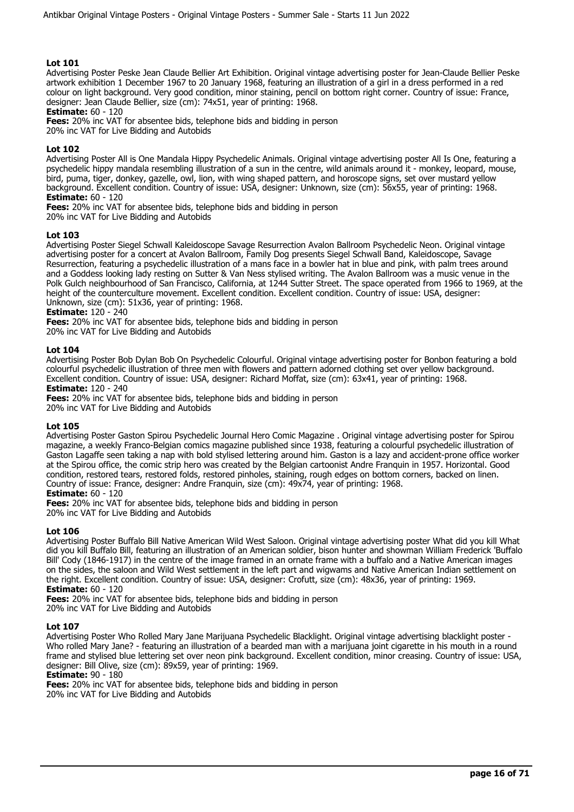Advertising Poster Peske Jean Claude Bellier Art Exhibition. Original vintage advertising poster for Jean-Claude Bellier Peske artwork exhibition 1 December 1967 to 20 January 1968, featuring an illustration of a girl in a dress performed in a red colour on light background. Very good condition, minor staining, pencil on bottom right corner. Country of issue: France, designer: Jean Claude Bellier, size (cm): 74x51, year of printing: 1968.

**Estimate:** 60 - 120

**Fees:** 20% inc VAT for absentee bids, telephone bids and bidding in person

20% inc VAT for Live Bidding and Autobids

## **Lot 102**

Advertising Poster All is One Mandala Hippy Psychedelic Animals. Original vintage advertising poster All Is One, featuring a psychedelic hippy mandala resembling illustration of a sun in the centre, wild animals around it - monkey, leopard, mouse, bird, puma, tiger, donkey, gazelle, owl, lion, with wing shaped pattern, and horoscope signs, set over mustard yellow background. Excellent condition. Country of issue: USA, designer: Unknown, size (cm): 56x55, year of printing: 1968. **Estimate:** 60 - 120

**Fees:** 20% inc VAT for absentee bids, telephone bids and bidding in person

20% inc VAT for Live Bidding and Autobids

#### **Lot 103**

Advertising Poster Siegel Schwall Kaleidoscope Savage Resurrection Avalon Ballroom Psychedelic Neon. Original vintage advertising poster for a concert at Avalon Ballroom, Family Dog presents Siegel Schwall Band, Kaleidoscope, Savage Resurrection, featuring a psychedelic illustration of a mans face in a bowler hat in blue and pink, with palm trees around and a Goddess looking lady resting on Sutter & Van Ness stylised writing. The Avalon Ballroom was a music venue in the Polk Gulch neighbourhood of San Francisco, California, at 1244 Sutter Street. The space operated from 1966 to 1969, at the height of the counterculture movement. Excellent condition. Excellent condition. Country of issue: USA, designer: Unknown, size (cm): 51x36, year of printing: 1968.

**Estimate:** 120 - 240

**Fees:** 20% inc VAT for absentee bids, telephone bids and bidding in person

20% inc VAT for Live Bidding and Autobids

#### **Lot 104**

Advertising Poster Bob Dylan Bob On Psychedelic Colourful. Original vintage advertising poster for Bonbon featuring a bold colourful psychedelic illustration of three men with flowers and pattern adorned clothing set over yellow background. Excellent condition. Country of issue: USA, designer: Richard Moffat, size (cm): 63x41, year of printing: 1968. **Estimate:** 120 - 240

**Fees:** 20% inc VAT for absentee bids, telephone bids and bidding in person 20% inc VAT for Live Bidding and Autobids

#### **Lot 105**

Advertising Poster Gaston Spirou Psychedelic Journal Hero Comic Magazine . Original vintage advertising poster for Spirou magazine, a weekly Franco-Belgian comics magazine published since 1938, featuring a colourful psychedelic illustration of Gaston Lagaffe seen taking a nap with bold stylised lettering around him. Gaston is a lazy and accident-prone office worker at the Spirou office, the comic strip hero was created by the Belgian cartoonist Andre Franquin in 1957. Horizontal. Good condition, restored tears, restored folds, restored pinholes, staining, rough edges on bottom corners, backed on linen. Country of issue: France, designer: Andre Franquin, size (cm): 49x74, year of printing: 1968.

**Estimate:** 60 - 120

**Fees:** 20% inc VAT for absentee bids, telephone bids and bidding in person 20% inc VAT for Live Bidding and Autobids

## **Lot 106**

Advertising Poster Buffalo Bill Native American Wild West Saloon. Original vintage advertising poster What did you kill What did you kill Buffalo Bill, featuring an illustration of an American soldier, bison hunter and showman William Frederick 'Buffalo Bill' Cody (1846-1917) in the centre of the image framed in an ornate frame with a buffalo and a Native American images on the sides, the saloon and Wild West settlement in the left part and wigwams and Native American Indian settlement on the right. Excellent condition. Country of issue: USA, designer: Crofutt, size (cm): 48x36, year of printing: 1969. **Estimate:** 60 - 120

**Fees:** 20% inc VAT for absentee bids, telephone bids and bidding in person 20% inc VAT for Live Bidding and Autobids

#### **Lot 107**

Advertising Poster Who Rolled Mary Jane Marijuana Psychedelic Blacklight. Original vintage advertising blacklight poster - Who rolled Mary Jane? - featuring an illustration of a bearded man with a marijuana joint cigarette in his mouth in a round frame and stylised blue lettering set over neon pink background. Excellent condition, minor creasing. Country of issue: USA, designer: Bill Olive, size (cm): 89x59, year of printing: 1969.

**Estimate:** 90 - 180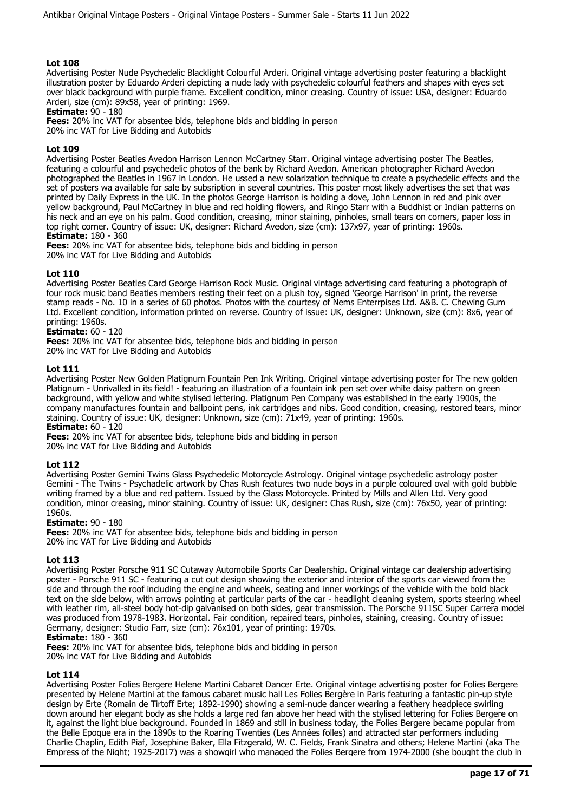Advertising Poster Nude Psychedelic Blacklight Colourful Arderi. Original vintage advertising poster featuring a blacklight illustration poster by Eduardo Arderi depicting a nude lady with psychedelic colourful feathers and shapes with eyes set over black background with purple frame. Excellent condition, minor creasing. Country of issue: USA, designer: Eduardo Arderi, size (cm): 89x58, year of printing: 1969.

**Estimate: 90 - 180** 

**Fees:** 20% inc VAT for absentee bids, telephone bids and bidding in person

20% inc VAT for Live Bidding and Autobids

## **Lot 109**

Advertising Poster Beatles Avedon Harrison Lennon McCartney Starr. Original vintage advertising poster The Beatles, featuring a colourful and psychedelic photos of the bank by Richard Avedon. American photographer Richard Avedon photographed the Beatles in 1967 in London. He ussed a new solarization technique to create a psychedelic effects and the set of posters wa available for sale by subsription in several countries. This poster most likely advertises the set that was printed by Daily Express in the UK. In the photos George Harrison is holding a dove, John Lennon in red and pink over yellow background, Paul McCartney in blue and red holding flowers, and Ringo Starr with a Buddhist or Indian patterns on his neck and an eye on his palm. Good condition, creasing, minor staining, pinholes, small tears on corners, paper loss in top right corner. Country of issue: UK, designer: Richard Avedon, size (cm): 137x97, year of printing: 1960s. **Estimate:** 180 - 360

**Fees:** 20% inc VAT for absentee bids, telephone bids and bidding in person 20% inc VAT for Live Bidding and Autobids

## **Lot 110**

Advertising Poster Beatles Card George Harrison Rock Music. Original vintage advertising card featuring a photograph of four rock music band Beatles members resting their feet on a plush toy, signed 'George Harrison' in print, the reverse stamp reads - No. 10 in a series of 60 photos. Photos with the courtesy of Nems Enterrpises Ltd. A&B. C. Chewing Gum Ltd. Excellent condition, information printed on reverse. Country of issue: UK, designer: Unknown, size (cm): 8x6, year of printing: 1960s.

## **Estimate:** 60 - 120

**Fees:** 20% inc VAT for absentee bids, telephone bids and bidding in person

20% inc VAT for Live Bidding and Autobids

#### **Lot 111**

Advertising Poster New Golden Platignum Fountain Pen Ink Writing. Original vintage advertising poster for The new golden Platignum - Unrivalled in its field! - featuring an illustration of a fountain ink pen set over white daisy pattern on green background, with yellow and white stylised lettering. Platignum Pen Company was established in the early 1900s, the company manufactures fountain and ballpoint pens, ink cartridges and nibs. Good condition, creasing, restored tears, minor staining. Country of issue: UK, designer: Unknown, size (cm): 71x49, year of printing: 1960s. **Estimate:** 60 - 120

**Fees:** 20% inc VAT for absentee bids, telephone bids and bidding in person 20% inc VAT for Live Bidding and Autobids

## **Lot 112**

Advertising Poster Gemini Twins Glass Psychedelic Motorcycle Astrology. Original vintage psychedelic astrology poster Gemini - The Twins - Psychadelic artwork by Chas Rush features two nude boys in a purple coloured oval with gold bubble writing framed by a blue and red pattern. Issued by the Glass Motorcycle. Printed by Mills and Allen Ltd. Very good condition, minor creasing, minor staining. Country of issue: UK, designer: Chas Rush, size (cm): 76x50, year of printing: 1960s.

#### **Estimate:** 90 - 180

**Fees:** 20% inc VAT for absentee bids, telephone bids and bidding in person 20% inc VAT for Live Bidding and Autobids

#### **Lot 113**

Advertising Poster Porsche 911 SC Cutaway Automobile Sports Car Dealership. Original vintage car dealership advertising poster - Porsche 911 SC - featuring a cut out design showing the exterior and interior of the sports car viewed from the side and through the roof including the engine and wheels, seating and inner workings of the vehicle with the bold black text on the side below, with arrows pointing at particular parts of the car - headlight cleaning system, sports steering wheel with leather rim, all-steel body hot-dip galvanised on both sides, gear transmission. The Porsche 911SC Super Carrera model was produced from 1978-1983. Horizontal. Fair condition, repaired tears, pinholes, staining, creasing. Country of issue: Germany, designer: Studio Farr, size (cm): 76x101, year of printing: 1970s.

## **Estimate:** 180 - 360

**Fees:** 20% inc VAT for absentee bids, telephone bids and bidding in person

20% inc VAT for Live Bidding and Autobids

## **Lot 114**

Advertising Poster Folies Bergere Helene Martini Cabaret Dancer Erte. Original vintage advertising poster for Folies Bergere presented by Helene Martini at the famous cabaret music hall Les Folies Bergère in Paris featuring a fantastic pin-up style design by Erte (Romain de Tirtoff Erte; 1892-1990) showing a semi-nude dancer wearing a feathery headpiece swirling down around her elegant body as she holds a large red fan above her head with the stylised lettering for Folies Bergere on it, against the light blue background. Founded in 1869 and still in business today, the Folies Bergere became popular from the Belle Epoque era in the 1890s to the Roaring Twenties (Les Années folles) and attracted star performers including Charlie Chaplin, Edith Piaf, Josephine Baker, Ella Fitzgerald, W. C. Fields, Frank Sinatra and others; Helene Martini (aka The Empress of the Night; 1925-2017) was a showgirl who managed the Folies Bergere from 1974-2000 (she bought the club in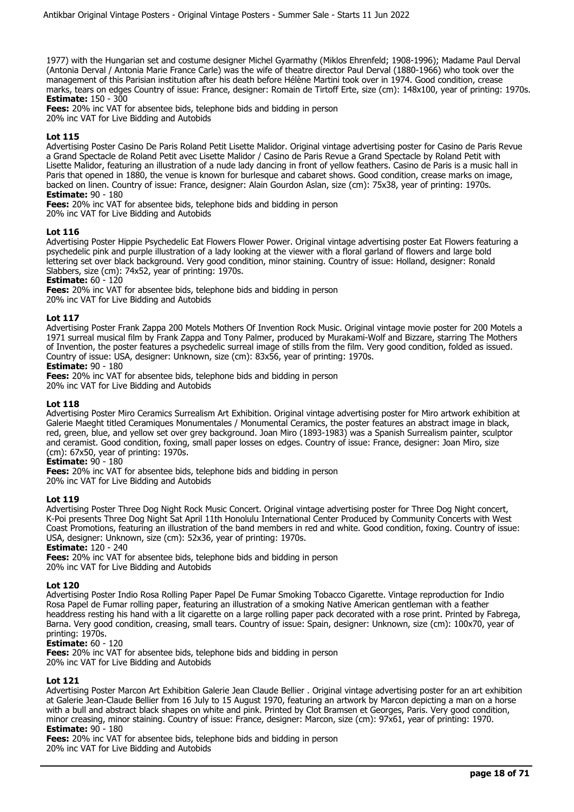1977) with the Hungarian set and costume designer Michel Gyarmathy (Miklos Ehrenfeld; 1908-1996); Madame Paul Derval (Antonia Derval / Antonia Marie France Carle) was the wife of theatre director Paul Derval (1880-1966) who took over the management of this Parisian institution after his death before Hélène Martini took over in 1974. Good condition, crease marks, tears on edges Country of issue: France, designer: Romain de Tirtoff Erte, size (cm): 148x100, year of printing: 1970s. **Estimate:** 150 - 300

**Fees:** 20% inc VAT for absentee bids, telephone bids and bidding in person 20% inc VAT for Live Bidding and Autobids

## **Lot 115**

Advertising Poster Casino De Paris Roland Petit Lisette Malidor. Original vintage advertising poster for Casino de Paris Revue a Grand Spectacle de Roland Petit avec Lisette Malidor / Casino de Paris Revue a Grand Spectacle by Roland Petit with Lisette Malidor, featuring an illustration of a nude lady dancing in front of yellow feathers. Casino de Paris is a music hall in Paris that opened in 1880, the venue is known for burlesque and cabaret shows. Good condition, crease marks on image, backed on linen. Country of issue: France, designer: Alain Gourdon Aslan, size (cm): 75x38, year of printing: 1970s. **Estimate:** 90 - 180

**Fees:** 20% inc VAT for absentee bids, telephone bids and bidding in person

20% inc VAT for Live Bidding and Autobids

## **Lot 116**

Advertising Poster Hippie Psychedelic Eat Flowers Flower Power. Original vintage advertising poster Eat Flowers featuring a psychedelic pink and purple illustration of a lady looking at the viewer with a floral garland of flowers and large bold lettering set over black background. Very good condition, minor staining. Country of issue: Holland, designer: Ronald Slabbers, size (cm): 74x52, year of printing: 1970s.

**Estimate:** 60 - 120

**Fees:** 20% inc VAT for absentee bids, telephone bids and bidding in person

20% inc VAT for Live Bidding and Autobids

## **Lot 117**

Advertising Poster Frank Zappa 200 Motels Mothers Of Invention Rock Music. Original vintage movie poster for 200 Motels a 1971 surreal musical film by Frank Zappa and Tony Palmer, produced by Murakami-Wolf and Bizzare, starring The Mothers of Invention, the poster features a psychedelic surreal image of stills from the film. Very good condition, folded as issued. Country of issue: USA, designer: Unknown, size (cm): 83x56, year of printing: 1970s.

**Estimate:** 90 - 180

**Fees:** 20% inc VAT for absentee bids, telephone bids and bidding in person

20% inc VAT for Live Bidding and Autobids

#### **Lot 118**

Advertising Poster Miro Ceramics Surrealism Art Exhibition. Original vintage advertising poster for Miro artwork exhibition at Galerie Maeght titled Ceramiques Monumentales / Monumental Ceramics, the poster features an abstract image in black, red, green, blue, and yellow set over grey background. Joan Miro (1893-1983) was a Spanish Surrealism painter, sculptor and ceramist. Good condition, foxing, small paper losses on edges. Country of issue: France, designer: Joan Miro, size (cm): 67x50, year of printing: 1970s.

#### **Estimate:** 90 - 180

**Fees:** 20% inc VAT for absentee bids, telephone bids and bidding in person

20% inc VAT for Live Bidding and Autobids

#### **Lot 119**

Advertising Poster Three Dog Night Rock Music Concert. Original vintage advertising poster for Three Dog Night concert, K-Poi presents Three Dog Night Sat April 11th Honolulu International Center Produced by Community Concerts with West Coast Promotions, featuring an illustration of the band members in red and white. Good condition, foxing. Country of issue: USA, designer: Unknown, size (cm): 52x36, year of printing: 1970s.

**Estimate:** 120 - 240

**Fees:** 20% inc VAT for absentee bids, telephone bids and bidding in person 20% inc VAT for Live Bidding and Autobids

#### **Lot 120**

Advertising Poster Indio Rosa Rolling Paper Papel De Fumar Smoking Tobacco Cigarette. Vintage reproduction for Indio Rosa Papel de Fumar rolling paper, featuring an illustration of a smoking Native American gentleman with a feather headdress resting his hand with a lit cigarette on a large rolling paper pack decorated with a rose print. Printed by Fabrega, Barna. Very good condition, creasing, small tears. Country of issue: Spain, designer: Unknown, size (cm): 100x70, year of printing: 1970s.

#### **Estimate:** 60 - 120

**Fees:** 20% inc VAT for absentee bids, telephone bids and bidding in person 20% inc VAT for Live Bidding and Autobids

#### **Lot 121**

Advertising Poster Marcon Art Exhibition Galerie Jean Claude Bellier . Original vintage advertising poster for an art exhibition at Galerie Jean-Claude Bellier from 16 July to 15 August 1970, featuring an artwork by Marcon depicting a man on a horse with a bull and abstract black shapes on white and pink. Printed by Clot Bramsen et Georges, Paris. Very good condition, minor creasing, minor staining. Country of issue: France, designer: Marcon, size (cm): 97x61, year of printing: 1970. **Estimate:** 90 - 180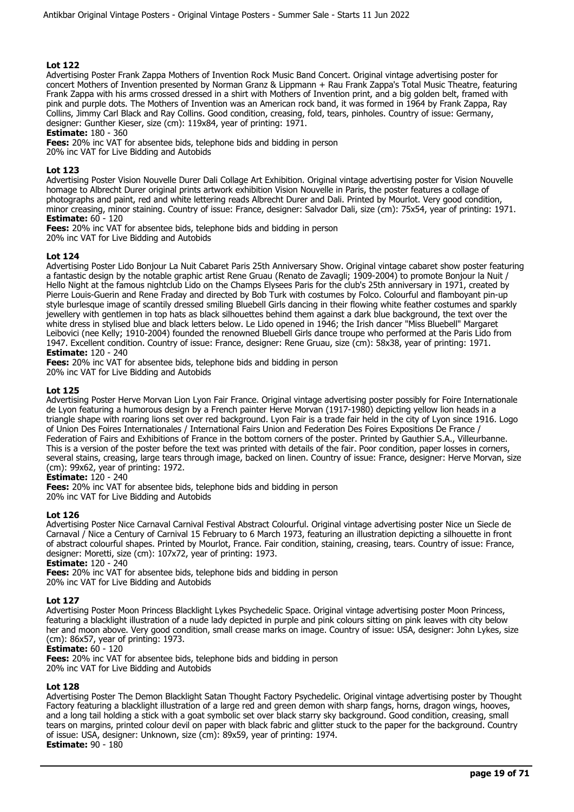Advertising Poster Frank Zappa Mothers of Invention Rock Music Band Concert. Original vintage advertising poster for concert Mothers of Invention presented by Norman Granz & Lippmann + Rau Frank Zappa's Total Music Theatre, featuring Frank Zappa with his arms crossed dressed in a shirt with Mothers of Invention print, and a big golden belt, framed with pink and purple dots. The Mothers of Invention was an American rock band, it was formed in 1964 by Frank Zappa, Ray Collins, Jimmy Carl Black and Ray Collins. Good condition, creasing, fold, tears, pinholes. Country of issue: Germany, designer: Gunther Kieser, size (cm): 119x84, year of printing: 1971.

**Estimate:** 180 - 360

**Fees:** 20% inc VAT for absentee bids, telephone bids and bidding in person 20% inc VAT for Live Bidding and Autobids

## **Lot 123**

Advertising Poster Vision Nouvelle Durer Dali Collage Art Exhibition. Original vintage advertising poster for Vision Nouvelle homage to Albrecht Durer original prints artwork exhibition Vision Nouvelle in Paris, the poster features a collage of photographs and paint, red and white lettering reads Albrecht Durer and Dali. Printed by Mourlot. Very good condition, minor creasing, minor staining. Country of issue: France, designer: Salvador Dali, size (cm): 75x54, year of printing: 1971. **Estimate:** 60 - 120

**Fees:** 20% inc VAT for absentee bids, telephone bids and bidding in person 20% inc VAT for Live Bidding and Autobids

## **Lot 124**

Advertising Poster Lido Bonjour La Nuit Cabaret Paris 25th Anniversary Show. Original vintage cabaret show poster featuring a fantastic design by the notable graphic artist Rene Gruau (Renato de Zavagli; 1909-2004) to promote Bonjour la Nuit / Hello Night at the famous nightclub Lido on the Champs Elysees Paris for the club's 25th anniversary in 1971, created by Pierre Louis-Guerin and Rene Fraday and directed by Bob Turk with costumes by Folco. Colourful and flamboyant pin-up style burlesque image of scantily dressed smiling Bluebell Girls dancing in their flowing white feather costumes and sparkly jewellery with gentlemen in top hats as black silhouettes behind them against a dark blue background, the text over the white dress in stylised blue and black letters below. Le Lido opened in 1946; the Irish dancer "Miss Bluebell" Margaret Leibovici (nee Kelly; 1910-2004) founded the renowned Bluebell Girls dance troupe who performed at the Paris Lido from 1947. Excellent condition. Country of issue: France, designer: Rene Gruau, size (cm): 58x38, year of printing: 1971. **Estimate:** 120 - 240

**Fees:** 20% inc VAT for absentee bids, telephone bids and bidding in person 20% inc VAT for Live Bidding and Autobids

## **Lot 125**

Advertising Poster Herve Morvan Lion Lyon Fair France. Original vintage advertising poster possibly for Foire Internationale de Lyon featuring a humorous design by a French painter Herve Morvan (1917-1980) depicting yellow lion heads in a triangle shape with roaring lions set over red background. Lyon Fair is a trade fair held in the city of Lyon since 1916. Logo of Union Des Foires Internationales / International Fairs Union and Federation Des Foires Expositions De France / Federation of Fairs and Exhibitions of France in the bottom corners of the poster. Printed by Gauthier S.A., Villeurbanne. This is a version of the poster before the text was printed with details of the fair. Poor condition, paper losses in corners, several stains, creasing, large tears through image, backed on linen. Country of issue: France, designer: Herve Morvan, size (cm): 99x62, year of printing: 1972.

## **Estimate:** 120 - 240

**Fees:** 20% inc VAT for absentee bids, telephone bids and bidding in person 20% inc VAT for Live Bidding and Autobids

## **Lot 126**

Advertising Poster Nice Carnaval Carnival Festival Abstract Colourful. Original vintage advertising poster Nice un Siecle de Carnaval / Nice a Century of Carnival 15 February to 6 March 1973, featuring an illustration depicting a silhouette in front of abstract colourful shapes. Printed by Mourlot, France. Fair condition, staining, creasing, tears. Country of issue: France, designer: Moretti, size (cm): 107x72, year of printing: 1973.

**Estimate:** 120 - 240

**Fees:** 20% inc VAT for absentee bids, telephone bids and bidding in person 20% inc VAT for Live Bidding and Autobids

## **Lot 127**

Advertising Poster Moon Princess Blacklight Lykes Psychedelic Space. Original vintage advertising poster Moon Princess, featuring a blacklight illustration of a nude lady depicted in purple and pink colours sitting on pink leaves with city below her and moon above. Very good condition, small crease marks on image. Country of issue: USA, designer: John Lykes, size (cm): 86x57, year of printing: 1973.

#### **Estimate:** 60 - 120

**Fees:** 20% inc VAT for absentee bids, telephone bids and bidding in person

20% inc VAT for Live Bidding and Autobids

## **Lot 128**

Advertising Poster The Demon Blacklight Satan Thought Factory Psychedelic. Original vintage advertising poster by Thought Factory featuring a blacklight illustration of a large red and green demon with sharp fangs, horns, dragon wings, hooves, and a long tail holding a stick with a goat symbolic set over black starry sky background. Good condition, creasing, small tears on margins, printed colour devil on paper with black fabric and glitter stuck to the paper for the background. Country of issue: USA, designer: Unknown, size (cm): 89x59, year of printing: 1974. **Estimate:** 90 - 180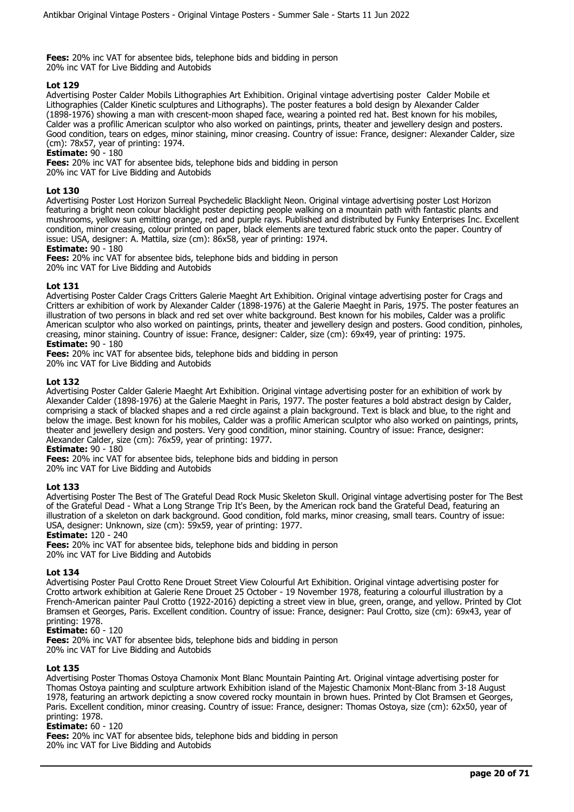**Fees:** 20% inc VAT for absentee bids, telephone bids and bidding in person 20% inc VAT for Live Bidding and Autobids

## **Lot 129**

Advertising Poster Calder Mobils Lithographies Art Exhibition. Original vintage advertising poster Calder Mobile et Lithographies (Calder Kinetic sculptures and Lithographs). The poster features a bold design by Alexander Calder (1898-1976) showing a man with crescent-moon shaped face, wearing a pointed red hat. Best known for his mobiles, Calder was a profilic American sculptor who also worked on paintings, prints, theater and jewellery design and posters. Good condition, tears on edges, minor staining, minor creasing. Country of issue: France, designer: Alexander Calder, size (cm): 78x57, year of printing: 1974.

**Estimate:** 90 - 180

**Fees:** 20% inc VAT for absentee bids, telephone bids and bidding in person 20% inc VAT for Live Bidding and Autobids

## **Lot 130**

Advertising Poster Lost Horizon Surreal Psychedelic Blacklight Neon. Original vintage advertising poster Lost Horizon featuring a bright neon colour blacklight poster depicting people walking on a mountain path with fantastic plants and mushrooms, yellow sun emitting orange, red and purple rays. Published and distributed by Funky Enterprises Inc. Excellent condition, minor creasing, colour printed on paper, black elements are textured fabric stuck onto the paper. Country of issue: USA, designer: A. Mattila, size (cm): 86x58, year of printing: 1974.

#### **Estimate:** 90 - 180

**Fees:** 20% inc VAT for absentee bids, telephone bids and bidding in person

20% inc VAT for Live Bidding and Autobids

## **Lot 131**

Advertising Poster Calder Crags Critters Galerie Maeght Art Exhibition. Original vintage advertising poster for Crags and Critters ar exhibition of work by Alexander Calder (1898-1976) at the Galerie Maeght in Paris, 1975. The poster features an illustration of two persons in black and red set over white background. Best known for his mobiles, Calder was a prolific American sculptor who also worked on paintings, prints, theater and jewellery design and posters. Good condition, pinholes, creasing, minor staining. Country of issue: France, designer: Calder, size (cm): 69x49, year of printing: 1975. **Estimate:** 90 - 180

**Fees:** 20% inc VAT for absentee bids, telephone bids and bidding in person

20% inc VAT for Live Bidding and Autobids

## **Lot 132**

Advertising Poster Calder Galerie Maeght Art Exhibition. Original vintage advertising poster for an exhibition of work by Alexander Calder (1898-1976) at the Galerie Maeght in Paris, 1977. The poster features a bold abstract design by Calder, comprising a stack of blacked shapes and a red circle against a plain background. Text is black and blue, to the right and below the image. Best known for his mobiles, Calder was a profilic American sculptor who also worked on paintings, prints, theater and jewellery design and posters. Very good condition, minor staining. Country of issue: France, designer: Alexander Calder, size (cm): 76x59, year of printing: 1977.

**Estimate:** 90 - 180

**Fees:** 20% inc VAT for absentee bids, telephone bids and bidding in person

20% inc VAT for Live Bidding and Autobids

## **Lot 133**

Advertising Poster The Best of The Grateful Dead Rock Music Skeleton Skull. Original vintage advertising poster for The Best of the Grateful Dead - What a Long Strange Trip It's Been, by the American rock band the Grateful Dead, featuring an illustration of a skeleton on dark background. Good condition, fold marks, minor creasing, small tears. Country of issue: USA, designer: Unknown, size (cm): 59x59, year of printing: 1977.

#### **Estimate:** 120 - 240

**Fees:** 20% inc VAT for absentee bids, telephone bids and bidding in person 20% inc VAT for Live Bidding and Autobids

#### **Lot 134**

Advertising Poster Paul Crotto Rene Drouet Street View Colourful Art Exhibition. Original vintage advertising poster for Crotto artwork exhibition at Galerie Rene Drouet 25 October - 19 November 1978, featuring a colourful illustration by a French-American painter Paul Crotto (1922-2016) depicting a street view in blue, green, orange, and yellow. Printed by Clot Bramsen et Georges, Paris. Excellent condition. Country of issue: France, designer: Paul Crotto, size (cm): 69x43, year of printing: 1978.

#### **Estimate:** 60 - 120

**Fees:** 20% inc VAT for absentee bids, telephone bids and bidding in person 20% inc VAT for Live Bidding and Autobids

#### **Lot 135**

Advertising Poster Thomas Ostoya Chamonix Mont Blanc Mountain Painting Art. Original vintage advertising poster for Thomas Ostoya painting and sculpture artwork Exhibition island of the Majestic Chamonix Mont-Blanc from 3-18 August 1978, featuring an artwork depicting a snow covered rocky mountain in brown hues. Printed by Clot Bramsen et Georges, Paris. Excellent condition, minor creasing. Country of issue: France, designer: Thomas Ostoya, size (cm): 62x50, year of printing: 1978.

#### **Estimate:** 60 - 120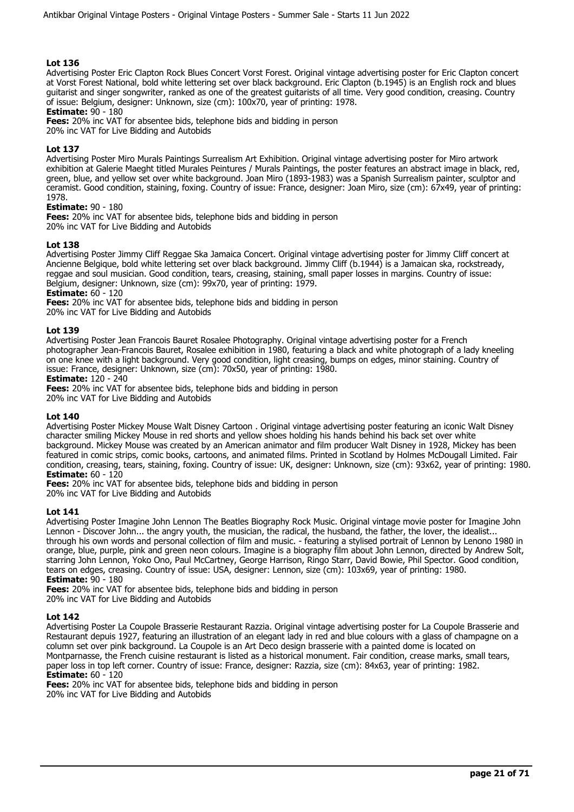Advertising Poster Eric Clapton Rock Blues Concert Vorst Forest. Original vintage advertising poster for Eric Clapton concert at Vorst Forest National, bold white lettering set over black background. Eric Clapton (b.1945) is an English rock and blues guitarist and singer songwriter, ranked as one of the greatest guitarists of all time. Very good condition, creasing. Country of issue: Belgium, designer: Unknown, size (cm): 100x70, year of printing: 1978.

**Estimate:** 90 - 180

**Fees:** 20% inc VAT for absentee bids, telephone bids and bidding in person

20% inc VAT for Live Bidding and Autobids

## **Lot 137**

Advertising Poster Miro Murals Paintings Surrealism Art Exhibition. Original vintage advertising poster for Miro artwork exhibition at Galerie Maeght titled Murales Peintures / Murals Paintings, the poster features an abstract image in black, red, green, blue, and yellow set over white background. Joan Miro (1893-1983) was a Spanish Surrealism painter, sculptor and ceramist. Good condition, staining, foxing. Country of issue: France, designer: Joan Miro, size (cm): 67x49, year of printing: 1978.

## **Estimate:** 90 - 180

**Fees:** 20% inc VAT for absentee bids, telephone bids and bidding in person 20% inc VAT for Live Bidding and Autobids

## **Lot 138**

Advertising Poster Jimmy Cliff Reggae Ska Jamaica Concert. Original vintage advertising poster for Jimmy Cliff concert at Ancienne Belgique, bold white lettering set over black background. Jimmy Cliff (b.1944) is a Jamaican ska, rockstready, reggae and soul musician. Good condition, tears, creasing, staining, small paper losses in margins. Country of issue: Belgium, designer: Unknown, size (cm): 99x70, year of printing: 1979.

**Estimate:** 60 - 120

**Fees:** 20% inc VAT for absentee bids, telephone bids and bidding in person

20% inc VAT for Live Bidding and Autobids

## **Lot 139**

Advertising Poster Jean Francois Bauret Rosalee Photography. Original vintage advertising poster for a French photographer Jean-Francois Bauret, Rosalee exhibition in 1980, featuring a black and white photograph of a lady kneeling on one knee with a light background. Very good condition, light creasing, bumps on edges, minor staining. Country of issue: France, designer: Unknown, size (cm): 70x50, year of printing: 1980.

#### **Estimate:** 120 - 240

**Fees:** 20% inc VAT for absentee bids, telephone bids and bidding in person

20% inc VAT for Live Bidding and Autobids

#### **Lot 140**

Advertising Poster Mickey Mouse Walt Disney Cartoon . Original vintage advertising poster featuring an iconic Walt Disney character smiling Mickey Mouse in red shorts and yellow shoes holding his hands behind his back set over white background. Mickey Mouse was created by an American animator and film producer Walt Disney in 1928, Mickey has been featured in comic strips, comic books, cartoons, and animated films. Printed in Scotland by Holmes McDougall Limited. Fair condition, creasing, tears, staining, foxing. Country of issue: UK, designer: Unknown, size (cm): 93x62, year of printing: 1980. **Estimate:** 60 - 120

**Fees:** 20% inc VAT for absentee bids, telephone bids and bidding in person 20% inc VAT for Live Bidding and Autobids

#### **Lot 141**

Advertising Poster Imagine John Lennon The Beatles Biography Rock Music. Original vintage movie poster for Imagine John Lennon - Discover John... the angry youth, the musician, the radical, the husband, the father, the lover, the idealist... through his own words and personal collection of film and music. - featuring a stylised portrait of Lennon by Lenono 1980 in orange, blue, purple, pink and green neon colours. Imagine is a biography film about John Lennon, directed by Andrew Solt, starring John Lennon, Yoko Ono, Paul McCartney, George Harrison, Ringo Starr, David Bowie, Phil Spector. Good condition, tears on edges, creasing. Country of issue: USA, designer: Lennon, size (cm): 103x69, year of printing: 1980. **Estimate:** 90 - 180

**Fees:** 20% inc VAT for absentee bids, telephone bids and bidding in person 20% inc VAT for Live Bidding and Autobids

#### **Lot 142**

Advertising Poster La Coupole Brasserie Restaurant Razzia. Original vintage advertising poster for La Coupole Brasserie and Restaurant depuis 1927, featuring an illustration of an elegant lady in red and blue colours with a glass of champagne on a column set over pink background. La Coupole is an Art Deco design brasserie with a painted dome is located on Montparnasse, the French cuisine restaurant is listed as a historical monument. Fair condition, crease marks, small tears, paper loss in top left corner. Country of issue: France, designer: Razzia, size (cm): 84x63, year of printing: 1982. **Estimate:** 60 - 120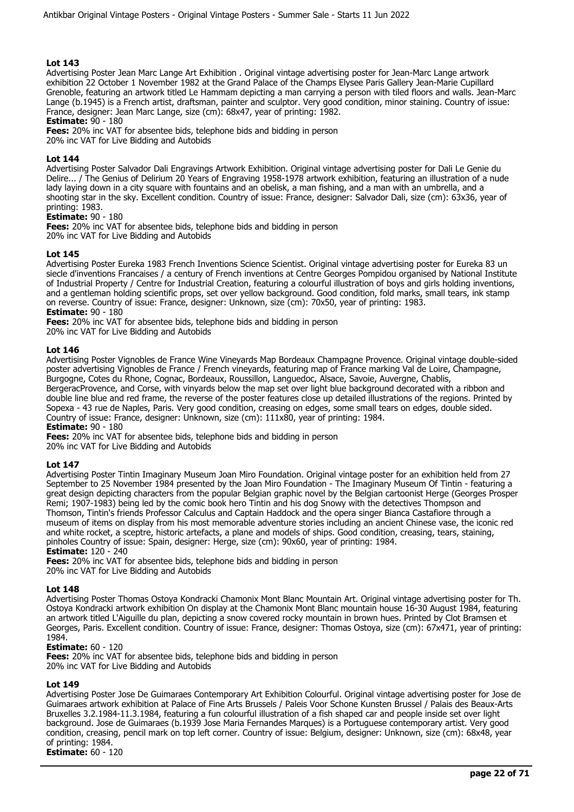Advertising Poster Jean Marc Lange Art Exhibition . Original vintage advertising poster for Jean-Marc Lange artwork exhibition 22 October 1 November 1982 at the Grand Palace of the Champs Elysee Paris Gallery Jean-Marie Cupillard Grenoble, featuring an artwork titled Le Hammam depicting a man carrying a person with tiled floors and walls. Jean-Marc Lange (b.1945) is a French artist, draftsman, painter and sculptor. Very good condition, minor staining. Country of issue: France, designer: Jean Marc Lange, size (cm): 68x47, year of printing: 1982.

## **Estimate:** 90 - 180

**Fees:** 20% inc VAT for absentee bids, telephone bids and bidding in person 20% inc VAT for Live Bidding and Autobids

## **Lot 144**

Advertising Poster Salvador Dali Engravings Artwork Exhibition. Original vintage advertising poster for Dali Le Genie du Delire... / The Genius of Delirium 20 Years of Engraving 1958-1978 artwork exhibition, featuring an illustration of a nude lady laying down in a city square with fountains and an obelisk, a man fishing, and a man with an umbrella, and a shooting star in the sky. Excellent condition. Country of issue: France, designer: Salvador Dali, size (cm): 63x36, year of printing: 1983.

#### **Estimate:** 90 - 180

**Fees:** 20% inc VAT for absentee bids, telephone bids and bidding in person 20% inc VAT for Live Bidding and Autobids

## **Lot 145**

Advertising Poster Eureka 1983 French Inventions Science Scientist. Original vintage advertising poster for Eureka 83 un siecle d'inventions Francaises / a century of French inventions at Centre Georges Pompidou organised by National Institute of Industrial Property / Centre for Industrial Creation, featuring a colourful illustration of boys and girls holding inventions, and a gentleman holding scientific props, set over yellow background. Good condition, fold marks, small tears, ink stamp on reverse. Country of issue: France, designer: Unknown, size (cm): 70x50, year of printing: 1983. **Estimate:** 90 - 180

**Fees:** 20% inc VAT for absentee bids, telephone bids and bidding in person

20% inc VAT for Live Bidding and Autobids

## **Lot 146**

Advertising Poster Vignobles de France Wine Vineyards Map Bordeaux Champagne Provence. Original vintage double-sided poster advertising Vignobles de France / French vineyards, featuring map of France marking Val de Loire, Champagne, Burgogne, Cotes du Rhone, Cognac, Bordeaux, Roussillon, Languedoc, Alsace, Savoie, Auvergne, Chablis, BergeracProvence, and Corse, with vinyards below the map set over light blue background decorated with a ribbon and double line blue and red frame, the reverse of the poster features close up detailed illustrations of the regions. Printed by Sopexa - 43 rue de Naples, Paris. Very good condition, creasing on edges, some small tears on edges, double sided. Country of issue: France, designer: Unknown, size (cm): 111x80, year of printing: 1984. **Estimate:** 90 - 180

**Fees:** 20% inc VAT for absentee bids, telephone bids and bidding in person 20% inc VAT for Live Bidding and Autobids

#### **Lot 147**

Advertising Poster Tintin Imaginary Museum Joan Miro Foundation. Original vintage poster for an exhibition held from 27 September to 25 November 1984 presented by the Joan Miro Foundation - The Imaginary Museum Of Tintin - featuring a great design depicting characters from the popular Belgian graphic novel by the Belgian cartoonist Herge (Georges Prosper Remi; 1907-1983) being led by the comic book hero Tintin and his dog Snowy with the detectives Thompson and Thomson, Tintin's friends Professor Calculus and Captain Haddock and the opera singer Bianca Castafiore through a museum of items on display from his most memorable adventure stories including an ancient Chinese vase, the iconic red and white rocket, a sceptre, historic artefacts, a plane and models of ships. Good condition, creasing, tears, staining, pinholes Country of issue: Spain, designer: Herge, size (cm): 90x60, year of printing: 1984. **Estimate:** 120 - 240

**Fees:** 20% inc VAT for absentee bids, telephone bids and bidding in person 20% inc VAT for Live Bidding and Autobids

#### **Lot 148**

Advertising Poster Thomas Ostoya Kondracki Chamonix Mont Blanc Mountain Art. Original vintage advertising poster for Th. Ostoya Kondracki artwork exhibition On display at the Chamonix Mont Blanc mountain house 16-30 August 1984, featuring an artwork titled L'Aiguille du plan, depicting a snow covered rocky mountain in brown hues. Printed by Clot Bramsen et Georges, Paris. Excellent condition. Country of issue: France, designer: Thomas Ostoya, size (cm): 67x471, year of printing: 1984.

#### **Estimate:** 60 - 120

**Fees:** 20% inc VAT for absentee bids, telephone bids and bidding in person 20% inc VAT for Live Bidding and Autobids

#### **Lot 149**

Advertising Poster Jose De Guimaraes Contemporary Art Exhibition Colourful. Original vintage advertising poster for Jose de Guimaraes artwork exhibition at Palace of Fine Arts Brussels / Paleis Voor Schone Kunsten Brussel / Palais des Beaux-Arts Bruxelles 3.2.1984-11.3.1984, featuring a fun colourful illustration of a fish shaped car and people inside set over light background. Jose de Guimaraes (b.1939 Jose Maria Fernandes Marques) is a Portuguese contemporary artist. Very good condition, creasing, pencil mark on top left corner. Country of issue: Belgium, designer: Unknown, size (cm): 68x48, year of printing: 1984.

**Estimate:** 60 - 120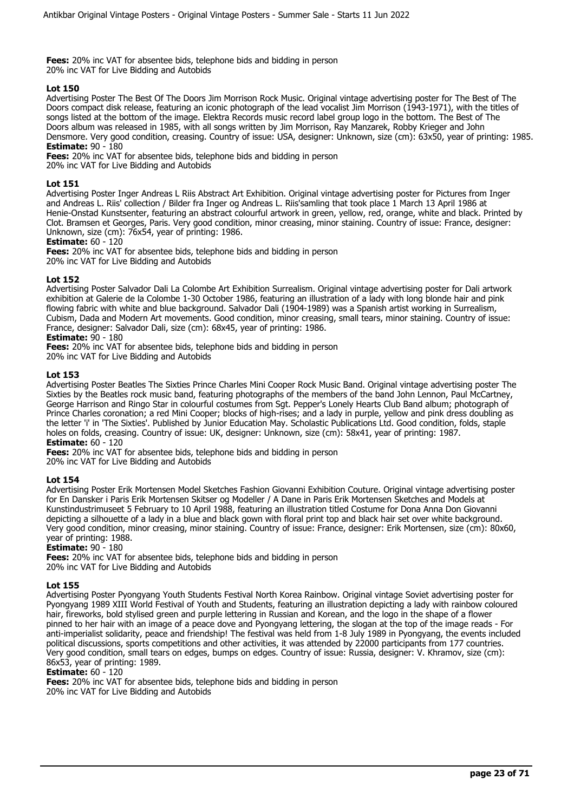**Fees:** 20% inc VAT for absentee bids, telephone bids and bidding in person 20% inc VAT for Live Bidding and Autobids

## **Lot 150**

Advertising Poster The Best Of The Doors Jim Morrison Rock Music. Original vintage advertising poster for The Best of The Doors compact disk release, featuring an iconic photograph of the lead vocalist Jim Morrison (1943-1971), with the titles of songs listed at the bottom of the image. Elektra Records music record label group logo in the bottom. The Best of The Doors album was released in 1985, with all songs written by Jim Morrison, Ray Manzarek, Robby Krieger and John Densmore. Very good condition, creasing. Country of issue: USA, designer: Unknown, size (cm): 63x50, year of printing: 1985. **Estimate:** 90 - 180

**Fees:** 20% inc VAT for absentee bids, telephone bids and bidding in person

20% inc VAT for Live Bidding and Autobids

## **Lot 151**

Advertising Poster Inger Andreas L Riis Abstract Art Exhibition. Original vintage advertising poster for Pictures from Inger and Andreas L. Riis' collection / Bilder fra Inger og Andreas L. Riis'samling that took place 1 March 13 April 1986 at Henie-Onstad Kunstsenter, featuring an abstract colourful artwork in green, yellow, red, orange, white and black. Printed by Clot. Bramsen et Georges, Paris. Very good condition, minor creasing, minor staining. Country of issue: France, designer: Unknown, size (cm): 76x54, year of printing: 1986.

# **Estimate:** 60 - 120

**Fees:** 20% inc VAT for absentee bids, telephone bids and bidding in person 20% inc VAT for Live Bidding and Autobids

## **Lot 152**

Advertising Poster Salvador Dali La Colombe Art Exhibition Surrealism. Original vintage advertising poster for Dali artwork exhibition at Galerie de la Colombe 1-30 October 1986, featuring an illustration of a lady with long blonde hair and pink flowing fabric with white and blue background. Salvador Dali (1904-1989) was a Spanish artist working in Surrealism, Cubism, Dada and Modern Art movements. Good condition, minor creasing, small tears, minor staining. Country of issue: France, designer: Salvador Dali, size (cm): 68x45, year of printing: 1986.

## **Estimate:** 90 - 180

**Fees:** 20% inc VAT for absentee bids, telephone bids and bidding in person 20% inc VAT for Live Bidding and Autobids

## **Lot 153**

Advertising Poster Beatles The Sixties Prince Charles Mini Cooper Rock Music Band. Original vintage advertising poster The Sixties by the Beatles rock music band, featuring photographs of the members of the band John Lennon, Paul McCartney, George Harrison and Ringo Star in colourful costumes from Sgt. Pepper's Lonely Hearts Club Band album; photograph of Prince Charles coronation; a red Mini Cooper; blocks of high-rises; and a lady in purple, yellow and pink dress doubling as the letter 'i' in 'The Sixties'. Published by Junior Education May. Scholastic Publications Ltd. Good condition, folds, staple holes on folds, creasing. Country of issue: UK, designer: Unknown, size (cm): 58x41, year of printing: 1987. **Estimate:** 60 - 120

**Fees:** 20% inc VAT for absentee bids, telephone bids and bidding in person 20% inc VAT for Live Bidding and Autobids

## **Lot 154**

Advertising Poster Erik Mortensen Model Sketches Fashion Giovanni Exhibition Couture. Original vintage advertising poster for En Dansker i Paris Erik Mortensen Skitser og Modeller / A Dane in Paris Erik Mortensen Sketches and Models at Kunstindustrimuseet 5 February to 10 April 1988, featuring an illustration titled Costume for Dona Anna Don Giovanni depicting a silhouette of a lady in a blue and black gown with floral print top and black hair set over white background. Very good condition, minor creasing, minor staining. Country of issue: France, designer: Erik Mortensen, size (cm): 80x60, year of printing: 1988.

## **Estimate:** 90 - 180

**Fees:** 20% inc VAT for absentee bids, telephone bids and bidding in person 20% inc VAT for Live Bidding and Autobids

#### **Lot 155**

Advertising Poster Pyongyang Youth Students Festival North Korea Rainbow. Original vintage Soviet advertising poster for Pyongyang 1989 XIII World Festival of Youth and Students, featuring an illustration depicting a lady with rainbow coloured hair, fireworks, bold stylised green and purple lettering in Russian and Korean, and the logo in the shape of a flower pinned to her hair with an image of a peace dove and Pyongyang lettering, the slogan at the top of the image reads - For anti-imperialist solidarity, peace and friendship! The festival was held from 1-8 July 1989 in Pyongyang, the events included political discussions, sports competitions and other activities, it was attended by 22000 participants from 177 countries. Very good condition, small tears on edges, bumps on edges. Country of issue: Russia, designer: V. Khramov, size (cm): 86x53, year of printing: 1989.

#### **Estimate:** 60 - 120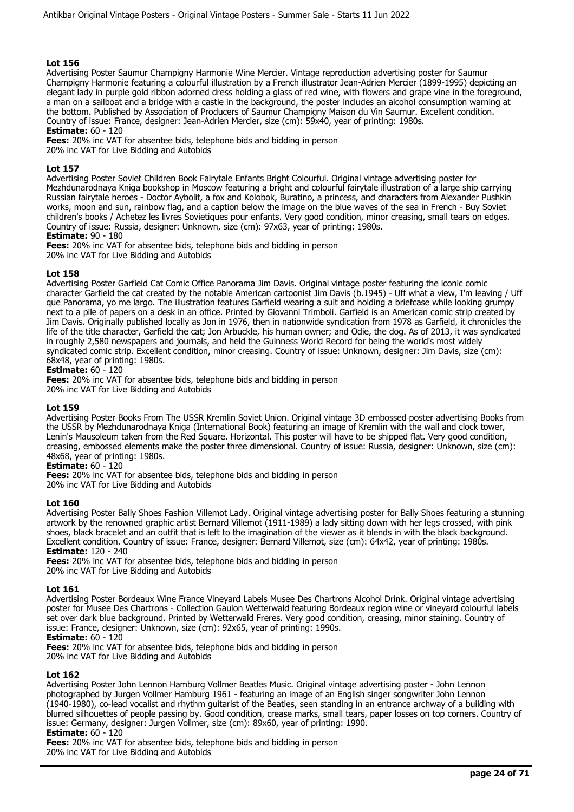Advertising Poster Saumur Champigny Harmonie Wine Mercier. Vintage reproduction advertising poster for Saumur Champigny Harmonie featuring a colourful illustration by a French illustrator Jean-Adrien Mercier (1899-1995) depicting an elegant lady in purple gold ribbon adorned dress holding a glass of red wine, with flowers and grape vine in the foreground, a man on a sailboat and a bridge with a castle in the background, the poster includes an alcohol consumption warning at the bottom. Published by Association of Producers of Saumur Champigny Maison du Vin Saumur. Excellent condition. Country of issue: France, designer: Jean-Adrien Mercier, size (cm): 59x40, year of printing: 1980s.

**Estimate:** 60 - 120 **Fees:** 20% inc VAT for absentee bids, telephone bids and bidding in person

20% inc VAT for Live Bidding and Autobids

## **Lot 157**

Advertising Poster Soviet Children Book Fairytale Enfants Bright Colourful. Original vintage advertising poster for Mezhdunarodnaya Kniga bookshop in Moscow featuring a bright and colourful fairytale illustration of a large ship carrying Russian fairytale heroes - Doctor Aybolit, a fox and Kolobok, Buratino, a princess, and characters from Alexander Pushkin works, moon and sun, rainbow flag, and a caption below the image on the blue waves of the sea in French - Buy Soviet children's books / Achetez les livres Sovietiques pour enfants. Very good condition, minor creasing, small tears on edges. Country of issue: Russia, designer: Unknown, size (cm): 97x63, year of printing: 1980s.

**Estimate:** 90 - 180

**Fees:** 20% inc VAT for absentee bids, telephone bids and bidding in person 20% inc VAT for Live Bidding and Autobids

## **Lot 158**

Advertising Poster Garfield Cat Comic Office Panorama Jim Davis. Original vintage poster featuring the iconic comic character Garfield the cat created by the notable American cartoonist Jim Davis (b.1945) - Uff what a view, I'm leaving / Uff que Panorama, yo me largo. The illustration features Garfield wearing a suit and holding a briefcase while looking grumpy next to a pile of papers on a desk in an office. Printed by Giovanni Trimboli. Garfield is an American comic strip created by Jim Davis. Originally published locally as Jon in 1976, then in nationwide syndication from 1978 as Garfield, it chronicles the life of the title character, Garfield the cat; Jon Arbuckle, his human owner; and Odie, the dog. As of 2013, it was syndicated in roughly 2,580 newspapers and journals, and held the Guinness World Record for being the world's most widely syndicated comic strip. Excellent condition, minor creasing. Country of issue: Unknown, designer: Jim Davis, size (cm): 68x48, year of printing: 1980s.

## **Estimate:** 60 - 120

**Fees:** 20% inc VAT for absentee bids, telephone bids and bidding in person 20% inc VAT for Live Bidding and Autobids

## **Lot 159**

Advertising Poster Books From The USSR Kremlin Soviet Union. Original vintage 3D embossed poster advertising Books from the USSR by Mezhdunarodnaya Kniga (International Book) featuring an image of Kremlin with the wall and clock tower, Lenin's Mausoleum taken from the Red Square. Horizontal. This poster will have to be shipped flat. Very good condition, creasing, embossed elements make the poster three dimensional. Country of issue: Russia, designer: Unknown, size (cm): 48x68, year of printing: 1980s.

## **Estimate:** 60 - 120

**Fees:** 20% inc VAT for absentee bids, telephone bids and bidding in person

20% inc VAT for Live Bidding and Autobids

#### **Lot 160**

Advertising Poster Bally Shoes Fashion Villemot Lady. Original vintage advertising poster for Bally Shoes featuring a stunning artwork by the renowned graphic artist Bernard Villemot (1911-1989) a lady sitting down with her legs crossed, with pink shoes, black bracelet and an outfit that is left to the imagination of the viewer as it blends in with the black background. Excellent condition. Country of issue: France, designer: Bernard Villemot, size (cm): 64x42, year of printing: 1980s. **Estimate:** 120 - 240

**Fees:** 20% inc VAT for absentee bids, telephone bids and bidding in person 20% inc VAT for Live Bidding and Autobids

#### **Lot 161**

Advertising Poster Bordeaux Wine France Vineyard Labels Musee Des Chartrons Alcohol Drink. Original vintage advertising poster for Musee Des Chartrons - Collection Gaulon Wetterwald featuring Bordeaux region wine or vineyard colourful labels set over dark blue background. Printed by Wetterwald Freres. Very good condition, creasing, minor staining. Country of issue: France, designer: Unknown, size (cm): 92x65, year of printing: 1990s.

#### **Estimate:** 60 - 120

**Fees:** 20% inc VAT for absentee bids, telephone bids and bidding in person

20% inc VAT for Live Bidding and Autobids

## **Lot 162**

Advertising Poster John Lennon Hamburg Vollmer Beatles Music. Original vintage advertising poster - John Lennon photographed by Jurgen Vollmer Hamburg 1961 - featuring an image of an English singer songwriter John Lennon (1940-1980), co-lead vocalist and rhythm guitarist of the Beatles, seen standing in an entrance archway of a building with blurred silhouettes of people passing by. Good condition, crease marks, small tears, paper losses on top corners. Country of issue: Germany, designer: Jurgen Vollmer, size (cm): 89x60, year of printing: 1990.

## **Estimate:** 60 - 120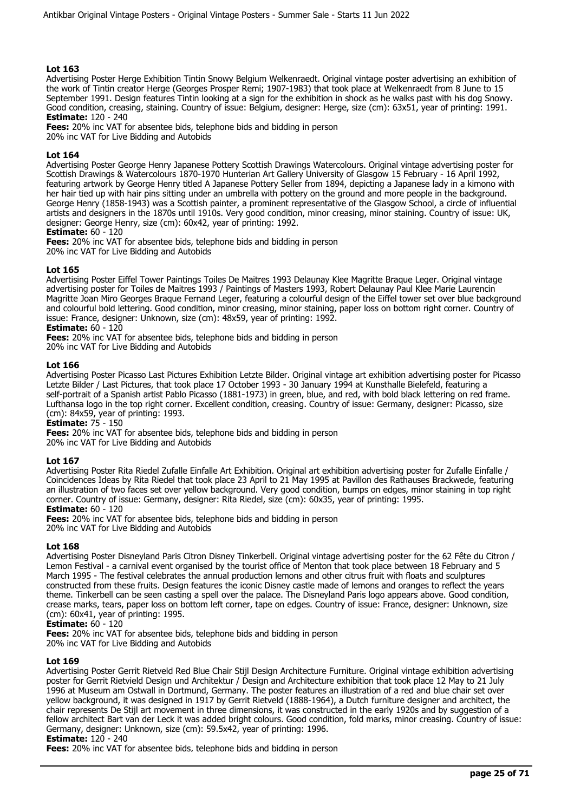Advertising Poster Herge Exhibition Tintin Snowy Belgium Welkenraedt. Original vintage poster advertising an exhibition of the work of Tintin creator Herge (Georges Prosper Remi; 1907-1983) that took place at Welkenraedt from 8 June to 15 September 1991. Design features Tintin looking at a sign for the exhibition in shock as he walks past with his dog Snowy. Good condition, creasing, staining. Country of issue: Belgium, designer: Herge, size (cm): 63x51, year of printing: 1991. **Estimate:** 120 - 240

**Fees:** 20% inc VAT for absentee bids, telephone bids and bidding in person 20% inc VAT for Live Bidding and Autobids

## **Lot 164**

Advertising Poster George Henry Japanese Pottery Scottish Drawings Watercolours. Original vintage advertising poster for Scottish Drawings & Watercolours 1870-1970 Hunterian Art Gallery University of Glasgow 15 February - 16 April 1992, featuring artwork by George Henry titled A Japanese Pottery Seller from 1894, depicting a Japanese lady in a kimono with her hair tied up with hair pins sitting under an umbrella with pottery on the ground and more people in the background. George Henry (1858-1943) was a Scottish painter, a prominent representative of the Glasgow School, a circle of influential artists and designers in the 1870s until 1910s. Very good condition, minor creasing, minor staining. Country of issue: UK, designer: George Henry, size (cm): 60x42, year of printing: 1992.

## **Estimate:** 60 - 120

**Fees:** 20% inc VAT for absentee bids, telephone bids and bidding in person 20% inc VAT for Live Bidding and Autobids

## **Lot 165**

Advertising Poster Eiffel Tower Paintings Toiles De Maitres 1993 Delaunay Klee Magritte Braque Leger. Original vintage advertising poster for Toiles de Maitres 1993 / Paintings of Masters 1993, Robert Delaunay Paul Klee Marie Laurencin Magritte Joan Miro Georges Braque Fernand Leger, featuring a colourful design of the Eiffel tower set over blue background and colourful bold lettering. Good condition, minor creasing, minor staining, paper loss on bottom right corner. Country of issue: France, designer: Unknown, size (cm): 48x59, year of printing: 1992.

## **Estimate:** 60 - 120

**Fees:** 20% inc VAT for absentee bids, telephone bids and bidding in person

20% inc VAT for Live Bidding and Autobids

## **Lot 166**

Advertising Poster Picasso Last Pictures Exhibition Letzte Bilder. Original vintage art exhibition advertising poster for Picasso Letzte Bilder / Last Pictures, that took place 17 October 1993 - 30 January 1994 at Kunsthalle Bielefeld, featuring a self-portrait of a Spanish artist Pablo Picasso (1881-1973) in green, blue, and red, with bold black lettering on red frame. Lufthansa logo in the top right corner. Excellent condition, creasing. Country of issue: Germany, designer: Picasso, size (cm): 84x59, year of printing: 1993.

**Estimate:** 75 - 150

**Fees:** 20% inc VAT for absentee bids, telephone bids and bidding in person 20% inc VAT for Live Bidding and Autobids

#### **Lot 167**

Advertising Poster Rita Riedel Zufalle Einfalle Art Exhibition. Original art exhibition advertising poster for Zufalle Einfalle / Coincidences Ideas by Rita Riedel that took place 23 April to 21 May 1995 at Pavillon des Rathauses Brackwede, featuring an illustration of two faces set over yellow background. Very good condition, bumps on edges, minor staining in top right corner. Country of issue: Germany, designer: Rita Riedel, size (cm): 60x35, year of printing: 1995.

# **Estimate:** 60 - 120

**Fees:** 20% inc VAT for absentee bids, telephone bids and bidding in person 20% inc VAT for Live Bidding and Autobids

#### **Lot 168**

Advertising Poster Disneyland Paris Citron Disney Tinkerbell. Original vintage advertising poster for the 62 Fête du Citron / Lemon Festival - a carnival event organised by the tourist office of Menton that took place between 18 February and 5 March 1995 - The festival celebrates the annual production lemons and other citrus fruit with floats and sculptures constructed from these fruits. Design features the iconic Disney castle made of lemons and oranges to reflect the years theme. Tinkerbell can be seen casting a spell over the palace. The Disneyland Paris logo appears above. Good condition, crease marks, tears, paper loss on bottom left corner, tape on edges. Country of issue: France, designer: Unknown, size (cm): 60x41, year of printing: 1995.

#### **Estimate:** 60 - 120

**Fees:** 20% inc VAT for absentee bids, telephone bids and bidding in person 20% inc VAT for Live Bidding and Autobids

## **Lot 169**

Advertising Poster Gerrit Rietveld Red Blue Chair Stijl Design Architecture Furniture. Original vintage exhibition advertising poster for Gerrit Rietvield Design und Architektur / Design and Architecture exhibition that took place 12 May to 21 July 1996 at Museum am Ostwall in Dortmund, Germany. The poster features an illustration of a red and blue chair set over yellow background, it was designed in 1917 by Gerrit Rietveld (1888-1964), a Dutch furniture designer and architect, the chair represents De Stijl art movement in three dimensions, it was constructed in the early 1920s and by suggestion of a fellow architect Bart van der Leck it was added bright colours. Good condition, fold marks, minor creasing. Country of issue: Germany, designer: Unknown, size (cm): 59.5x42, year of printing: 1996.

**Estimate:** 120 - 240

**Fees:** 20% inc VAT for absentee bids, telephone bids and bidding in person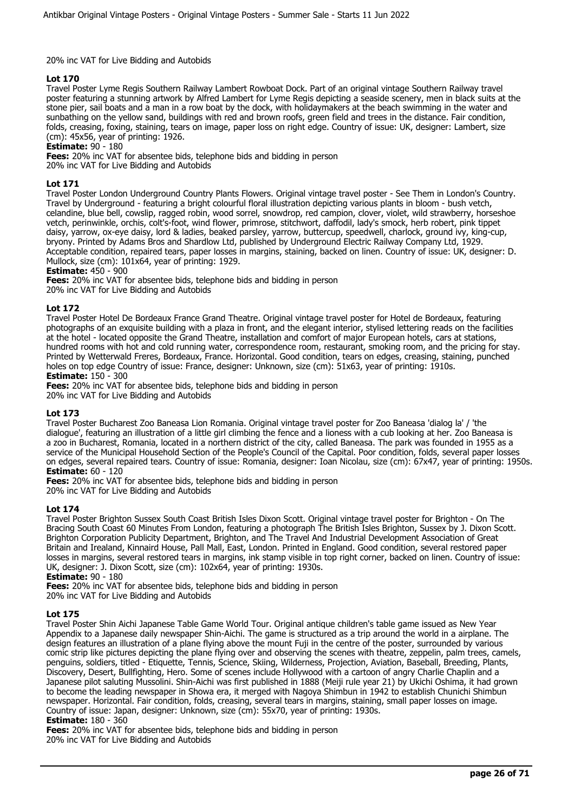## 20% inc VAT for Live Bidding and Autobids

## **Lot 170**

Travel Poster Lyme Regis Southern Railway Lambert Rowboat Dock. Part of an original vintage Southern Railway travel poster featuring a stunning artwork by Alfred Lambert for Lyme Regis depicting a seaside scenery, men in black suits at the stone pier, sail boats and a man in a row boat by the dock, with holidaymakers at the beach swimming in the water and sunbathing on the yellow sand, buildings with red and brown roofs, green field and trees in the distance. Fair condition, folds, creasing, foxing, staining, tears on image, paper loss on right edge. Country of issue: UK, designer: Lambert, size (cm): 45x56, year of printing: 1926.

## **Estimate:** 90 - 180

**Fees:** 20% inc VAT for absentee bids, telephone bids and bidding in person 20% inc VAT for Live Bidding and Autobids

## **Lot 171**

Travel Poster London Underground Country Plants Flowers. Original vintage travel poster - See Them in London's Country. Travel by Underground - featuring a bright colourful floral illustration depicting various plants in bloom - bush vetch, celandine, blue bell, cowslip, ragged robin, wood sorrel, snowdrop, red campion, clover, violet, wild strawberry, horseshoe vetch, perinwinkle, orchis, colt's-foot, wind flower, primrose, stitchwort, daffodil, lady's smock, herb robert, pink tippet daisy, yarrow, ox-eye daisy, lord & ladies, beaked parsley, yarrow, buttercup, speedwell, charlock, ground ivy, king-cup, bryony. Printed by Adams Bros and Shardlow Ltd, published by Underground Electric Railway Company Ltd, 1929. Acceptable condition, repaired tears, paper losses in margins, staining, backed on linen. Country of issue: UK, designer: D. Mullock, size (cm): 101x64, year of printing: 1929.

## **Estimate:** 450 - 900

**Fees:** 20% inc VAT for absentee bids, telephone bids and bidding in person 20% inc VAT for Live Bidding and Autobids

## **Lot 172**

Travel Poster Hotel De Bordeaux France Grand Theatre. Original vintage travel poster for Hotel de Bordeaux, featuring photographs of an exquisite building with a plaza in front, and the elegant interior, stylised lettering reads on the facilities at the hotel - located opposite the Grand Theatre, installation and comfort of major European hotels, cars at stations, hundred rooms with hot and cold running water, correspondence room, restaurant, smoking room, and the pricing for stay. Printed by Wetterwald Freres, Bordeaux, France. Horizontal. Good condition, tears on edges, creasing, staining, punched holes on top edge Country of issue: France, designer: Unknown, size (cm): 51x63, year of printing: 1910s. **Estimate:** 150 - 300

**Fees:** 20% inc VAT for absentee bids, telephone bids and bidding in person 20% inc VAT for Live Bidding and Autobids

## **Lot 173**

Travel Poster Bucharest Zoo Baneasa Lion Romania. Original vintage travel poster for Zoo Baneasa 'dialog la' / 'the dialogue', featuring an illustration of a little girl climbing the fence and a lioness with a cub looking at her. Zoo Baneasa is a zoo in Bucharest, Romania, located in a northern district of the city, called Baneasa. The park was founded in 1955 as a service of the Municipal Household Section of the People's Council of the Capital. Poor condition, folds, several paper losses on edges, several repaired tears. Country of issue: Romania, designer: Ioan Nicolau, size (cm): 67x47, year of printing: 1950s. **Estimate:** 60 - 120

**Fees:** 20% inc VAT for absentee bids, telephone bids and bidding in person 20% inc VAT for Live Bidding and Autobids

# **Lot 174**

Travel Poster Brighton Sussex South Coast British Isles Dixon Scott. Original vintage travel poster for Brighton - On The Bracing South Coast 60 Minutes From London, featuring a photograph The British Isles Brighton, Sussex by J. Dixon Scott. Brighton Corporation Publicity Department, Brighton, and The Travel And Industrial Development Association of Great Britain and Irealand, Kinnaird House, Pall Mall, East, London. Printed in England. Good condition, several restored paper losses in margins, several restored tears in margins, ink stamp visible in top right corner, backed on linen. Country of issue: UK, designer: J. Dixon Scott, size (cm): 102x64, year of printing: 1930s.

**Estimate:** 90 - 180

**Fees:** 20% inc VAT for absentee bids, telephone bids and bidding in person 20% inc VAT for Live Bidding and Autobids

## **Lot 175**

Travel Poster Shin Aichi Japanese Table Game World Tour. Original antique children's table game issued as New Year Appendix to a Japanese daily newspaper Shin-Aichi. The game is structured as a trip around the world in a airplane. The design features an illustration of a plane flying above the mount Fuji in the centre of the poster, surrounded by various comic strip like pictures depicting the plane flying over and observing the scenes with theatre, zeppelin, palm trees, camels, penguins, soldiers, titled - Etiquette, Tennis, Science, Skiing, Wilderness, Projection, Aviation, Baseball, Breeding, Plants, Discovery, Desert, Bullfighting, Hero. Some of scenes include Hollywood with a cartoon of angry Charlie Chaplin and a Japanese pilot saluting Mussolini. Shin-Aichi was first published in 1888 (Meiji rule year 21) by Ukichi Oshima, it had grown to become the leading newspaper in Showa era, it merged with Nagoya Shimbun in 1942 to establish Chunichi Shimbun newspaper. Horizontal. Fair condition, folds, creasing, several tears in margins, staining, small paper losses on image. Country of issue: Japan, designer: Unknown, size (cm): 55x70, year of printing: 1930s.

#### **Estimate:** 180 - 360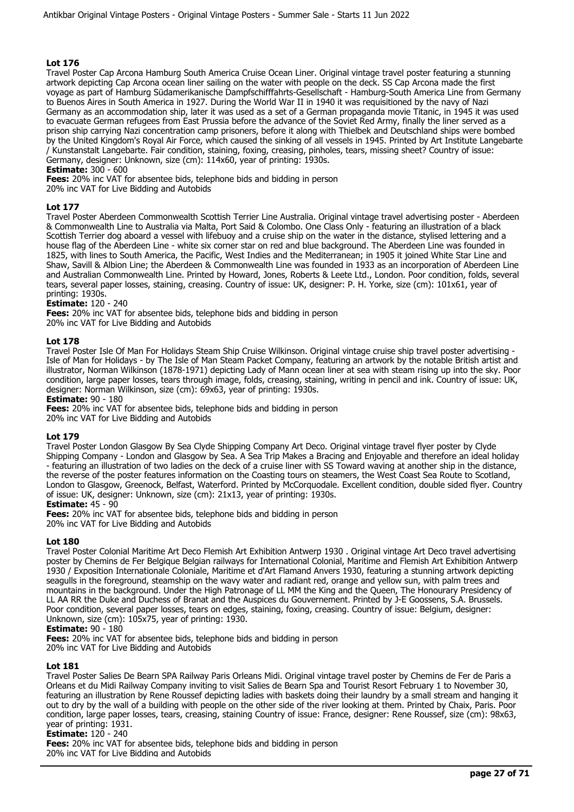Travel Poster Cap Arcona Hamburg South America Cruise Ocean Liner. Original vintage travel poster featuring a stunning artwork depicting Cap Arcona ocean liner sailing on the water with people on the deck. SS Cap Arcona made the first voyage as part of Hamburg Südamerikanische Dampfschifffahrts-Gesellschaft - Hamburg-South America Line from Germany to Buenos Aires in South America in 1927. During the World War II in 1940 it was requisitioned by the navy of Nazi Germany as an accommodation ship, later it was used as a set of a German propaganda movie Titanic, in 1945 it was used to evacuate German refugees from East Prussia before the advance of the Soviet Red Army, finally the liner served as a prison ship carrying Nazi concentration camp prisoners, before it along with Thielbek and Deutschland ships were bombed by the United Kingdom's Royal Air Force, which caused the sinking of all vessels in 1945. Printed by Art Institute Langebarte / Kunstanstalt Langebarte. Fair condition, staining, foxing, creasing, pinholes, tears, missing sheet? Country of issue: Germany, designer: Unknown, size (cm): 114x60, year of printing: 1930s.

## **Estimate:** 300 - 600

**Fees:** 20% inc VAT for absentee bids, telephone bids and bidding in person

20% inc VAT for Live Bidding and Autobids

## **Lot 177**

Travel Poster Aberdeen Commonwealth Scottish Terrier Line Australia. Original vintage travel advertising poster - Aberdeen & Commonwealth Line to Australia via Malta, Port Said & Colombo. One Class Only - featuring an illustration of a black Scottish Terrier dog aboard a vessel with lifebuoy and a cruise ship on the water in the distance, stylised lettering and a house flag of the Aberdeen Line - white six corner star on red and blue background. The Aberdeen Line was founded in 1825, with lines to South America, the Pacific, West Indies and the Mediterranean; in 1905 it joined White Star Line and Shaw, Savill & Albion Line; the Aberdeen & Commonwealth Line was founded in 1933 as an incorporation of Aberdeen Line and Australian Commonwealth Line. Printed by Howard, Jones, Roberts & Leete Ltd., London. Poor condition, folds, several tears, several paper losses, staining, creasing. Country of issue: UK, designer: P. H. Yorke, size (cm): 101x61, year of printing: 1930s.

#### **Estimate:** 120 - 240

**Fees:** 20% inc VAT for absentee bids, telephone bids and bidding in person 20% inc VAT for Live Bidding and Autobids

## **Lot 178**

Travel Poster Isle Of Man For Holidays Steam Ship Cruise Wilkinson. Original vintage cruise ship travel poster advertising - Isle of Man for Holidays - by The Isle of Man Steam Packet Company, featuring an artwork by the notable British artist and illustrator, Norman Wilkinson (1878-1971) depicting Lady of Mann ocean liner at sea with steam rising up into the sky. Poor condition, large paper losses, tears through image, folds, creasing, staining, writing in pencil and ink. Country of issue: UK, designer: Norman Wilkinson, size (cm): 69x63, year of printing: 1930s.

## **Estimate:** 90 - 180

**Fees:** 20% inc VAT for absentee bids, telephone bids and bidding in person

20% inc VAT for Live Bidding and Autobids

#### **Lot 179**

Travel Poster London Glasgow By Sea Clyde Shipping Company Art Deco. Original vintage travel flyer poster by Clyde Shipping Company - London and Glasgow by Sea. A Sea Trip Makes a Bracing and Enjoyable and therefore an ideal holiday - featuring an illustration of two ladies on the deck of a cruise liner with SS Toward waving at another ship in the distance, the reverse of the poster features information on the Coasting tours on steamers, the West Coast Sea Route to Scotland, London to Glasgow, Greenock, Belfast, Waterford. Printed by McCorquodale. Excellent condition, double sided flyer. Country of issue: UK, designer: Unknown, size (cm): 21x13, year of printing: 1930s.

## **Estimate:** 45 - 90

**Fees:** 20% inc VAT for absentee bids, telephone bids and bidding in person 20% inc VAT for Live Bidding and Autobids

#### **Lot 180**

Travel Poster Colonial Maritime Art Deco Flemish Art Exhibition Antwerp 1930 . Original vintage Art Deco travel advertising poster by Chemins de Fer Belgique Belgian railways for International Colonial, Maritime and Flemish Art Exhibition Antwerp 1930 / Exposition Internationale Coloniale, Maritime et d'Art Flamand Anvers 1930, featuring a stunning artwork depicting seagulls in the foreground, steamship on the wavy water and radiant red, orange and yellow sun, with palm trees and mountains in the background. Under the High Patronage of LL MM the King and the Queen, The Honourary Presidency of LL AA RR the Duke and Duchess of Branat and the Auspices du Gouvernement. Printed by J-E Goossens, S.A. Brussels. Poor condition, several paper losses, tears on edges, staining, foxing, creasing. Country of issue: Belgium, designer: Unknown, size (cm): 105x75, year of printing: 1930.

## **Estimate:** 90 - 180

**Fees:** 20% inc VAT for absentee bids, telephone bids and bidding in person 20% inc VAT for Live Bidding and Autobids

## **Lot 181**

Travel Poster Salies De Bearn SPA Railway Paris Orleans Midi. Original vintage travel poster by Chemins de Fer de Paris a Orleans et du Midi Railway Company inviting to visit Salies de Bearn Spa and Tourist Resort February 1 to November 30, featuring an illustration by Rene Roussef depicting ladies with baskets doing their laundry by a small stream and hanging it out to dry by the wall of a building with people on the other side of the river looking at them. Printed by Chaix, Paris. Poor condition, large paper losses, tears, creasing, staining Country of issue: France, designer: Rene Roussef, size (cm): 98x63, year of printing: 1931.

#### **Estimate:** 120 - 240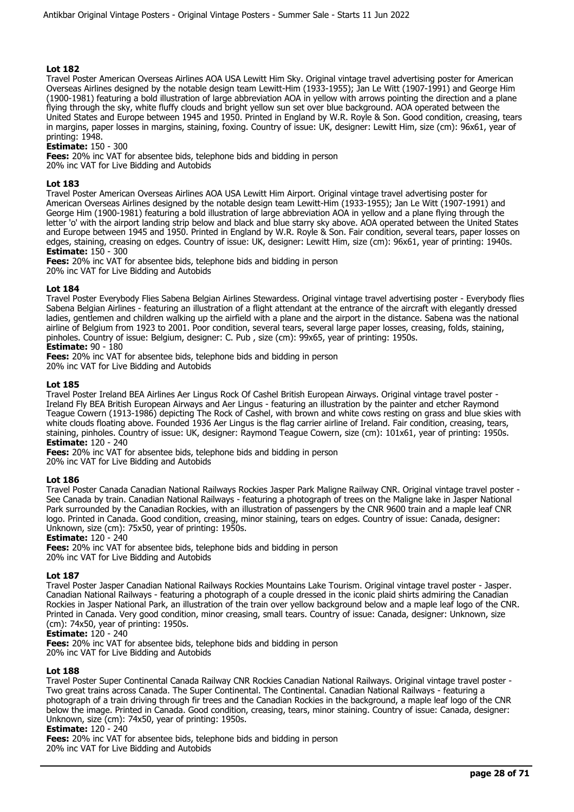Travel Poster American Overseas Airlines AOA USA Lewitt Him Sky. Original vintage travel advertising poster for American Overseas Airlines designed by the notable design team Lewitt-Him (1933-1955); Jan Le Witt (1907-1991) and George Him (1900-1981) featuring a bold illustration of large abbreviation AOA in yellow with arrows pointing the direction and a plane flying through the sky, white fluffy clouds and bright yellow sun set over blue background. AOA operated between the United States and Europe between 1945 and 1950. Printed in England by W.R. Royle & Son. Good condition, creasing, tears in margins, paper losses in margins, staining, foxing. Country of issue: UK, designer: Lewitt Him, size (cm): 96x61, year of printing: 1948.

## **Estimate:** 150 - 300

**Fees:** 20% inc VAT for absentee bids, telephone bids and bidding in person 20% inc VAT for Live Bidding and Autobids

## **Lot 183**

Travel Poster American Overseas Airlines AOA USA Lewitt Him Airport. Original vintage travel advertising poster for American Overseas Airlines designed by the notable design team Lewitt-Him (1933-1955); Jan Le Witt (1907-1991) and George Him (1900-1981) featuring a bold illustration of large abbreviation AOA in yellow and a plane flying through the letter 'o' with the airport landing strip below and black and blue starry sky above. AOA operated between the United States and Europe between 1945 and 1950. Printed in England by W.R. Royle & Son. Fair condition, several tears, paper losses on edges, staining, creasing on edges. Country of issue: UK, designer: Lewitt Him, size (cm): 96x61, year of printing: 1940s. **Estimate:** 150 - 300

**Fees:** 20% inc VAT for absentee bids, telephone bids and bidding in person 20% inc VAT for Live Bidding and Autobids

## **Lot 184**

Travel Poster Everybody Flies Sabena Belgian Airlines Stewardess. Original vintage travel advertising poster - Everybody flies Sabena Belgian Airlines - featuring an illustration of a flight attendant at the entrance of the aircraft with elegantly dressed ladies, gentlemen and children walking up the airfield with a plane and the airport in the distance. Sabena was the national airline of Belgium from 1923 to 2001. Poor condition, several tears, several large paper losses, creasing, folds, staining, pinholes. Country of issue: Belgium, designer: C. Pub , size (cm): 99x65, year of printing: 1950s. **Estimate:** 90 - 180

# **Fees:** 20% inc VAT for absentee bids, telephone bids and bidding in person

20% inc VAT for Live Bidding and Autobids

## **Lot 185**

Travel Poster Ireland BEA Airlines Aer Lingus Rock Of Cashel British European Airways. Original vintage travel poster - Ireland Fly BEA British European Airways and Aer Lingus - featuring an illustration by the painter and etcher Raymond Teague Cowern (1913-1986) depicting The Rock of Cashel, with brown and white cows resting on grass and blue skies with white clouds floating above. Founded 1936 Aer Lingus is the flag carrier airline of Ireland. Fair condition, creasing, tears, staining, pinholes. Country of issue: UK, designer: Raymond Teague Cowern, size (cm): 101x61, year of printing: 1950s. **Estimate:** 120 - 240

**Fees:** 20% inc VAT for absentee bids, telephone bids and bidding in person 20% inc VAT for Live Bidding and Autobids

## **Lot 186**

Travel Poster Canada Canadian National Railways Rockies Jasper Park Maligne Railway CNR. Original vintage travel poster - See Canada by train. Canadian National Railways - featuring a photograph of trees on the Maligne lake in Jasper National Park surrounded by the Canadian Rockies, with an illustration of passengers by the CNR 9600 train and a maple leaf CNR logo. Printed in Canada. Good condition, creasing, minor staining, tears on edges. Country of issue: Canada, designer: Unknown, size (cm): 75x50, year of printing: 1950s.

## **Estimate:** 120 - 240

**Fees:** 20% inc VAT for absentee bids, telephone bids and bidding in person 20% inc VAT for Live Bidding and Autobids

## **Lot 187**

Travel Poster Jasper Canadian National Railways Rockies Mountains Lake Tourism. Original vintage travel poster - Jasper. Canadian National Railways - featuring a photograph of a couple dressed in the iconic plaid shirts admiring the Canadian Rockies in Jasper National Park, an illustration of the train over yellow background below and a maple leaf logo of the CNR. Printed in Canada. Very good condition, minor creasing, small tears. Country of issue: Canada, designer: Unknown, size (cm): 74x50, year of printing: 1950s.

## **Estimate:** 120 - 240

**Fees:** 20% inc VAT for absentee bids, telephone bids and bidding in person

20% inc VAT for Live Bidding and Autobids

#### **Lot 188**

Travel Poster Super Continental Canada Railway CNR Rockies Canadian National Railways. Original vintage travel poster - Two great trains across Canada. The Super Continental. The Continental. Canadian National Railways - featuring a photograph of a train driving through fir trees and the Canadian Rockies in the background, a maple leaf logo of the CNR below the image. Printed in Canada. Good condition, creasing, tears, minor staining. Country of issue: Canada, designer: Unknown, size (cm): 74x50, year of printing: 1950s.

#### **Estimate:** 120 - 240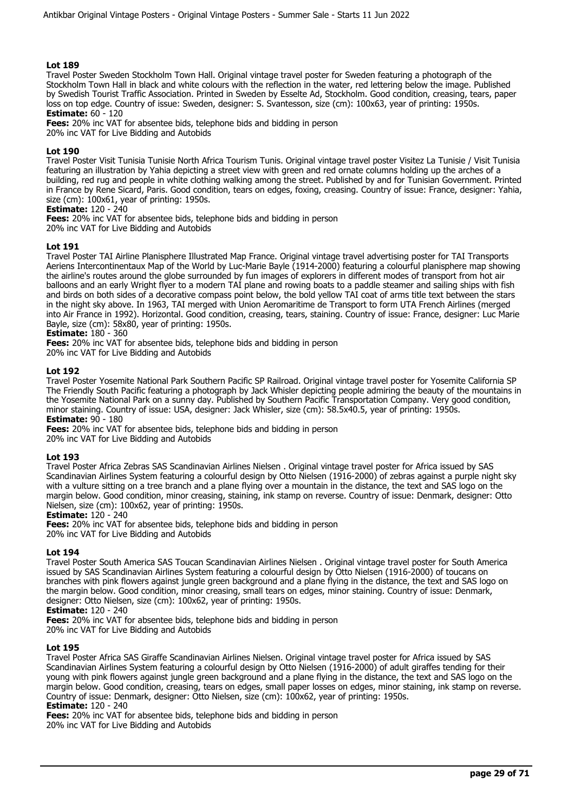Travel Poster Sweden Stockholm Town Hall. Original vintage travel poster for Sweden featuring a photograph of the Stockholm Town Hall in black and white colours with the reflection in the water, red lettering below the image. Published by Swedish Tourist Traffic Association. Printed in Sweden by Esselte Ad, Stockholm. Good condition, creasing, tears, paper loss on top edge. Country of issue: Sweden, designer: S. Svantesson, size (cm): 100x63, year of printing: 1950s. **Estimate:** 60 - 120

**Fees:** 20% inc VAT for absentee bids, telephone bids and bidding in person 20% inc VAT for Live Bidding and Autobids

## **Lot 190**

Travel Poster Visit Tunisia Tunisie North Africa Tourism Tunis. Original vintage travel poster Visitez La Tunisie / Visit Tunisia featuring an illustration by Yahia depicting a street view with green and red ornate columns holding up the arches of a building, red rug and people in white clothing walking among the street. Published by and for Tunisian Government. Printed in France by Rene Sicard, Paris. Good condition, tears on edges, foxing, creasing. Country of issue: France, designer: Yahia, size (cm): 100x61, year of printing: 1950s.

#### **Estimate:** 120 - 240

**Fees:** 20% inc VAT for absentee bids, telephone bids and bidding in person

20% inc VAT for Live Bidding and Autobids

## **Lot 191**

Travel Poster TAI Airline Planisphere Illustrated Map France. Original vintage travel advertising poster for TAI Transports Aeriens Intercontinentaux Map of the World by Luc-Marie Bayle (1914-2000) featuring a colourful planisphere map showing the airline's routes around the globe surrounded by fun images of explorers in different modes of transport from hot air balloons and an early Wright flyer to a modern TAI plane and rowing boats to a paddle steamer and sailing ships with fish and birds on both sides of a decorative compass point below, the bold yellow TAI coat of arms title text between the stars in the night sky above. In 1963, TAI merged with Union Aeromaritime de Transport to form UTA French Airlines (merged into Air France in 1992). Horizontal. Good condition, creasing, tears, staining. Country of issue: France, designer: Luc Marie Bayle, size (cm): 58x80, year of printing: 1950s.

## **Estimate:** 180 - 360

**Fees:** 20% inc VAT for absentee bids, telephone bids and bidding in person

20% inc VAT for Live Bidding and Autobids

## **Lot 192**

Travel Poster Yosemite National Park Southern Pacific SP Railroad. Original vintage travel poster for Yosemite California SP The Friendly South Pacific featuring a photograph by Jack Whisler depicting people admiring the beauty of the mountains in the Yosemite National Park on a sunny day. Published by Southern Pacific Transportation Company. Very good condition, minor staining. Country of issue: USA, designer: Jack Whisler, size (cm): 58.5x40.5, year of printing: 1950s. **Estimate:** 90 - 180

**Fees:** 20% inc VAT for absentee bids, telephone bids and bidding in person 20% inc VAT for Live Bidding and Autobids

## **Lot 193**

Travel Poster Africa Zebras SAS Scandinavian Airlines Nielsen . Original vintage travel poster for Africa issued by SAS Scandinavian Airlines System featuring a colourful design by Otto Nielsen (1916-2000) of zebras against a purple night sky with a vulture sitting on a tree branch and a plane flying over a mountain in the distance, the text and SAS logo on the margin below. Good condition, minor creasing, staining, ink stamp on reverse. Country of issue: Denmark, designer: Otto Nielsen, size (cm): 100x62, year of printing: 1950s.

#### **Estimate:** 120 - 240

**Fees:** 20% inc VAT for absentee bids, telephone bids and bidding in person

20% inc VAT for Live Bidding and Autobids

#### **Lot 194**

Travel Poster South America SAS Toucan Scandinavian Airlines Nielsen . Original vintage travel poster for South America issued by SAS Scandinavian Airlines System featuring a colourful design by Otto Nielsen (1916-2000) of toucans on branches with pink flowers against jungle green background and a plane flying in the distance, the text and SAS logo on the margin below. Good condition, minor creasing, small tears on edges, minor staining. Country of issue: Denmark, designer: Otto Nielsen, size (cm): 100x62, year of printing: 1950s.

#### **Estimate:** 120 - 240

**Fees:** 20% inc VAT for absentee bids, telephone bids and bidding in person 20% inc VAT for Live Bidding and Autobids

#### **Lot 195**

Travel Poster Africa SAS Giraffe Scandinavian Airlines Nielsen. Original vintage travel poster for Africa issued by SAS Scandinavian Airlines System featuring a colourful design by Otto Nielsen (1916-2000) of adult giraffes tending for their young with pink flowers against jungle green background and a plane flying in the distance, the text and SAS logo on the margin below. Good condition, creasing, tears on edges, small paper losses on edges, minor staining, ink stamp on reverse. Country of issue: Denmark, designer: Otto Nielsen, size (cm): 100x62, year of printing: 1950s.

#### **Estimate:** 120 - 240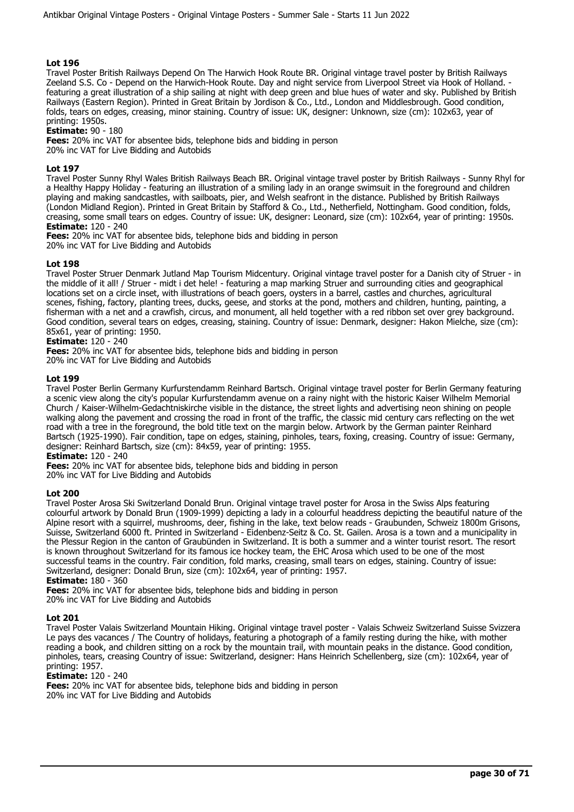Travel Poster British Railways Depend On The Harwich Hook Route BR. Original vintage travel poster by British Railways Zeeland S.S. Co - Depend on the Harwich-Hook Route. Day and night service from Liverpool Street via Hook of Holland. featuring a great illustration of a ship sailing at night with deep green and blue hues of water and sky. Published by British Railways (Eastern Region). Printed in Great Britain by Jordison & Co., Ltd., London and Middlesbrough. Good condition, folds, tears on edges, creasing, minor staining. Country of issue: UK, designer: Unknown, size (cm): 102x63, year of printing: 1950s.

#### **Estimate:** 90 - 180

**Fees:** 20% inc VAT for absentee bids, telephone bids and bidding in person 20% inc VAT for Live Bidding and Autobids

## **Lot 197**

Travel Poster Sunny Rhyl Wales British Railways Beach BR. Original vintage travel poster by British Railways - Sunny Rhyl for a Healthy Happy Holiday - featuring an illustration of a smiling lady in an orange swimsuit in the foreground and children playing and making sandcastles, with sailboats, pier, and Welsh seafront in the distance. Published by British Railways (London Midland Region). Printed in Great Britain by Stafford & Co., Ltd., Netherfield, Nottingham. Good condition, folds, creasing, some small tears on edges. Country of issue: UK, designer: Leonard, size (cm): 102x64, year of printing: 1950s. **Estimate:** 120 - 240

**Fees:** 20% inc VAT for absentee bids, telephone bids and bidding in person 20% inc VAT for Live Bidding and Autobids

## **Lot 198**

Travel Poster Struer Denmark Jutland Map Tourism Midcentury. Original vintage travel poster for a Danish city of Struer - in the middle of it all! / Struer - midt i det hele! - featuring a map marking Struer and surrounding cities and geographical locations set on a circle inset, with illustrations of beach goers, oysters in a barrel, castles and churches, agricultural scenes, fishing, factory, planting trees, ducks, geese, and storks at the pond, mothers and children, hunting, painting, a fisherman with a net and a crawfish, circus, and monument, all held together with a red ribbon set over grey background. Good condition, several tears on edges, creasing, staining. Country of issue: Denmark, designer: Hakon Mielche, size (cm): 85x61, year of printing: 1950.

## **Estimate:** 120 - 240

**Fees:** 20% inc VAT for absentee bids, telephone bids and bidding in person 20% inc VAT for Live Bidding and Autobids

## **Lot 199**

Travel Poster Berlin Germany Kurfurstendamm Reinhard Bartsch. Original vintage travel poster for Berlin Germany featuring a scenic view along the city's popular Kurfurstendamm avenue on a rainy night with the historic Kaiser Wilhelm Memorial Church / Kaiser-Wilhelm-Gedachtniskirche visible in the distance, the street lights and advertising neon shining on people walking along the pavement and crossing the road in front of the traffic, the classic mid century cars reflecting on the wet road with a tree in the foreground, the bold title text on the margin below. Artwork by the German painter Reinhard Bartsch (1925-1990). Fair condition, tape on edges, staining, pinholes, tears, foxing, creasing. Country of issue: Germany, designer: Reinhard Bartsch, size (cm): 84x59, year of printing: 1955.

**Estimate:** 120 - 240

**Fees:** 20% inc VAT for absentee bids, telephone bids and bidding in person 20% inc VAT for Live Bidding and Autobids

## **Lot 200**

Travel Poster Arosa Ski Switzerland Donald Brun. Original vintage travel poster for Arosa in the Swiss Alps featuring colourful artwork by Donald Brun (1909-1999) depicting a lady in a colourful headdress depicting the beautiful nature of the Alpine resort with a squirrel, mushrooms, deer, fishing in the lake, text below reads - Graubunden, Schweiz 1800m Grisons, Suisse, Switzerland 6000 ft. Printed in Switzerland - Eidenbenz-Seitz & Co. St. Gailen. Arosa is a town and a municipality in the Plessur Region in the canton of Graubünden in Switzerland. It is both a summer and a winter tourist resort. The resort is known throughout Switzerland for its famous ice hockey team, the EHC Arosa which used to be one of the most successful teams in the country. Fair condition, fold marks, creasing, small tears on edges, staining. Country of issue: Switzerland, designer: Donald Brun, size (cm): 102x64, year of printing: 1957.

# **Estimate:** 180 - 360

**Fees:** 20% inc VAT for absentee bids, telephone bids and bidding in person 20% inc VAT for Live Bidding and Autobids

## **Lot 201**

Travel Poster Valais Switzerland Mountain Hiking. Original vintage travel poster - Valais Schweiz Switzerland Suisse Svizzera Le pays des vacances / The Country of holidays, featuring a photograph of a family resting during the hike, with mother reading a book, and children sitting on a rock by the mountain trail, with mountain peaks in the distance. Good condition, pinholes, tears, creasing Country of issue: Switzerland, designer: Hans Heinrich Schellenberg, size (cm): 102x64, year of printing: 1957.

#### **Estimate:** 120 - 240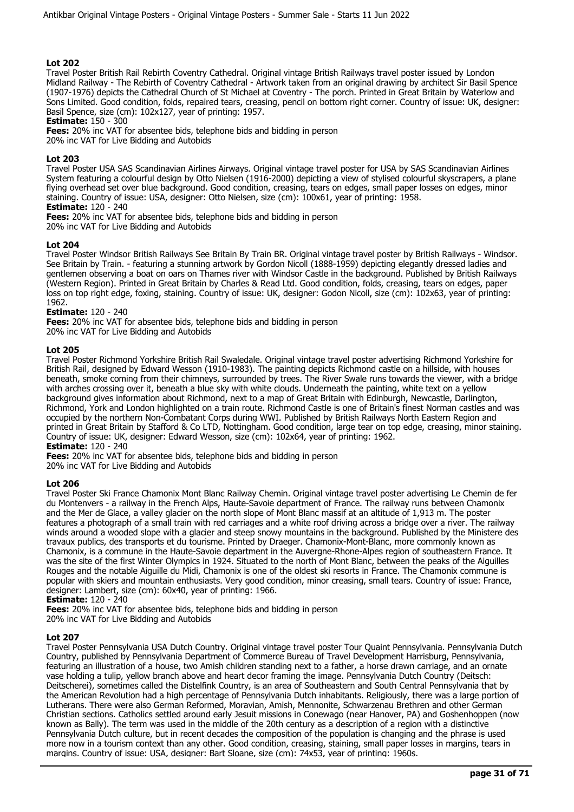Travel Poster British Rail Rebirth Coventry Cathedral. Original vintage British Railways travel poster issued by London Midland Railway - The Rebirth of Coventry Cathedral - Artwork taken from an original drawing by architect Sir Basil Spence (1907-1976) depicts the Cathedral Church of St Michael at Coventry - The porch. Printed in Great Britain by Waterlow and Sons Limited. Good condition, folds, repaired tears, creasing, pencil on bottom right corner. Country of issue: UK, designer: Basil Spence, size (cm): 102x127, year of printing: 1957.

**Estimate:** 150 - 300

**Fees:** 20% inc VAT for absentee bids, telephone bids and bidding in person

20% inc VAT for Live Bidding and Autobids

## **Lot 203**

Travel Poster USA SAS Scandinavian Airlines Airways. Original vintage travel poster for USA by SAS Scandinavian Airlines System featuring a colourful design by Otto Nielsen (1916-2000) depicting a view of stylised colourful skyscrapers, a plane flying overhead set over blue background. Good condition, creasing, tears on edges, small paper losses on edges, minor staining. Country of issue: USA, designer: Otto Nielsen, size (cm): 100x61, year of printing: 1958.

# **Estimate:** 120 - 240

**Fees:** 20% inc VAT for absentee bids, telephone bids and bidding in person 20% inc VAT for Live Bidding and Autobids

## **Lot 204**

Travel Poster Windsor British Railways See Britain By Train BR. Original vintage travel poster by British Railways - Windsor. See Britain by Train. - featuring a stunning artwork by Gordon Nicoll (1888-1959) depicting elegantly dressed ladies and gentlemen observing a boat on oars on Thames river with Windsor Castle in the background. Published by British Railways (Western Region). Printed in Great Britain by Charles & Read Ltd. Good condition, folds, creasing, tears on edges, paper loss on top right edge, foxing, staining. Country of issue: UK, designer: Godon Nicoll, size (cm): 102x63, year of printing: 1962.

## **Estimate:** 120 - 240

**Fees:** 20% inc VAT for absentee bids, telephone bids and bidding in person

20% inc VAT for Live Bidding and Autobids

## **Lot 205**

Travel Poster Richmond Yorkshire British Rail Swaledale. Original vintage travel poster advertising Richmond Yorkshire for British Rail, designed by Edward Wesson (1910-1983). The painting depicts Richmond castle on a hillside, with houses beneath, smoke coming from their chimneys, surrounded by trees. The River Swale runs towards the viewer, with a bridge with arches crossing over it, beneath a blue sky with white clouds. Underneath the painting, white text on a yellow background gives information about Richmond, next to a map of Great Britain with Edinburgh, Newcastle, Darlington, Richmond, York and London highlighted on a train route. Richmond Castle is one of Britain's finest Norman castles and was occupied by the northern Non-Combatant Corps during WWI. Published by British Railways North Eastern Region and printed in Great Britain by Stafford & Co LTD, Nottingham. Good condition, large tear on top edge, creasing, minor staining. Country of issue: UK, designer: Edward Wesson, size (cm): 102x64, year of printing: 1962. **Estimate:** 120 - 240

**Fees:** 20% inc VAT for absentee bids, telephone bids and bidding in person 20% inc VAT for Live Bidding and Autobids

## **Lot 206**

Travel Poster Ski France Chamonix Mont Blanc Railway Chemin. Original vintage travel poster advertising Le Chemin de fer du Montenvers - a railway in the French Alps, Haute-Savoie department of France. The railway runs between Chamonix and the Mer de Glace, a valley glacier on the north slope of Mont Blanc massif at an altitude of 1,913 m. The poster features a photograph of a small train with red carriages and a white roof driving across a bridge over a river. The railway winds around a wooded slope with a glacier and steep snowy mountains in the background. Published by the Ministere des travaux publics, des transports et du tourisme. Printed by Draeger. Chamonix-Mont-Blanc, more commonly known as Chamonix, is a commune in the Haute-Savoie department in the Auvergne-Rhone-Alpes region of southeastern France. It was the site of the first Winter Olympics in 1924. Situated to the north of Mont Blanc, between the peaks of the Aiguilles Rouges and the notable Aiguille du Midi, Chamonix is one of the oldest ski resorts in France. The Chamonix commune is popular with skiers and mountain enthusiasts. Very good condition, minor creasing, small tears. Country of issue: France, designer: Lambert, size (cm): 60x40, year of printing: 1966.

**Estimate:** 120 - 240

**Fees:** 20% inc VAT for absentee bids, telephone bids and bidding in person

20% inc VAT for Live Bidding and Autobids

#### **Lot 207**

Travel Poster Pennsylvania USA Dutch Country. Original vintage travel poster Tour Quaint Pennsylvania. Pennsylvania Dutch Country, published by Pennsylvania Department of Commerce Bureau of Travel Development Harrisburg, Pennsylvania, featuring an illustration of a house, two Amish children standing next to a father, a horse drawn carriage, and an ornate vase holding a tulip, yellow branch above and heart decor framing the image. Pennsylvania Dutch Country (Deitsch: Deitscherei), sometimes called the Distelfink Country, is an area of Southeastern and South Central Pennsylvania that by the American Revolution had a high percentage of Pennsylvania Dutch inhabitants. Religiously, there was a large portion of Lutherans. There were also German Reformed, Moravian, Amish, Mennonite, Schwarzenau Brethren and other German Christian sections. Catholics settled around early Jesuit missions in Conewago (near Hanover, PA) and Goshenhoppen (now known as Bally). The term was used in the middle of the 20th century as a description of a region with a distinctive Pennsylvania Dutch culture, but in recent decades the composition of the population is changing and the phrase is used more now in a tourism context than any other. Good condition, creasing, staining, small paper losses in margins, tears in margins. Country of issue: USA, designer: Bart Sloane, size (cm): 74x53, year of printing: 1960s.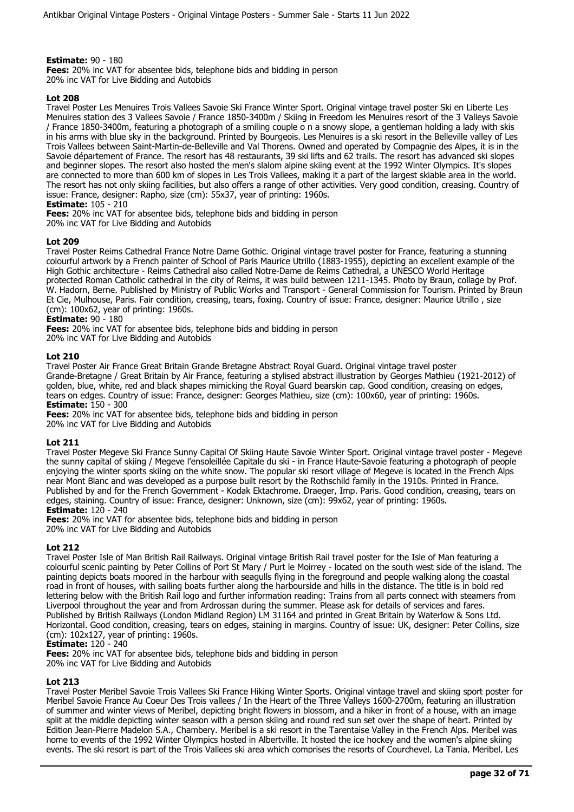## **Estimate:** 90 - 180

**Fees:** 20% inc VAT for absentee bids, telephone bids and bidding in person 20% inc VAT for Live Bidding and Autobids

## **Lot 208**

Travel Poster Les Menuires Trois Vallees Savoie Ski France Winter Sport. Original vintage travel poster Ski en Liberte Les Menuires station des 3 Vallees Savoie / France 1850-3400m / Skiing in Freedom les Menuires resort of the 3 Valleys Savoie / France 1850-3400m, featuring a photograph of a smiling couple o n a snowy slope, a gentleman holding a lady with skis in his arms with blue sky in the background. Printed by Bourgeois. Les Menuires is a ski resort in the Belleville valley of Les Trois Vallees between Saint-Martin-de-Belleville and Val Thorens. Owned and operated by Compagnie des Alpes, it is in the Savoie département of France. The resort has 48 restaurants, 39 ski lifts and 62 trails. The resort has advanced ski slopes and beginner slopes. The resort also hosted the men's slalom alpine skiing event at the 1992 Winter Olympics. It's slopes are connected to more than 600 km of slopes in Les Trois Vallees, making it a part of the largest skiable area in the world. The resort has not only skiing facilities, but also offers a range of other activities. Very good condition, creasing. Country of issue: France, designer: Rapho, size (cm): 55x37, year of printing: 1960s.

## **Estimate:** 105 - 210

**Fees:** 20% inc VAT for absentee bids, telephone bids and bidding in person 20% inc VAT for Live Bidding and Autobids

## **Lot 209**

Travel Poster Reims Cathedral France Notre Dame Gothic. Original vintage travel poster for France, featuring a stunning colourful artwork by a French painter of School of Paris Maurice Utrillo (1883-1955), depicting an excellent example of the High Gothic architecture - Reims Cathedral also called Notre-Dame de Reims Cathedral, a UNESCO World Heritage protected Roman Catholic cathedral in the city of Reims, it was build between 1211-1345. Photo by Braun, collage by Prof. W. Hadorn, Berne. Published by Ministry of Public Works and Transport - General Commission for Tourism. Printed by Braun Et Cie, Mulhouse, Paris. Fair condition, creasing, tears, foxing. Country of issue: France, designer: Maurice Utrillo , size (cm): 100x62, year of printing: 1960s.

## **Estimate:** 90 - 180

**Fees:** 20% inc VAT for absentee bids, telephone bids and bidding in person 20% inc VAT for Live Bidding and Autobids

## **Lot 210**

Travel Poster Air France Great Britain Grande Bretagne Abstract Royal Guard. Original vintage travel poster Grande-Bretagne / Great Britain by Air France, featuring a stylised abstract illustration by Georges Mathieu (1921-2012) of golden, blue, white, red and black shapes mimicking the Royal Guard bearskin cap. Good condition, creasing on edges, tears on edges. Country of issue: France, designer: Georges Mathieu, size (cm): 100x60, year of printing: 1960s. **Estimate:** 150 - 300

**Fees:** 20% inc VAT for absentee bids, telephone bids and bidding in person 20% inc VAT for Live Bidding and Autobids

## **Lot 211**

Travel Poster Megeve Ski France Sunny Capital Of Skiing Haute Savoie Winter Sport. Original vintage travel poster - Megeve the sunny capital of skiing / Megeve l'ensoleillée Capitale du ski - in France Haute-Savoie featuring a photograph of people enjoying the winter sports skiing on the white snow. The popular ski resort village of Megeve is located in the French Alps near Mont Blanc and was developed as a purpose built resort by the Rothschild family in the 1910s. Printed in France. Published by and for the French Government - Kodak Ektachrome. Draeger, Imp. Paris. Good condition, creasing, tears on edges, staining. Country of issue: France, designer: Unknown, size (cm): 99x62, year of printing: 1960s. **Estimate:** 120 - 240

# **Fees:** 20% inc VAT for absentee bids, telephone bids and bidding in person

20% inc VAT for Live Bidding and Autobids

## **Lot 212**

Travel Poster Isle of Man British Rail Railways. Original vintage British Rail travel poster for the Isle of Man featuring a colourful scenic painting by Peter Collins of Port St Mary / Purt le Moirrey - located on the south west side of the island. The painting depicts boats moored in the harbour with seagulls flying in the foreground and people walking along the coastal road in front of houses, with sailing boats further along the harbourside and hills in the distance. The title is in bold red lettering below with the British Rail logo and further information reading: Trains from all parts connect with steamers from Liverpool throughout the year and from Ardrossan during the summer. Please ask for details of services and fares. Published by British Railways (London Midland Region) LM 31164 and printed in Great Britain by Waterlow & Sons Ltd. Horizontal. Good condition, creasing, tears on edges, staining in margins. Country of issue: UK, designer: Peter Collins, size (cm): 102x127, year of printing: 1960s.

## **Estimate:** 120 - 240

**Fees:** 20% inc VAT for absentee bids, telephone bids and bidding in person 20% inc VAT for Live Bidding and Autobids

## **Lot 213**

Travel Poster Meribel Savoie Trois Vallees Ski France Hiking Winter Sports. Original vintage travel and skiing sport poster for Meribel Savoie France Au Coeur Des Trois vallees / In the Heart of the Three Valleys 1600-2700m, featuring an illustration of summer and winter views of Meribel, depicting bright flowers in blossom, and a hiker in front of a house, with an image split at the middle depicting winter season with a person skiing and round red sun set over the shape of heart. Printed by Edition Jean-Pierre Madelon S.A., Chambery. Meribel is a ski resort in the Tarentaise Valley in the French Alps. Meribel was home to events of the 1992 Winter Olympics hosted in Albertville. It hosted the ice hockey and the women's alpine skiing events. The ski resort is part of the Trois Vallees ski area which comprises the resorts of Courchevel, La Tania, Meribel, Les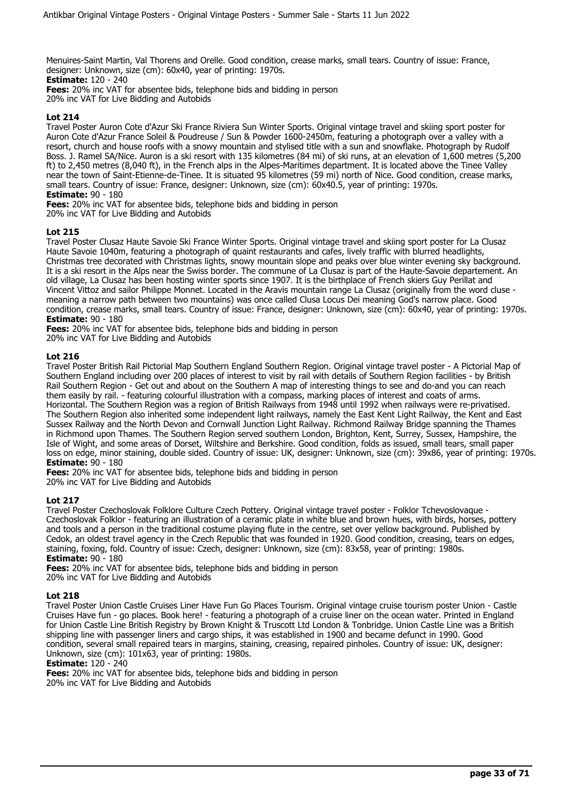Menuires-Saint Martin, Val Thorens and Orelle. Good condition, crease marks, small tears. Country of issue: France, designer: Unknown, size (cm): 60x40, year of printing: 1970s.

**Estimate:** 120 - 240 **Fees:** 20% inc VAT for absentee bids, telephone bids and bidding in person

20% inc VAT for Live Bidding and Autobids

## **Lot 214**

Travel Poster Auron Cote d'Azur Ski France Riviera Sun Winter Sports. Original vintage travel and skiing sport poster for Auron Cote d'Azur France Soleil & Poudreuse / Sun & Powder 1600-2450m, featuring a photograph over a valley with a resort, church and house roofs with a snowy mountain and stylised title with a sun and snowflake. Photograph by Rudolf Boss. J. Ramel SA/Nice. Auron is a ski resort with 135 kilometres (84 mi) of ski runs, at an elevation of 1,600 metres (5,200 ft) to 2,450 metres (8,040 ft), in the French alps in the Alpes-Maritimes department. It is located above the Tinee Valley near the town of Saint-Etienne-de-Tinee. It is situated 95 kilometres (59 mi) north of Nice. Good condition, crease marks, small tears. Country of issue: France, designer: Unknown, size (cm): 60x40.5, year of printing: 1970s.

**Estimate:** 90 - 180

**Fees:** 20% inc VAT for absentee bids, telephone bids and bidding in person

20% inc VAT for Live Bidding and Autobids

## **Lot 215**

Travel Poster Clusaz Haute Savoie Ski France Winter Sports. Original vintage travel and skiing sport poster for La Clusaz Haute Savoie 1040m, featuring a photograph of quaint restaurants and cafes, lively traffic with blurred headlights, Christmas tree decorated with Christmas lights, snowy mountain slope and peaks over blue winter evening sky background. It is a ski resort in the Alps near the Swiss border. The commune of La Clusaz is part of the Haute-Savoie departement. An old village, La Clusaz has been hosting winter sports since 1907. It is the birthplace of French skiers Guy Perillat and Vincent Vittoz and sailor Philippe Monnet. Located in the Aravis mountain range La Clusaz (originally from the word cluse meaning a narrow path between two mountains) was once called Clusa Locus Dei meaning God's narrow place. Good condition, crease marks, small tears. Country of issue: France, designer: Unknown, size (cm): 60x40, year of printing: 1970s. **Estimate:** 90 - 180

**Fees:** 20% inc VAT for absentee bids, telephone bids and bidding in person 20% inc VAT for Live Bidding and Autobids

## **Lot 216**

Travel Poster British Rail Pictorial Map Southern England Southern Region. Original vintage travel poster - A Pictorial Map of Southern England including over 200 places of interest to visit by rail with details of Southern Region facilities - by British Rail Southern Region - Get out and about on the Southern A map of interesting things to see and do-and you can reach them easily by rail. - featuring colourful illustration with a compass, marking places of interest and coats of arms. Horizontal. The Southern Region was a region of British Railways from 1948 until 1992 when railways were re-privatised. The Southern Region also inherited some independent light railways, namely the East Kent Light Railway, the Kent and East Sussex Railway and the North Devon and Cornwall Junction Light Railway. Richmond Railway Bridge spanning the Thames in Richmond upon Thames. The Southern Region served southern London, Brighton, Kent, Surrey, Sussex, Hampshire, the Isle of Wight, and some areas of Dorset, Wiltshire and Berkshire. Good condition, folds as issued, small tears, small paper loss on edge, minor staining, double sided. Country of issue: UK, designer: Unknown, size (cm): 39x86, year of printing: 1970s. **Estimate:** 90 - 180

**Fees:** 20% inc VAT for absentee bids, telephone bids and bidding in person

20% inc VAT for Live Bidding and Autobids

## **Lot 217**

Travel Poster Czechoslovak Folklore Culture Czech Pottery. Original vintage travel poster - Folklor Tchevoslovaque - Czechoslovak Folklor - featuring an illustration of a ceramic plate in white blue and brown hues, with birds, horses, pottery and tools and a person in the traditional costume playing flute in the centre, set over yellow background. Published by Cedok, an oldest travel agency in the Czech Republic that was founded in 1920. Good condition, creasing, tears on edges, staining, foxing, fold. Country of issue: Czech, designer: Unknown, size (cm): 83x58, year of printing: 1980s. **Estimate:** 90 - 180

**Fees:** 20% inc VAT for absentee bids, telephone bids and bidding in person 20% inc VAT for Live Bidding and Autobids

## **Lot 218**

Travel Poster Union Castle Cruises Liner Have Fun Go Places Tourism. Original vintage cruise tourism poster Union - Castle Cruises Have fun - go places. Book here! - featuring a photograph of a cruise liner on the ocean water. Printed in England for Union Castle Line British Registry by Brown Knight & Truscott Ltd London & Tonbridge. Union Castle Line was a British shipping line with passenger liners and cargo ships, it was established in 1900 and became defunct in 1990. Good condition, several small repaired tears in margins, staining, creasing, repaired pinholes. Country of issue: UK, designer: Unknown, size (cm): 101x63, year of printing: 1980s.

#### **Estimate:** 120 - 240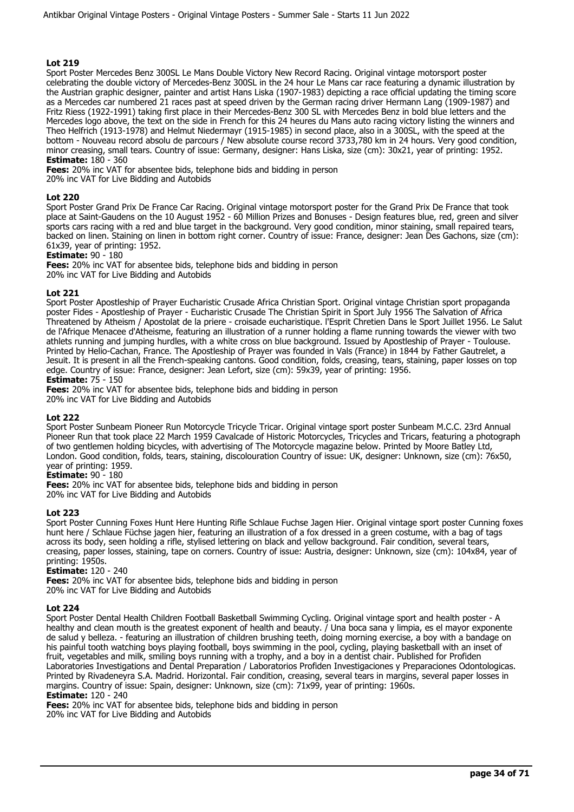Sport Poster Mercedes Benz 300SL Le Mans Double Victory New Record Racing. Original vintage motorsport poster celebrating the double victory of Mercedes-Benz 300SL in the 24 hour Le Mans car race featuring a dynamic illustration by the Austrian graphic designer, painter and artist Hans Liska (1907-1983) depicting a race official updating the timing score as a Mercedes car numbered 21 races past at speed driven by the German racing driver Hermann Lang (1909-1987) and Fritz Riess (1922-1991) taking first place in their Mercedes-Benz 300 SL with Mercedes Benz in bold blue letters and the Mercedes logo above, the text on the side in French for this 24 heures du Mans auto racing victory listing the winners and Theo Helfrich (1913-1978) and Helmut Niedermayr (1915-1985) in second place, also in a 300SL, with the speed at the bottom - Nouveau record absolu de parcours / New absolute course record 3733,780 km in 24 hours. Very good condition, minor creasing, small tears. Country of issue: Germany, designer: Hans Liska, size (cm): 30x21, year of printing: 1952. **Estimate:** 180 - 360

**Fees:** 20% inc VAT for absentee bids, telephone bids and bidding in person

20% inc VAT for Live Bidding and Autobids

## **Lot 220**

Sport Poster Grand Prix De France Car Racing. Original vintage motorsport poster for the Grand Prix De France that took place at Saint-Gaudens on the 10 August 1952 - 60 Million Prizes and Bonuses - Design features blue, red, green and silver sports cars racing with a red and blue target in the background. Very good condition, minor staining, small repaired tears, backed on linen. Staining on linen in bottom right corner. Country of issue: France, designer: Jean Des Gachons, size (cm): 61x39, year of printing: 1952.

#### **Estimate:** 90 - 180

**Fees:** 20% inc VAT for absentee bids, telephone bids and bidding in person 20% inc VAT for Live Bidding and Autobids

## **Lot 221**

Sport Poster Apostleship of Prayer Eucharistic Crusade Africa Christian Sport. Original vintage Christian sport propaganda poster Fides - Apostleship of Prayer - Eucharistic Crusade The Christian Spirit in Sport July 1956 The Salvation of Africa Threatened by Atheism / Apostolat de la priere - croisade eucharistique. l'Esprit Chretien Dans le Sport Juillet 1956. Le Salut de l'Afrique Menacee d'Atheisme, featuring an illustration of a runner holding a flame running towards the viewer with two athlets running and jumping hurdles, with a white cross on blue background. Issued by Apostleship of Prayer - Toulouse. Printed by Helio-Cachan, France. The Apostleship of Prayer was founded in Vals (France) in 1844 by Father Gautrelet, a Jesuit. It is present in all the French-speaking cantons. Good condition, folds, creasing, tears, staining, paper losses on top edge. Country of issue: France, designer: Jean Lefort, size (cm): 59x39, year of printing: 1956. **Estimate:** 75 - 150

**Fees:** 20% inc VAT for absentee bids, telephone bids and bidding in person 20% inc VAT for Live Bidding and Autobids

#### **Lot 222**

Sport Poster Sunbeam Pioneer Run Motorcycle Tricycle Tricar. Original vintage sport poster Sunbeam M.C.C. 23rd Annual Pioneer Run that took place 22 March 1959 Cavalcade of Historic Motorcycles, Tricycles and Tricars, featuring a photograph of two gentlemen holding bicycles, with advertising of The Motorcycle magazine below. Printed by Moore Batley Ltd, London. Good condition, folds, tears, staining, discolouration Country of issue: UK, designer: Unknown, size (cm): 76x50, year of printing: 1959.

## **Estimate:** 90 - 180

**Fees:** 20% inc VAT for absentee bids, telephone bids and bidding in person 20% inc VAT for Live Bidding and Autobids

#### **Lot 223**

Sport Poster Cunning Foxes Hunt Here Hunting Rifle Schlaue Fuchse Jagen Hier. Original vintage sport poster Cunning foxes hunt here / Schlaue Füchse jagen hier, featuring an illustration of a fox dressed in a green costume, with a bag of tags across its body, seen holding a rifle, stylised lettering on black and yellow background. Fair condition, several tears, creasing, paper losses, staining, tape on corners. Country of issue: Austria, designer: Unknown, size (cm): 104x84, year of printing: 1950s.

#### **Estimate:** 120 - 240

**Fees:** 20% inc VAT for absentee bids, telephone bids and bidding in person 20% inc VAT for Live Bidding and Autobids

#### **Lot 224**

Sport Poster Dental Health Children Football Basketball Swimming Cycling. Original vintage sport and health poster - A healthy and clean mouth is the greatest exponent of health and beauty. *I* Una boca sana y limpia, es el mayor exponente de salud y belleza. - featuring an illustration of children brushing teeth, doing morning exercise, a boy with a bandage on his painful tooth watching boys playing football, boys swimming in the pool, cycling, playing basketball with an inset of fruit, vegetables and milk, smiling boys running with a trophy, and a boy in a dentist chair. Published for Profiden Laboratories Investigations and Dental Preparation / Laboratorios Profiden Investigaciones y Preparaciones Odontologicas. Printed by Rivadeneyra S.A. Madrid. Horizontal. Fair condition, creasing, several tears in margins, several paper losses in margins. Country of issue: Spain, designer: Unknown, size (cm): 71x99, year of printing: 1960s. **Estimate:** 120 - 240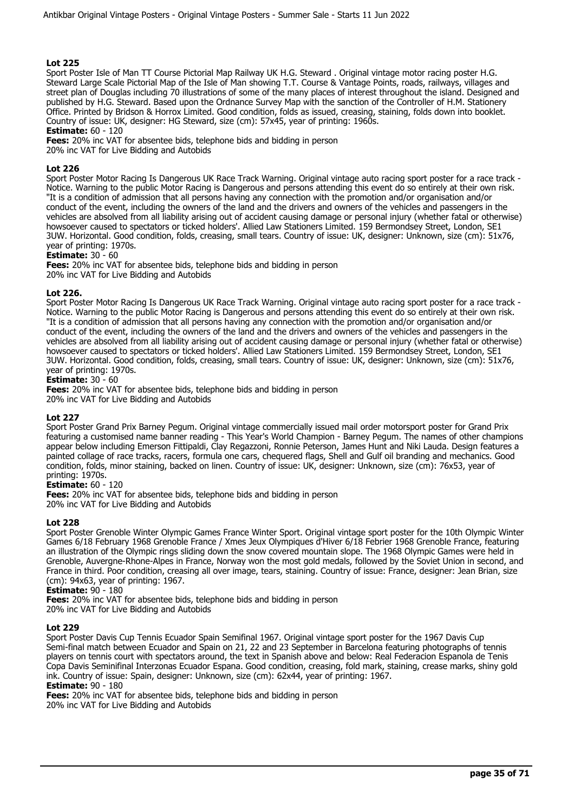Sport Poster Isle of Man TT Course Pictorial Map Railway UK H.G. Steward . Original vintage motor racing poster H.G. Steward Large Scale Pictorial Map of the Isle of Man showing T.T. Course & Vantage Points, roads, railways, villages and street plan of Douglas including 70 illustrations of some of the many places of interest throughout the island. Designed and published by H.G. Steward. Based upon the Ordnance Survey Map with the sanction of the Controller of H.M. Stationery Office. Printed by Bridson & Horrox Limited. Good condition, folds as issued, creasing, staining, folds down into booklet. Country of issue: UK, designer: HG Steward, size (cm): 57x45, year of printing: 1960s.

**Estimate:** 60 - 120

**Fees:** 20% inc VAT for absentee bids, telephone bids and bidding in person

20% inc VAT for Live Bidding and Autobids

## **Lot 226**

Sport Poster Motor Racing Is Dangerous UK Race Track Warning. Original vintage auto racing sport poster for a race track - Notice. Warning to the public Motor Racing is Dangerous and persons attending this event do so entirely at their own risk. "It is a condition of admission that all persons having any connection with the promotion and/or organisation and/or conduct of the event, including the owners of the land and the drivers and owners of the vehicles and passengers in the vehicles are absolved from all liability arising out of accident causing damage or personal injury (whether fatal or otherwise) howsoever caused to spectators or ticked holders'. Allied Law Stationers Limited. 159 Bermondsey Street, London, SE1 3UW. Horizontal. Good condition, folds, creasing, small tears. Country of issue: UK, designer: Unknown, size (cm): 51x76, year of printing: 1970s.

## **Estimate:** 30 - 60

**Fees:** 20% inc VAT for absentee bids, telephone bids and bidding in person 20% inc VAT for Live Bidding and Autobids

## **Lot 226.**

Sport Poster Motor Racing Is Dangerous UK Race Track Warning. Original vintage auto racing sport poster for a race track - Notice. Warning to the public Motor Racing is Dangerous and persons attending this event do so entirely at their own risk. "It is a condition of admission that all persons having any connection with the promotion and/or organisation and/or conduct of the event, including the owners of the land and the drivers and owners of the vehicles and passengers in the vehicles are absolved from all liability arising out of accident causing damage or personal injury (whether fatal or otherwise) howsoever caused to spectators or ticked holders'. Allied Law Stationers Limited. 159 Bermondsey Street, London, SE1 3UW. Horizontal. Good condition, folds, creasing, small tears. Country of issue: UK, designer: Unknown, size (cm): 51x76, year of printing: 1970s.

#### **Estimate:** 30 - 60

**Fees:** 20% inc VAT for absentee bids, telephone bids and bidding in person 20% inc VAT for Live Bidding and Autobids

#### **Lot 227**

Sport Poster Grand Prix Barney Pegum. Original vintage commercially issued mail order motorsport poster for Grand Prix featuring a customised name banner reading - This Year's World Champion - Barney Pegum. The names of other champions appear below including Emerson Fittipaldi, Clay Regazzoni, Ronnie Peterson, James Hunt and Niki Lauda. Design features a painted collage of race tracks, racers, formula one cars, chequered flags, Shell and Gulf oil branding and mechanics. Good condition, folds, minor staining, backed on linen. Country of issue: UK, designer: Unknown, size (cm): 76x53, year of printing: 1970s.

#### **Estimate:** 60 - 120

**Fees:** 20% inc VAT for absentee bids, telephone bids and bidding in person 20% inc VAT for Live Bidding and Autobids

#### **Lot 228**

Sport Poster Grenoble Winter Olympic Games France Winter Sport. Original vintage sport poster for the 10th Olympic Winter Games 6/18 February 1968 Grenoble France / Xmes Jeux Olympiques d'Hiver 6/18 Febrier 1968 Grenoble France, featuring an illustration of the Olympic rings sliding down the snow covered mountain slope. The 1968 Olympic Games were held in Grenoble, Auvergne-Rhone-Alpes in France, Norway won the most gold medals, followed by the Soviet Union in second, and France in third. Poor condition, creasing all over image, tears, staining. Country of issue: France, designer: Jean Brian, size (cm): 94x63, year of printing: 1967.

#### **Estimate:** 90 - 180

**Fees:** 20% inc VAT for absentee bids, telephone bids and bidding in person 20% inc VAT for Live Bidding and Autobids

#### **Lot 229**

Sport Poster Davis Cup Tennis Ecuador Spain Semifinal 1967. Original vintage sport poster for the 1967 Davis Cup Semi-final match between Ecuador and Spain on 21, 22 and 23 September in Barcelona featuring photographs of tennis players on tennis court with spectators around, the text in Spanish above and below: Real Federacion Espanola de Tenis Copa Davis Seminifinal Interzonas Ecuador Espana. Good condition, creasing, fold mark, staining, crease marks, shiny gold ink. Country of issue: Spain, designer: Unknown, size (cm): 62x44, year of printing: 1967. **Estimate:** 90 - 180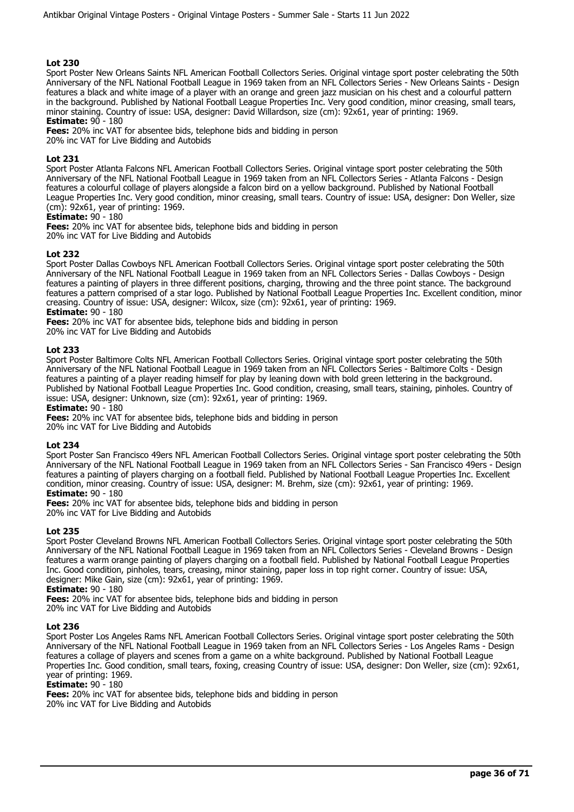Sport Poster New Orleans Saints NFL American Football Collectors Series. Original vintage sport poster celebrating the 50th Anniversary of the NFL National Football League in 1969 taken from an NFL Collectors Series - New Orleans Saints - Design features a black and white image of a player with an orange and green jazz musician on his chest and a colourful pattern in the background. Published by National Football League Properties Inc. Very good condition, minor creasing, small tears, minor staining. Country of issue: USA, designer: David Willardson, size (cm): 92x61, year of printing: 1969. **Estimate:** 90 - 180

**Fees:** 20% inc VAT for absentee bids, telephone bids and bidding in person 20% inc VAT for Live Bidding and Autobids

## **Lot 231**

Sport Poster Atlanta Falcons NFL American Football Collectors Series. Original vintage sport poster celebrating the 50th Anniversary of the NFL National Football League in 1969 taken from an NFL Collectors Series - Atlanta Falcons - Design features a colourful collage of players alongside a falcon bird on a yellow background. Published by National Football League Properties Inc. Very good condition, minor creasing, small tears. Country of issue: USA, designer: Don Weller, size (cm): 92x61, year of printing: 1969.

## **Estimate:** 90 - 180

**Fees:** 20% inc VAT for absentee bids, telephone bids and bidding in person 20% inc VAT for Live Bidding and Autobids

#### **Lot 232**

Sport Poster Dallas Cowboys NFL American Football Collectors Series. Original vintage sport poster celebrating the 50th Anniversary of the NFL National Football League in 1969 taken from an NFL Collectors Series - Dallas Cowboys - Design features a painting of players in three different positions, charging, throwing and the three point stance. The background features a pattern comprised of a star logo. Published by National Football League Properties Inc. Excellent condition, minor creasing. Country of issue: USA, designer: Wilcox, size (cm): 92x61, year of printing: 1969. **Estimate:** 90 - 180

**Fees:** 20% inc VAT for absentee bids, telephone bids and bidding in person

20% inc VAT for Live Bidding and Autobids

## **Lot 233**

Sport Poster Baltimore Colts NFL American Football Collectors Series. Original vintage sport poster celebrating the 50th Anniversary of the NFL National Football League in 1969 taken from an NFL Collectors Series - Baltimore Colts - Design features a painting of a player reading himself for play by leaning down with bold green lettering in the background. Published by National Football League Properties Inc. Good condition, creasing, small tears, staining, pinholes. Country of issue: USA, designer: Unknown, size (cm): 92x61, year of printing: 1969.

#### **Estimate:** 90 - 180

**Fees:** 20% inc VAT for absentee bids, telephone bids and bidding in person 20% inc VAT for Live Bidding and Autobids

#### **Lot 234**

Sport Poster San Francisco 49ers NFL American Football Collectors Series. Original vintage sport poster celebrating the 50th Anniversary of the NFL National Football League in 1969 taken from an NFL Collectors Series - San Francisco 49ers - Design features a painting of players charging on a football field. Published by National Football League Properties Inc. Excellent condition, minor creasing. Country of issue: USA, designer: M. Brehm, size (cm): 92x61, year of printing: 1969. **Estimate:** 90 - 180

**Fees:** 20% inc VAT for absentee bids, telephone bids and bidding in person 20% inc VAT for Live Bidding and Autobids

#### **Lot 235**

Sport Poster Cleveland Browns NFL American Football Collectors Series. Original vintage sport poster celebrating the 50th Anniversary of the NFL National Football League in 1969 taken from an NFL Collectors Series - Cleveland Browns - Design features a warm orange painting of players charging on a football field. Published by National Football League Properties Inc. Good condition, pinholes, tears, creasing, minor staining, paper loss in top right corner. Country of issue: USA, designer: Mike Gain, size (cm): 92x61, year of printing: 1969.

#### **Estimate:** 90 - 180

**Fees:** 20% inc VAT for absentee bids, telephone bids and bidding in person 20% inc VAT for Live Bidding and Autobids

#### **Lot 236**

Sport Poster Los Angeles Rams NFL American Football Collectors Series. Original vintage sport poster celebrating the 50th Anniversary of the NFL National Football League in 1969 taken from an NFL Collectors Series - Los Angeles Rams - Design features a collage of players and scenes from a game on a white background. Published by National Football League Properties Inc. Good condition, small tears, foxing, creasing Country of issue: USA, designer: Don Weller, size (cm): 92x61, year of printing: 1969.

**Estimate:** 90 - 180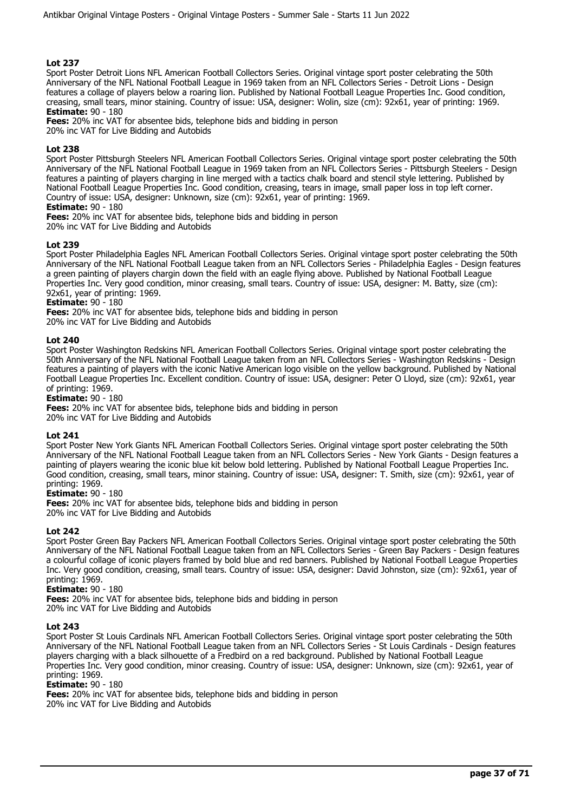Sport Poster Detroit Lions NFL American Football Collectors Series. Original vintage sport poster celebrating the 50th Anniversary of the NFL National Football League in 1969 taken from an NFL Collectors Series - Detroit Lions - Design features a collage of players below a roaring lion. Published by National Football League Properties Inc. Good condition, creasing, small tears, minor staining. Country of issue: USA, designer: Wolin, size (cm): 92x61, year of printing: 1969. **Estimate:** 90 - 180

**Fees:** 20% inc VAT for absentee bids, telephone bids and bidding in person

20% inc VAT for Live Bidding and Autobids

## **Lot 238**

Sport Poster Pittsburgh Steelers NFL American Football Collectors Series. Original vintage sport poster celebrating the 50th Anniversary of the NFL National Football League in 1969 taken from an NFL Collectors Series - Pittsburgh Steelers - Design features a painting of players charging in line merged with a tactics chalk board and stencil style lettering. Published by National Football League Properties Inc. Good condition, creasing, tears in image, small paper loss in top left corner. Country of issue: USA, designer: Unknown, size (cm): 92x61, year of printing: 1969.

## **Estimate:** 90 - 180

**Fees:** 20% inc VAT for absentee bids, telephone bids and bidding in person 20% inc VAT for Live Bidding and Autobids

## **Lot 239**

Sport Poster Philadelphia Eagles NFL American Football Collectors Series. Original vintage sport poster celebrating the 50th Anniversary of the NFL National Football League taken from an NFL Collectors Series - Philadelphia Eagles - Design features a green painting of players chargin down the field with an eagle flying above. Published by National Football League Properties Inc. Very good condition, minor creasing, small tears. Country of issue: USA, designer: M. Batty, size (cm): 92x61, year of printing: 1969.

#### **Estimate:** 90 - 180

**Fees:** 20% inc VAT for absentee bids, telephone bids and bidding in person

20% inc VAT for Live Bidding and Autobids

## **Lot 240**

Sport Poster Washington Redskins NFL American Football Collectors Series. Original vintage sport poster celebrating the 50th Anniversary of the NFL National Football League taken from an NFL Collectors Series - Washington Redskins - Design features a painting of players with the iconic Native American logo visible on the yellow background. Published by National Football League Properties Inc. Excellent condition. Country of issue: USA, designer: Peter O Lloyd, size (cm): 92x61, year of printing: 1969.

#### **Estimate:** 90 - 180

**Fees:** 20% inc VAT for absentee bids, telephone bids and bidding in person

20% inc VAT for Live Bidding and Autobids

#### **Lot 241**

Sport Poster New York Giants NFL American Football Collectors Series. Original vintage sport poster celebrating the 50th Anniversary of the NFL National Football League taken from an NFL Collectors Series - New York Giants - Design features a painting of players wearing the iconic blue kit below bold lettering. Published by National Football League Properties Inc. Good condition, creasing, small tears, minor staining. Country of issue: USA, designer: T. Smith, size (cm): 92x61, year of printing: 1969.

## **Estimate:** 90 - 180

**Fees:** 20% inc VAT for absentee bids, telephone bids and bidding in person 20% inc VAT for Live Bidding and Autobids

## **Lot 242**

Sport Poster Green Bay Packers NFL American Football Collectors Series. Original vintage sport poster celebrating the 50th Anniversary of the NFL National Football League taken from an NFL Collectors Series - Green Bay Packers - Design features a colourful collage of iconic players framed by bold blue and red banners. Published by National Football League Properties Inc. Very good condition, creasing, small tears. Country of issue: USA, designer: David Johnston, size (cm): 92x61, year of printing: 1969.

#### **Estimate:** 90 - 180

**Fees:** 20% inc VAT for absentee bids, telephone bids and bidding in person 20% inc VAT for Live Bidding and Autobids

#### **Lot 243**

Sport Poster St Louis Cardinals NFL American Football Collectors Series. Original vintage sport poster celebrating the 50th Anniversary of the NFL National Football League taken from an NFL Collectors Series - St Louis Cardinals - Design features players charging with a black silhouette of a Fredbird on a red background. Published by National Football League Properties Inc. Very good condition, minor creasing. Country of issue: USA, designer: Unknown, size (cm): 92x61, year of printing: 1969.

#### **Estimate:** 90 - 180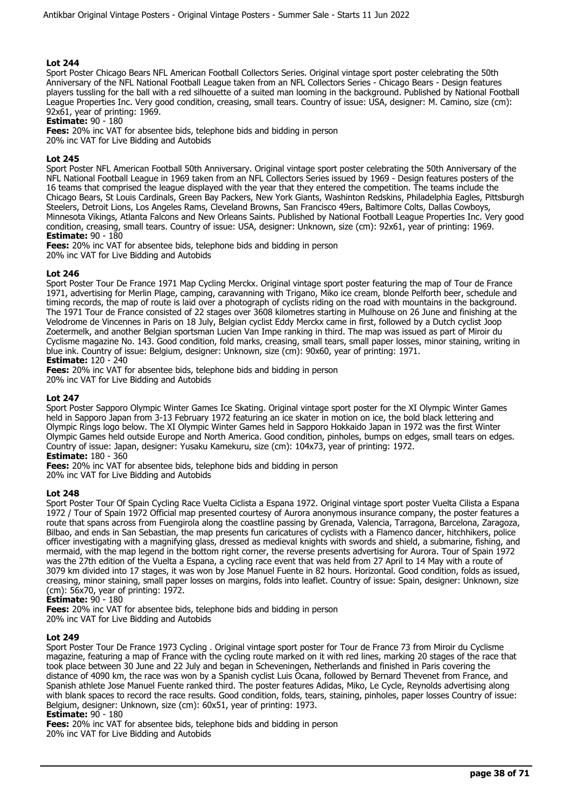Sport Poster Chicago Bears NFL American Football Collectors Series. Original vintage sport poster celebrating the 50th Anniversary of the NFL National Football League taken from an NFL Collectors Series - Chicago Bears - Design features players tussling for the ball with a red silhouette of a suited man looming in the background. Published by National Football League Properties Inc. Very good condition, creasing, small tears. Country of issue: USA, designer: M. Camino, size (cm): 92x61, year of printing: 1969.

## **Estimate:** 90 - 180

**Fees:** 20% inc VAT for absentee bids, telephone bids and bidding in person 20% inc VAT for Live Bidding and Autobids

## **Lot 245**

Sport Poster NFL American Football 50th Anniversary. Original vintage sport poster celebrating the 50th Anniversary of the NFL National Football League in 1969 taken from an NFL Collectors Series issued by 1969 - Design features posters of the 16 teams that comprised the league displayed with the year that they entered the competition. The teams include the Chicago Bears, St Louis Cardinals, Green Bay Packers, New York Giants, Washinton Redskins, Philadelphia Eagles, Pittsburgh Steelers, Detroit Lions, Los Angeles Rams, Cleveland Browns, San Francisco 49ers, Baltimore Colts, Dallas Cowboys, Minnesota Vikings, Atlanta Falcons and New Orleans Saints. Published by National Football League Properties Inc. Very good condition, creasing, small tears. Country of issue: USA, designer: Unknown, size (cm): 92x61, year of printing: 1969. **Estimate:** 90 - 180

**Fees:** 20% inc VAT for absentee bids, telephone bids and bidding in person 20% inc VAT for Live Bidding and Autobids

## **Lot 246**

Sport Poster Tour De France 1971 Map Cycling Merckx. Original vintage sport poster featuring the map of Tour de France 1971, advertising for Merlin Plage, camping, caravanning with Trigano, Miko ice cream, blonde Pelforth beer, schedule and timing records, the map of route is laid over a photograph of cyclists riding on the road with mountains in the background. The 1971 Tour de France consisted of 22 stages over 3608 kilometres starting in Mulhouse on 26 June and finishing at the Velodrome de Vincennes in Paris on 18 July, Belgian cyclist Eddy Merckx came in first, followed by a Dutch cyclist Joop Zoetermelk, and another Belgian sportsman Lucien Van Impe ranking in third. The map was issued as part of Miroir du Cyclisme magazine No. 143. Good condition, fold marks, creasing, small tears, small paper losses, minor staining, writing in blue ink. Country of issue: Belgium, designer: Unknown, size (cm): 90x60, year of printing: 1971. **Estimate:** 120 - 240

**Fees:** 20% inc VAT for absentee bids, telephone bids and bidding in person 20% inc VAT for Live Bidding and Autobids

## **Lot 247**

Sport Poster Sapporo Olympic Winter Games Ice Skating. Original vintage sport poster for the XI Olympic Winter Games held in Sapporo Japan from 3-13 February 1972 featuring an ice skater in motion on ice, the bold black lettering and Olympic Rings logo below. The XI Olympic Winter Games held in Sapporo Hokkaido Japan in 1972 was the first Winter Olympic Games held outside Europe and North America. Good condition, pinholes, bumps on edges, small tears on edges. Country of issue: Japan, designer: Yusaku Kamekuru, size (cm): 104x73, year of printing: 1972. **Estimate:** 180 - 360

**Fees:** 20% inc VAT for absentee bids, telephone bids and bidding in person 20% inc VAT for Live Bidding and Autobids

#### **Lot 248**

Sport Poster Tour Of Spain Cycling Race Vuelta Ciclista a Espana 1972. Original vintage sport poster Vuelta Cilista a Espana 1972 / Tour of Spain 1972 Official map presented courtesy of Aurora anonymous insurance company, the poster features a route that spans across from Fuengirola along the coastline passing by Grenada, Valencia, Tarragona, Barcelona, Zaragoza, Bilbao, and ends in San Sebastian, the map presents fun caricatures of cyclists with a Flamenco dancer, hitchhikers, police officer investigating with a magnifying glass, dressed as medieval knights with swords and shield, a submarine, fishing, and mermaid, with the map legend in the bottom right corner, the reverse presents advertising for Aurora. Tour of Spain 1972 was the 27th edition of the Vuelta a Espana, a cycling race event that was held from 27 April to 14 May with a route of 3079 km divided into 17 stages, it was won by Jose Manuel Fuente in 82 hours. Horizontal. Good condition, folds as issued, creasing, minor staining, small paper losses on margins, folds into leaflet. Country of issue: Spain, designer: Unknown, size (cm): 56x70, year of printing: 1972.

#### **Estimate:** 90 - 180

**Fees:** 20% inc VAT for absentee bids, telephone bids and bidding in person

20% inc VAT for Live Bidding and Autobids

#### **Lot 249**

Sport Poster Tour De France 1973 Cycling . Original vintage sport poster for Tour de France 73 from Miroir du Cyclisme magazine, featuring a map of France with the cycling route marked on it with red lines, marking 20 stages of the race that took place between 30 June and 22 July and began in Scheveningen, Netherlands and finished in Paris covering the distance of 4090 km, the race was won by a Spanish cyclist Luis Ocana, followed by Bernard Thevenet from France, and Spanish athlete Jose Manuel Fuente ranked third. The poster features Adidas, Miko, Le Cycle, Reynolds advertising along with blank spaces to record the race results. Good condition, folds, tears, staining, pinholes, paper losses Country of issue: Belgium, designer: Unknown, size (cm): 60x51, year of printing: 1973.

#### **Estimate:** 90 - 180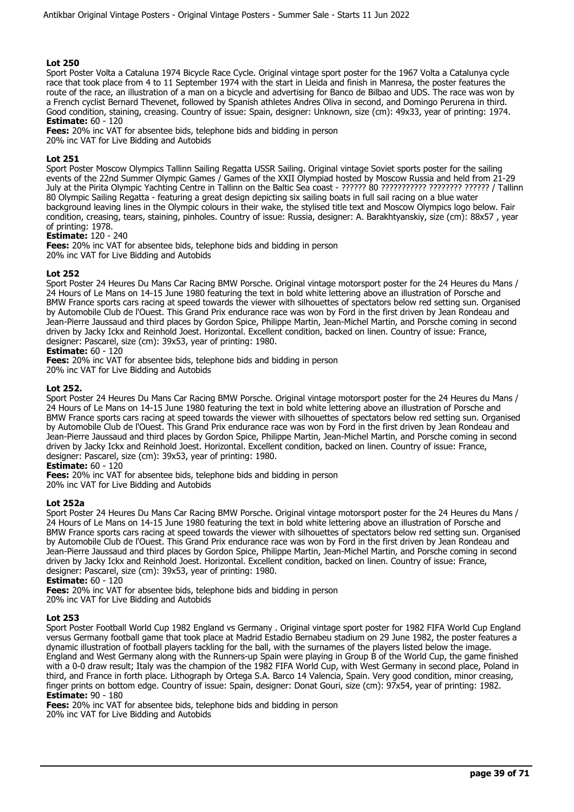Sport Poster Volta a Cataluna 1974 Bicycle Race Cycle. Original vintage sport poster for the 1967 Volta a Catalunya cycle race that took place from 4 to 11 September 1974 with the start in Lleida and finish in Manresa, the poster features the route of the race, an illustration of a man on a bicycle and advertising for Banco de Bilbao and UDS. The race was won by a French cyclist Bernard Thevenet, followed by Spanish athletes Andres Oliva in second, and Domingo Perurena in third. Good condition, staining, creasing. Country of issue: Spain, designer: Unknown, size (cm): 49x33, year of printing: 1974. **Estimate:** 60 - 120

**Fees:** 20% inc VAT for absentee bids, telephone bids and bidding in person 20% inc VAT for Live Bidding and Autobids

## **Lot 251**

Sport Poster Moscow Olympics Tallinn Sailing Regatta USSR Sailing. Original vintage Soviet sports poster for the sailing events of the 22nd Summer Olympic Games / Games of the XXII Olympiad hosted by Moscow Russia and held from 21-29 July at the Pirita Olympic Yachting Centre in Tallinn on the Baltic Sea coast - ?????? 80 ??????????? ???????? ?????? / Tallinn 80 Olympic Sailing Regatta - featuring a great design depicting six sailing boats in full sail racing on a blue water background leaving lines in the Olympic colours in their wake, the stylised title text and Moscow Olympics logo below. Fair condition, creasing, tears, staining, pinholes. Country of issue: Russia, designer: A. Barakhtyanskiy, size (cm): 88x57 , year of printing: 1978.

## **Estimate:** 120 - 240

**Fees:** 20% inc VAT for absentee bids, telephone bids and bidding in person 20% inc VAT for Live Bidding and Autobids

## **Lot 252**

Sport Poster 24 Heures Du Mans Car Racing BMW Porsche. Original vintage motorsport poster for the 24 Heures du Mans / 24 Hours of Le Mans on 14-15 June 1980 featuring the text in bold white lettering above an illustration of Porsche and BMW France sports cars racing at speed towards the viewer with silhouettes of spectators below red setting sun. Organised by Automobile Club de l'Ouest. This Grand Prix endurance race was won by Ford in the first driven by Jean Rondeau and Jean-Pierre Jaussaud and third places by Gordon Spice, Philippe Martin, Jean-Michel Martin, and Porsche coming in second driven by Jacky Ickx and Reinhold Joest. Horizontal. Excellent condition, backed on linen. Country of issue: France, designer: Pascarel, size (cm): 39x53, year of printing: 1980.

#### **Estimate:** 60 - 120

**Fees:** 20% inc VAT for absentee bids, telephone bids and bidding in person

20% inc VAT for Live Bidding and Autobids

#### **Lot 252.**

Sport Poster 24 Heures Du Mans Car Racing BMW Porsche. Original vintage motorsport poster for the 24 Heures du Mans / 24 Hours of Le Mans on 14-15 June 1980 featuring the text in bold white lettering above an illustration of Porsche and BMW France sports cars racing at speed towards the viewer with silhouettes of spectators below red setting sun. Organised by Automobile Club de l'Ouest. This Grand Prix endurance race was won by Ford in the first driven by Jean Rondeau and Jean-Pierre Jaussaud and third places by Gordon Spice, Philippe Martin, Jean-Michel Martin, and Porsche coming in second driven by Jacky Ickx and Reinhold Joest. Horizontal. Excellent condition, backed on linen. Country of issue: France, designer: Pascarel, size (cm): 39x53, year of printing: 1980.

## **Estimate:** 60 - 120

**Fees:** 20% inc VAT for absentee bids, telephone bids and bidding in person

20% inc VAT for Live Bidding and Autobids

#### **Lot 252a**

Sport Poster 24 Heures Du Mans Car Racing BMW Porsche. Original vintage motorsport poster for the 24 Heures du Mans / 24 Hours of Le Mans on 14-15 June 1980 featuring the text in bold white lettering above an illustration of Porsche and BMW France sports cars racing at speed towards the viewer with silhouettes of spectators below red setting sun. Organised by Automobile Club de l'Ouest. This Grand Prix endurance race was won by Ford in the first driven by Jean Rondeau and Jean-Pierre Jaussaud and third places by Gordon Spice, Philippe Martin, Jean-Michel Martin, and Porsche coming in second driven by Jacky Ickx and Reinhold Joest. Horizontal. Excellent condition, backed on linen. Country of issue: France, designer: Pascarel, size (cm): 39x53, year of printing: 1980.

#### **Estimate:** 60 - 120

**Fees:** 20% inc VAT for absentee bids, telephone bids and bidding in person

20% inc VAT for Live Bidding and Autobids

#### **Lot 253**

Sport Poster Football World Cup 1982 England vs Germany . Original vintage sport poster for 1982 FIFA World Cup England versus Germany football game that took place at Madrid Estadio Bernabeu stadium on 29 June 1982, the poster features a dynamic illustration of football players tackling for the ball, with the surnames of the players listed below the image. England and West Germany along with the Runners-up Spain were playing in Group B of the World Cup, the game finished with a 0-0 draw result; Italy was the champion of the 1982 FIFA World Cup, with West Germany in second place, Poland in third, and France in forth place. Lithograph by Ortega S.A. Barco 14 Valencia, Spain. Very good condition, minor creasing, finger prints on bottom edge. Country of issue: Spain, designer: Donat Gouri, size (cm): 97x54, year of printing: 1982. **Estimate:** 90 - 180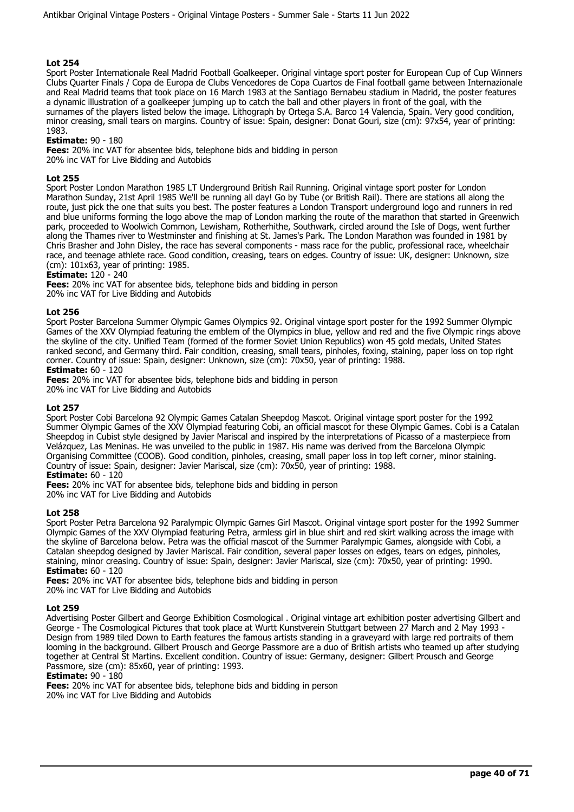Sport Poster Internationale Real Madrid Football Goalkeeper. Original vintage sport poster for European Cup of Cup Winners Clubs Quarter Finals / Copa de Europa de Clubs Vencedores de Copa Cuartos de Final football game between Internazionale and Real Madrid teams that took place on 16 March 1983 at the Santiago Bernabeu stadium in Madrid, the poster features a dynamic illustration of a goalkeeper jumping up to catch the ball and other players in front of the goal, with the surnames of the players listed below the image. Lithograph by Ortega S.A. Barco 14 Valencia, Spain. Very good condition, minor creasing, small tears on margins. Country of issue: Spain, designer: Donat Gouri, size (cm): 97x54, year of printing: 1983.

## **Estimate:** 90 - 180

**Fees:** 20% inc VAT for absentee bids, telephone bids and bidding in person 20% inc VAT for Live Bidding and Autobids

## **Lot 255**

Sport Poster London Marathon 1985 LT Underground British Rail Running. Original vintage sport poster for London Marathon Sunday, 21st April 1985 We'll be running all day! Go by Tube (or British Rail). There are stations all along the route, just pick the one that suits you best. The poster features a London Transport underground logo and runners in red and blue uniforms forming the logo above the map of London marking the route of the marathon that started in Greenwich park, proceeded to Woolwich Common, Lewisham, Rotherhithe, Southwark, circled around the Isle of Dogs, went further along the Thames river to Westminster and finishing at St. James's Park. The London Marathon was founded in 1981 by Chris Brasher and John Disley, the race has several components - mass race for the public, professional race, wheelchair race, and teenage athlete race. Good condition, creasing, tears on edges. Country of issue: UK, designer: Unknown, size (cm): 101x63, year of printing: 1985.

## **Estimate:** 120 - 240

**Fees:** 20% inc VAT for absentee bids, telephone bids and bidding in person 20% inc VAT for Live Bidding and Autobids

#### **Lot 256**

Sport Poster Barcelona Summer Olympic Games Olympics 92. Original vintage sport poster for the 1992 Summer Olympic Games of the XXV Olympiad featuring the emblem of the Olympics in blue, yellow and red and the five Olympic rings above the skyline of the city. Unified Team (formed of the former Soviet Union Republics) won 45 gold medals, United States ranked second, and Germany third. Fair condition, creasing, small tears, pinholes, foxing, staining, paper loss on top right corner. Country of issue: Spain, designer: Unknown, size (cm): 70x50, year of printing: 1988.

## **Estimate:** 60 - 120

**Fees:** 20% inc VAT for absentee bids, telephone bids and bidding in person 20% inc VAT for Live Bidding and Autobids

## **Lot 257**

Sport Poster Cobi Barcelona 92 Olympic Games Catalan Sheepdog Mascot. Original vintage sport poster for the 1992 Summer Olympic Games of the XXV Olympiad featuring Cobi, an official mascot for these Olympic Games. Cobi is a Catalan Sheepdog in Cubist style designed by Javier Mariscal and inspired by the interpretations of Picasso of a masterpiece from Velázquez, Las Meninas. He was unveiled to the public in 1987. His name was derived from the Barcelona Olympic Organising Committee (COOB). Good condition, pinholes, creasing, small paper loss in top left corner, minor staining. Country of issue: Spain, designer: Javier Mariscal, size (cm): 70x50, year of printing: 1988.

## **Estimate:** 60 - 120

**Fees:** 20% inc VAT for absentee bids, telephone bids and bidding in person 20% inc VAT for Live Bidding and Autobids

#### **Lot 258**

Sport Poster Petra Barcelona 92 Paralympic Olympic Games Girl Mascot. Original vintage sport poster for the 1992 Summer Olympic Games of the XXV Olympiad featuring Petra, armless girl in blue shirt and red skirt walking across the image with the skyline of Barcelona below. Petra was the official mascot of the Summer Paralympic Games, alongside with Cobi, a Catalan sheepdog designed by Javier Mariscal. Fair condition, several paper losses on edges, tears on edges, pinholes, staining, minor creasing. Country of issue: Spain, designer: Javier Mariscal, size (cm): 70x50, year of printing: 1990. **Estimate:** 60 - 120

**Fees:** 20% inc VAT for absentee bids, telephone bids and bidding in person 20% inc VAT for Live Bidding and Autobids

## **Lot 259**

Advertising Poster Gilbert and George Exhibition Cosmological . Original vintage art exhibition poster advertising Gilbert and George - The Cosmological Pictures that took place at Wurtt Kunstverein Stuttgart between 27 March and 2 May 1993 - Design from 1989 tiled Down to Earth features the famous artists standing in a graveyard with large red portraits of them looming in the background. Gilbert Prousch and George Passmore are a duo of British artists who teamed up after studying together at Central St Martins. Excellent condition. Country of issue: Germany, designer: Gilbert Prousch and George Passmore, size (cm): 85x60, year of printing: 1993.

#### **Estimate:** 90 - 180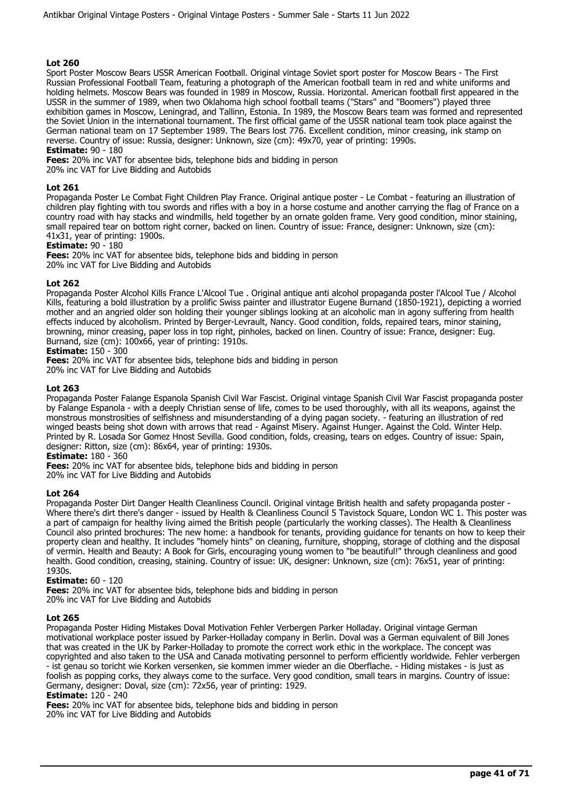Sport Poster Moscow Bears USSR American Football. Original vintage Soviet sport poster for Moscow Bears - The First Russian Professional Football Team, featuring a photograph of the American football team in red and white uniforms and holding helmets. Moscow Bears was founded in 1989 in Moscow, Russia. Horizontal. American football first appeared in the USSR in the summer of 1989, when two Oklahoma high school football teams ("Stars" and "Boomers") played three exhibition games in Moscow, Leningrad, and Tallinn, Estonia. In 1989, the Moscow Bears team was formed and represented the Soviet Union in the international tournament. The first official game of the USSR national team took place against the German national team on 17 September 1989. The Bears lost 776. Excellent condition, minor creasing, ink stamp on reverse. Country of issue: Russia, designer: Unknown, size (cm): 49x70, year of printing: 1990s.

#### **Estimate:** 90 - 180

**Fees:** 20% inc VAT for absentee bids, telephone bids and bidding in person

20% inc VAT for Live Bidding and Autobids

## **Lot 261**

Propaganda Poster Le Combat Fight Children Play France. Original antique poster - Le Combat - featuring an illustration of children play fighting with tou swords and rifles with a boy in a horse costume and another carrying the flag of France on a country road with hay stacks and windmills, held together by an ornate golden frame. Very good condition, minor staining, small repaired tear on bottom right corner, backed on linen. Country of issue: France, designer: Unknown, size (cm): 41x31, year of printing: 1900s.

**Estimate:** 90 - 180

**Fees:** 20% inc VAT for absentee bids, telephone bids and bidding in person

20% inc VAT for Live Bidding and Autobids

## **Lot 262**

Propaganda Poster Alcohol Kills France L'Alcool Tue . Original antique anti alcohol propaganda poster l'Alcool Tue / Alcohol Kills, featuring a bold illustration by a prolific Swiss painter and illustrator Eugene Burnand (1850-1921), depicting a worried mother and an angried older son holding their younger siblings looking at an alcoholic man in agony suffering from health effects induced by alcoholism. Printed by Berger-Levrault, Nancy. Good condition, folds, repaired tears, minor staining, browning, minor creasing, paper loss in top right, pinholes, backed on linen. Country of issue: France, designer: Eug. Burnand, size (cm): 100x66, year of printing: 1910s.

## **Estimate:** 150 - 300

**Fees:** 20% inc VAT for absentee bids, telephone bids and bidding in person

20% inc VAT for Live Bidding and Autobids

## **Lot 263**

Propaganda Poster Falange Espanola Spanish Civil War Fascist. Original vintage Spanish Civil War Fascist propaganda poster by Falange Espanola - with a deeply Christian sense of life, comes to be used thoroughly, with all its weapons, against the monstrous monstrosities of selfishness and misunderstanding of a dying pagan society. - featuring an illustration of red winged beasts being shot down with arrows that read - Against Misery. Against Hunger. Against the Cold. Winter Help. Printed by R. Losada Sor Gomez Hnost Sevilla. Good condition, folds, creasing, tears on edges. Country of issue: Spain, designer: Ritton, size (cm): 86x64, year of printing: 1930s.

**Estimate:** 180 - 360

**Fees:** 20% inc VAT for absentee bids, telephone bids and bidding in person

20% inc VAT for Live Bidding and Autobids

#### **Lot 264**

Propaganda Poster Dirt Danger Health Cleanliness Council. Original vintage British health and safety propaganda poster - Where there's dirt there's danger - issued by Health & Cleanliness Council 5 Tavistock Square, London WC 1. This poster was a part of campaign for healthy living aimed the British people (particularly the working classes). The Health & Cleanliness Council also printed brochures: The new home: a handbook for tenants, providing guidance for tenants on how to keep their property clean and healthy. It includes "homely hints" on cleaning, furniture, shopping, storage of clothing and the disposal of vermin. Health and Beauty: A Book for Girls, encouraging young women to "be beautiful!" through cleanliness and good health. Good condition, creasing, staining. Country of issue: UK, designer: Unknown, size (cm): 76x51, year of printing: 1930s.

#### **Estimate:** 60 - 120

**Fees:** 20% inc VAT for absentee bids, telephone bids and bidding in person 20% inc VAT for Live Bidding and Autobids

## **Lot 265**

Propaganda Poster Hiding Mistakes Doval Motivation Fehler Verbergen Parker Holladay. Original vintage German motivational workplace poster issued by Parker-Holladay company in Berlin. Doval was a German equivalent of Bill Jones that was created in the UK by Parker-Holladay to promote the correct work ethic in the workplace. The concept was copyrighted and also taken to the USA and Canada motivating personnel to perform efficiently worldwide. Fehler verbergen - ist genau so toricht wie Korken versenken, sie kommen immer wieder an die Oberflache. - Hiding mistakes - is just as foolish as popping corks, they always come to the surface. Very good condition, small tears in margins. Country of issue: Germany, designer: Doval, size (cm): 72x56, year of printing: 1929.

#### **Estimate:** 120 - 240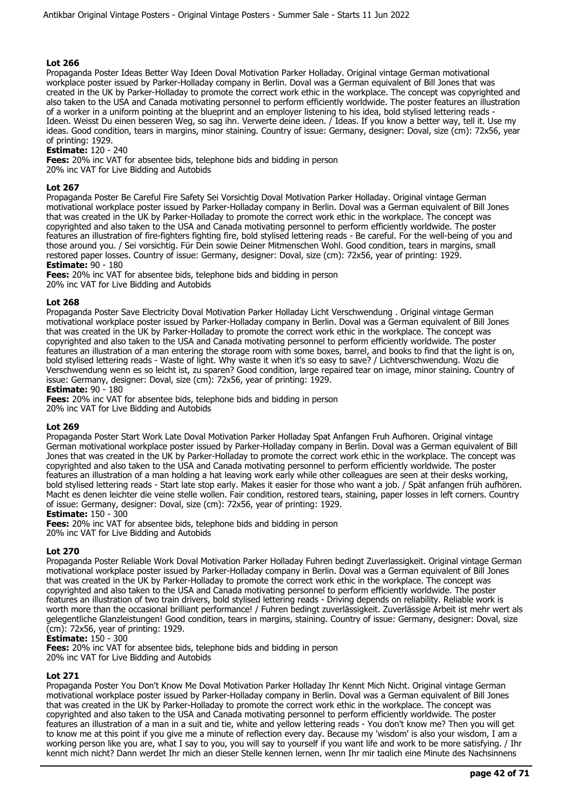Propaganda Poster Ideas Better Way Ideen Doval Motivation Parker Holladay. Original vintage German motivational workplace poster issued by Parker-Holladay company in Berlin. Doval was a German equivalent of Bill Jones that was created in the UK by Parker-Holladay to promote the correct work ethic in the workplace. The concept was copyrighted and also taken to the USA and Canada motivating personnel to perform efficiently worldwide. The poster features an illustration of a worker in a uniform pointing at the blueprint and an employer listening to his idea, bold stylised lettering reads - Ideen. Weisst Du einen besseren Weg, so sag ihn. Verwerte deine ideen. / Ideas. If you know a better way, tell it. Use my ideas. Good condition, tears in margins, minor staining. Country of issue: Germany, designer: Doval, size (cm): 72x56, year of printing: 1929.

## **Estimate:** 120 - 240

**Fees:** 20% inc VAT for absentee bids, telephone bids and bidding in person 20% inc VAT for Live Bidding and Autobids

## **Lot 267**

Propaganda Poster Be Careful Fire Safety Sei Vorsichtig Doval Motivation Parker Holladay. Original vintage German motivational workplace poster issued by Parker-Holladay company in Berlin. Doval was a German equivalent of Bill Jones that was created in the UK by Parker-Holladay to promote the correct work ethic in the workplace. The concept was copyrighted and also taken to the USA and Canada motivating personnel to perform efficiently worldwide. The poster features an illustration of fire-fighters fighting fire, bold stylised lettering reads - Be careful. For the well-being of you and those around you. / Sei vorsichtig. Für Dein sowie Deiner Mitmenschen Wohl. Good condition, tears in margins, small restored paper losses. Country of issue: Germany, designer: Doval, size (cm): 72x56, year of printing: 1929. **Estimate:** 90 - 180

**Fees:** 20% inc VAT for absentee bids, telephone bids and bidding in person

20% inc VAT for Live Bidding and Autobids

## **Lot 268**

Propaganda Poster Save Electricity Doval Motivation Parker Holladay Licht Verschwendung . Original vintage German motivational workplace poster issued by Parker-Holladay company in Berlin. Doval was a German equivalent of Bill Jones that was created in the UK by Parker-Holladay to promote the correct work ethic in the workplace. The concept was copyrighted and also taken to the USA and Canada motivating personnel to perform efficiently worldwide. The poster features an illustration of a man entering the storage room with some boxes, barrel, and books to find that the light is on, bold stylised lettering reads - Waste of light. Why waste it when it's so easy to save? / Lichtverschwendung. Wozu die Verschwendung wenn es so leicht ist, zu sparen? Good condition, large repaired tear on image, minor staining. Country of issue: Germany, designer: Doval, size (cm): 72x56, year of printing: 1929. **Estimate:** 90 - 180

**Fees:** 20% inc VAT for absentee bids, telephone bids and bidding in person 20% inc VAT for Live Bidding and Autobids

#### **Lot 269**

Propaganda Poster Start Work Late Doval Motivation Parker Holladay Spat Anfangen Fruh Aufhoren. Original vintage German motivational workplace poster issued by Parker-Holladay company in Berlin. Doval was a German equivalent of Bill Jones that was created in the UK by Parker-Holladay to promote the correct work ethic in the workplace. The concept was copyrighted and also taken to the USA and Canada motivating personnel to perform efficiently worldwide. The poster features an illustration of a man holding a hat leaving work early while other colleagues are seen at their desks working, bold stylised lettering reads - Start late stop early. Makes it easier for those who want a job. / Spät anfangen früh aufhören. Macht es denen leichter die veine stelle wollen. Fair condition, restored tears, staining, paper losses in left corners. Country of issue: Germany, designer: Doval, size (cm): 72x56, year of printing: 1929.

#### **Estimate:** 150 - 300

**Fees:** 20% inc VAT for absentee bids, telephone bids and bidding in person 20% inc VAT for Live Bidding and Autobids

## **Lot 270**

Propaganda Poster Reliable Work Doval Motivation Parker Holladay Fuhren bedingt Zuverlassigkeit. Original vintage German motivational workplace poster issued by Parker-Holladay company in Berlin. Doval was a German equivalent of Bill Jones that was created in the UK by Parker-Holladay to promote the correct work ethic in the workplace. The concept was copyrighted and also taken to the USA and Canada motivating personnel to perform efficiently worldwide. The poster features an illustration of two train drivers, bold stylised lettering reads - Driving depends on reliability. Reliable work is worth more than the occasional brilliant performance! / Fuhren bedingt zuverlässigkeit. Zuverlässige Arbeit ist mehr wert als gelegentliche Glanzleistungen! Good condition, tears in margins, staining. Country of issue: Germany, designer: Doval, size (cm): 72x56, year of printing: 1929.

## **Estimate:** 150 - 300

**Fees:** 20% inc VAT for absentee bids, telephone bids and bidding in person 20% inc VAT for Live Bidding and Autobids

**Lot 271** 

Propaganda Poster You Don't Know Me Doval Motivation Parker Holladay Ihr Kennt Mich Nicht. Original vintage German motivational workplace poster issued by Parker-Holladay company in Berlin. Doval was a German equivalent of Bill Jones that was created in the UK by Parker-Holladay to promote the correct work ethic in the workplace. The concept was copyrighted and also taken to the USA and Canada motivating personnel to perform efficiently worldwide. The poster features an illustration of a man in a suit and tie, white and yellow lettering reads - You don't know me? Then you will get to know me at this point if you give me a minute of reflection every day. Because my 'wisdom' is also your wisdom, I am a working person like you are, what I say to you, you will say to yourself if you want life and work to be more satisfying. / Ihr kennt mich nicht? Dann werdet Ihr mich an dieser Stelle kennen lernen, wenn Ihr mir taglich eine Minute des Nachsinnens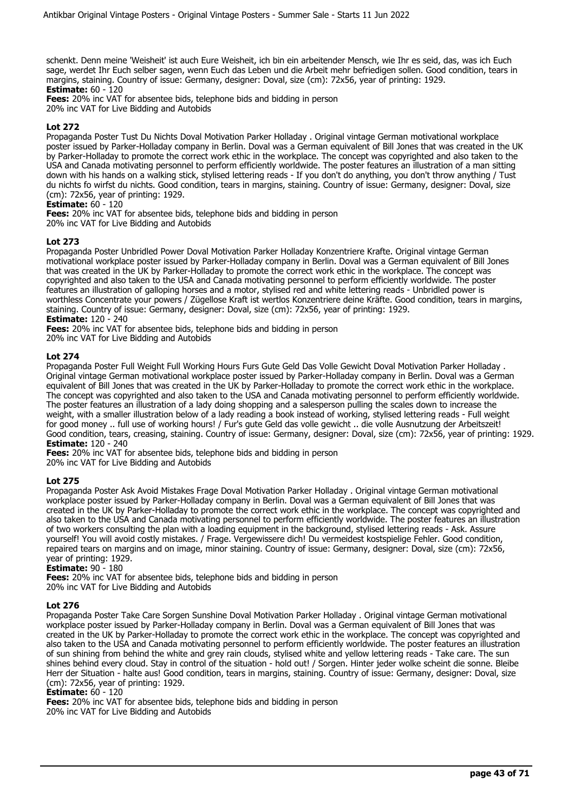schenkt. Denn meine 'Weisheit' ist auch Eure Weisheit, ich bin ein arbeitender Mensch, wie Ihr es seid, das, was ich Euch sage, werdet Ihr Euch selber sagen, wenn Euch das Leben und die Arbeit mehr befriedigen sollen. Good condition, tears in margins, staining. Country of issue: Germany, designer: Doval, size (cm): 72x56, year of printing: 1929. **Estimate:** 60 - 120

**Fees:** 20% inc VAT for absentee bids, telephone bids and bidding in person

20% inc VAT for Live Bidding and Autobids

## **Lot 272**

Propaganda Poster Tust Du Nichts Doval Motivation Parker Holladay . Original vintage German motivational workplace poster issued by Parker-Holladay company in Berlin. Doval was a German equivalent of Bill Jones that was created in the UK by Parker-Holladay to promote the correct work ethic in the workplace. The concept was copyrighted and also taken to the USA and Canada motivating personnel to perform efficiently worldwide. The poster features an illustration of a man sitting down with his hands on a walking stick, stylised lettering reads - If you don't do anything, you don't throw anything / Tust du nichts fo wirfst du nichts. Good condition, tears in margins, staining. Country of issue: Germany, designer: Doval, size (cm): 72x56, year of printing: 1929.

## **Estimate:** 60 - 120

**Fees:** 20% inc VAT for absentee bids, telephone bids and bidding in person 20% inc VAT for Live Bidding and Autobids

## **Lot 273**

Propaganda Poster Unbridled Power Doval Motivation Parker Holladay Konzentriere Krafte. Original vintage German motivational workplace poster issued by Parker-Holladay company in Berlin. Doval was a German equivalent of Bill Jones that was created in the UK by Parker-Holladay to promote the correct work ethic in the workplace. The concept was copyrighted and also taken to the USA and Canada motivating personnel to perform efficiently worldwide. The poster features an illustration of galloping horses and a motor, stylised red and white lettering reads - Unbridled power is worthless Concentrate your powers / Zügellose Kraft ist wertlos Konzentriere deine Kräfte. Good condition, tears in margins, staining. Country of issue: Germany, designer: Doval, size (cm): 72x56, year of printing: 1929. **Estimate:** 120 - 240

**Fees:** 20% inc VAT for absentee bids, telephone bids and bidding in person 20% inc VAT for Live Bidding and Autobids

## **Lot 274**

Propaganda Poster Full Weight Full Working Hours Furs Gute Geld Das Volle Gewicht Doval Motivation Parker Holladay . Original vintage German motivational workplace poster issued by Parker-Holladay company in Berlin. Doval was a German equivalent of Bill Jones that was created in the UK by Parker-Holladay to promote the correct work ethic in the workplace. The concept was copyrighted and also taken to the USA and Canada motivating personnel to perform efficiently worldwide. The poster features an illustration of a lady doing shopping and a salesperson pulling the scales down to increase the weight, with a smaller illustration below of a lady reading a book instead of working, stylised lettering reads - Full weight for good money .. full use of working hours! / Fur's gute Geld das volle gewicht .. die volle Ausnutzung der Arbeitszeit! Good condition, tears, creasing, staining. Country of issue: Germany, designer: Doval, size (cm): 72x56, year of printing: 1929. **Estimate:** 120 - 240

**Fees:** 20% inc VAT for absentee bids, telephone bids and bidding in person 20% inc VAT for Live Bidding and Autobids

## **Lot 275**

Propaganda Poster Ask Avoid Mistakes Frage Doval Motivation Parker Holladay . Original vintage German motivational workplace poster issued by Parker-Holladay company in Berlin. Doval was a German equivalent of Bill Jones that was created in the UK by Parker-Holladay to promote the correct work ethic in the workplace. The concept was copyrighted and also taken to the USA and Canada motivating personnel to perform efficiently worldwide. The poster features an illustration of two workers consulting the plan with a loading equipment in the background, stylised lettering reads - Ask. Assure yourself! You will avoid costly mistakes. / Frage. Vergewissere dich! Du vermeidest kostspielige Fehler. Good condition, repaired tears on margins and on image, minor staining. Country of issue: Germany, designer: Doval, size (cm): 72x56, year of printing: 1929.

**Estimate:** 90 - 180

**Fees:** 20% inc VAT for absentee bids, telephone bids and bidding in person 20% inc VAT for Live Bidding and Autobids

## **Lot 276**

Propaganda Poster Take Care Sorgen Sunshine Doval Motivation Parker Holladay . Original vintage German motivational workplace poster issued by Parker-Holladay company in Berlin. Doval was a German equivalent of Bill Jones that was created in the UK by Parker-Holladay to promote the correct work ethic in the workplace. The concept was copyrighted and also taken to the USA and Canada motivating personnel to perform efficiently worldwide. The poster features an illustration of sun shining from behind the white and grey rain clouds, stylised white and yellow lettering reads - Take care. The sun shines behind every cloud. Stay in control of the situation - hold out! / Sorgen. Hinter jeder wolke scheint die sonne. Bleibe Herr der Situation - halte aus! Good condition, tears in margins, staining. Country of issue: Germany, designer: Doval, size (cm): 72x56, year of printing: 1929.

#### **Estimate:** 60 - 120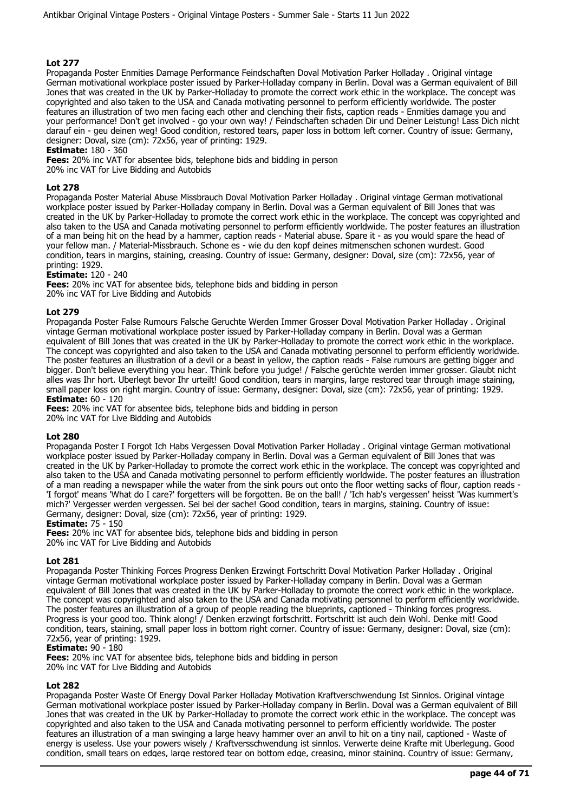Propaganda Poster Enmities Damage Performance Feindschaften Doval Motivation Parker Holladay . Original vintage German motivational workplace poster issued by Parker-Holladay company in Berlin. Doval was a German equivalent of Bill Jones that was created in the UK by Parker-Holladay to promote the correct work ethic in the workplace. The concept was copyrighted and also taken to the USA and Canada motivating personnel to perform efficiently worldwide. The poster features an illustration of two men facing each other and clenching their fists, caption reads - Enmities damage you and your performance! Don't get involved - go your own way! / Feindschaften schaden Dir und Deiner Leistung! Lass Dich nicht darauf ein - geu deinen weg! Good condition, restored tears, paper loss in bottom left corner. Country of issue: Germany, designer: Doval, size (cm): 72x56, year of printing: 1929.

**Estimate:** 180 - 360

**Fees:** 20% inc VAT for absentee bids, telephone bids and bidding in person 20% inc VAT for Live Bidding and Autobids

## **Lot 278**

Propaganda Poster Material Abuse Missbrauch Doval Motivation Parker Holladay . Original vintage German motivational workplace poster issued by Parker-Holladay company in Berlin. Doval was a German equivalent of Bill Jones that was created in the UK by Parker-Holladay to promote the correct work ethic in the workplace. The concept was copyrighted and also taken to the USA and Canada motivating personnel to perform efficiently worldwide. The poster features an illustration of a man being hit on the head by a hammer, caption reads - Material abuse. Spare it - as you would spare the head of your fellow man. / Material-Missbrauch. Schone es - wie du den kopf deines mitmenschen schonen wurdest. Good condition, tears in margins, staining, creasing. Country of issue: Germany, designer: Doval, size (cm): 72x56, year of printing: 1929.

## **Estimate:** 120 - 240

**Fees:** 20% inc VAT for absentee bids, telephone bids and bidding in person 20% inc VAT for Live Bidding and Autobids

## **Lot 279**

Propaganda Poster False Rumours Falsche Geruchte Werden Immer Grosser Doval Motivation Parker Holladay . Original vintage German motivational workplace poster issued by Parker-Holladay company in Berlin. Doval was a German equivalent of Bill Jones that was created in the UK by Parker-Holladay to promote the correct work ethic in the workplace. The concept was copyrighted and also taken to the USA and Canada motivating personnel to perform efficiently worldwide. The poster features an illustration of a devil or a beast in yellow, the caption reads - False rumours are getting bigger and bigger. Don't believe everything you hear. Think before you judge! / Falsche gerüchte werden immer grosser. Glaubt nicht alles was Ihr hort. Uberlegt bevor Ihr urteilt! Good condition, tears in margins, large restored tear through image staining, small paper loss on right margin. Country of issue: Germany, designer: Doval, size (cm): 72x56, year of printing: 1929. **Estimate:** 60 - 120

**Fees:** 20% inc VAT for absentee bids, telephone bids and bidding in person

20% inc VAT for Live Bidding and Autobids

#### **Lot 280**

Propaganda Poster I Forgot Ich Habs Vergessen Doval Motivation Parker Holladay . Original vintage German motivational workplace poster issued by Parker-Holladay company in Berlin. Doval was a German equivalent of Bill Jones that was created in the UK by Parker-Holladay to promote the correct work ethic in the workplace. The concept was copyrighted and also taken to the USA and Canada motivating personnel to perform efficiently worldwide. The poster features an illustration of a man reading a newspaper while the water from the sink pours out onto the floor wetting sacks of flour, caption reads - 'I forgot' means 'What do I care?' forgetters will be forgotten. Be on the ball! / 'Ich hab's vergessen' heisst 'Was kummert's mich?' Vergesser werden vergessen. Sei bei der sache! Good condition, tears in margins, staining. Country of issue: Germany, designer: Doval, size (cm): 72x56, year of printing: 1929.

**Estimate:** 75 - 150

**Fees:** 20% inc VAT for absentee bids, telephone bids and bidding in person 20% inc VAT for Live Bidding and Autobids

#### **Lot 281**

Propaganda Poster Thinking Forces Progress Denken Erzwingt Fortschritt Doval Motivation Parker Holladay . Original vintage German motivational workplace poster issued by Parker-Holladay company in Berlin. Doval was a German equivalent of Bill Jones that was created in the UK by Parker-Holladay to promote the correct work ethic in the workplace. The concept was copyrighted and also taken to the USA and Canada motivating personnel to perform efficiently worldwide. The poster features an illustration of a group of people reading the blueprints, captioned - Thinking forces progress. Progress is your good too. Think along! / Denken erzwingt fortschritt. Fortschritt ist auch dein Wohl. Denke mit! Good condition, tears, staining, small paper loss in bottom right corner. Country of issue: Germany, designer: Doval, size (cm): 72x56, year of printing: 1929.

#### **Estimate:** 90 - 180

**Fees:** 20% inc VAT for absentee bids, telephone bids and bidding in person 20% inc VAT for Live Bidding and Autobids

## **Lot 282**

Propaganda Poster Waste Of Energy Doval Parker Holladay Motivation Kraftverschwendung Ist Sinnlos. Original vintage German motivational workplace poster issued by Parker-Holladay company in Berlin. Doval was a German equivalent of Bill Jones that was created in the UK by Parker-Holladay to promote the correct work ethic in the workplace. The concept was copyrighted and also taken to the USA and Canada motivating personnel to perform efficiently worldwide. The poster features an illustration of a man swinging a large heavy hammer over an anvil to hit on a tiny nail, captioned - Waste of energy is useless. Use your powers wisely / Kraftversschwendung ist sinnlos. Verwerte deine Krafte mit Uberlegung. Good condition, small tears on edges, large restored tear on bottom edge, creasing, minor staining. Country of issue: Germany,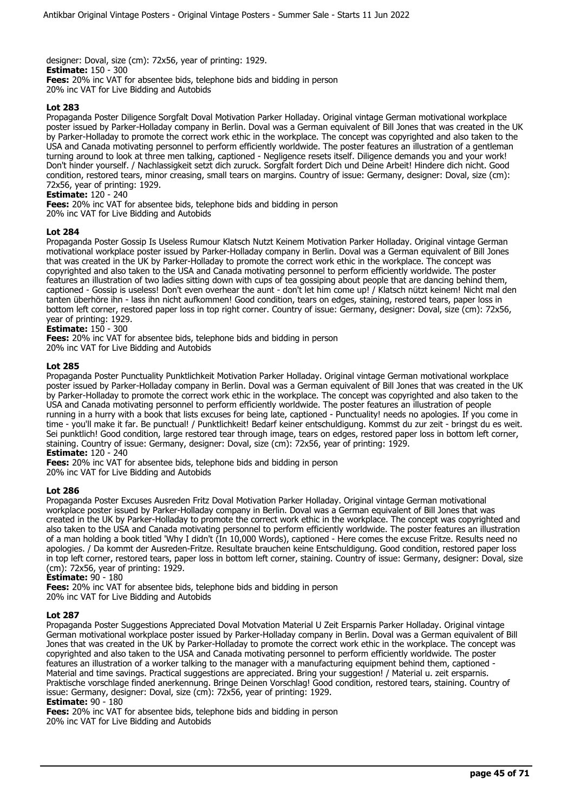designer: Doval, size (cm): 72x56, year of printing: 1929. **Estimate:** 150 - 300 **Fees:** 20% inc VAT for absentee bids, telephone bids and bidding in person 20% inc VAT for Live Bidding and Autobids

## **Lot 283**

Propaganda Poster Diligence Sorgfalt Doval Motivation Parker Holladay. Original vintage German motivational workplace poster issued by Parker-Holladay company in Berlin. Doval was a German equivalent of Bill Jones that was created in the UK by Parker-Holladay to promote the correct work ethic in the workplace. The concept was copyrighted and also taken to the USA and Canada motivating personnel to perform efficiently worldwide. The poster features an illustration of a gentleman turning around to look at three men talking, captioned - Negligence resets itself. Diligence demands you and your work! Don't hinder yourself. / Nachlassigkeit setzt dich zuruck. Sorgfalt fordert Dich und Deine Arbeit! Hindere dich nicht. Good condition, restored tears, minor creasing, small tears on margins. Country of issue: Germany, designer: Doval, size (cm): 72x56, year of printing: 1929.

#### **Estimate:** 120 - 240

**Fees:** 20% inc VAT for absentee bids, telephone bids and bidding in person

20% inc VAT for Live Bidding and Autobids

#### **Lot 284**

Propaganda Poster Gossip Is Useless Rumour Klatsch Nutzt Keinem Motivation Parker Holladay. Original vintage German motivational workplace poster issued by Parker-Holladay company in Berlin. Doval was a German equivalent of Bill Jones that was created in the UK by Parker-Holladay to promote the correct work ethic in the workplace. The concept was copyrighted and also taken to the USA and Canada motivating personnel to perform efficiently worldwide. The poster features an illustration of two ladies sitting down with cups of tea gossiping about people that are dancing behind them, captioned - Gossip is useless! Don't even overhear the aunt - don't let him come up! / Klatsch nützt keinem! Nicht mal den tanten überhöre ihn - lass ihn nicht aufkommen! Good condition, tears on edges, staining, restored tears, paper loss in bottom left corner, restored paper loss in top right corner. Country of issue: Germany, designer: Doval, size (cm): 72x56, year of printing: 1929.

**Estimate:** 150 - 300

**Fees:** 20% inc VAT for absentee bids, telephone bids and bidding in person

20% inc VAT for Live Bidding and Autobids

## **Lot 285**

Propaganda Poster Punctuality Punktlichkeit Motivation Parker Holladay. Original vintage German motivational workplace poster issued by Parker-Holladay company in Berlin. Doval was a German equivalent of Bill Jones that was created in the UK by Parker-Holladay to promote the correct work ethic in the workplace. The concept was copyrighted and also taken to the USA and Canada motivating personnel to perform efficiently worldwide. The poster features an illustration of people running in a hurry with a book that lists excuses for being late, captioned - Punctuality! needs no apologies. If you come in time - you'll make it far. Be punctual! / Punktlichkeit! Bedarf keiner entschuldigung. Kommst du zur zeit - bringst du es weit. Sei punktlich! Good condition, large restored tear through image, tears on edges, restored paper loss in bottom left corner, staining. Country of issue: Germany, designer: Doval, size (cm): 72x56, year of printing: 1929. **Estimate:** 120 - 240

**Fees:** 20% inc VAT for absentee bids, telephone bids and bidding in person

20% inc VAT for Live Bidding and Autobids

#### **Lot 286**

Propaganda Poster Excuses Ausreden Fritz Doval Motivation Parker Holladay. Original vintage German motivational workplace poster issued by Parker-Holladay company in Berlin. Doval was a German equivalent of Bill Jones that was created in the UK by Parker-Holladay to promote the correct work ethic in the workplace. The concept was copyrighted and also taken to the USA and Canada motivating personnel to perform efficiently worldwide. The poster features an illustration of a man holding a book titled 'Why I didn't (In 10,000 Words), captioned - Here comes the excuse Fritze. Results need no apologies. / Da kommt der Ausreden-Fritze. Resultate brauchen keine Entschuldigung. Good condition, restored paper loss in top left corner, restored tears, paper loss in bottom left corner, staining. Country of issue: Germany, designer: Doval, size (cm): 72x56, year of printing: 1929.

# **Estimate:** 90 - 180

**Fees:** 20% inc VAT for absentee bids, telephone bids and bidding in person 20% inc VAT for Live Bidding and Autobids

#### **Lot 287**

Propaganda Poster Suggestions Appreciated Doval Motvation Material U Zeit Ersparnis Parker Holladay. Original vintage German motivational workplace poster issued by Parker-Holladay company in Berlin. Doval was a German equivalent of Bill Jones that was created in the UK by Parker-Holladay to promote the correct work ethic in the workplace. The concept was copyrighted and also taken to the USA and Canada motivating personnel to perform efficiently worldwide. The poster features an illustration of a worker talking to the manager with a manufacturing equipment behind them, captioned - Material and time savings. Practical suggestions are appreciated. Bring your suggestion! / Material u. zeit ersparnis. Praktische vorschlage finded anerkennung. Bringe Deinen Vorschlag! Good condition, restored tears, staining. Country of issue: Germany, designer: Doval, size (cm): 72x56, year of printing: 1929.

#### **Estimate:** 90 - 180

**Fees:** 20% inc VAT for absentee bids, telephone bids and bidding in person

20% inc VAT for Live Bidding and Autobids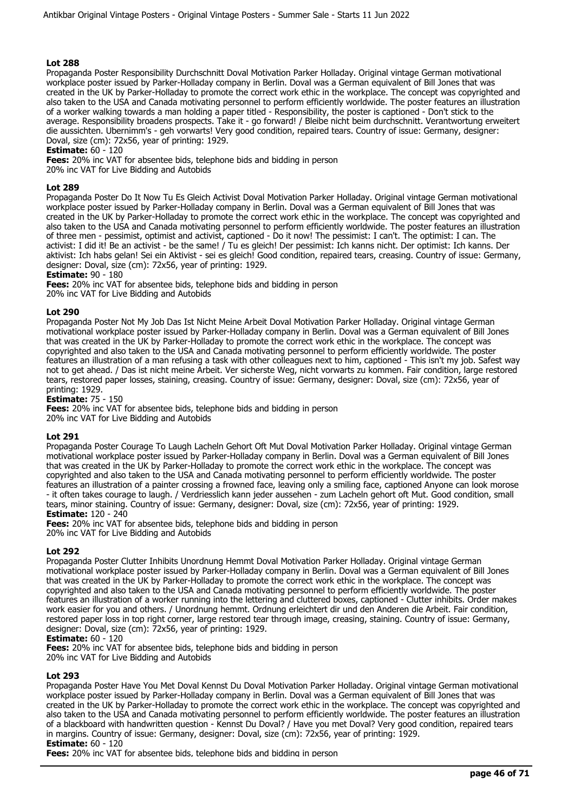Propaganda Poster Responsibility Durchschnitt Doval Motivation Parker Holladay. Original vintage German motivational workplace poster issued by Parker-Holladay company in Berlin. Doval was a German equivalent of Bill Jones that was created in the UK by Parker-Holladay to promote the correct work ethic in the workplace. The concept was copyrighted and also taken to the USA and Canada motivating personnel to perform efficiently worldwide. The poster features an illustration of a worker walking towards a man holding a paper titled - Responsibility, the poster is captioned - Don't stick to the average. Responsibility broadens prospects. Take it - go forward! / Bleibe nicht beim durchschnitt. Verantwortung erweitert die aussichten. Ubernimm's - geh vorwarts! Very good condition, repaired tears. Country of issue: Germany, designer: Doval, size (cm): 72x56, year of printing: 1929.

**Estimate:** 60 - 120

**Fees:** 20% inc VAT for absentee bids, telephone bids and bidding in person 20% inc VAT for Live Bidding and Autobids

## **Lot 289**

Propaganda Poster Do It Now Tu Es Gleich Activist Doval Motivation Parker Holladay. Original vintage German motivational workplace poster issued by Parker-Holladay company in Berlin. Doval was a German equivalent of Bill Jones that was created in the UK by Parker-Holladay to promote the correct work ethic in the workplace. The concept was copyrighted and also taken to the USA and Canada motivating personnel to perform efficiently worldwide. The poster features an illustration of three men - pessimist, optimist and activist, captioned - Do it now! The pessimist: I can't. The optimist: I can. The activist: I did it! Be an activist - be the same! / Tu es gleich! Der pessimist: Ich kanns nicht. Der optimist: Ich kanns. Der aktivist: Ich habs gelan! Sei ein Aktivist - sei es gleich! Good condition, repaired tears, creasing. Country of issue: Germany, designer: Doval, size (cm): 72x56, year of printing: 1929.

# **Estimate:** 90 - 180

**Fees:** 20% inc VAT for absentee bids, telephone bids and bidding in person 20% inc VAT for Live Bidding and Autobids

#### **Lot 290**

Propaganda Poster Not My Job Das Ist Nicht Meine Arbeit Doval Motivation Parker Holladay. Original vintage German motivational workplace poster issued by Parker-Holladay company in Berlin. Doval was a German equivalent of Bill Jones that was created in the UK by Parker-Holladay to promote the correct work ethic in the workplace. The concept was copyrighted and also taken to the USA and Canada motivating personnel to perform efficiently worldwide. The poster features an illustration of a man refusing a task with other colleagues next to him, captioned - This isn't my job. Safest way not to get ahead. / Das ist nicht meine Arbeit. Ver sicherste Weg, nicht vorwarts zu kommen. Fair condition, large restored tears, restored paper losses, staining, creasing. Country of issue: Germany, designer: Doval, size (cm): 72x56, year of printing: 1929.

**Estimate:** 75 - 150

**Fees:** 20% inc VAT for absentee bids, telephone bids and bidding in person

20% inc VAT for Live Bidding and Autobids

## **Lot 291**

Propaganda Poster Courage To Laugh Lacheln Gehort Oft Mut Doval Motivation Parker Holladay. Original vintage German motivational workplace poster issued by Parker-Holladay company in Berlin. Doval was a German equivalent of Bill Jones that was created in the UK by Parker-Holladay to promote the correct work ethic in the workplace. The concept was copyrighted and also taken to the USA and Canada motivating personnel to perform efficiently worldwide. The poster features an illustration of a painter crossing a frowned face, leaving only a smiling face, captioned Anyone can look morose - it often takes courage to laugh. / Verdriesslich kann jeder aussehen - zum Lacheln gehort oft Mut. Good condition, small tears, minor staining. Country of issue: Germany, designer: Doval, size (cm): 72x56, year of printing: 1929. **Estimate:** 120 - 240

**Fees:** 20% inc VAT for absentee bids, telephone bids and bidding in person 20% inc VAT for Live Bidding and Autobids

#### **Lot 292**

Propaganda Poster Clutter Inhibits Unordnung Hemmt Doval Motivation Parker Holladay. Original vintage German motivational workplace poster issued by Parker-Holladay company in Berlin. Doval was a German equivalent of Bill Jones that was created in the UK by Parker-Holladay to promote the correct work ethic in the workplace. The concept was copyrighted and also taken to the USA and Canada motivating personnel to perform efficiently worldwide. The poster features an illustration of a worker running into the lettering and cluttered boxes, captioned - Clutter inhibits. Order makes work easier for you and others. / Unordnung hemmt. Ordnung erleichtert dir und den Anderen die Arbeit. Fair condition, restored paper loss in top right corner, large restored tear through image, creasing, staining. Country of issue: Germany, designer: Doval, size (cm): 72x56, year of printing: 1929.

#### **Estimate:** 60 - 120

**Fees:** 20% inc VAT for absentee bids, telephone bids and bidding in person

20% inc VAT for Live Bidding and Autobids

#### **Lot 293**

Propaganda Poster Have You Met Doval Kennst Du Doval Motivation Parker Holladay. Original vintage German motivational workplace poster issued by Parker-Holladay company in Berlin. Doval was a German equivalent of Bill Jones that was created in the UK by Parker-Holladay to promote the correct work ethic in the workplace. The concept was copyrighted and also taken to the USA and Canada motivating personnel to perform efficiently worldwide. The poster features an illustration of a blackboard with handwritten question - Kennst Du Doval? / Have you met Doval? Very good condition, repaired tears in margins. Country of issue: Germany, designer: Doval, size (cm): 72x56, year of printing: 1929. **Estimate:** 60 - 120

**Fees:** 20% inc VAT for absentee bids, telephone bids and bidding in person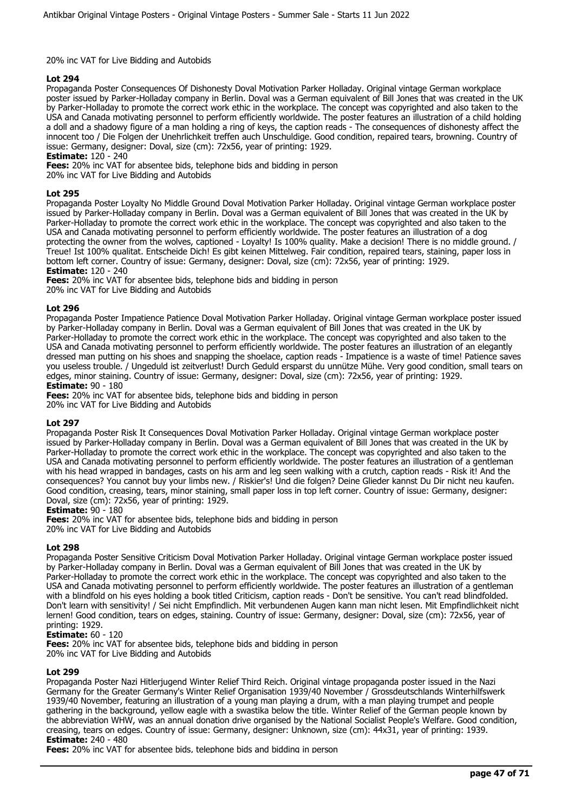#### 20% inc VAT for Live Bidding and Autobids

## **Lot 294**

Propaganda Poster Consequences Of Dishonesty Doval Motivation Parker Holladay. Original vintage German workplace poster issued by Parker-Holladay company in Berlin. Doval was a German equivalent of Bill Jones that was created in the UK by Parker-Holladay to promote the correct work ethic in the workplace. The concept was copyrighted and also taken to the USA and Canada motivating personnel to perform efficiently worldwide. The poster features an illustration of a child holding a doll and a shadowy figure of a man holding a ring of keys, the caption reads - The consequences of dishonesty affect the innocent too / Die Folgen der Unehrlichkeit treffen auch Unschuldige. Good condition, repaired tears, browning. Country of issue: Germany, designer: Doval, size (cm): 72x56, year of printing: 1929.

**Estimate:** 120 - 240

**Fees:** 20% inc VAT for absentee bids, telephone bids and bidding in person

20% inc VAT for Live Bidding and Autobids

## **Lot 295**

Propaganda Poster Loyalty No Middle Ground Doval Motivation Parker Holladay. Original vintage German workplace poster issued by Parker-Holladay company in Berlin. Doval was a German equivalent of Bill Jones that was created in the UK by Parker-Holladay to promote the correct work ethic in the workplace. The concept was copyrighted and also taken to the USA and Canada motivating personnel to perform efficiently worldwide. The poster features an illustration of a dog protecting the owner from the wolves, captioned - Loyalty! Is 100% quality. Make a decision! There is no middle ground. / Treue! Ist 100% qualitat. Entscheide Dich! Es gibt keinen Mittelweg. Fair condition, repaired tears, staining, paper loss in bottom left corner. Country of issue: Germany, designer: Doval, size (cm): 72x56, year of printing: 1929. **Estimate:** 120 - 240

**Fees:** 20% inc VAT for absentee bids, telephone bids and bidding in person 20% inc VAT for Live Bidding and Autobids

## **Lot 296**

Propaganda Poster Impatience Patience Doval Motivation Parker Holladay. Original vintage German workplace poster issued by Parker-Holladay company in Berlin. Doval was a German equivalent of Bill Jones that was created in the UK by Parker-Holladay to promote the correct work ethic in the workplace. The concept was copyrighted and also taken to the USA and Canada motivating personnel to perform efficiently worldwide. The poster features an illustration of an elegantly dressed man putting on his shoes and snapping the shoelace, caption reads - Impatience is a waste of time! Patience saves you useless trouble. / Ungeduld ist zeitverlust! Durch Geduld ersparst du unnütze Mühe. Very good condition, small tears on edges, minor staining. Country of issue: Germany, designer: Doval, size (cm): 72x56, year of printing: 1929. **Estimate:** 90 - 180

**Fees:** 20% inc VAT for absentee bids, telephone bids and bidding in person 20% inc VAT for Live Bidding and Autobids

## **Lot 297**

Propaganda Poster Risk It Consequences Doval Motivation Parker Holladay. Original vintage German workplace poster issued by Parker-Holladay company in Berlin. Doval was a German equivalent of Bill Jones that was created in the UK by Parker-Holladay to promote the correct work ethic in the workplace. The concept was copyrighted and also taken to the USA and Canada motivating personnel to perform efficiently worldwide. The poster features an illustration of a gentleman with his head wrapped in bandages, casts on his arm and leg seen walking with a crutch, caption reads - Risk it! And the consequences? You cannot buy your limbs new. / Riskier's! Und die folgen? Deine Glieder kannst Du Dir nicht neu kaufen. Good condition, creasing, tears, minor staining, small paper loss in top left corner. Country of issue: Germany, designer: Doval, size (cm): 72x56, year of printing: 1929.

## **Estimate:** 90 - 180

**Fees:** 20% inc VAT for absentee bids, telephone bids and bidding in person 20% inc VAT for Live Bidding and Autobids

## **Lot 298**

Propaganda Poster Sensitive Criticism Doval Motivation Parker Holladay. Original vintage German workplace poster issued by Parker-Holladay company in Berlin. Doval was a German equivalent of Bill Jones that was created in the UK by Parker-Holladay to promote the correct work ethic in the workplace. The concept was copyrighted and also taken to the USA and Canada motivating personnel to perform efficiently worldwide. The poster features an illustration of a gentleman with a blindfold on his eyes holding a book titled Criticism, caption reads - Don't be sensitive. You can't read blindfolded. Don't learn with sensitivity! / Sei nicht Empfindlich. Mit verbundenen Augen kann man nicht lesen. Mit Empfindlichkeit nicht lernen! Good condition, tears on edges, staining. Country of issue: Germany, designer: Doval, size (cm): 72x56, year of printing: 1929.

#### **Estimate:** 60 - 120

**Fees:** 20% inc VAT for absentee bids, telephone bids and bidding in person

20% inc VAT for Live Bidding and Autobids

#### **Lot 299**

Propaganda Poster Nazi Hitlerjugend Winter Relief Third Reich. Original vintage propaganda poster issued in the Nazi Germany for the Greater Germany's Winter Relief Organisation 1939/40 November / Grossdeutschlands Winterhilfswerk 1939/40 November, featuring an illustration of a young man playing a drum, with a man playing trumpet and people gathering in the background, yellow eagle with a swastika below the title. Winter Relief of the German people known by the abbreviation WHW, was an annual donation drive organised by the National Socialist People's Welfare. Good condition, creasing, tears on edges. Country of issue: Germany, designer: Unknown, size (cm): 44x31, year of printing: 1939. **Estimate:** 240 - 480

**Fees:** 20% inc VAT for absentee bids, telephone bids and bidding in person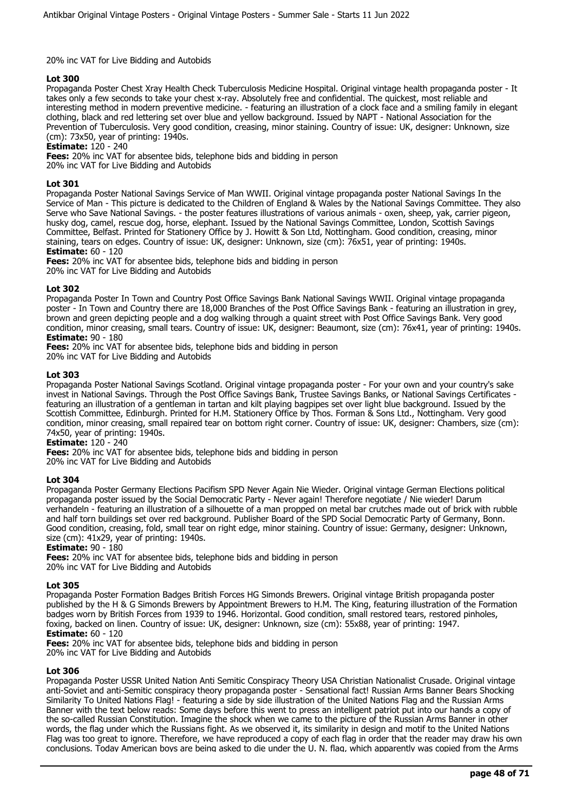## 20% inc VAT for Live Bidding and Autobids

## **Lot 300**

Propaganda Poster Chest Xray Health Check Tuberculosis Medicine Hospital. Original vintage health propaganda poster - It takes only a few seconds to take your chest x-ray. Absolutely free and confidential. The quickest, most reliable and interesting method in modern preventive medicine. - featuring an illustration of a clock face and a smiling family in elegant clothing, black and red lettering set over blue and yellow background. Issued by NAPT - National Association for the Prevention of Tuberculosis. Very good condition, creasing, minor staining. Country of issue: UK, designer: Unknown, size (cm):  $73x50$ , year of printing:  $1940s$ .

**Estimate:** 120 - 240

**Fees:** 20% inc VAT for absentee bids, telephone bids and bidding in person

20% inc VAT for Live Bidding and Autobids

## **Lot 301**

Propaganda Poster National Savings Service of Man WWII. Original vintage propaganda poster National Savings In the Service of Man - This picture is dedicated to the Children of England & Wales by the National Savings Committee. They also Serve who Save National Savings. - the poster features illustrations of various animals - oxen, sheep, yak, carrier pigeon, husky dog, camel, rescue dog, horse, elephant. Issued by the National Savings Committee, London, Scottish Savings Committee, Belfast. Printed for Stationery Office by J. Howitt & Son Ltd, Nottingham. Good condition, creasing, minor staining, tears on edges. Country of issue: UK, designer: Unknown, size (cm): 76x51, year of printing: 1940s. **Estimate:** 60 - 120

**Fees:** 20% inc VAT for absentee bids, telephone bids and bidding in person 20% inc VAT for Live Bidding and Autobids

## **Lot 302**

Propaganda Poster In Town and Country Post Office Savings Bank National Savings WWII. Original vintage propaganda poster - In Town and Country there are 18,000 Branches of the Post Office Savings Bank - featuring an illustration in grey, brown and green depicting people and a dog walking through a quaint street with Post Office Savings Bank. Very good condition, minor creasing, small tears. Country of issue: UK, designer: Beaumont, size (cm): 76x41, year of printing: 1940s. **Estimate:** 90 - 180

**Fees:** 20% inc VAT for absentee bids, telephone bids and bidding in person 20% inc VAT for Live Bidding and Autobids

## **Lot 303**

Propaganda Poster National Savings Scotland. Original vintage propaganda poster - For your own and your country's sake invest in National Savings. Through the Post Office Savings Bank, Trustee Savings Banks, or National Savings Certificates featuring an illustration of a gentleman in tartan and kilt playing bagpipes set over light blue background. Issued by the Scottish Committee, Edinburgh. Printed for H.M. Stationery Office by Thos. Forman & Sons Ltd., Nottingham. Very good condition, minor creasing, small repaired tear on bottom right corner. Country of issue: UK, designer: Chambers, size (cm): 74x50, year of printing: 1940s.

**Estimate:** 120 - 240

**Fees:** 20% inc VAT for absentee bids, telephone bids and bidding in person 20% inc VAT for Live Bidding and Autobids

## **Lot 304**

Propaganda Poster Germany Elections Pacifism SPD Never Again Nie Wieder. Original vintage German Elections political propaganda poster issued by the Social Democratic Party - Never again! Therefore negotiate / Nie wieder! Darum verhandeln - featuring an illustration of a silhouette of a man propped on metal bar crutches made out of brick with rubble and half torn buildings set over red background. Publisher Board of the SPD Social Democratic Party of Germany, Bonn. Good condition, creasing, fold, small tear on right edge, minor staining. Country of issue: Germany, designer: Unknown, size (cm): 41x29, year of printing: 1940s.

#### **Estimate:** 90 - 180

**Fees:** 20% inc VAT for absentee bids, telephone bids and bidding in person 20% inc VAT for Live Bidding and Autobids

#### **Lot 305**

Propaganda Poster Formation Badges British Forces HG Simonds Brewers. Original vintage British propaganda poster published by the H & G Simonds Brewers by Appointment Brewers to H.M. The King, featuring illustration of the Formation badges worn by British Forces from 1939 to 1946. Horizontal. Good condition, small restored tears, restored pinholes, foxing, backed on linen. Country of issue: UK, designer: Unknown, size (cm): 55x88, year of printing: 1947. **Estimate:** 60 - 120

**Fees:** 20% inc VAT for absentee bids, telephone bids and bidding in person

20% inc VAT for Live Bidding and Autobids

## **Lot 306**

Propaganda Poster USSR United Nation Anti Semitic Conspiracy Theory USA Christian Nationalist Crusade. Original vintage anti-Soviet and anti-Semitic conspiracy theory propaganda poster - Sensational fact! Russian Arms Banner Bears Shocking Similarity To United Nations Flag! - featuring a side by side illustration of the United Nations Flag and the Russian Arms Banner with the text below reads: Some days before this went to press an intelligent patriot put into our hands a copy of the so-called Russian Constitution. Imagine the shock when we came to the picture of the Russian Arms Banner in other words, the flag under which the Russians fight. As we observed it, its similarity in design and motif to the United Nations Flag was too great to ignore. Therefore, we have reproduced a copy of each flag in order that the reader may draw his own conclusions. Today American boys are being asked to die under the U. N. flag, which apparently was copied from the Arms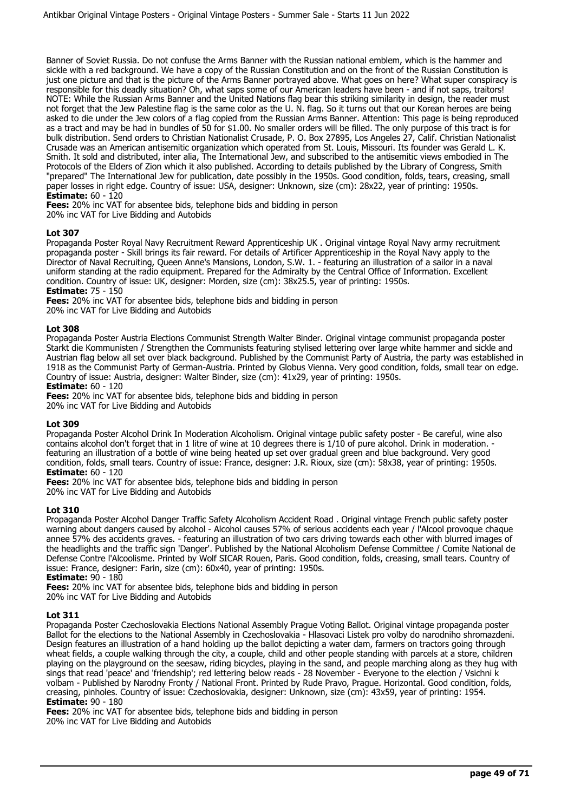Banner of Soviet Russia. Do not confuse the Arms Banner with the Russian national emblem, which is the hammer and sickle with a red background. We have a copy of the Russian Constitution and on the front of the Russian Constitution is just one picture and that is the picture of the Arms Banner portrayed above. What goes on here? What super conspiracy is responsible for this deadly situation? Oh, what saps some of our American leaders have been - and if not saps, traitors! NOTE: While the Russian Arms Banner and the United Nations flag bear this striking similarity in design, the reader must not forget that the Jew Palestine flag is the same color as the U. N. flag. So it turns out that our Korean heroes are being asked to die under the Jew colors of a flag copied from the Russian Arms Banner. Attention: This page is being reproduced as a tract and may be had in bundles of 50 for \$1.00. No smaller orders will be filled. The only purpose of this tract is for bulk distribution. Send orders to Christian Nationalist Crusade, P. O. Box 27895, Los Angeles 27, Calif. Christian Nationalist Crusade was an American antisemitic organization which operated from St. Louis, Missouri. Its founder was Gerald L. K. Smith. It sold and distributed, inter alia, The International Jew, and subscribed to the antisemitic views embodied in The Protocols of the Elders of Zion which it also published. According to details published by the Library of Congress, Smith "prepared" The International Jew for publication, date possibly in the 1950s. Good condition, folds, tears, creasing, small paper losses in right edge. Country of issue: USA, designer: Unknown, size (cm): 28x22, year of printing: 1950s. **Estimate:** 60 - 120

**Fees:** 20% inc VAT for absentee bids, telephone bids and bidding in person

20% inc VAT for Live Bidding and Autobids

## **Lot 307**

Propaganda Poster Royal Navy Recruitment Reward Apprenticeship UK . Original vintage Royal Navy army recruitment propaganda poster - Skill brings its fair reward. For details of Artificer Apprenticeship in the Royal Navy apply to the Director of Naval Recruiting, Queen Anne's Mansions, London, S.W. 1. - featuring an illustration of a sailor in a naval uniform standing at the radio equipment. Prepared for the Admiralty by the Central Office of Information. Excellent condition. Country of issue: UK, designer: Morden, size (cm): 38x25.5, year of printing: 1950s. **Estimate:** 75 - 150

**Fees:** 20% inc VAT for absentee bids, telephone bids and bidding in person 20% inc VAT for Live Bidding and Autobids

#### **Lot 308**

Propaganda Poster Austria Elections Communist Strength Walter Binder. Original vintage communist propaganda poster Starkt die Kommunisten / Strengthen the Communists featuring stylised lettering over large white hammer and sickle and Austrian flag below all set over black background. Published by the Communist Party of Austria, the party was established in 1918 as the Communist Party of German-Austria. Printed by Globus Vienna. Very good condition, folds, small tear on edge. Country of issue: Austria, designer: Walter Binder, size (cm): 41x29, year of printing: 1950s. **Estimate:** 60 - 120

**Fees:** 20% inc VAT for absentee bids, telephone bids and bidding in person

20% inc VAT for Live Bidding and Autobids

#### **Lot 309**

Propaganda Poster Alcohol Drink In Moderation Alcoholism. Original vintage public safety poster - Be careful, wine also contains alcohol don't forget that in 1 litre of wine at 10 degrees there is 1/10 of pure alcohol. Drink in moderation. featuring an illustration of a bottle of wine being heated up set over gradual green and blue background. Very good condition, folds, small tears. Country of issue: France, designer: J.R. Rioux, size (cm): 58x38, year of printing: 1950s. **Estimate:** 60 - 120

**Fees:** 20% inc VAT for absentee bids, telephone bids and bidding in person 20% inc VAT for Live Bidding and Autobids

#### **Lot 310**

Propaganda Poster Alcohol Danger Traffic Safety Alcoholism Accident Road . Original vintage French public safety poster warning about dangers caused by alcohol - Alcohol causes 57% of serious accidents each year / l'Alcool provoque chaque annee 57% des accidents graves. - featuring an illustration of two cars driving towards each other with blurred images of the headlights and the traffic sign 'Danger'. Published by the National Alcoholism Defense Committee / Comite National de Defense Contre l'Alcoolisme. Printed by Wolf SICAR Rouen, Paris. Good condition, folds, creasing, small tears. Country of issue: France, designer: Farin, size (cm): 60x40, year of printing: 1950s.

# **Estimate:** 90 - 180

**Fees:** 20% inc VAT for absentee bids, telephone bids and bidding in person 20% inc VAT for Live Bidding and Autobids

#### **Lot 311**

Propaganda Poster Czechoslovakia Elections National Assembly Prague Voting Ballot. Original vintage propaganda poster Ballot for the elections to the National Assembly in Czechoslovakia - Hlasovaci Listek pro volby do narodniho shromazdeni. Design features an illustration of a hand holding up the ballot depicting a water dam, farmers on tractors going through wheat fields, a couple walking through the city, a couple, child and other people standing with parcels at a store, children playing on the playground on the seesaw, riding bicycles, playing in the sand, and people marching along as they hug with sings that read 'peace' and 'friendship'; red lettering below reads - 28 November - Everyone to the election / Vsichni k volbam - Published by Narodny Fronty / National Front. Printed by Rude Pravo, Prague. Horizontal. Good condition, folds, creasing, pinholes. Country of issue: Czechoslovakia, designer: Unknown, size (cm): 43x59, year of printing: 1954. **Estimate:** 90 - 180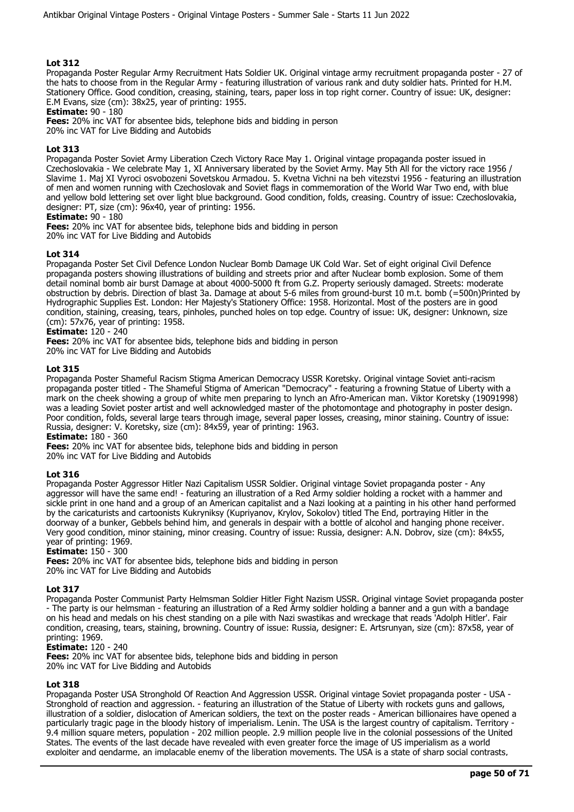Propaganda Poster Regular Army Recruitment Hats Soldier UK. Original vintage army recruitment propaganda poster - 27 of the hats to choose from in the Regular Army - featuring illustration of various rank and duty soldier hats. Printed for H.M. Stationery Office. Good condition, creasing, staining, tears, paper loss in top right corner. Country of issue: UK, designer: E.M Evans, size (cm): 38x25, year of printing: 1955.

**Estimate:** 90 - 180

**Fees:** 20% inc VAT for absentee bids, telephone bids and bidding in person

20% inc VAT for Live Bidding and Autobids

## **Lot 313**

Propaganda Poster Soviet Army Liberation Czech Victory Race May 1. Original vintage propaganda poster issued in Czechoslovakia - We celebrate May 1, XI Anniversary liberated by the Soviet Army. May 5th All for the victory race 1956 / Slavime 1. Maj XI Vyroci osvobozeni Sovetskou Armadou. 5. Kvetna Vichni na beh vitezstvi 1956 - featuring an illustration of men and women running with Czechoslovak and Soviet flags in commemoration of the World War Two end, with blue and yellow bold lettering set over light blue background. Good condition, folds, creasing. Country of issue: Czechoslovakia, designer: PT, size (cm): 96x40, year of printing: 1956.

#### **Estimate:** 90 - 180

**Fees:** 20% inc VAT for absentee bids, telephone bids and bidding in person 20% inc VAT for Live Bidding and Autobids

## **Lot 314**

Propaganda Poster Set Civil Defence London Nuclear Bomb Damage UK Cold War. Set of eight original Civil Defence propaganda posters showing illustrations of building and streets prior and after Nuclear bomb explosion. Some of them detail nominal bomb air burst Damage at about 4000-5000 ft from G.Z. Property seriously damaged. Streets: moderate obstruction by debris. Direction of blast 3a. Damage at about 5-6 miles from ground-burst 10 m.t. bomb (=500n)Printed by Hydrographic Supplies Est. London: Her Majesty's Stationery Office: 1958. Horizontal. Most of the posters are in good condition, staining, creasing, tears, pinholes, punched holes on top edge. Country of issue: UK, designer: Unknown, size (cm): 57x76, year of printing: 1958.

## **Estimate:** 120 - 240

**Fees:** 20% inc VAT for absentee bids, telephone bids and bidding in person

20% inc VAT for Live Bidding and Autobids

#### **Lot 315**

Propaganda Poster Shameful Racism Stigma American Democracy USSR Koretsky. Original vintage Soviet anti-racism propaganda poster titled - The Shameful Stigma of American "Democracy" - featuring a frowning Statue of Liberty with a mark on the cheek showing a group of white men preparing to lynch an Afro-American man. Viktor Koretsky (19091998) was a leading Soviet poster artist and well acknowledged master of the photomontage and photography in poster design. Poor condition, folds, several large tears through image, several paper losses, creasing, minor staining. Country of issue: Russia, designer: V. Koretsky, size (cm): 84x59, year of printing: 1963.

## **Estimate:** 180 - 360

**Fees:** 20% inc VAT for absentee bids, telephone bids and bidding in person

20% inc VAT for Live Bidding and Autobids

#### **Lot 316**

Propaganda Poster Aggressor Hitler Nazi Capitalism USSR Soldier. Original vintage Soviet propaganda poster - Any aggressor will have the same end! - featuring an illustration of a Red Army soldier holding a rocket with a hammer and sickle print in one hand and a group of an American capitalist and a Nazi looking at a painting in his other hand performed by the caricaturists and cartoonists Kukryniksy (Kupriyanov, Krylov, Sokolov) titled The End, portraying Hitler in the doorway of a bunker, Gebbels behind him, and generals in despair with a bottle of alcohol and hanging phone receiver. Very good condition, minor staining, minor creasing. Country of issue: Russia, designer: A.N. Dobrov, size (cm): 84x55, year of printing: 1969.

#### **Estimate:** 150 - 300

**Fees:** 20% inc VAT for absentee bids, telephone bids and bidding in person 20% inc VAT for Live Bidding and Autobids

#### **Lot 317**

Propaganda Poster Communist Party Helmsman Soldier Hitler Fight Nazism USSR. Original vintage Soviet propaganda poster - The party is our helmsman - featuring an illustration of a Red Army soldier holding a banner and a gun with a bandage on his head and medals on his chest standing on a pile with Nazi swastikas and wreckage that reads 'Adolph Hitler'. Fair condition, creasing, tears, staining, browning. Country of issue: Russia, designer: E. Artsrunyan, size (cm): 87x58, year of printing: 1969.

#### **Estimate:** 120 - 240

**Fees:** 20% inc VAT for absentee bids, telephone bids and bidding in person 20% inc VAT for Live Bidding and Autobids

#### **Lot 318**

Propaganda Poster USA Stronghold Of Reaction And Aggression USSR. Original vintage Soviet propaganda poster - USA - Stronghold of reaction and aggression. - featuring an illustration of the Statue of Liberty with rockets guns and gallows, illustration of a soldier, dislocation of American soldiers, the text on the poster reads - American billionaires have opened a particularly tragic page in the bloody history of imperialism. Lenin. The USA is the largest country of capitalism. Territory - 9.4 million square meters, population - 202 million people. 2.9 million people live in the colonial possessions of the United States. The events of the last decade have revealed with even greater force the image of US imperialism as a world exploiter and gendarme, an implacable enemy of the liberation movements. The USA is a state of sharp social contrasts,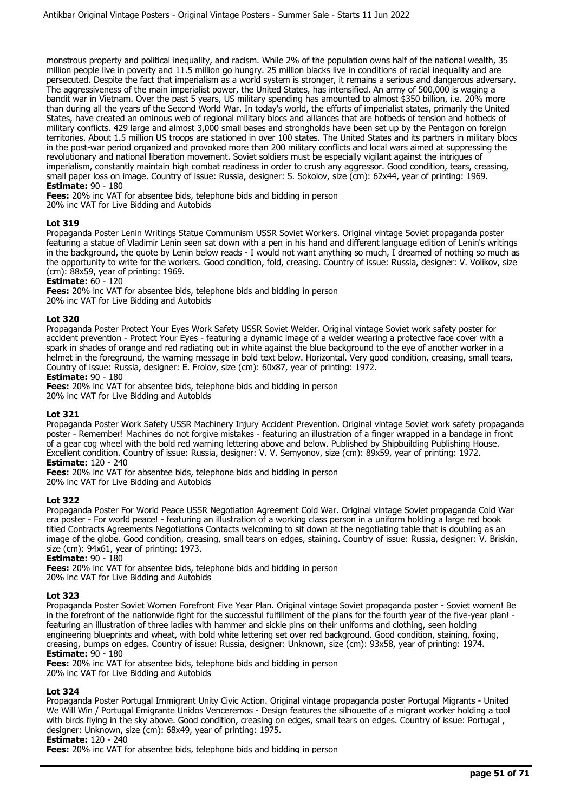monstrous property and political inequality, and racism. While 2% of the population owns half of the national wealth, 35 million people live in poverty and 11.5 million go hungry. 25 million blacks live in conditions of racial inequality and are persecuted. Despite the fact that imperialism as a world system is stronger, it remains a serious and dangerous adversary. The aggressiveness of the main imperialist power, the United States, has intensified. An army of 500,000 is waging a bandit war in Vietnam. Over the past 5 years, US military spending has amounted to almost \$350 billion, i.e. 20% more than during all the years of the Second World War. In today's world, the efforts of imperialist states, primarily the United States, have created an ominous web of regional military blocs and alliances that are hotbeds of tension and hotbeds of military conflicts. 429 large and almost 3,000 small bases and strongholds have been set up by the Pentagon on foreign territories. About 1.5 million US troops are stationed in over 100 states. The United States and its partners in military blocs in the post-war period organized and provoked more than 200 military conflicts and local wars aimed at suppressing the revolutionary and national liberation movement. Soviet soldiers must be especially vigilant against the intrigues of imperialism, constantly maintain high combat readiness in order to crush any aggressor. Good condition, tears, creasing, small paper loss on image. Country of issue: Russia, designer: S. Sokolov, size (cm): 62x44, year of printing: 1969. **Estimate:** 90 - 180

**Fees:** 20% inc VAT for absentee bids, telephone bids and bidding in person 20% inc VAT for Live Bidding and Autobids

## **Lot 319**

Propaganda Poster Lenin Writings Statue Communism USSR Soviet Workers. Original vintage Soviet propaganda poster featuring a statue of Vladimir Lenin seen sat down with a pen in his hand and different language edition of Lenin's writings in the background, the quote by Lenin below reads - I would not want anything so much, I dreamed of nothing so much as the opportunity to write for the workers. Good condition, fold, creasing. Country of issue: Russia, designer: V. Volikov, size (cm): 88x59, year of printing: 1969.

## **Estimate:** 60 - 120

**Fees:** 20% inc VAT for absentee bids, telephone bids and bidding in person 20% inc VAT for Live Bidding and Autobids

## **Lot 320**

Propaganda Poster Protect Your Eyes Work Safety USSR Soviet Welder. Original vintage Soviet work safety poster for accident prevention - Protect Your Eyes - featuring a dynamic image of a welder wearing a protective face cover with a spark in shades of orange and red radiating out in white against the blue background to the eye of another worker in a helmet in the foreground, the warning message in bold text below. Horizontal. Very good condition, creasing, small tears, Country of issue: Russia, designer: E. Frolov, size (cm): 60x87, year of printing: 1972.

## **Estimate:** 90 - 180

**Fees:** 20% inc VAT for absentee bids, telephone bids and bidding in person 20% inc VAT for Live Bidding and Autobids

#### **Lot 321**

Propaganda Poster Work Safety USSR Machinery Injury Accident Prevention. Original vintage Soviet work safety propaganda poster - Remember! Machines do not forgive mistakes - featuring an illustration of a finger wrapped in a bandage in front of a gear cog wheel with the bold red warning lettering above and below. Published by Shipbuilding Publishing House. Excellent condition. Country of issue: Russia, designer: V. V. Semyonov, size (cm): 89x59, year of printing: 1972. **Estimate:** 120 - 240

**Fees:** 20% inc VAT for absentee bids, telephone bids and bidding in person

20% inc VAT for Live Bidding and Autobids

#### **Lot 322**

Propaganda Poster For World Peace USSR Negotiation Agreement Cold War. Original vintage Soviet propaganda Cold War era poster - For world peace! - featuring an illustration of a working class person in a uniform holding a large red book titled Contracts Agreements Negotiations Contacts welcoming to sit down at the negotiating table that is doubling as an image of the globe. Good condition, creasing, small tears on edges, staining. Country of issue: Russia, designer: V. Briskin, size (cm): 94x61, year of printing: 1973.

## **Estimate:** 90 - 180

**Fees:** 20% inc VAT for absentee bids, telephone bids and bidding in person 20% inc VAT for Live Bidding and Autobids

#### **Lot 323**

Propaganda Poster Soviet Women Forefront Five Year Plan. Original vintage Soviet propaganda poster - Soviet women! Be in the forefront of the nationwide fight for the successful fulfillment of the plans for the fourth year of the five-year plan! featuring an illustration of three ladies with hammer and sickle pins on their uniforms and clothing, seen holding engineering blueprints and wheat, with bold white lettering set over red background. Good condition, staining, foxing, creasing, bumps on edges. Country of issue: Russia, designer: Unknown, size (cm): 93x58, year of printing: 1974. **Estimate:** 90 - 180

**Fees:** 20% inc VAT for absentee bids, telephone bids and bidding in person

20% inc VAT for Live Bidding and Autobids

#### **Lot 324**

Propaganda Poster Portugal Immigrant Unity Civic Action. Original vintage propaganda poster Portugal Migrants - United We Will Win / Portugal Emigrante Unidos Venceremos - Design features the silhouette of a migrant worker holding a tool with birds flying in the sky above. Good condition, creasing on edges, small tears on edges. Country of issue: Portugal, designer: Unknown, size (cm): 68x49, year of printing: 1975.

## **Estimate:** 120 - 240

**Fees:** 20% inc VAT for absentee bids, telephone bids and bidding in person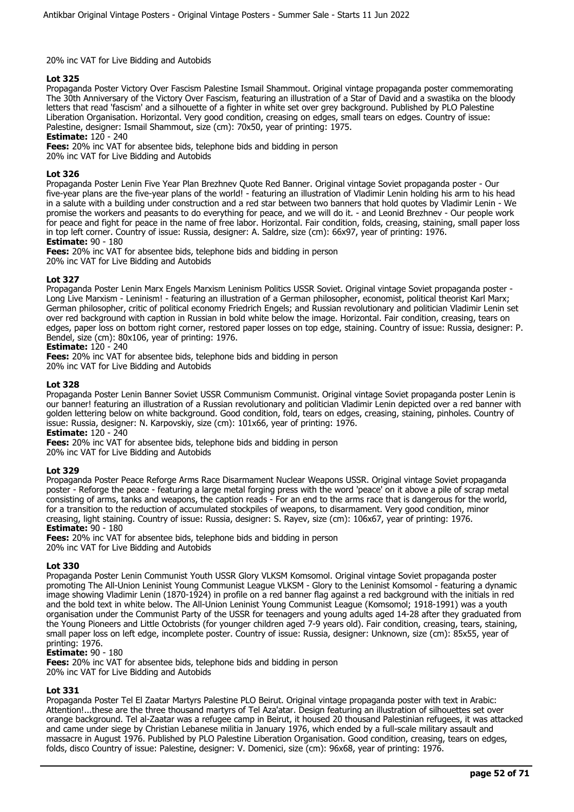#### 20% inc VAT for Live Bidding and Autobids

## **Lot 325**

Propaganda Poster Victory Over Fascism Palestine Ismail Shammout. Original vintage propaganda poster commemorating The 30th Anniversary of the Victory Over Fascism, featuring an illustration of a Star of David and a swastika on the bloody letters that read 'fascism' and a silhouette of a fighter in white set over grey background. Published by PLO Palestine Liberation Organisation. Horizontal. Very good condition, creasing on edges, small tears on edges. Country of issue: Palestine, designer: Ismail Shammout, size (cm): 70x50, year of printing: 1975.

## **Estimate:** 120 - 240

**Fees:** 20% inc VAT for absentee bids, telephone bids and bidding in person 20% inc VAT for Live Bidding and Autobids

## **Lot 326**

Propaganda Poster Lenin Five Year Plan Brezhnev Quote Red Banner. Original vintage Soviet propaganda poster - Our five-year plans are the five-year plans of the world! - featuring an illustration of Vladimir Lenin holding his arm to his head in a salute with a building under construction and a red star between two banners that hold quotes by Vladimir Lenin - We promise the workers and peasants to do everything for peace, and we will do it. - and Leonid Brezhnev - Our people work for peace and fight for peace in the name of free labor. Horizontal. Fair condition, folds, creasing, staining, small paper loss in top left corner. Country of issue: Russia, designer: A. Saldre, size (cm): 66x97, year of printing: 1976.

## **Estimate:** 90 - 180

**Fees:** 20% inc VAT for absentee bids, telephone bids and bidding in person 20% inc VAT for Live Bidding and Autobids

## **Lot 327**

Propaganda Poster Lenin Marx Engels Marxism Leninism Politics USSR Soviet. Original vintage Soviet propaganda poster - Long Live Marxism - Leninism! - featuring an illustration of a German philosopher, economist, political theorist Karl Marx; German philosopher, critic of political economy Friedrich Engels; and Russian revolutionary and politician Vladimir Lenin set over red background with caption in Russian in bold white below the image. Horizontal. Fair condition, creasing, tears on edges, paper loss on bottom right corner, restored paper losses on top edge, staining. Country of issue: Russia, designer: P. Bendel, size (cm): 80x106, year of printing: 1976.

## **Estimate:** 120 - 240

**Fees:** 20% inc VAT for absentee bids, telephone bids and bidding in person

20% inc VAT for Live Bidding and Autobids

## **Lot 328**

Propaganda Poster Lenin Banner Soviet USSR Communism Communist. Original vintage Soviet propaganda poster Lenin is our banner! featuring an illustration of a Russian revolutionary and politician Vladimir Lenin depicted over a red banner with golden lettering below on white background. Good condition, fold, tears on edges, creasing, staining, pinholes. Country of issue: Russia, designer: N. Karpovskiy, size (cm): 101x66, year of printing: 1976.

**Estimate:** 120 - 240

**Fees:** 20% inc VAT for absentee bids, telephone bids and bidding in person

20% inc VAT for Live Bidding and Autobids

## **Lot 329**

Propaganda Poster Peace Reforge Arms Race Disarmament Nuclear Weapons USSR. Original vintage Soviet propaganda poster - Reforge the peace - featuring a large metal forging press with the word 'peace' on it above a pile of scrap metal consisting of arms, tanks and weapons, the caption reads - For an end to the arms race that is dangerous for the world, for a transition to the reduction of accumulated stockpiles of weapons, to disarmament. Very good condition, minor creasing, light staining. Country of issue: Russia, designer: S. Rayev, size (cm): 106x67, year of printing: 1976. **Estimate:** 90 - 180

**Fees:** 20% inc VAT for absentee bids, telephone bids and bidding in person 20% inc VAT for Live Bidding and Autobids

## **Lot 330**

Propaganda Poster Lenin Communist Youth USSR Glory VLKSM Komsomol. Original vintage Soviet propaganda poster promoting The All-Union Leninist Young Communist League VLKSM - Glory to the Leninist Komsomol - featuring a dynamic image showing Vladimir Lenin (1870-1924) in profile on a red banner flag against a red background with the initials in red and the bold text in white below. The All-Union Leninist Young Communist League (Komsomol; 1918-1991) was a youth organisation under the Communist Party of the USSR for teenagers and young adults aged 14-28 after they graduated from the Young Pioneers and Little Octobrists (for younger children aged 7-9 years old). Fair condition, creasing, tears, staining, small paper loss on left edge, incomplete poster. Country of issue: Russia, designer: Unknown, size (cm): 85x55, year of printing: 1976.

#### **Estimate:** 90 - 180

**Fees:** 20% inc VAT for absentee bids, telephone bids and bidding in person 20% inc VAT for Live Bidding and Autobids

## **Lot 331**

Propaganda Poster Tel El Zaatar Martyrs Palestine PLO Beirut. Original vintage propaganda poster with text in Arabic: Attention!...these are the three thousand martyrs of Tel Aza'atar. Design featuring an illustration of silhouettes set over orange background. Tel al-Zaatar was a refugee camp in Beirut, it housed 20 thousand Palestinian refugees, it was attacked and came under siege by Christian Lebanese militia in January 1976, which ended by a full-scale military assault and massacre in August 1976. Published by PLO Palestine Liberation Organisation. Good condition, creasing, tears on edges, folds, disco Country of issue: Palestine, designer: V. Domenici, size (cm): 96x68, year of printing: 1976.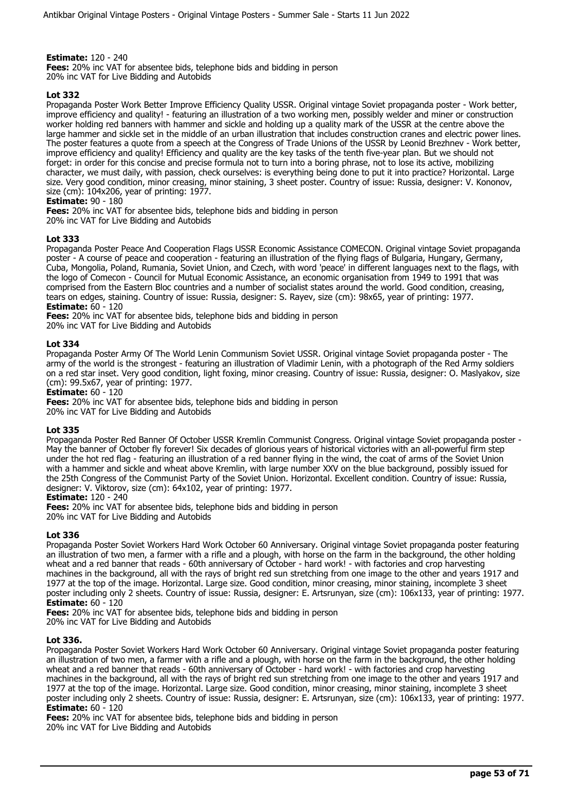**Estimate:** 120 - 240

**Fees:** 20% inc VAT for absentee bids, telephone bids and bidding in person 20% inc VAT for Live Bidding and Autobids

## **Lot 332**

Propaganda Poster Work Better Improve Efficiency Quality USSR. Original vintage Soviet propaganda poster - Work better, improve efficiency and quality! - featuring an illustration of a two working men, possibly welder and miner or construction worker holding red banners with hammer and sickle and holding up a quality mark of the USSR at the centre above the large hammer and sickle set in the middle of an urban illustration that includes construction cranes and electric power lines. The poster features a quote from a speech at the Congress of Trade Unions of the USSR by Leonid Brezhnev - Work better, improve efficiency and quality! Efficiency and quality are the key tasks of the tenth five-year plan. But we should not forget: in order for this concise and precise formula not to turn into a boring phrase, not to lose its active, mobilizing character, we must daily, with passion, check ourselves: is everything being done to put it into practice? Horizontal. Large size. Very good condition, minor creasing, minor staining, 3 sheet poster. Country of issue: Russia, designer: V. Kononov, size (cm): 104x206, year of printing: 1977.

## **Estimate:** 90 - 180

**Fees:** 20% inc VAT for absentee bids, telephone bids and bidding in person 20% inc VAT for Live Bidding and Autobids

## **Lot 333**

Propaganda Poster Peace And Cooperation Flags USSR Economic Assistance COMECON. Original vintage Soviet propaganda poster - A course of peace and cooperation - featuring an illustration of the flying flags of Bulgaria, Hungary, Germany, Cuba, Mongolia, Poland, Rumania, Soviet Union, and Czech, with word 'peace' in different languages next to the flags, with the logo of Comecon - Council for Mutual Economic Assistance, an economic organisation from 1949 to 1991 that was comprised from the Eastern Bloc countries and a number of socialist states around the world. Good condition, creasing, tears on edges, staining. Country of issue: Russia, designer: S. Rayev, size (cm): 98x65, year of printing: 1977. **Estimate:** 60 - 120

**Fees:** 20% inc VAT for absentee bids, telephone bids and bidding in person 20% inc VAT for Live Bidding and Autobids

## **Lot 334**

Propaganda Poster Army Of The World Lenin Communism Soviet USSR. Original vintage Soviet propaganda poster - The army of the world is the strongest - featuring an illustration of Vladimir Lenin, with a photograph of the Red Army soldiers on a red star inset. Very good condition, light foxing, minor creasing. Country of issue: Russia, designer: O. Maslyakov, size (cm): 99.5x67, year of printing: 1977.

**Estimate:** 60 - 120

**Fees:** 20% inc VAT for absentee bids, telephone bids and bidding in person 20% inc VAT for Live Bidding and Autobids

#### **Lot 335**

Propaganda Poster Red Banner Of October USSR Kremlin Communist Congress. Original vintage Soviet propaganda poster - May the banner of October fly forever! Six decades of glorious years of historical victories with an all-powerful firm step under the hot red flag - featuring an illustration of a red banner flying in the wind, the coat of arms of the Soviet Union with a hammer and sickle and wheat above Kremlin, with large number XXV on the blue background, possibly issued for the 25th Congress of the Communist Party of the Soviet Union. Horizontal. Excellent condition. Country of issue: Russia, designer: V. Viktorov, size (cm): 64x102, year of printing: 1977.

**Estimate:** 120 - 240

**Fees:** 20% inc VAT for absentee bids, telephone bids and bidding in person 20% inc VAT for Live Bidding and Autobids

#### **Lot 336**

Propaganda Poster Soviet Workers Hard Work October 60 Anniversary. Original vintage Soviet propaganda poster featuring an illustration of two men, a farmer with a rifle and a plough, with horse on the farm in the background, the other holding wheat and a red banner that reads - 60th anniversary of October - hard work! - with factories and crop harvesting machines in the background, all with the rays of bright red sun stretching from one image to the other and years 1917 and 1977 at the top of the image. Horizontal. Large size. Good condition, minor creasing, minor staining, incomplete 3 sheet poster including only 2 sheets. Country of issue: Russia, designer: E. Artsrunyan, size (cm): 106x133, year of printing: 1977. **Estimate:** 60 - 120

**Fees:** 20% inc VAT for absentee bids, telephone bids and bidding in person

20% inc VAT for Live Bidding and Autobids

#### **Lot 336.**

Propaganda Poster Soviet Workers Hard Work October 60 Anniversary. Original vintage Soviet propaganda poster featuring an illustration of two men, a farmer with a rifle and a plough, with horse on the farm in the background, the other holding wheat and a red banner that reads - 60th anniversary of October - hard work! - with factories and crop harvesting machines in the background, all with the rays of bright red sun stretching from one image to the other and years 1917 and 1977 at the top of the image. Horizontal. Large size. Good condition, minor creasing, minor staining, incomplete 3 sheet poster including only 2 sheets. Country of issue: Russia, designer: E. Artsrunyan, size (cm): 106x133, year of printing: 1977. **Estimate:** 60 - 120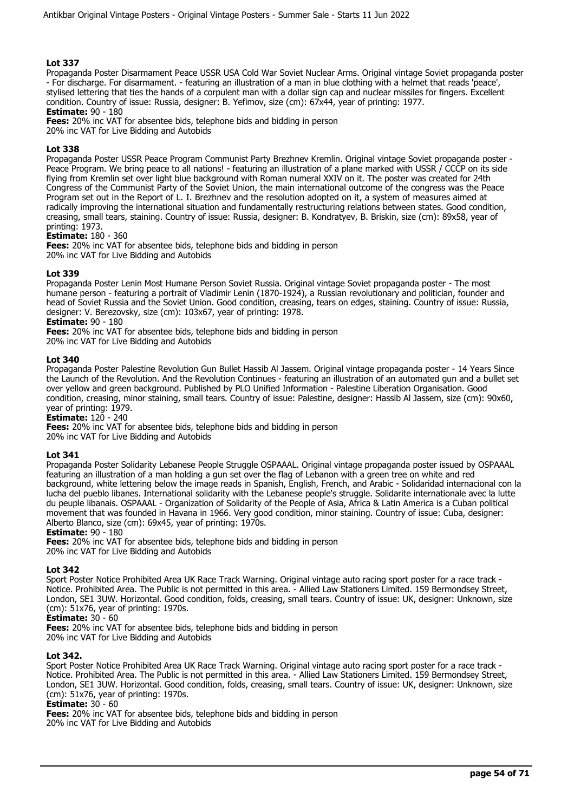Propaganda Poster Disarmament Peace USSR USA Cold War Soviet Nuclear Arms. Original vintage Soviet propaganda poster - For discharge. For disarmament. - featuring an illustration of a man in blue clothing with a helmet that reads 'peace', stylised lettering that ties the hands of a corpulent man with a dollar sign cap and nuclear missiles for fingers. Excellent condition. Country of issue: Russia, designer: B. Yefimov, size (cm): 67x44, year of printing: 1977.

**Estimate:** 90 - 180

**Fees:** 20% inc VAT for absentee bids, telephone bids and bidding in person 20% inc VAT for Live Bidding and Autobids

## **Lot 338**

Propaganda Poster USSR Peace Program Communist Party Brezhnev Kremlin. Original vintage Soviet propaganda poster - Peace Program. We bring peace to all nations! - featuring an illustration of a plane marked with USSR / CCCP on its side flying from Kremlin set over light blue background with Roman numeral XXIV on it. The poster was created for 24th Congress of the Communist Party of the Soviet Union, the main international outcome of the congress was the Peace Program set out in the Report of L. I. Brezhnev and the resolution adopted on it, a system of measures aimed at radically improving the international situation and fundamentally restructuring relations between states. Good condition, creasing, small tears, staining. Country of issue: Russia, designer: B. Kondratyev, B. Briskin, size (cm): 89x58, year of printing: 1973.

## **Estimate:** 180 - 360

**Fees:** 20% inc VAT for absentee bids, telephone bids and bidding in person 20% inc VAT for Live Bidding and Autobids

#### **Lot 339**

Propaganda Poster Lenin Most Humane Person Soviet Russia. Original vintage Soviet propaganda poster - The most humane person - featuring a portrait of Vladimir Lenin (1870-1924), a Russian revolutionary and politician, founder and head of Soviet Russia and the Soviet Union. Good condition, creasing, tears on edges, staining. Country of issue: Russia, designer: V. Berezovsky, size (cm): 103x67, year of printing: 1978.

## **Estimate:** 90 - 180

**Fees:** 20% inc VAT for absentee bids, telephone bids and bidding in person 20% inc VAT for Live Bidding and Autobids

#### **Lot 340**

Propaganda Poster Palestine Revolution Gun Bullet Hassib Al Jassem. Original vintage propaganda poster - 14 Years Since the Launch of the Revolution. And the Revolution Continues - featuring an illustration of an automated gun and a bullet set over yellow and green background. Published by PLO Unified Information - Palestine Liberation Organisation. Good condition, creasing, minor staining, small tears. Country of issue: Palestine, designer: Hassib Al Jassem, size (cm): 90x60, year of printing: 1979.

**Estimate:** 120 - 240

**Fees:** 20% inc VAT for absentee bids, telephone bids and bidding in person 20% inc VAT for Live Bidding and Autobids

#### **Lot 341**

Propaganda Poster Solidarity Lebanese People Struggle OSPAAAL. Original vintage propaganda poster issued by OSPAAAL featuring an illustration of a man holding a gun set over the flag of Lebanon with a green tree on white and red background, white lettering below the image reads in Spanish, English, French, and Arabic - Solidaridad internacional con la lucha del pueblo libanes. International solidarity with the Lebanese people's struggle. Solidarite internationale avec la lutte du peuple libanais. OSPAAAL - Organization of Solidarity of the People of Asia, Africa & Latin America is a Cuban political movement that was founded in Havana in 1966. Very good condition, minor staining. Country of issue: Cuba, designer: Alberto Blanco, size (cm): 69x45, year of printing: 1970s.

#### **Estimate:** 90 - 180

**Fees:** 20% inc VAT for absentee bids, telephone bids and bidding in person 20% inc VAT for Live Bidding and Autobids

#### **Lot 342**

Sport Poster Notice Prohibited Area UK Race Track Warning. Original vintage auto racing sport poster for a race track - Notice. Prohibited Area. The Public is not permitted in this area. - Allied Law Stationers Limited. 159 Bermondsey Street, London, SE1 3UW. Horizontal. Good condition, folds, creasing, small tears. Country of issue: UK, designer: Unknown, size (cm): 51x76, year of printing: 1970s.

# **Estimate:** 30 - 60

**Fees:** 20% inc VAT for absentee bids, telephone bids and bidding in person

#### 20% inc VAT for Live Bidding and Autobids

#### **Lot 342.**

Sport Poster Notice Prohibited Area UK Race Track Warning. Original vintage auto racing sport poster for a race track - Notice. Prohibited Area. The Public is not permitted in this area. - Allied Law Stationers Limited. 159 Bermondsey Street, London, SE1 3UW. Horizontal. Good condition, folds, creasing, small tears. Country of issue: UK, designer: Unknown, size (cm): 51x76, year of printing: 1970s.

#### **Estimate:** 30 - 60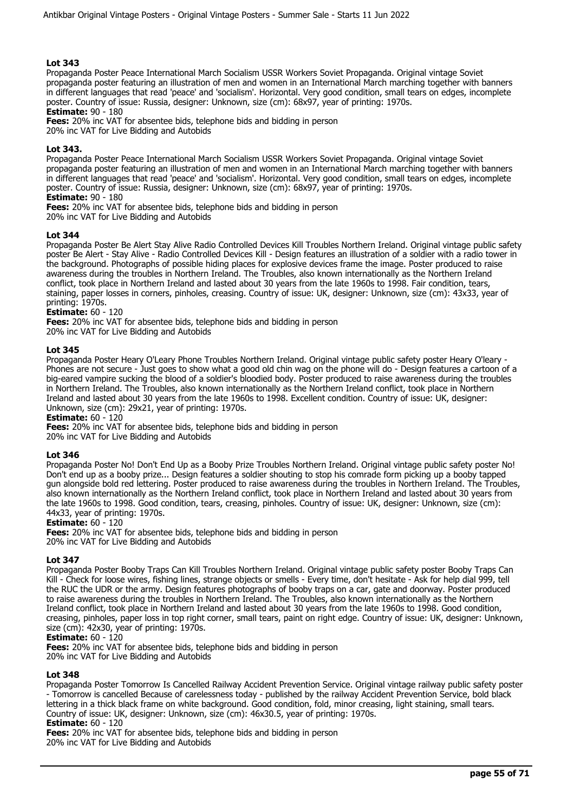Propaganda Poster Peace International March Socialism USSR Workers Soviet Propaganda. Original vintage Soviet propaganda poster featuring an illustration of men and women in an International March marching together with banners in different languages that read 'peace' and 'socialism'. Horizontal. Very good condition, small tears on edges, incomplete poster. Country of issue: Russia, designer: Unknown, size (cm): 68x97, year of printing: 1970s.

**Estimate:** 90 - 180

**Fees:** 20% inc VAT for absentee bids, telephone bids and bidding in person

20% inc VAT for Live Bidding and Autobids

## **Lot 343.**

Propaganda Poster Peace International March Socialism USSR Workers Soviet Propaganda. Original vintage Soviet propaganda poster featuring an illustration of men and women in an International March marching together with banners in different languages that read 'peace' and 'socialism'. Horizontal. Very good condition, small tears on edges, incomplete poster. Country of issue: Russia, designer: Unknown, size (cm): 68x97, year of printing: 1970s.

## **Estimate:** 90 - 180

**Fees:** 20% inc VAT for absentee bids, telephone bids and bidding in person

20% inc VAT for Live Bidding and Autobids

## **Lot 344**

Propaganda Poster Be Alert Stay Alive Radio Controlled Devices Kill Troubles Northern Ireland. Original vintage public safety poster Be Alert - Stay Alive - Radio Controlled Devices Kill - Design features an illustration of a soldier with a radio tower in the background. Photographs of possible hiding places for explosive devices frame the image. Poster produced to raise awareness during the troubles in Northern Ireland. The Troubles, also known internationally as the Northern Ireland conflict, took place in Northern Ireland and lasted about 30 years from the late 1960s to 1998. Fair condition, tears, staining, paper losses in corners, pinholes, creasing. Country of issue: UK, designer: Unknown, size (cm): 43x33, year of printing: 1970s.

# **Estimate:** 60 - 120

**Fees:** 20% inc VAT for absentee bids, telephone bids and bidding in person

20% inc VAT for Live Bidding and Autobids

## **Lot 345**

Propaganda Poster Heary O'Leary Phone Troubles Northern Ireland. Original vintage public safety poster Heary O'leary -Phones are not secure - Just goes to show what a good old chin wag on the phone will do - Design features a cartoon of a big-eared vampire sucking the blood of a soldier's bloodied body. Poster produced to raise awareness during the troubles in Northern Ireland. The Troubles, also known internationally as the Northern Ireland conflict, took place in Northern Ireland and lasted about 30 years from the late 1960s to 1998. Excellent condition. Country of issue: UK, designer: Unknown, size (cm): 29x21, year of printing: 1970s.

**Estimate:** 60 - 120

**Fees:** 20% inc VAT for absentee bids, telephone bids and bidding in person

#### 20% inc VAT for Live Bidding and Autobids

#### **Lot 346**

Propaganda Poster No! Don't End Up as a Booby Prize Troubles Northern Ireland. Original vintage public safety poster No! Don't end up as a booby prize... Design features a soldier shouting to stop his comrade form picking up a booby tapped gun alongside bold red lettering. Poster produced to raise awareness during the troubles in Northern Ireland. The Troubles, also known internationally as the Northern Ireland conflict, took place in Northern Ireland and lasted about 30 years from the late 1960s to 1998. Good condition, tears, creasing, pinholes. Country of issue: UK, designer: Unknown, size (cm): 44x33, year of printing: 1970s.

#### **Estimate:** 60 - 120

**Fees:** 20% inc VAT for absentee bids, telephone bids and bidding in person 20% inc VAT for Live Bidding and Autobids

#### **Lot 347**

Propaganda Poster Booby Traps Can Kill Troubles Northern Ireland. Original vintage public safety poster Booby Traps Can Kill - Check for loose wires, fishing lines, strange objects or smells - Every time, don't hesitate - Ask for help dial 999, tell the RUC the UDR or the army. Design features photographs of booby traps on a car, gate and doorway. Poster produced to raise awareness during the troubles in Northern Ireland. The Troubles, also known internationally as the Northern Ireland conflict, took place in Northern Ireland and lasted about 30 years from the late 1960s to 1998. Good condition, creasing, pinholes, paper loss in top right corner, small tears, paint on right edge. Country of issue: UK, designer: Unknown, size (cm): 42x30, year of printing: 1970s.

## **Estimate:** 60 - 120

**Fees:** 20% inc VAT for absentee bids, telephone bids and bidding in person 20% inc VAT for Live Bidding and Autobids

#### **Lot 348**

Propaganda Poster Tomorrow Is Cancelled Railway Accident Prevention Service. Original vintage railway public safety poster - Tomorrow is cancelled Because of carelessness today - published by the railway Accident Prevention Service, bold black lettering in a thick black frame on white background. Good condition, fold, minor creasing, light staining, small tears. Country of issue: UK, designer: Unknown, size (cm): 46x30.5, year of printing: 1970s. **Estimate:** 60 - 120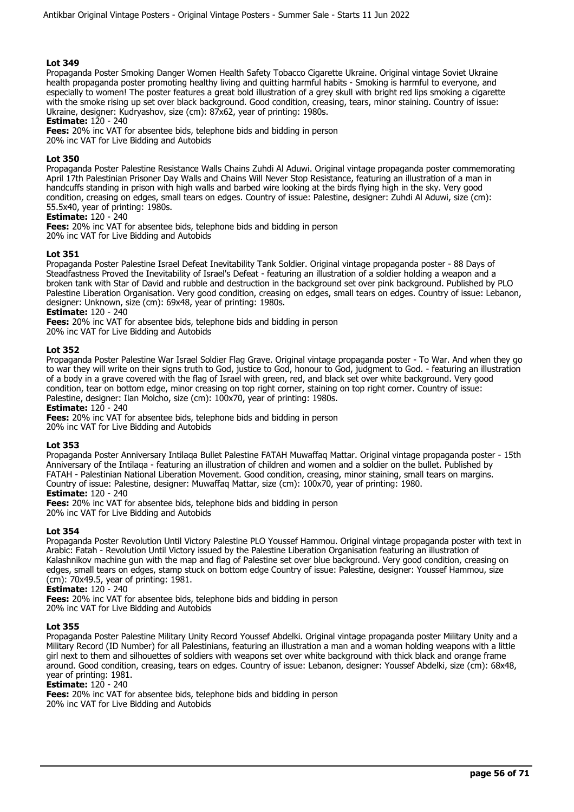Propaganda Poster Smoking Danger Women Health Safety Tobacco Cigarette Ukraine. Original vintage Soviet Ukraine health propaganda poster promoting healthy living and quitting harmful habits - Smoking is harmful to everyone, and especially to women! The poster features a great bold illustration of a grey skull with bright red lips smoking a cigarette with the smoke rising up set over black background. Good condition, creasing, tears, minor staining. Country of issue: Ukraine, designer: Kudryashov, size (cm): 87x62, year of printing: 1980s.

**Estimate:** 120 - 240

**Fees:** 20% inc VAT for absentee bids, telephone bids and bidding in person 20% inc VAT for Live Bidding and Autobids

## **Lot 350**

Propaganda Poster Palestine Resistance Walls Chains Zuhdi Al Aduwi. Original vintage propaganda poster commemorating April 17th Palestinian Prisoner Day Walls and Chains Will Never Stop Resistance, featuring an illustration of a man in handcuffs standing in prison with high walls and barbed wire looking at the birds flying high in the sky. Very good condition, creasing on edges, small tears on edges. Country of issue: Palestine, designer: Zuhdi Al Aduwi, size (cm): 55.5x40, year of printing: 1980s.

## **Estimate:** 120 - 240

**Fees:** 20% inc VAT for absentee bids, telephone bids and bidding in person 20% inc VAT for Live Bidding and Autobids

## **Lot 351**

Propaganda Poster Palestine Israel Defeat Inevitability Tank Soldier. Original vintage propaganda poster - 88 Days of Steadfastness Proved the Inevitability of Israel's Defeat - featuring an illustration of a soldier holding a weapon and a broken tank with Star of David and rubble and destruction in the background set over pink background. Published by PLO Palestine Liberation Organisation. Very good condition, creasing on edges, small tears on edges. Country of issue: Lebanon, designer: Unknown, size (cm): 69x48, year of printing: 1980s.

## **Estimate:** 120 - 240

**Fees:** 20% inc VAT for absentee bids, telephone bids and bidding in person

20% inc VAT for Live Bidding and Autobids

## **Lot 352**

Propaganda Poster Palestine War Israel Soldier Flag Grave. Original vintage propaganda poster - To War. And when they go to war they will write on their signs truth to God, justice to God, honour to God, judgment to God. - featuring an illustration of a body in a grave covered with the flag of Israel with green, red, and black set over white background. Very good condition, tear on bottom edge, minor creasing on top right corner, staining on top right corner. Country of issue: Palestine, designer: Ilan Molcho, size (cm): 100x70, year of printing: 1980s.

**Estimate:** 120 - 240

**Fees:** 20% inc VAT for absentee bids, telephone bids and bidding in person 20% inc VAT for Live Bidding and Autobids

## **Lot 353**

Propaganda Poster Anniversary Intilaqa Bullet Palestine FATAH Muwaffaq Mattar. Original vintage propaganda poster - 15th Anniversary of the Intilaqa - featuring an illustration of children and women and a soldier on the bullet. Published by FATAH - Palestinian National Liberation Movement. Good condition, creasing, minor staining, small tears on margins. Country of issue: Palestine, designer: Muwaffaq Mattar, size (cm): 100x70, year of printing: 1980.

# **Estimate:** 120 - 240

**Fees:** 20% inc VAT for absentee bids, telephone bids and bidding in person 20% inc VAT for Live Bidding and Autobids

## **Lot 354**

Propaganda Poster Revolution Until Victory Palestine PLO Youssef Hammou. Original vintage propaganda poster with text in Arabic: Fatah - Revolution Until Victory issued by the Palestine Liberation Organisation featuring an illustration of Kalashnikov machine gun with the map and flag of Palestine set over blue background. Very good condition, creasing on edges, small tears on edges, stamp stuck on bottom edge Country of issue: Palestine, designer: Youssef Hammou, size (cm): 70x49.5, year of printing: 1981.

**Estimate:** 120 - 240

**Fees:** 20% inc VAT for absentee bids, telephone bids and bidding in person 20% inc VAT for Live Bidding and Autobids

## **Lot 355**

Propaganda Poster Palestine Military Unity Record Youssef Abdelki. Original vintage propaganda poster Military Unity and a Military Record (ID Number) for all Palestinians, featuring an illustration a man and a woman holding weapons with a little girl next to them and silhouettes of soldiers with weapons set over white background with thick black and orange frame around. Good condition, creasing, tears on edges. Country of issue: Lebanon, designer: Youssef Abdelki, size (cm): 68x48, year of printing: 1981.

**Estimate:** 120 - 240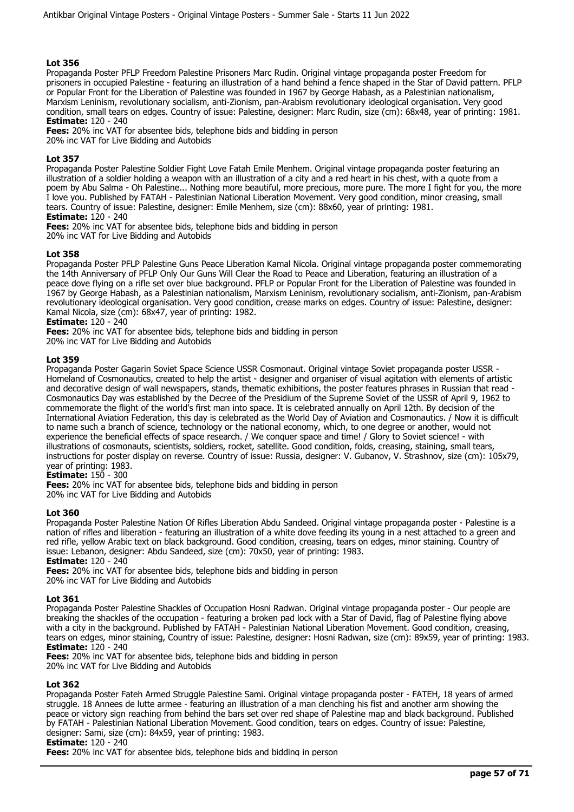Propaganda Poster PFLP Freedom Palestine Prisoners Marc Rudin. Original vintage propaganda poster Freedom for prisoners in occupied Palestine - featuring an illustration of a hand behind a fence shaped in the Star of David pattern. PFLP or Popular Front for the Liberation of Palestine was founded in 1967 by George Habash, as a Palestinian nationalism, Marxism Leninism, revolutionary socialism, anti-Zionism, pan-Arabism revolutionary ideological organisation. Very good condition, small tears on edges. Country of issue: Palestine, designer: Marc Rudin, size (cm): 68x48, year of printing: 1981. **Estimate:** 120 - 240

**Fees:** 20% inc VAT for absentee bids, telephone bids and bidding in person 20% inc VAT for Live Bidding and Autobids

## **Lot 357**

Propaganda Poster Palestine Soldier Fight Love Fatah Emile Menhem. Original vintage propaganda poster featuring an illustration of a soldier holding a weapon with an illustration of a city and a red heart in his chest, with a quote from a poem by Abu Salma - Oh Palestine... Nothing more beautiful, more precious, more pure. The more I fight for you, the more I love you. Published by FATAH - Palestinian National Liberation Movement. Very good condition, minor creasing, small tears. Country of issue: Palestine, designer: Emile Menhem, size (cm): 88x60, year of printing: 1981.

# **Estimate:** 120 - 240

**Fees:** 20% inc VAT for absentee bids, telephone bids and bidding in person 20% inc VAT for Live Bidding and Autobids

#### **Lot 358**

Propaganda Poster PFLP Palestine Guns Peace Liberation Kamal Nicola. Original vintage propaganda poster commemorating the 14th Anniversary of PFLP Only Our Guns Will Clear the Road to Peace and Liberation, featuring an illustration of a peace dove flying on a rifle set over blue background. PFLP or Popular Front for the Liberation of Palestine was founded in 1967 by George Habash, as a Palestinian nationalism, Marxism Leninism, revolutionary socialism, anti-Zionism, pan-Arabism revolutionary ideological organisation. Very good condition, crease marks on edges. Country of issue: Palestine, designer: Kamal Nicola, size (cm): 68x47, year of printing: 1982.

#### **Estimate:** 120 - 240

**Fees:** 20% inc VAT for absentee bids, telephone bids and bidding in person 20% inc VAT for Live Bidding and Autobids

#### **Lot 359**

Propaganda Poster Gagarin Soviet Space Science USSR Cosmonaut. Original vintage Soviet propaganda poster USSR - Homeland of Cosmonautics, created to help the artist - designer and organiser of visual agitation with elements of artistic and decorative design of wall newspapers, stands, thematic exhibitions, the poster features phrases in Russian that read - Cosmonautics Day was established by the Decree of the Presidium of the Supreme Soviet of the USSR of April 9, 1962 to commemorate the flight of the world's first man into space. It is celebrated annually on April 12th. By decision of the International Aviation Federation, this day is celebrated as the World Day of Aviation and Cosmonautics. / Now it is difficult to name such a branch of science, technology or the national economy, which, to one degree or another, would not experience the beneficial effects of space research. / We conquer space and time! / Glory to Soviet science! - with illustrations of cosmonauts, scientists, soldiers, rocket, satellite. Good condition, folds, creasing, staining, small tears, instructions for poster display on reverse. Country of issue: Russia, designer: V. Gubanov, V. Strashnov, size (cm): 105x79, year of printing: 1983.

## **Estimate:** 150 - 300

**Fees:** 20% inc VAT for absentee bids, telephone bids and bidding in person 20% inc VAT for Live Bidding and Autobids

#### **Lot 360**

Propaganda Poster Palestine Nation Of Rifles Liberation Abdu Sandeed. Original vintage propaganda poster - Palestine is a nation of rifles and liberation - featuring an illustration of a white dove feeding its young in a nest attached to a green and red rifle, yellow Arabic text on black background. Good condition, creasing, tears on edges, minor staining. Country of issue: Lebanon, designer: Abdu Sandeed, size (cm): 70x50, year of printing: 1983.

# **Estimate:** 120 - 240

**Fees:** 20% inc VAT for absentee bids, telephone bids and bidding in person 20% inc VAT for Live Bidding and Autobids

#### **Lot 361**

Propaganda Poster Palestine Shackles of Occupation Hosni Radwan. Original vintage propaganda poster - Our people are breaking the shackles of the occupation - featuring a broken pad lock with a Star of David, flag of Palestine flying above with a city in the background. Published by FATAH - Palestinian National Liberation Movement. Good condition, creasing, tears on edges, minor staining, Country of issue: Palestine, designer: Hosni Radwan, size (cm): 89x59, year of printing: 1983. **Estimate:** 120 - 240

**Fees:** 20% inc VAT for absentee bids, telephone bids and bidding in person 20% inc VAT for Live Bidding and Autobids

#### **Lot 362**

Propaganda Poster Fateh Armed Struggle Palestine Sami. Original vintage propaganda poster - FATEH, 18 years of armed struggle. 18 Annees de lutte armee - featuring an illustration of a man clenching his fist and another arm showing the peace or victory sign reaching from behind the bars set over red shape of Palestine map and black background. Published by FATAH - Palestinian National Liberation Movement. Good condition, tears on edges. Country of issue: Palestine, designer: Sami, size (cm): 84x59, year of printing: 1983.

# **Estimate:** 120 - 240

**Fees:** 20% inc VAT for absentee bids, telephone bids and bidding in person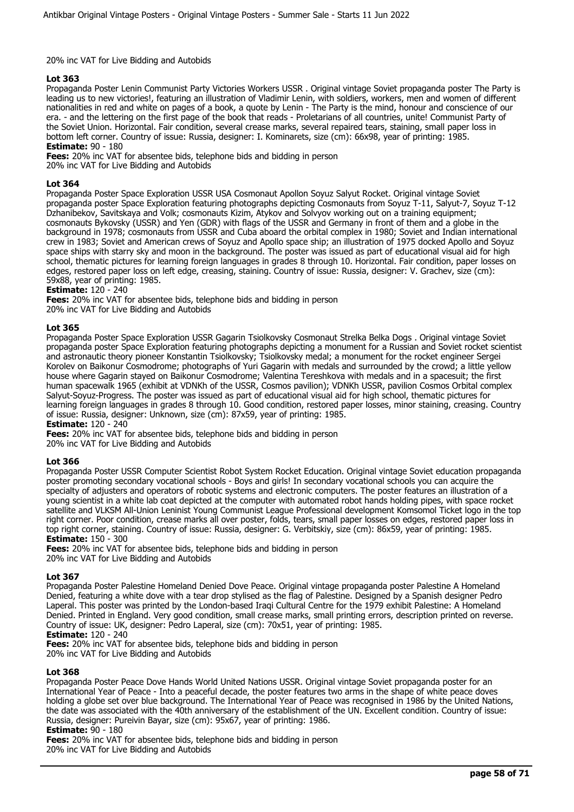#### 20% inc VAT for Live Bidding and Autobids

## **Lot 363**

Propaganda Poster Lenin Communist Party Victories Workers USSR . Original vintage Soviet propaganda poster The Party is leading us to new victories!, featuring an illustration of Vladimir Lenin, with soldiers, workers, men and women of different nationalities in red and white on pages of a book, a quote by Lenin - The Party is the mind, honour and conscience of our era. - and the lettering on the first page of the book that reads - Proletarians of all countries, unite! Communist Party of the Soviet Union. Horizontal. Fair condition, several crease marks, several repaired tears, staining, small paper loss in bottom left corner. Country of issue: Russia, designer: I. Kominarets, size (cm): 66x98, year of printing: 1985. **Estimate:** 90 - 180

**Fees:** 20% inc VAT for absentee bids, telephone bids and bidding in person 20% inc VAT for Live Bidding and Autobids

## **Lot 364**

Propaganda Poster Space Exploration USSR USA Cosmonaut Apollon Soyuz Salyut Rocket. Original vintage Soviet propaganda poster Space Exploration featuring photographs depicting Cosmonauts from Soyuz T-11, Salyut-7, Soyuz T-12 Dzhanibekov, Savitskaya and Volk; cosmonauts Kizim, Atykov and Solvyov working out on a training equipment; cosmonauts Bykovsky (USSR) and Yen (GDR) with flags of the USSR and Germany in front of them and a globe in the background in 1978; cosmonauts from USSR and Cuba aboard the orbital complex in 1980; Soviet and Indian international crew in 1983; Soviet and American crews of Soyuz and Apollo space ship; an illustration of 1975 docked Apollo and Soyuz space ships with starry sky and moon in the background. The poster was issued as part of educational visual aid for high school, thematic pictures for learning foreign languages in grades 8 through 10. Horizontal. Fair condition, paper losses on edges, restored paper loss on left edge, creasing, staining. Country of issue: Russia, designer: V. Grachev, size (cm): 59x88, year of printing: 1985.

## **Estimate:** 120 - 240

**Fees:** 20% inc VAT for absentee bids, telephone bids and bidding in person 20% inc VAT for Live Bidding and Autobids

## **Lot 365**

Propaganda Poster Space Exploration USSR Gagarin Tsiolkovsky Cosmonaut Strelka Belka Dogs . Original vintage Soviet propaganda poster Space Exploration featuring photographs depicting a monument for a Russian and Soviet rocket scientist and astronautic theory pioneer Konstantin Tsiolkovsky; Tsiolkovsky medal; a monument for the rocket engineer Sergei Korolev on Baikonur Cosmodrome; photographs of Yuri Gagarin with medals and surrounded by the crowd; a little yellow house where Gagarin stayed on Baikonur Cosmodrome; Valentina Tereshkova with medals and in a spacesuit; the first human spacewalk 1965 (exhibit at VDNKh of the USSR, Cosmos pavilion); VDNKh USSR, pavilion Cosmos Orbital complex Salyut-Soyuz-Progress. The poster was issued as part of educational visual aid for high school, thematic pictures for learning foreign languages in grades 8 through 10. Good condition, restored paper losses, minor staining, creasing. Country of issue: Russia, designer: Unknown, size (cm): 87x59, year of printing: 1985.

**Estimate:** 120 - 240

**Fees:** 20% inc VAT for absentee bids, telephone bids and bidding in person 20% inc VAT for Live Bidding and Autobids

#### **Lot 366**

Propaganda Poster USSR Computer Scientist Robot System Rocket Education. Original vintage Soviet education propaganda poster promoting secondary vocational schools - Boys and girls! In secondary vocational schools you can acquire the specialty of adjusters and operators of robotic systems and electronic computers. The poster features an illustration of a young scientist in a white lab coat depicted at the computer with automated robot hands holding pipes, with space rocket satellite and VLKSM All-Union Leninist Young Communist League Professional development Komsomol Ticket logo in the top right corner. Poor condition, crease marks all over poster, folds, tears, small paper losses on edges, restored paper loss in top right corner, staining. Country of issue: Russia, designer: G. Verbitskiy, size (cm): 86x59, year of printing: 1985. **Estimate:** 150 - 300

**Fees:** 20% inc VAT for absentee bids, telephone bids and bidding in person 20% inc VAT for Live Bidding and Autobids

#### **Lot 367**

Propaganda Poster Palestine Homeland Denied Dove Peace. Original vintage propaganda poster Palestine A Homeland Denied, featuring a white dove with a tear drop stylised as the flag of Palestine. Designed by a Spanish designer Pedro Laperal. This poster was printed by the London-based Iraqi Cultural Centre for the 1979 exhibit Palestine: A Homeland Denied. Printed in England. Very good condition, small crease marks, small printing errors, description printed on reverse. Country of issue: UK, designer: Pedro Laperal, size (cm): 70x51, year of printing: 1985.

#### **Estimate:** 120 - 240

**Fees:** 20% inc VAT for absentee bids, telephone bids and bidding in person

20% inc VAT for Live Bidding and Autobids

## **Lot 368**

Propaganda Poster Peace Dove Hands World United Nations USSR. Original vintage Soviet propaganda poster for an International Year of Peace - Into a peaceful decade, the poster features two arms in the shape of white peace doves holding a globe set over blue background. The International Year of Peace was recognised in 1986 by the United Nations, the date was associated with the 40th anniversary of the establishment of the UN. Excellent condition. Country of issue: Russia, designer: Pureivin Bayar, size (cm): 95x67, year of printing: 1986. **Estimate:** 90 - 180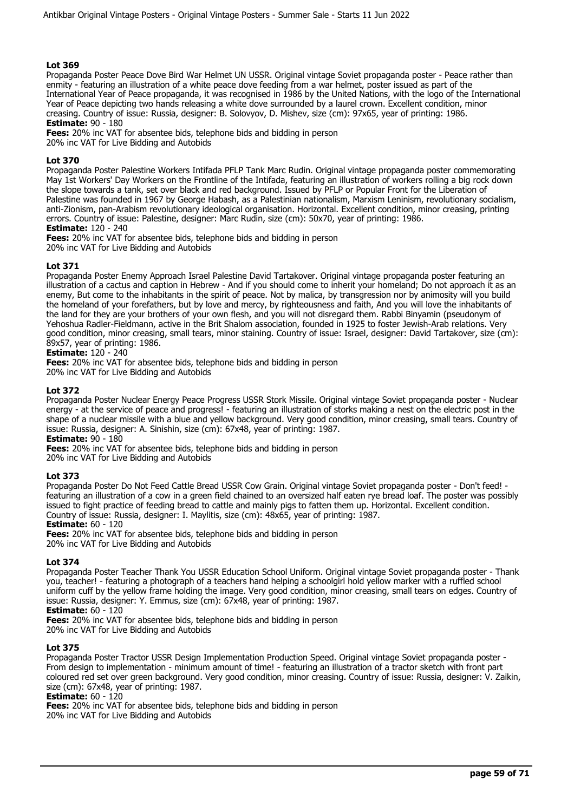Propaganda Poster Peace Dove Bird War Helmet UN USSR. Original vintage Soviet propaganda poster - Peace rather than enmity - featuring an illustration of a white peace dove feeding from a war helmet, poster issued as part of the International Year of Peace propaganda, it was recognised in 1986 by the United Nations, with the logo of the International Year of Peace depicting two hands releasing a white dove surrounded by a laurel crown. Excellent condition, minor creasing. Country of issue: Russia, designer: B. Solovyov, D. Mishev, size (cm): 97x65, year of printing: 1986.

**Estimate:** 90 - 180

**Fees:** 20% inc VAT for absentee bids, telephone bids and bidding in person 20% inc VAT for Live Bidding and Autobids

## **Lot 370**

Propaganda Poster Palestine Workers Intifada PFLP Tank Marc Rudin. Original vintage propaganda poster commemorating May 1st Workers' Day Workers on the Frontline of the Intifada, featuring an illustration of workers rolling a big rock down the slope towards a tank, set over black and red background. Issued by PFLP or Popular Front for the Liberation of Palestine was founded in 1967 by George Habash, as a Palestinian nationalism, Marxism Leninism, revolutionary socialism, anti-Zionism, pan-Arabism revolutionary ideological organisation. Horizontal. Excellent condition, minor creasing, printing errors. Country of issue: Palestine, designer: Marc Rudin, size (cm): 50x70, year of printing: 1986.

#### **Estimate:** 120 - 240

**Fees:** 20% inc VAT for absentee bids, telephone bids and bidding in person 20% inc VAT for Live Bidding and Autobids

## **Lot 371**

Propaganda Poster Enemy Approach Israel Palestine David Tartakover. Original vintage propaganda poster featuring an illustration of a cactus and caption in Hebrew - And if you should come to inherit your homeland; Do not approach it as an enemy, But come to the inhabitants in the spirit of peace. Not by malica, by transgression nor by animosity will you build the homeland of your forefathers, but by love and mercy, by righteousness and faith, And you will love the inhabitants of the land for they are your brothers of your own flesh, and you will not disregard them. Rabbi Binyamin (pseudonym of Yehoshua Radler-Fieldmann, active in the Brit Shalom association, founded in 1925 to foster Jewish-Arab relations. Very good condition, minor creasing, small tears, minor staining. Country of issue: Israel, designer: David Tartakover, size (cm): 89x57, year of printing: 1986.

## **Estimate:** 120 - 240

**Fees:** 20% inc VAT for absentee bids, telephone bids and bidding in person 20% inc VAT for Live Bidding and Autobids

## **Lot 372**

Propaganda Poster Nuclear Energy Peace Progress USSR Stork Missile. Original vintage Soviet propaganda poster - Nuclear energy - at the service of peace and progress! - featuring an illustration of storks making a nest on the electric post in the shape of a nuclear missile with a blue and yellow background. Very good condition, minor creasing, small tears. Country of issue: Russia, designer: A. Sinishin, size (cm): 67x48, year of printing: 1987.

# **Estimate:** 90 - 180

**Fees:** 20% inc VAT for absentee bids, telephone bids and bidding in person

20% inc VAT for Live Bidding and Autobids

## **Lot 373**

Propaganda Poster Do Not Feed Cattle Bread USSR Cow Grain. Original vintage Soviet propaganda poster - Don't feed! featuring an illustration of a cow in a green field chained to an oversized half eaten rye bread loaf. The poster was possibly issued to fight practice of feeding bread to cattle and mainly pigs to fatten them up. Horizontal. Excellent condition. Country of issue: Russia, designer: I. Maylitis, size (cm): 48x65, year of printing: 1987.

# **Estimate:** 60 - 120

**Fees:** 20% inc VAT for absentee bids, telephone bids and bidding in person 20% inc VAT for Live Bidding and Autobids

#### **Lot 374**

Propaganda Poster Teacher Thank You USSR Education School Uniform. Original vintage Soviet propaganda poster - Thank you, teacher! - featuring a photograph of a teachers hand helping a schoolgirl hold yellow marker with a ruffled school uniform cuff by the yellow frame holding the image. Very good condition, minor creasing, small tears on edges. Country of issue: Russia, designer: Y. Emmus, size (cm): 67x48, year of printing: 1987.

# **Estimate:** 60 - 120

**Fees:** 20% inc VAT for absentee bids, telephone bids and bidding in person 20% inc VAT for Live Bidding and Autobids

#### **Lot 375**

Propaganda Poster Tractor USSR Design Implementation Production Speed. Original vintage Soviet propaganda poster - From design to implementation - minimum amount of time! - featuring an illustration of a tractor sketch with front part coloured red set over green background. Very good condition, minor creasing. Country of issue: Russia, designer: V. Zaikin, size (cm): 67x48, year of printing: 1987.

## **Estimate:** 60 - 120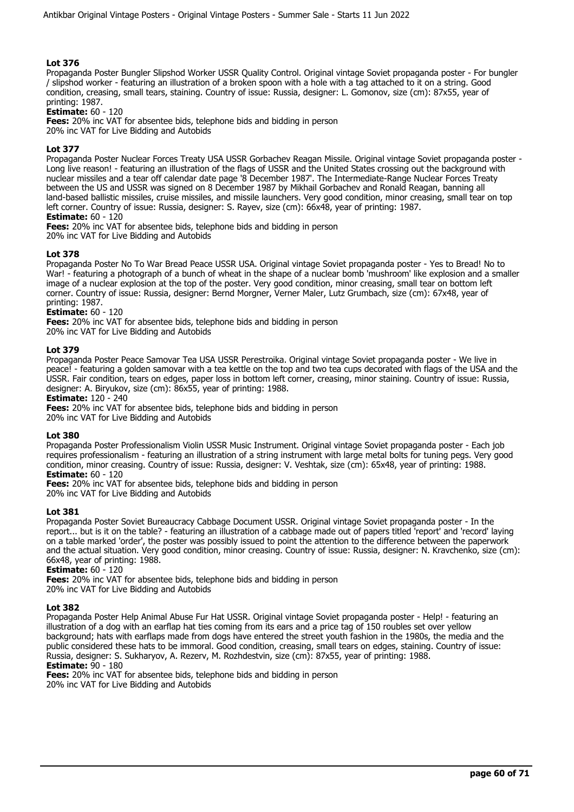Propaganda Poster Bungler Slipshod Worker USSR Quality Control. Original vintage Soviet propaganda poster - For bungler / slipshod worker - featuring an illustration of a broken spoon with a hole with a tag attached to it on a string. Good condition, creasing, small tears, staining. Country of issue: Russia, designer: L. Gomonov, size (cm): 87x55, year of printing: 1987.

**Estimate:** 60 - 120

**Fees:** 20% inc VAT for absentee bids, telephone bids and bidding in person

20% inc VAT for Live Bidding and Autobids

## **Lot 377**

Propaganda Poster Nuclear Forces Treaty USA USSR Gorbachev Reagan Missile. Original vintage Soviet propaganda poster - Long live reason! - featuring an illustration of the flags of USSR and the United States crossing out the background with nuclear missiles and a tear off calendar date page '8 December 1987'. The Intermediate-Range Nuclear Forces Treaty between the US and USSR was signed on 8 December 1987 by Mikhail Gorbachev and Ronald Reagan, banning all land-based ballistic missiles, cruise missiles, and missile launchers. Very good condition, minor creasing, small tear on top left corner. Country of issue: Russia, designer: S. Rayev, size (cm): 66x48, year of printing: 1987. **Estimate:** 60 - 120

**Fees:** 20% inc VAT for absentee bids, telephone bids and bidding in person 20% inc VAT for Live Bidding and Autobids

## **Lot 378**

Propaganda Poster No To War Bread Peace USSR USA. Original vintage Soviet propaganda poster - Yes to Bread! No to War! - featuring a photograph of a bunch of wheat in the shape of a nuclear bomb 'mushroom' like explosion and a smaller image of a nuclear explosion at the top of the poster. Very good condition, minor creasing, small tear on bottom left corner. Country of issue: Russia, designer: Bernd Morgner, Verner Maler, Lutz Grumbach, size (cm): 67x48, year of printing: 1987.

#### **Estimate:** 60 - 120

**Fees:** 20% inc VAT for absentee bids, telephone bids and bidding in person

20% inc VAT for Live Bidding and Autobids

## **Lot 379**

Propaganda Poster Peace Samovar Tea USA USSR Perestroika. Original vintage Soviet propaganda poster - We live in peace! - featuring a golden samovar with a tea kettle on the top and two tea cups decorated with flags of the USA and the USSR. Fair condition, tears on edges, paper loss in bottom left corner, creasing, minor staining. Country of issue: Russia, designer: A. Biryukov, size (cm): 86x55, year of printing: 1988.

#### **Estimate:** 120 - 240

**Fees:** 20% inc VAT for absentee bids, telephone bids and bidding in person

20% inc VAT for Live Bidding and Autobids

#### **Lot 380**

Propaganda Poster Professionalism Violin USSR Music Instrument. Original vintage Soviet propaganda poster - Each job requires professionalism - featuring an illustration of a string instrument with large metal bolts for tuning pegs. Very good condition, minor creasing. Country of issue: Russia, designer: V. Veshtak, size (cm): 65x48, year of printing: 1988. **Estimate:** 60 - 120

**Fees:** 20% inc VAT for absentee bids, telephone bids and bidding in person 20% inc VAT for Live Bidding and Autobids

#### **Lot 381**

Propaganda Poster Soviet Bureaucracy Cabbage Document USSR. Original vintage Soviet propaganda poster - In the report... but is it on the table? - featuring an illustration of a cabbage made out of papers titled 'report' and 'record' laying on a table marked 'order', the poster was possibly issued to point the attention to the difference between the paperwork and the actual situation. Very good condition, minor creasing. Country of issue: Russia, designer: N. Kravchenko, size (cm): 66x48, year of printing: 1988.

**Estimate:** 60 - 120

**Fees:** 20% inc VAT for absentee bids, telephone bids and bidding in person 20% inc VAT for Live Bidding and Autobids

#### **Lot 382**

Propaganda Poster Help Animal Abuse Fur Hat USSR. Original vintage Soviet propaganda poster - Help! - featuring an illustration of a dog with an earflap hat ties coming from its ears and a price tag of 150 roubles set over yellow background; hats with earflaps made from dogs have entered the street youth fashion in the 1980s, the media and the public considered these hats to be immoral. Good condition, creasing, small tears on edges, staining. Country of issue: Russia, designer: S. Sukharyov, A. Rezerv, M. Rozhdestvin, size (cm): 87x55, year of printing: 1988. **Estimate:** 90 - 180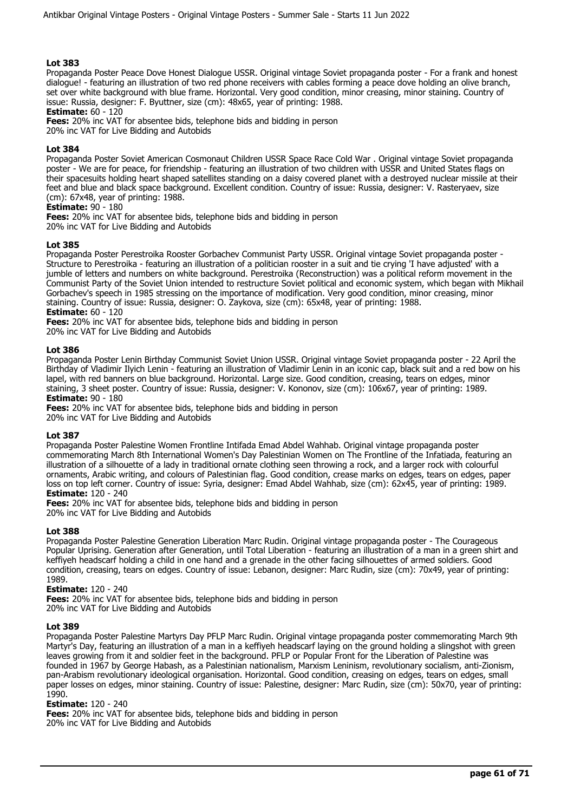Propaganda Poster Peace Dove Honest Dialogue USSR. Original vintage Soviet propaganda poster - For a frank and honest dialogue! - featuring an illustration of two red phone receivers with cables forming a peace dove holding an olive branch, set over white background with blue frame. Horizontal. Very good condition, minor creasing, minor staining. Country of issue: Russia, designer: F. Byuttner, size (cm): 48x65, year of printing: 1988.

**Estimate:** 60 - 120

**Fees:** 20% inc VAT for absentee bids, telephone bids and bidding in person

20% inc VAT for Live Bidding and Autobids

## **Lot 384**

Propaganda Poster Soviet American Cosmonaut Children USSR Space Race Cold War . Original vintage Soviet propaganda poster - We are for peace, for friendship - featuring an illustration of two children with USSR and United States flags on their spacesuits holding heart shaped satellites standing on a daisy covered planet with a destroyed nuclear missile at their feet and blue and black space background. Excellent condition. Country of issue: Russia, designer: V. Rasteryaev, size (cm): 67x48, year of printing: 1988.

#### **Estimate:** 90 - 180

**Fees:** 20% inc VAT for absentee bids, telephone bids and bidding in person

20% inc VAT for Live Bidding and Autobids

## **Lot 385**

Propaganda Poster Perestroika Rooster Gorbachev Communist Party USSR. Original vintage Soviet propaganda poster - Structure to Perestroika - featuring an illustration of a politician rooster in a suit and tie crying 'I have adjusted' with a jumble of letters and numbers on white background. Perestroika (Reconstruction) was a political reform movement in the Communist Party of the Soviet Union intended to restructure Soviet political and economic system, which began with Mikhail Gorbachev's speech in 1985 stressing on the importance of modification. Very good condition, minor creasing, minor staining. Country of issue: Russia, designer: O. Zaykova, size (cm): 65x48, year of printing: 1988. **Estimate:** 60 - 120

**Fees:** 20% inc VAT for absentee bids, telephone bids and bidding in person

20% inc VAT for Live Bidding and Autobids

## **Lot 386**

Propaganda Poster Lenin Birthday Communist Soviet Union USSR. Original vintage Soviet propaganda poster - 22 April the Birthday of Vladimir Ilyich Lenin - featuring an illustration of Vladimir Lenin in an iconic cap, black suit and a red bow on his lapel, with red banners on blue background. Horizontal. Large size. Good condition, creasing, tears on edges, minor staining, 3 sheet poster. Country of issue: Russia, designer: V. Kononov, size (cm): 106x67, year of printing: 1989. **Estimate:** 90 - 180

**Fees:** 20% inc VAT for absentee bids, telephone bids and bidding in person

20% inc VAT for Live Bidding and Autobids

#### **Lot 387**

Propaganda Poster Palestine Women Frontline Intifada Emad Abdel Wahhab. Original vintage propaganda poster commemorating March 8th International Women's Day Palestinian Women on The Frontline of the Infatiada, featuring an illustration of a silhouette of a lady in traditional ornate clothing seen throwing a rock, and a larger rock with colourful ornaments, Arabic writing, and colours of Palestinian flag. Good condition, crease marks on edges, tears on edges, paper loss on top left corner. Country of issue: Syria, designer: Emad Abdel Wahhab, size (cm): 62x45, year of printing: 1989. **Estimate:** 120 - 240

**Fees:** 20% inc VAT for absentee bids, telephone bids and bidding in person 20% inc VAT for Live Bidding and Autobids

#### **Lot 388**

Propaganda Poster Palestine Generation Liberation Marc Rudin. Original vintage propaganda poster - The Courageous Popular Uprising. Generation after Generation, until Total Liberation - featuring an illustration of a man in a green shirt and keffiyeh headscarf holding a child in one hand and a grenade in the other facing silhouettes of armed soldiers. Good condition, creasing, tears on edges. Country of issue: Lebanon, designer: Marc Rudin, size (cm): 70x49, year of printing: 1989.

#### **Estimate:** 120 - 240

**Fees:** 20% inc VAT for absentee bids, telephone bids and bidding in person 20% inc VAT for Live Bidding and Autobids

#### **Lot 389**

Propaganda Poster Palestine Martyrs Day PFLP Marc Rudin. Original vintage propaganda poster commemorating March 9th Martyr's Day, featuring an illustration of a man in a keffiyeh headscarf laying on the ground holding a slingshot with green leaves growing from it and soldier feet in the background. PFLP or Popular Front for the Liberation of Palestine was founded in 1967 by George Habash, as a Palestinian nationalism, Marxism Leninism, revolutionary socialism, anti-Zionism, pan-Arabism revolutionary ideological organisation. Horizontal. Good condition, creasing on edges, tears on edges, small paper losses on edges, minor staining. Country of issue: Palestine, designer: Marc Rudin, size (cm): 50x70, year of printing: 1990.

## **Estimate:** 120 - 240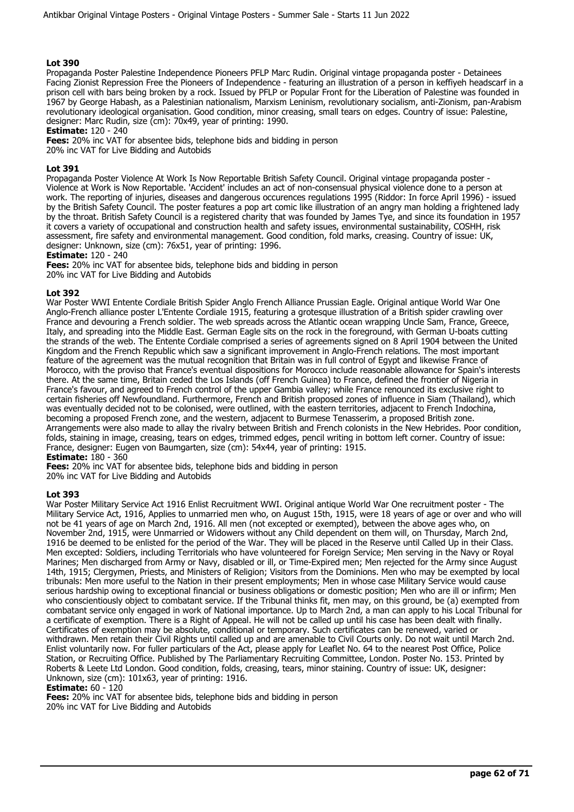Propaganda Poster Palestine Independence Pioneers PFLP Marc Rudin. Original vintage propaganda poster - Detainees Facing Zionist Repression Free the Pioneers of Independence - featuring an illustration of a person in keffiyeh headscarf in a prison cell with bars being broken by a rock. Issued by PFLP or Popular Front for the Liberation of Palestine was founded in 1967 by George Habash, as a Palestinian nationalism, Marxism Leninism, revolutionary socialism, anti-Zionism, pan-Arabism revolutionary ideological organisation. Good condition, minor creasing, small tears on edges. Country of issue: Palestine, designer: Marc Rudin, size (cm): 70x49, year of printing: 1990.

**Estimate:** 120 - 240

**Fees:** 20% inc VAT for absentee bids, telephone bids and bidding in person

20% inc VAT for Live Bidding and Autobids

## **Lot 391**

Propaganda Poster Violence At Work Is Now Reportable British Safety Council. Original vintage propaganda poster - Violence at Work is Now Reportable. 'Accident' includes an act of non-consensual physical violence done to a person at work. The reporting of injuries, diseases and dangerous occurences regulations 1995 (Riddor: In force April 1996) - issued by the British Safety Council. The poster features a pop art comic like illustration of an angry man holding a frightened lady by the throat. British Safety Council is a registered charity that was founded by James Tye, and since its foundation in 1957 it covers a variety of occupational and construction health and safety issues, environmental sustainability, COSHH, risk assessment, fire safety and environmental management. Good condition, fold marks, creasing. Country of issue: UK, designer: Unknown, size (cm): 76x51, year of printing: 1996.

**Estimate:** 120 - 240

**Fees:** 20% inc VAT for absentee bids, telephone bids and bidding in person 20% inc VAT for Live Bidding and Autobids

## **Lot 392**

War Poster WWI Entente Cordiale British Spider Anglo French Alliance Prussian Eagle. Original antique World War One Anglo-French alliance poster L'Entente Cordiale 1915, featuring a grotesque illustration of a British spider crawling over France and devouring a French soldier. The web spreads across the Atlantic ocean wrapping Uncle Sam, France, Greece, Italy, and spreading into the Middle East. German Eagle sits on the rock in the foreground, with German U-boats cutting the strands of the web. The Entente Cordiale comprised a series of agreements signed on 8 April 1904 between the United Kingdom and the French Republic which saw a significant improvement in Anglo-French relations. The most important feature of the agreement was the mutual recognition that Britain was in full control of Egypt and likewise France of Morocco, with the proviso that France's eventual dispositions for Morocco include reasonable allowance for Spain's interests there. At the same time, Britain ceded the Los Islands (off French Guinea) to France, defined the frontier of Nigeria in France's favour, and agreed to French control of the upper Gambia valley; while France renounced its exclusive right to certain fisheries off Newfoundland. Furthermore, French and British proposed zones of influence in Siam (Thailand), which was eventually decided not to be colonised, were outlined, with the eastern territories, adjacent to French Indochina, becoming a proposed French zone, and the western, adjacent to Burmese Tenasserim, a proposed British zone. Arrangements were also made to allay the rivalry between British and French colonists in the New Hebrides. Poor condition, folds, staining in image, creasing, tears on edges, trimmed edges, pencil writing in bottom left corner. Country of issue: France, designer: Eugen von Baumgarten, size (cm): 54x44, year of printing: 1915. **Estimate:** 180 - 360

**Fees:** 20% inc VAT for absentee bids, telephone bids and bidding in person

20% inc VAT for Live Bidding and Autobids

#### **Lot 393**

War Poster Military Service Act 1916 Enlist Recruitment WWI. Original antique World War One recruitment poster - The Military Service Act, 1916, Applies to unmarried men who, on August 15th, 1915, were 18 years of age or over and who will not be 41 years of age on March 2nd, 1916. All men (not excepted or exempted), between the above ages who, on November 2nd, 1915, were Unmarried or Widowers without any Child dependent on them will, on Thursday, March 2nd, 1916 be deemed to be enlisted for the period of the War. They will be placed in the Reserve until Called Up in their Class. Men excepted: Soldiers, including Territorials who have volunteered for Foreign Service; Men serving in the Navy or Royal Marines; Men discharged from Army or Navy, disabled or ill, or Time-Expired men; Men rejected for the Army since August 14th, 1915; Clergymen, Priests, and Ministers of Religion; Visitors from the Dominions. Men who may be exempted by local tribunals: Men more useful to the Nation in their present employments; Men in whose case Military Service would cause serious hardship owing to exceptional financial or business obligations or domestic position; Men who are ill or infirm; Men who conscientiously object to combatant service. If the Tribunal thinks fit, men may, on this ground, be (a) exempted from combatant service only engaged in work of National importance. Up to March 2nd, a man can apply to his Local Tribunal for a certificate of exemption. There is a Right of Appeal. He will not be called up until his case has been dealt with finally. Certificates of exemption may be absolute, conditional or temporary. Such certificates can be renewed, varied or withdrawn. Men retain their Civil Rights until called up and are amenable to Civil Courts only. Do not wait until March 2nd. Enlist voluntarily now. For fuller particulars of the Act, please apply for Leaflet No. 64 to the nearest Post Office, Police Station, or Recruiting Office. Published by The Parliamentary Recruiting Committee, London. Poster No. 153. Printed by Roberts & Leete Ltd London. Good condition, folds, creasing, tears, minor staining. Country of issue: UK, designer: Unknown, size (cm): 101x63, year of printing: 1916.

**Estimate:** 60 - 120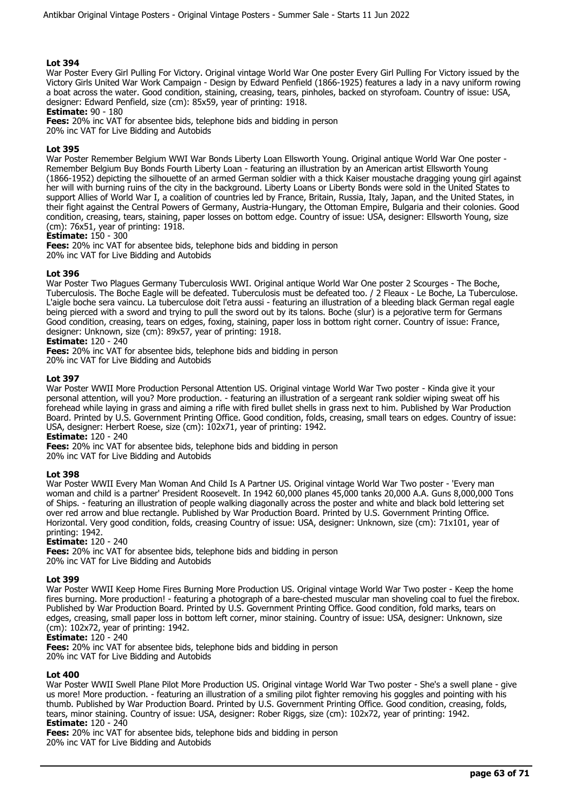War Poster Every Girl Pulling For Victory. Original vintage World War One poster Every Girl Pulling For Victory issued by the Victory Girls United War Work Campaign - Design by Edward Penfield (1866-1925) features a lady in a navy uniform rowing a boat across the water. Good condition, staining, creasing, tears, pinholes, backed on styrofoam. Country of issue: USA, designer: Edward Penfield, size (cm): 85x59, year of printing: 1918.

## **Estimate:** 90 - 180

**Fees:** 20% inc VAT for absentee bids, telephone bids and bidding in person

20% inc VAT for Live Bidding and Autobids

## **Lot 395**

War Poster Remember Belgium WWI War Bonds Liberty Loan Ellsworth Young. Original antique World War One poster - Remember Belgium Buy Bonds Fourth Liberty Loan - featuring an illustration by an American artist Ellsworth Young (1866-1952) depicting the silhouette of an armed German soldier with a thick Kaiser moustache dragging young girl against her will with burning ruins of the city in the background. Liberty Loans or Liberty Bonds were sold in the United States to support Allies of World War I, a coalition of countries led by France, Britain, Russia, Italy, Japan, and the United States, in their fight against the Central Powers of Germany, Austria-Hungary, the Ottoman Empire, Bulgaria and their colonies. Good condition, creasing, tears, staining, paper losses on bottom edge. Country of issue: USA, designer: Ellsworth Young, size (cm): 76x51, year of printing: 1918.

## **Estimate:** 150 - 300

**Fees:** 20% inc VAT for absentee bids, telephone bids and bidding in person 20% inc VAT for Live Bidding and Autobids

## **Lot 396**

War Poster Two Plagues Germany Tuberculosis WWI. Original antique World War One poster 2 Scourges - The Boche, Tuberculosis. The Boche Eagle will be defeated. Tuberculosis must be defeated too. / 2 Fleaux - Le Boche, La Tuberculose. L'aigle boche sera vaincu. La tuberculose doit l'etra aussi - featuring an illustration of a bleeding black German regal eagle being pierced with a sword and trying to pull the sword out by its talons. Boche (slur) is a pejorative term for Germans Good condition, creasing, tears on edges, foxing, staining, paper loss in bottom right corner. Country of issue: France, designer: Unknown, size (cm): 89x57, year of printing: 1918.

# **Estimate:** 120 - 240

**Fees:** 20% inc VAT for absentee bids, telephone bids and bidding in person 20% inc VAT for Live Bidding and Autobids

## **Lot 397**

War Poster WWII More Production Personal Attention US. Original vintage World War Two poster - Kinda give it your personal attention, will you? More production. - featuring an illustration of a sergeant rank soldier wiping sweat off his forehead while laying in grass and aiming a rifle with fired bullet shells in grass next to him. Published by War Production Board. Printed by U.S. Government Printing Office. Good condition, folds, creasing, small tears on edges. Country of issue: USA, designer: Herbert Roese, size (cm): 102x71, year of printing: 1942.

## **Estimate:** 120 - 240

**Fees:** 20% inc VAT for absentee bids, telephone bids and bidding in person

20% inc VAT for Live Bidding and Autobids

#### **Lot 398**

War Poster WWII Every Man Woman And Child Is A Partner US. Original vintage World War Two poster - 'Every man woman and child is a partner' President Roosevelt. In 1942 60,000 planes 45,000 tanks 20,000 A.A. Guns 8,000,000 Tons of Ships. - featuring an illustration of people walking diagonally across the poster and white and black bold lettering set over red arrow and blue rectangle. Published by War Production Board. Printed by U.S. Government Printing Office. Horizontal. Very good condition, folds, creasing Country of issue: USA, designer: Unknown, size (cm): 71x101, year of printing: 1942.

## **Estimate:** 120 - 240

**Fees:** 20% inc VAT for absentee bids, telephone bids and bidding in person 20% inc VAT for Live Bidding and Autobids

#### **Lot 399**

War Poster WWII Keep Home Fires Burning More Production US. Original vintage World War Two poster - Keep the home fires burning. More production! - featuring a photograph of a bare-chested muscular man shoveling coal to fuel the firebox. Published by War Production Board. Printed by U.S. Government Printing Office. Good condition, fold marks, tears on edges, creasing, small paper loss in bottom left corner, minor staining. Country of issue: USA, designer: Unknown, size (cm): 102x72, year of printing: 1942.

## **Estimate:** 120 - 240

**Fees:** 20% inc VAT for absentee bids, telephone bids and bidding in person 20% inc VAT for Live Bidding and Autobids

## **Lot 400**

War Poster WWII Swell Plane Pilot More Production US. Original vintage World War Two poster - She's a swell plane - give us more! More production. - featuring an illustration of a smiling pilot fighter removing his goggles and pointing with his thumb. Published by War Production Board. Printed by U.S. Government Printing Office. Good condition, creasing, folds, tears, minor staining. Country of issue: USA, designer: Rober Riggs, size (cm): 102x72, year of printing: 1942. **Estimate:** 120 - 240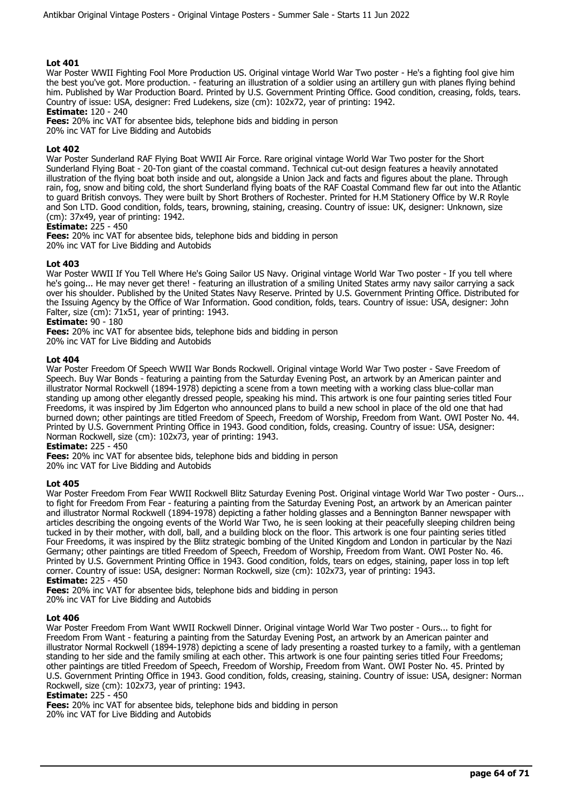War Poster WWII Fighting Fool More Production US. Original vintage World War Two poster - He's a fighting fool give him the best you've got. More production. - featuring an illustration of a soldier using an artillery gun with planes flying behind him. Published by War Production Board. Printed by U.S. Government Printing Office. Good condition, creasing, folds, tears. Country of issue: USA, designer: Fred Ludekens, size (cm): 102x72, year of printing: 1942.

**Estimate:** 120 - 240

**Fees:** 20% inc VAT for absentee bids, telephone bids and bidding in person

20% inc VAT for Live Bidding and Autobids

## **Lot 402**

War Poster Sunderland RAF Flying Boat WWII Air Force. Rare original vintage World War Two poster for the Short Sunderland Flying Boat - 20-Ton giant of the coastal command. Technical cut-out design features a heavily annotated illustration of the flying boat both inside and out, alongside a Union Jack and facts and figures about the plane. Through rain, fog, snow and biting cold, the short Sunderland flying boats of the RAF Coastal Command flew far out into the Atlantic to guard British convoys. They were built by Short Brothers of Rochester. Printed for H.M Stationery Office by W.R Royle and Son LTD. Good condition, folds, tears, browning, staining, creasing. Country of issue: UK, designer: Unknown, size (cm): 37x49, year of printing: 1942.

**Estimate:** 225 - 450

**Fees:** 20% inc VAT for absentee bids, telephone bids and bidding in person 20% inc VAT for Live Bidding and Autobids

## **Lot 403**

War Poster WWII If You Tell Where He's Going Sailor US Navy. Original vintage World War Two poster - If you tell where he's going... He may never get there! - featuring an illustration of a smiling United States army navy sailor carrying a sack over his shoulder. Published by the United States Navy Reserve. Printed by U.S. Government Printing Office. Distributed for the Issuing Agency by the Office of War Information. Good condition, folds, tears. Country of issue: USA, designer: John Falter, size  $(cm)$ :  $71x51$ , year of printing: 1943.

## **Estimate: 90 - 180**

**Fees:** 20% inc VAT for absentee bids, telephone bids and bidding in person 20% inc VAT for Live Bidding and Autobids

#### **Lot 404**

War Poster Freedom Of Speech WWII War Bonds Rockwell. Original vintage World War Two poster - Save Freedom of Speech. Buy War Bonds - featuring a painting from the Saturday Evening Post, an artwork by an American painter and illustrator Normal Rockwell (1894-1978) depicting a scene from a town meeting with a working class blue-collar man standing up among other elegantly dressed people, speaking his mind. This artwork is one four painting series titled Four Freedoms, it was inspired by Jim Edgerton who announced plans to build a new school in place of the old one that had burned down; other paintings are titled Freedom of Speech, Freedom of Worship, Freedom from Want. OWI Poster No. 44. Printed by U.S. Government Printing Office in 1943. Good condition, folds, creasing. Country of issue: USA, designer: Norman Rockwell, size (cm): 102x73, year of printing: 1943.

**Estimate:** 225 - 450

**Fees:** 20% inc VAT for absentee bids, telephone bids and bidding in person

20% inc VAT for Live Bidding and Autobids

## **Lot 405**

War Poster Freedom From Fear WWII Rockwell Blitz Saturday Evening Post. Original vintage World War Two poster - Ours... to fight for Freedom From Fear - featuring a painting from the Saturday Evening Post, an artwork by an American painter and illustrator Normal Rockwell (1894-1978) depicting a father holding glasses and a Bennington Banner newspaper with articles describing the ongoing events of the World War Two, he is seen looking at their peacefully sleeping children being tucked in by their mother, with doll, ball, and a building block on the floor. This artwork is one four painting series titled Four Freedoms, it was inspired by the Blitz strategic bombing of the United Kingdom and London in particular by the Nazi Germany; other paintings are titled Freedom of Speech, Freedom of Worship, Freedom from Want. OWI Poster No. 46. Printed by U.S. Government Printing Office in 1943. Good condition, folds, tears on edges, staining, paper loss in top left corner. Country of issue: USA, designer: Norman Rockwell, size (cm): 102x73, year of printing: 1943. **Estimate:** 225 - 450

**Fees:** 20% inc VAT for absentee bids, telephone bids and bidding in person 20% inc VAT for Live Bidding and Autobids

## **Lot 406**

War Poster Freedom From Want WWII Rockwell Dinner. Original vintage World War Two poster - Ours... to fight for Freedom From Want - featuring a painting from the Saturday Evening Post, an artwork by an American painter and illustrator Normal Rockwell (1894-1978) depicting a scene of lady presenting a roasted turkey to a family, with a gentleman standing to her side and the family smiling at each other. This artwork is one four painting series titled Four Freedoms; other paintings are titled Freedom of Speech, Freedom of Worship, Freedom from Want. OWI Poster No. 45. Printed by U.S. Government Printing Office in 1943. Good condition, folds, creasing, staining. Country of issue: USA, designer: Norman Rockwell, size (cm): 102x73, year of printing: 1943.

#### **Estimate:** 225 - 450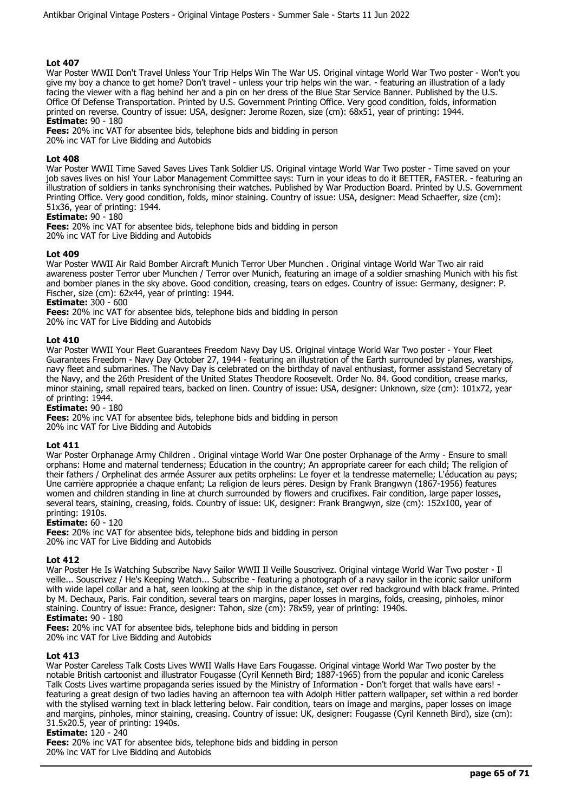War Poster WWII Don't Travel Unless Your Trip Helps Win The War US. Original vintage World War Two poster - Won't you give my boy a chance to get home? Don't travel - unless your trip helps win the war. - featuring an illustration of a lady facing the viewer with a flag behind her and a pin on her dress of the Blue Star Service Banner. Published by the U.S. Office Of Defense Transportation. Printed by U.S. Government Printing Office. Very good condition, folds, information printed on reverse. Country of issue: USA, designer: Jerome Rozen, size (cm): 68x51, year of printing: 1944. **Estimate:** 90 - 180

**Fees:** 20% inc VAT for absentee bids, telephone bids and bidding in person

20% inc VAT for Live Bidding and Autobids

## **Lot 408**

War Poster WWII Time Saved Saves Lives Tank Soldier US. Original vintage World War Two poster - Time saved on your job saves lives on his! Your Labor Management Committee says: Turn in your ideas to do it BETTER, FASTER. - featuring an illustration of soldiers in tanks synchronising their watches. Published by War Production Board. Printed by U.S. Government Printing Office. Very good condition, folds, minor staining. Country of issue: USA, designer: Mead Schaeffer, size (cm): 51x36, year of printing: 1944.

## **Estimate:** 90 - 180

**Fees:** 20% inc VAT for absentee bids, telephone bids and bidding in person 20% inc VAT for Live Bidding and Autobids

#### **Lot 409**

War Poster WWII Air Raid Bomber Aircraft Munich Terror Uber Munchen . Original vintage World War Two air raid awareness poster Terror uber Munchen / Terror over Munich, featuring an image of a soldier smashing Munich with his fist and bomber planes in the sky above. Good condition, creasing, tears on edges. Country of issue: Germany, designer: P. Fischer, size (cm): 62x44, year of printing: 1944.

# **Estimate:** 300 - 600

**Fees:** 20% inc VAT for absentee bids, telephone bids and bidding in person 20% inc VAT for Live Bidding and Autobids

## **Lot 410**

War Poster WWII Your Fleet Guarantees Freedom Navy Day US. Original vintage World War Two poster - Your Fleet Guarantees Freedom - Navy Day October 27, 1944 - featuring an illustration of the Earth surrounded by planes, warships, navy fleet and submarines. The Navy Day is celebrated on the birthday of naval enthusiast, former assistand Secretary of the Navy, and the 26th President of the United States Theodore Roosevelt. Order No. 84. Good condition, crease marks, minor staining, small repaired tears, backed on linen. Country of issue: USA, designer: Unknown, size (cm): 101x72, year of printing: 1944.

**Estimate:** 90 - 180

**Fees:** 20% inc VAT for absentee bids, telephone bids and bidding in person 20% inc VAT for Live Bidding and Autobids

#### **Lot 411**

War Poster Orphanage Army Children . Original vintage World War One poster Orphanage of the Army - Ensure to small orphans: Home and maternal tenderness; Education in the country; An appropriate career for each child; The religion of their fathers / Orphelinat des armée Assurer aux petits orphelins: Le foyer et la tendresse maternelle; L'éducation au pays; Une carrière appropriée a chaque enfant; La religion de leurs pères. Design by Frank Brangwyn (1867-1956) features women and children standing in line at church surrounded by flowers and crucifixes. Fair condition, large paper losses, several tears, staining, creasing, folds. Country of issue: UK, designer: Frank Brangwyn, size (cm): 152x100, year of printing: 1910s.

#### **Estimate:** 60 - 120

**Fees:** 20% inc VAT for absentee bids, telephone bids and bidding in person 20% inc VAT for Live Bidding and Autobids

## **Lot 412**

War Poster He Is Watching Subscribe Navy Sailor WWII Il Veille Souscrivez. Original vintage World War Two poster - Il veille... Souscrivez / He's Keeping Watch... Subscribe - featuring a photograph of a navy sailor in the iconic sailor uniform with wide lapel collar and a hat, seen looking at the ship in the distance, set over red background with black frame. Printed by M. Dechaux, Paris. Fair condition, several tears on margins, paper losses in margins, folds, creasing, pinholes, minor staining. Country of issue: France, designer: Tahon, size (cm): 78x59, year of printing: 1940s. **Estimate:** 90 - 180

**Fees:** 20% inc VAT for absentee bids, telephone bids and bidding in person

20% inc VAT for Live Bidding and Autobids

## **Lot 413**

War Poster Careless Talk Costs Lives WWII Walls Have Ears Fougasse. Original vintage World War Two poster by the notable British cartoonist and illustrator Fougasse (Cyril Kenneth Bird; 1887-1965) from the popular and iconic Careless Talk Costs Lives wartime propaganda series issued by the Ministry of Information - Don't forget that walls have ears! featuring a great design of two ladies having an afternoon tea with Adolph Hitler pattern wallpaper, set within a red border with the stylised warning text in black lettering below. Fair condition, tears on image and margins, paper losses on image and margins, pinholes, minor staining, creasing. Country of issue: UK, designer: Fougasse (Cyril Kenneth Bird), size (cm): 31.5x20.5, year of printing: 1940s.

## **Estimate:** 120 - 240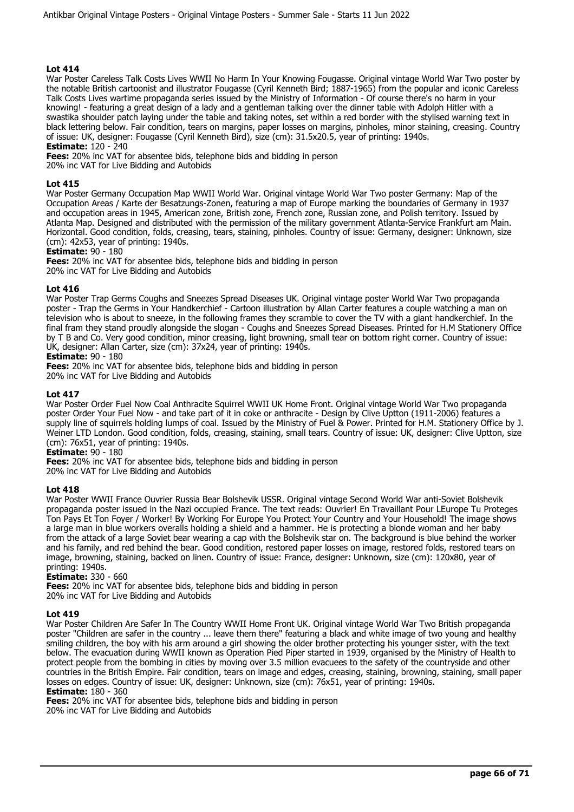War Poster Careless Talk Costs Lives WWII No Harm In Your Knowing Fougasse. Original vintage World War Two poster by the notable British cartoonist and illustrator Fougasse (Cyril Kenneth Bird; 1887-1965) from the popular and iconic Careless Talk Costs Lives wartime propaganda series issued by the Ministry of Information - Of course there's no harm in your knowing! - featuring a great design of a lady and a gentleman talking over the dinner table with Adolph Hitler with a swastika shoulder patch laying under the table and taking notes, set within a red border with the stylised warning text in black lettering below. Fair condition, tears on margins, paper losses on margins, pinholes, minor staining, creasing. Country of issue: UK, designer: Fougasse (Cyril Kenneth Bird), size (cm): 31.5x20.5, year of printing: 1940s. **Estimate:** 120 - 240

**Fees:** 20% inc VAT for absentee bids, telephone bids and bidding in person

20% inc VAT for Live Bidding and Autobids

## **Lot 415**

War Poster Germany Occupation Map WWII World War. Original vintage World War Two poster Germany: Map of the Occupation Areas / Karte der Besatzungs-Zonen, featuring a map of Europe marking the boundaries of Germany in 1937 and occupation areas in 1945, American zone, British zone, French zone, Russian zone, and Polish territory. Issued by Atlanta Map. Designed and distributed with the permission of the military government Atlanta-Service Frankfurt am Main. Horizontal. Good condition, folds, creasing, tears, staining, pinholes. Country of issue: Germany, designer: Unknown, size (cm): 42x53, year of printing: 1940s.

**Estimate:** 90 - 180

**Fees:** 20% inc VAT for absentee bids, telephone bids and bidding in person 20% inc VAT for Live Bidding and Autobids

## **Lot 416**

War Poster Trap Germs Coughs and Sneezes Spread Diseases UK. Original vintage poster World War Two propaganda poster - Trap the Germs in Your Handkerchief - Cartoon illustration by Allan Carter features a couple watching a man on television who is about to sneeze, in the following frames they scramble to cover the TV with a giant handkerchief. In the final fram they stand proudly alongside the slogan - Coughs and Sneezes Spread Diseases. Printed for H.M Stationery Office by T B and Co. Very good condition, minor creasing, light browning, small tear on bottom right corner. Country of issue: UK, designer: Allan Carter, size (cm): 37x24, year of printing: 1940s.

## **Estimate:** 90 - 180

**Fees:** 20% inc VAT for absentee bids, telephone bids and bidding in person 20% inc VAT for Live Bidding and Autobids

## **Lot 417**

War Poster Order Fuel Now Coal Anthracite Squirrel WWII UK Home Front. Original vintage World War Two propaganda poster Order Your Fuel Now - and take part of it in coke or anthracite - Design by Clive Uptton (1911-2006) features a supply line of squirrels holding lumps of coal. Issued by the Ministry of Fuel & Power. Printed for H.M. Stationery Office by J. Weiner LTD London. Good condition, folds, creasing, staining, small tears. Country of issue: UK, designer: Clive Uptton, size (cm): 76x51, year of printing: 1940s.

## **Estimate:** 90 - 180

**Fees:** 20% inc VAT for absentee bids, telephone bids and bidding in person 20% inc VAT for Live Bidding and Autobids

## **Lot 418**

War Poster WWII France Ouvrier Russia Bear Bolshevik USSR. Original vintage Second World War anti-Soviet Bolshevik propaganda poster issued in the Nazi occupied France. The text reads: Ouvrier! En Travaillant Pour LEurope Tu Proteges Ton Pays Et Ton Foyer / Worker! By Working For Europe You Protect Your Country and Your Household! The image shows a large man in blue workers overalls holding a shield and a hammer. He is protecting a blonde woman and her baby from the attack of a large Soviet bear wearing a cap with the Bolshevik star on. The background is blue behind the worker and his family, and red behind the bear. Good condition, restored paper losses on image, restored folds, restored tears on image, browning, staining, backed on linen. Country of issue: France, designer: Unknown, size (cm): 120x80, year of printing: 1940s.

#### **Estimate:** 330 - 660

**Fees:** 20% inc VAT for absentee bids, telephone bids and bidding in person 20% inc VAT for Live Bidding and Autobids

#### **Lot 419**

War Poster Children Are Safer In The Country WWII Home Front UK. Original vintage World War Two British propaganda poster "Children are safer in the country ... leave them there" featuring a black and white image of two young and healthy smiling children, the boy with his arm around a girl showing the older brother protecting his younger sister, with the text below. The evacuation during WWII known as Operation Pied Piper started in 1939, organised by the Ministry of Health to protect people from the bombing in cities by moving over 3.5 million evacuees to the safety of the countryside and other countries in the British Empire. Fair condition, tears on image and edges, creasing, staining, browning, staining, small paper losses on edges. Country of issue: UK, designer: Unknown, size (cm): 76x51, year of printing: 1940s. **Estimate:** 180 - 360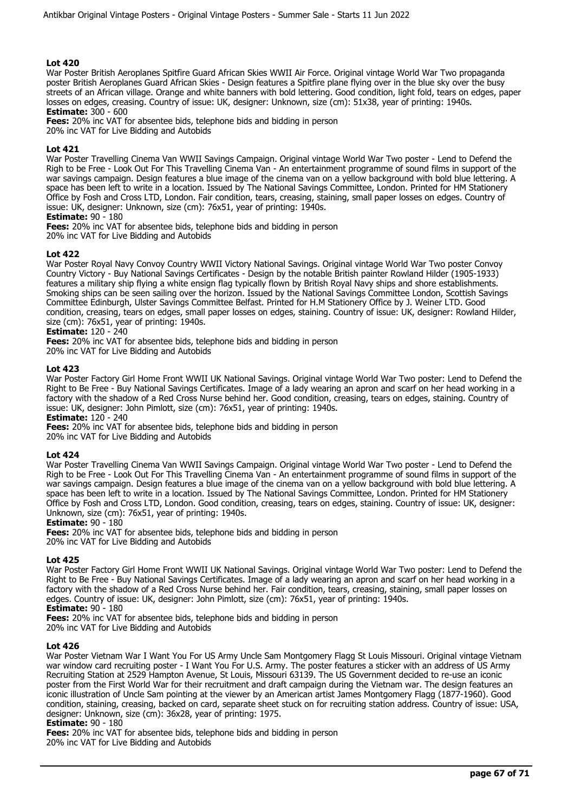War Poster British Aeroplanes Spitfire Guard African Skies WWII Air Force. Original vintage World War Two propaganda poster British Aeroplanes Guard African Skies - Design features a Spitfire plane flying over in the blue sky over the busy streets of an African village. Orange and white banners with bold lettering. Good condition, light fold, tears on edges, paper losses on edges, creasing. Country of issue: UK, designer: Unknown, size (cm): 51x38, year of printing: 1940s. **Estimate:** 300 - 600

**Fees:** 20% inc VAT for absentee bids, telephone bids and bidding in person

20% inc VAT for Live Bidding and Autobids

## **Lot 421**

War Poster Travelling Cinema Van WWII Savings Campaign. Original vintage World War Two poster - Lend to Defend the Righ to be Free - Look Out For This Travelling Cinema Van - An entertainment programme of sound films in support of the war savings campaign. Design features a blue image of the cinema van on a yellow background with bold blue lettering. A space has been left to write in a location. Issued by The National Savings Committee, London. Printed for HM Stationery Office by Fosh and Cross LTD, London. Fair condition, tears, creasing, staining, small paper losses on edges. Country of issue: UK, designer: Unknown, size (cm): 76x51, year of printing: 1940s.

**Estimate:** 90 - 180

**Fees:** 20% inc VAT for absentee bids, telephone bids and bidding in person 20% inc VAT for Live Bidding and Autobids

## **Lot 422**

War Poster Royal Navy Convoy Country WWII Victory National Savings. Original vintage World War Two poster Convoy Country Victory - Buy National Savings Certificates - Design by the notable British painter Rowland Hilder (1905-1933) features a military ship flying a white ensign flag typically flown by British Royal Navy ships and shore establishments. Smoking ships can be seen sailing over the horizon. Issued by the National Savings Committee London, Scottish Savings Committee Edinburgh, Ulster Savings Committee Belfast. Printed for H.M Stationery Office by J. Weiner LTD. Good condition, creasing, tears on edges, small paper losses on edges, staining. Country of issue: UK, designer: Rowland Hilder, size (cm): 76x51, year of printing: 1940s.

**Estimate:** 120 - 240

**Fees:** 20% inc VAT for absentee bids, telephone bids and bidding in person

20% inc VAT for Live Bidding and Autobids

#### **Lot 423**

War Poster Factory Girl Home Front WWII UK National Savings. Original vintage World War Two poster: Lend to Defend the Right to Be Free - Buy National Savings Certificates. Image of a lady wearing an apron and scarf on her head working in a factory with the shadow of a Red Cross Nurse behind her. Good condition, creasing, tears on edges, staining. Country of issue: UK, designer: John Pimlott, size (cm): 76x51, year of printing: 1940s.

**Estimate:** 120 - 240

**Fees:** 20% inc VAT for absentee bids, telephone bids and bidding in person

20% inc VAT for Live Bidding and Autobids

#### **Lot 424**

War Poster Travelling Cinema Van WWII Savings Campaign. Original vintage World War Two poster - Lend to Defend the Righ to be Free - Look Out For This Travelling Cinema Van - An entertainment programme of sound films in support of the war savings campaign. Design features a blue image of the cinema van on a yellow background with bold blue lettering. A space has been left to write in a location. Issued by The National Savings Committee, London. Printed for HM Stationery Office by Fosh and Cross LTD, London. Good condition, creasing, tears on edges, staining. Country of issue: UK, designer: Unknown, size (cm): 76x51, year of printing: 1940s.

**Estimate:** 90 - 180

**Fees:** 20% inc VAT for absentee bids, telephone bids and bidding in person 20% inc VAT for Live Bidding and Autobids

#### **Lot 425**

War Poster Factory Girl Home Front WWII UK National Savings. Original vintage World War Two poster: Lend to Defend the Right to Be Free - Buy National Savings Certificates. Image of a lady wearing an apron and scarf on her head working in a factory with the shadow of a Red Cross Nurse behind her. Fair condition, tears, creasing, staining, small paper losses on edges. Country of issue: UK, designer: John Pimlott, size (cm): 76x51, year of printing: 1940s.

**Estimate:** 90 - 180

**Fees:** 20% inc VAT for absentee bids, telephone bids and bidding in person 20% inc VAT for Live Bidding and Autobids

#### **Lot 426**

War Poster Vietnam War I Want You For US Army Uncle Sam Montgomery Flagg St Louis Missouri. Original vintage Vietnam war window card recruiting poster - I Want You For U.S. Army. The poster features a sticker with an address of US Army Recruiting Station at 2529 Hampton Avenue, St Louis, Missouri 63139. The US Government decided to re-use an iconic poster from the First World War for their recruitment and draft campaign during the Vietnam war. The design features an iconic illustration of Uncle Sam pointing at the viewer by an American artist James Montgomery Flagg (1877-1960). Good condition, staining, creasing, backed on card, separate sheet stuck on for recruiting station address. Country of issue: USA, designer: Unknown, size (cm): 36x28, year of printing: 1975.

#### **Estimate:** 90 - 180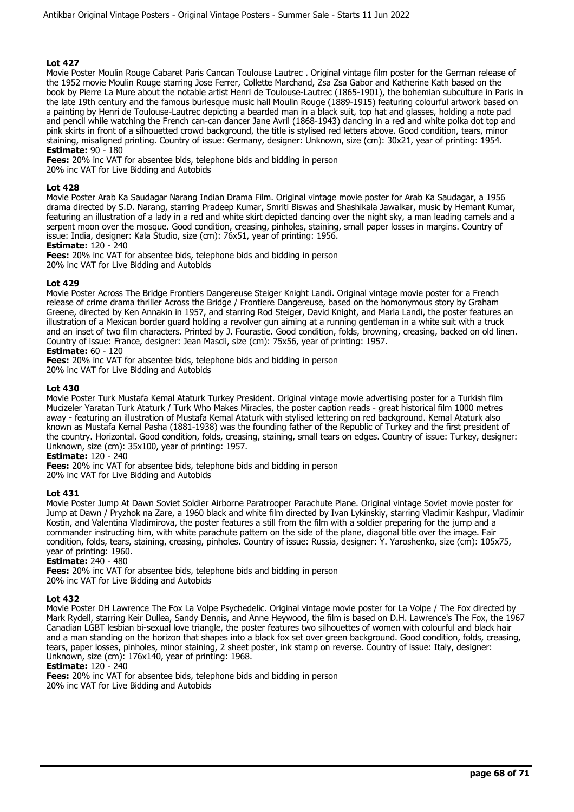Movie Poster Moulin Rouge Cabaret Paris Cancan Toulouse Lautrec . Original vintage film poster for the German release of the 1952 movie Moulin Rouge starring Jose Ferrer, Collette Marchand, Zsa Zsa Gabor and Katherine Kath based on the book by Pierre La Mure about the notable artist Henri de Toulouse-Lautrec (1865-1901), the bohemian subculture in Paris in the late 19th century and the famous burlesque music hall Moulin Rouge (1889-1915) featuring colourful artwork based on a painting by Henri de Toulouse-Lautrec depicting a bearded man in a black suit, top hat and glasses, holding a note pad and pencil while watching the French can-can dancer Jane Avril (1868-1943) dancing in a red and white polka dot top and pink skirts in front of a silhouetted crowd background, the title is stylised red letters above. Good condition, tears, minor staining, misaligned printing. Country of issue: Germany, designer: Unknown, size (cm): 30x21, year of printing: 1954. **Estimate:** 90 - 180

**Fees:** 20% inc VAT for absentee bids, telephone bids and bidding in person 20% inc VAT for Live Bidding and Autobids

## **Lot 428**

Movie Poster Arab Ka Saudagar Narang Indian Drama Film. Original vintage movie poster for Arab Ka Saudagar, a 1956 drama directed by S.D. Narang, starring Pradeep Kumar, Smriti Biswas and Shashikala Jawalkar, music by Hemant Kumar, featuring an illustration of a lady in a red and white skirt depicted dancing over the night sky, a man leading camels and a serpent moon over the mosque. Good condition, creasing, pinholes, staining, small paper losses in margins. Country of issue: India, designer: Kala Studio, size (cm): 76x51, year of printing: 1956.

**Estimate:** 120 - 240

**Fees:** 20% inc VAT for absentee bids, telephone bids and bidding in person

20% inc VAT for Live Bidding and Autobids

#### **Lot 429**

Movie Poster Across The Bridge Frontiers Dangereuse Steiger Knight Landi. Original vintage movie poster for a French release of crime drama thriller Across the Bridge / Frontiere Dangereuse, based on the homonymous story by Graham Greene, directed by Ken Annakin in 1957, and starring Rod Steiger, David Knight, and Marla Landi, the poster features an illustration of a Mexican border guard holding a revolver gun aiming at a running gentleman in a white suit with a truck and an inset of two film characters. Printed by J. Fourastie. Good condition, folds, browning, creasing, backed on old linen. Country of issue: France, designer: Jean Mascii, size (cm): 75x56, year of printing: 1957.

## **Estimate:** 60 - 120

**Fees:** 20% inc VAT for absentee bids, telephone bids and bidding in person

20% inc VAT for Live Bidding and Autobids

#### **Lot 430**

Movie Poster Turk Mustafa Kemal Ataturk Turkey President. Original vintage movie advertising poster for a Turkish film Mucizeler Yaratan Turk Ataturk / Turk Who Makes Miracles, the poster caption reads - great historical film 1000 metres away - featuring an illustration of Mustafa Kemal Ataturk with stylised lettering on red background. Kemal Ataturk also known as Mustafa Kemal Pasha (1881-1938) was the founding father of the Republic of Turkey and the first president of the country. Horizontal. Good condition, folds, creasing, staining, small tears on edges. Country of issue: Turkey, designer: Unknown, size (cm): 35x100, year of printing: 1957.

**Estimate:** 120 - 240

**Fees:** 20% inc VAT for absentee bids, telephone bids and bidding in person 20% inc VAT for Live Bidding and Autobids

#### **Lot 431**

Movie Poster Jump At Dawn Soviet Soldier Airborne Paratrooper Parachute Plane. Original vintage Soviet movie poster for Jump at Dawn / Pryzhok na Zare, a 1960 black and white film directed by Ivan Lykinskiy, starring Vladimir Kashpur, Vladimir Kostin, and Valentina Vladimirova, the poster features a still from the film with a soldier preparing for the jump and a commander instructing him, with white parachute pattern on the side of the plane, diagonal title over the image. Fair condition, folds, tears, staining, creasing, pinholes. Country of issue: Russia, designer: Y. Yaroshenko, size (cm): 105x75, year of printing: 1960.

## **Estimate:** 240 - 480

**Fees:** 20% inc VAT for absentee bids, telephone bids and bidding in person 20% inc VAT for Live Bidding and Autobids

#### **Lot 432**

Movie Poster DH Lawrence The Fox La Volpe Psychedelic. Original vintage movie poster for La Volpe / The Fox directed by Mark Rydell, starring Keir Dullea, Sandy Dennis, and Anne Heywood, the film is based on D.H. Lawrence's The Fox, the 1967 Canadian LGBT lesbian bi-sexual love triangle, the poster features two silhouettes of women with colourful and black hair and a man standing on the horizon that shapes into a black fox set over green background. Good condition, folds, creasing, tears, paper losses, pinholes, minor staining, 2 sheet poster, ink stamp on reverse. Country of issue: Italy, designer: Unknown, size (cm): 176x140, year of printing: 1968.

#### **Estimate:** 120 - 240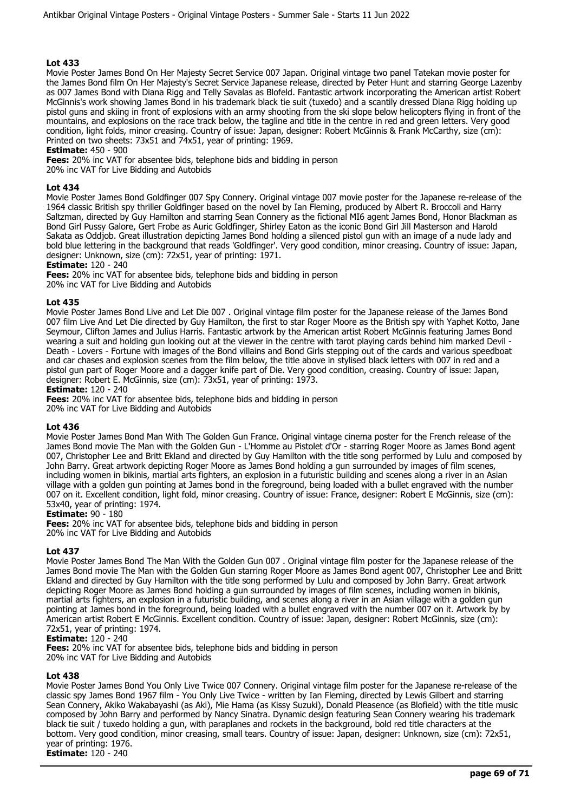Movie Poster James Bond On Her Majesty Secret Service 007 Japan. Original vintage two panel Tatekan movie poster for the James Bond film On Her Majesty's Secret Service Japanese release, directed by Peter Hunt and starring George Lazenby as 007 James Bond with Diana Rigg and Telly Savalas as Blofeld. Fantastic artwork incorporating the American artist Robert McGinnis's work showing James Bond in his trademark black tie suit (tuxedo) and a scantily dressed Diana Rigg holding up pistol guns and skiing in front of explosions with an army shooting from the ski slope below helicopters flying in front of the mountains, and explosions on the race track below, the tagline and title in the centre in red and green letters. Very good condition, light folds, minor creasing. Country of issue: Japan, designer: Robert McGinnis & Frank McCarthy, size (cm): Printed on two sheets: 73x51 and 74x51, year of printing: 1969.

## **Estimate:** 450 - 900

**Fees:** 20% inc VAT for absentee bids, telephone bids and bidding in person

20% inc VAT for Live Bidding and Autobids

## **Lot 434**

Movie Poster James Bond Goldfinger 007 Spy Connery. Original vintage 007 movie poster for the Japanese re-release of the 1964 classic British spy thriller Goldfinger based on the novel by Ian Fleming, produced by Albert R. Broccoli and Harry Saltzman, directed by Guy Hamilton and starring Sean Connery as the fictional MI6 agent James Bond, Honor Blackman as Bond Girl Pussy Galore, Gert Frobe as Auric Goldfinger, Shirley Eaton as the iconic Bond Girl Jill Masterson and Harold Sakata as Oddjob. Great illustration depicting James Bond holding a silenced pistol gun with an image of a nude lady and bold blue lettering in the background that reads 'Goldfinger'. Very good condition, minor creasing. Country of issue: Japan, designer: Unknown, size (cm): 72x51, year of printing: 1971.

## **Estimate:** 120 - 240

**Fees:** 20% inc VAT for absentee bids, telephone bids and bidding in person

20% inc VAT for Live Bidding and Autobids

## **Lot 435**

Movie Poster James Bond Live and Let Die 007 . Original vintage film poster for the Japanese release of the James Bond 007 film Live And Let Die directed by Guy Hamilton, the first to star Roger Moore as the British spy with Yaphet Kotto, Jane Seymour, Clifton James and Julius Harris. Fantastic artwork by the American artist Robert McGinnis featuring James Bond wearing a suit and holding gun looking out at the viewer in the centre with tarot playing cards behind him marked Devil - Death - Lovers - Fortune with images of the Bond villains and Bond Girls stepping out of the cards and various speedboat and car chases and explosion scenes from the film below, the title above in stylised black letters with 007 in red and a pistol gun part of Roger Moore and a dagger knife part of Die. Very good condition, creasing. Country of issue: Japan, designer: Robert E. McGinnis, size (cm): 73x51, year of printing: 1973.

**Estimate:** 120 - 240

**Fees:** 20% inc VAT for absentee bids, telephone bids and bidding in person 20% inc VAT for Live Bidding and Autobids

#### **Lot 436**

Movie Poster James Bond Man With The Golden Gun France. Original vintage cinema poster for the French release of the James Bond movie The Man with the Golden Gun - L'Homme au Pistolet d'Or - starring Roger Moore as James Bond agent 007, Christopher Lee and Britt Ekland and directed by Guy Hamilton with the title song performed by Lulu and composed by John Barry. Great artwork depicting Roger Moore as James Bond holding a gun surrounded by images of film scenes, including women in bikinis, martial arts fighters, an explosion in a futuristic building and scenes along a river in an Asian village with a golden gun pointing at James bond in the foreground, being loaded with a bullet engraved with the number 007 on it. Excellent condition, light fold, minor creasing. Country of issue: France, designer: Robert E McGinnis, size (cm): 53x40, year of printing: 1974.

#### **Estimate:** 90 - 180

**Fees:** 20% inc VAT for absentee bids, telephone bids and bidding in person 20% inc VAT for Live Bidding and Autobids

#### **Lot 437**

Movie Poster James Bond The Man With the Golden Gun 007 . Original vintage film poster for the Japanese release of the James Bond movie The Man with the Golden Gun starring Roger Moore as James Bond agent 007, Christopher Lee and Britt Ekland and directed by Guy Hamilton with the title song performed by Lulu and composed by John Barry. Great artwork depicting Roger Moore as James Bond holding a gun surrounded by images of film scenes, including women in bikinis, martial arts fighters, an explosion in a futuristic building, and scenes along a river in an Asian village with a golden gun pointing at James bond in the foreground, being loaded with a bullet engraved with the number 007 on it. Artwork by by American artist Robert E McGinnis. Excellent condition. Country of issue: Japan, designer: Robert McGinnis, size (cm): 72x51, year of printing: 1974.

## **Estimate:** 120 - 240

**Fees:** 20% inc VAT for absentee bids, telephone bids and bidding in person 20% inc VAT for Live Bidding and Autobids

#### **Lot 438**

Movie Poster James Bond You Only Live Twice 007 Connery. Original vintage film poster for the Japanese re-release of the classic spy James Bond 1967 film - You Only Live Twice - written by Ian Fleming, directed by Lewis Gilbert and starring Sean Connery, Akiko Wakabayashi (as Aki), Mie Hama (as Kissy Suzuki), Donald Pleasence (as Blofield) with the title music composed by John Barry and performed by Nancy Sinatra. Dynamic design featuring Sean Connery wearing his trademark black tie suit / tuxedo holding a gun, with paraplanes and rockets in the background, bold red title characters at the bottom. Very good condition, minor creasing, small tears. Country of issue: Japan, designer: Unknown, size (cm): 72x51, year of printing: 1976. **Estimate:** 120 - 240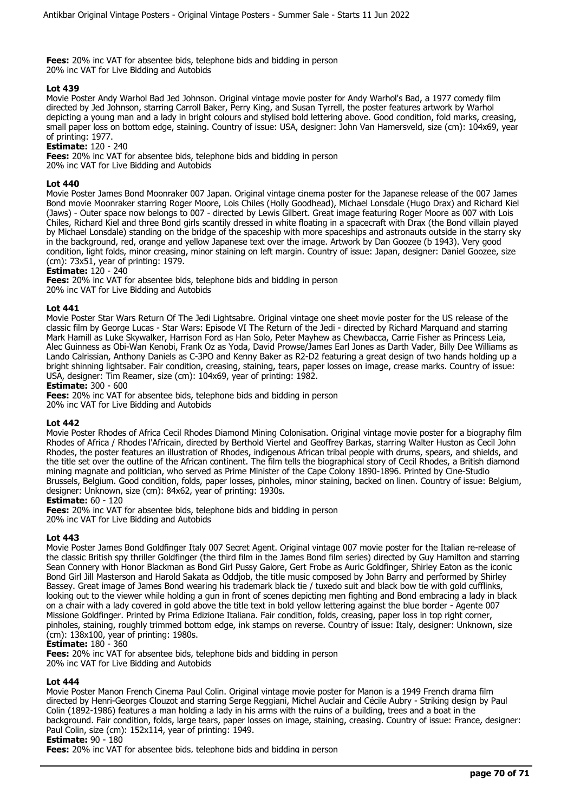**Fees:** 20% inc VAT for absentee bids, telephone bids and bidding in person 20% inc VAT for Live Bidding and Autobids

## **Lot 439**

Movie Poster Andy Warhol Bad Jed Johnson. Original vintage movie poster for Andy Warhol's Bad, a 1977 comedy film directed by Jed Johnson, starring Carroll Baker, Perry King, and Susan Tyrrell, the poster features artwork by Warhol depicting a young man and a lady in bright colours and stylised bold lettering above. Good condition, fold marks, creasing, small paper loss on bottom edge, staining. Country of issue: USA, designer: John Van Hamersveld, size (cm): 104x69, year of printing: 1977.

## **Estimate:** 120 - 240

**Fees:** 20% inc VAT for absentee bids, telephone bids and bidding in person 20% inc VAT for Live Bidding and Autobids

## **Lot 440**

Movie Poster James Bond Moonraker 007 Japan. Original vintage cinema poster for the Japanese release of the 007 James Bond movie Moonraker starring Roger Moore, Lois Chiles (Holly Goodhead), Michael Lonsdale (Hugo Drax) and Richard Kiel (Jaws) - Outer space now belongs to 007 - directed by Lewis Gilbert. Great image featuring Roger Moore as 007 with Lois Chiles, Richard Kiel and three Bond girls scantily dressed in white floating in a spacecraft with Drax (the Bond villain played by Michael Lonsdale) standing on the bridge of the spaceship with more spaceships and astronauts outside in the starry sky in the background, red, orange and yellow Japanese text over the image. Artwork by Dan Goozee (b 1943). Very good condition, light folds, minor creasing, minor staining on left margin. Country of issue: Japan, designer: Daniel Goozee, size (cm): 73x51, year of printing: 1979.

#### **Estimate:** 120 - 240

**Fees:** 20% inc VAT for absentee bids, telephone bids and bidding in person 20% inc VAT for Live Bidding and Autobids

#### **Lot 441**

Movie Poster Star Wars Return Of The Jedi Lightsabre. Original vintage one sheet movie poster for the US release of the classic film by George Lucas - Star Wars: Episode VI The Return of the Jedi - directed by Richard Marquand and starring Mark Hamill as Luke Skywalker, Harrison Ford as Han Solo, Peter Mayhew as Chewbacca, Carrie Fisher as Princess Leia, Alec Guinness as Obi-Wan Kenobi, Frank Oz as Yoda, David Prowse/James Earl Jones as Darth Vader, Billy Dee Williams as Lando Calrissian, Anthony Daniels as C-3PO and Kenny Baker as R2-D2 featuring a great design of two hands holding up a bright shinning lightsaber. Fair condition, creasing, staining, tears, paper losses on image, crease marks. Country of issue: USA, designer: Tim Reamer, size (cm): 104x69, year of printing: 1982.

#### **Estimate:** 300 - 600

**Fees:** 20% inc VAT for absentee bids, telephone bids and bidding in person 20% inc VAT for Live Bidding and Autobids

#### **Lot 442**

Movie Poster Rhodes of Africa Cecil Rhodes Diamond Mining Colonisation. Original vintage movie poster for a biography film Rhodes of Africa / Rhodes l'Africain, directed by Berthold Viertel and Geoffrey Barkas, starring Walter Huston as Cecil John Rhodes, the poster features an illustration of Rhodes, indigenous African tribal people with drums, spears, and shields, and the title set over the outline of the African continent. The film tells the biographical story of Cecil Rhodes, a British diamond mining magnate and politician, who served as Prime Minister of the Cape Colony 1890-1896. Printed by Cine-Studio Brussels, Belgium. Good condition, folds, paper losses, pinholes, minor staining, backed on linen. Country of issue: Belgium, designer: Unknown, size (cm): 84x62, year of printing: 1930s.

#### **Estimate:** 60 - 120

**Fees:** 20% inc VAT for absentee bids, telephone bids and bidding in person 20% inc VAT for Live Bidding and Autobids

## **Lot 443**

Movie Poster James Bond Goldfinger Italy 007 Secret Agent. Original vintage 007 movie poster for the Italian re-release of the classic British spy thriller Goldfinger (the third film in the James Bond film series) directed by Guy Hamilton and starring Sean Connery with Honor Blackman as Bond Girl Pussy Galore, Gert Frobe as Auric Goldfinger, Shirley Eaton as the iconic Bond Girl Jill Masterson and Harold Sakata as Oddjob, the title music composed by John Barry and performed by Shirley Bassey. Great image of James Bond wearing his trademark black tie / tuxedo suit and black bow tie with gold cufflinks, looking out to the viewer while holding a gun in front of scenes depicting men fighting and Bond embracing a lady in black on a chair with a lady covered in gold above the title text in bold yellow lettering against the blue border - Agente 007 Missione Goldfinger. Printed by Prima Edizione Italiana. Fair condition, folds, creasing, paper loss in top right corner, pinholes, staining, roughly trimmed bottom edge, ink stamps on reverse. Country of issue: Italy, designer: Unknown, size (cm): 138x100, year of printing: 1980s.

## **Estimate:** 180 - 360

**Fees:** 20% inc VAT for absentee bids, telephone bids and bidding in person 20% inc VAT for Live Bidding and Autobids

#### **Lot 444**

Movie Poster Manon French Cinema Paul Colin. Original vintage movie poster for Manon is a 1949 French drama film directed by Henri-Georges Clouzot and starring Serge Reggiani, Michel Auclair and Cécile Aubry - Striking design by Paul Colin (1892-1986) features a man holding a lady in his arms with the ruins of a building, trees and a boat in the background. Fair condition, folds, large tears, paper losses on image, staining, creasing. Country of issue: France, designer: Paul Colin, size (cm): 152x114, year of printing: 1949.

#### **Estimate:** 90 - 180

**Fees:** 20% inc VAT for absentee bids, telephone bids and bidding in person